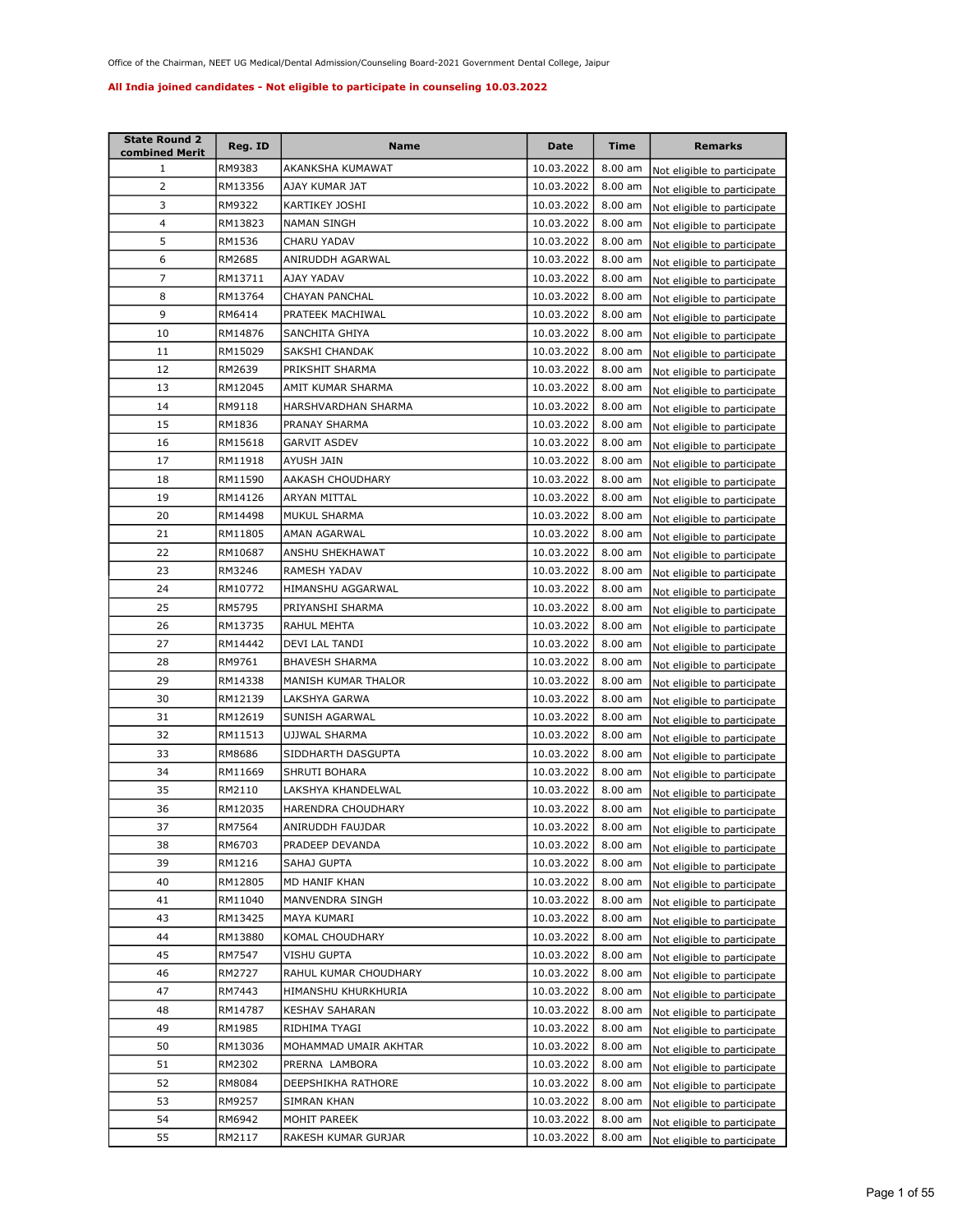| <b>State Round 2</b><br>combined Merit | Reg. ID | <b>Name</b>           | Date       | Time      | <b>Remarks</b>              |
|----------------------------------------|---------|-----------------------|------------|-----------|-----------------------------|
| 1                                      | RM9383  | AKANKSHA KUMAWAT      | 10.03.2022 | 8.00 am   | Not eligible to participate |
| $\overline{2}$                         | RM13356 | AJAY KUMAR JAT        | 10.03.2022 | 8.00 am   | Not eligible to participate |
| 3                                      | RM9322  | KARTIKEY JOSHI        | 10.03.2022 | $8.00$ am | Not eligible to participate |
| 4                                      | RM13823 | <b>NAMAN SINGH</b>    | 10.03.2022 | 8.00 am   | Not eligible to participate |
| 5                                      | RM1536  | CHARU YADAV           | 10.03.2022 | 8.00 am   | Not eligible to participate |
| 6                                      | RM2685  | ANIRUDDH AGARWAL      | 10.03.2022 | 8.00 am   | Not eligible to participate |
| 7                                      | RM13711 | AJAY YADAV            | 10.03.2022 | $8.00$ am | Not eligible to participate |
| 8                                      | RM13764 | <b>CHAYAN PANCHAL</b> | 10.03.2022 | 8.00 am   | Not eligible to participate |
| 9                                      | RM6414  | PRATEEK MACHIWAL      | 10.03.2022 | $8.00$ am | Not eligible to participate |
| 10                                     | RM14876 | SANCHITA GHIYA        | 10.03.2022 | 8.00 am   | Not eligible to participate |
| 11                                     | RM15029 | SAKSHI CHANDAK        | 10.03.2022 | 8.00 am   | Not eligible to participate |
| 12                                     | RM2639  | PRIKSHIT SHARMA       | 10.03.2022 | $8.00$ am | Not eligible to participate |
| 13                                     | RM12045 | AMIT KUMAR SHARMA     | 10.03.2022 | 8.00 am   | Not eligible to participate |
| 14                                     | RM9118  | HARSHVARDHAN SHARMA   | 10.03.2022 | 8.00 am   | Not eligible to participate |
| 15                                     | RM1836  | PRANAY SHARMA         | 10.03.2022 | 8.00 am   | Not eligible to participate |
| 16                                     | RM15618 | <b>GARVIT ASDEV</b>   | 10.03.2022 | 8.00 am   | Not eligible to participate |
| 17                                     | RM11918 | AYUSH JAIN            | 10.03.2022 | 8.00 am   | Not eligible to participate |
| 18                                     | RM11590 | AAKASH CHOUDHARY      | 10.03.2022 | $8.00$ am | Not eligible to participate |
| 19                                     | RM14126 | <b>ARYAN MITTAL</b>   | 10.03.2022 | 8.00 am   | Not eligible to participate |
| 20                                     | RM14498 | MUKUL SHARMA          | 10.03.2022 | 8.00 am   | Not eligible to participate |
| 21                                     | RM11805 | AMAN AGARWAL          | 10.03.2022 | 8.00 am   | Not eligible to participate |
| 22                                     | RM10687 | ANSHU SHEKHAWAT       | 10.03.2022 | $8.00$ am | Not eligible to participate |
| 23                                     | RM3246  | RAMESH YADAV          | 10.03.2022 | 8.00 am   | Not eligible to participate |
| 24                                     | RM10772 | HIMANSHU AGGARWAL     | 10.03.2022 | 8.00 am   | Not eligible to participate |
| 25                                     | RM5795  | PRIYANSHI SHARMA      | 10.03.2022 | 8.00 am   | Not eligible to participate |
| 26                                     | RM13735 | RAHUL MEHTA           | 10.03.2022 | 8.00 am   | Not eligible to participate |
| 27                                     | RM14442 | DEVI LAL TANDI        | 10.03.2022 | $8.00$ am | Not eligible to participate |
| 28                                     | RM9761  | <b>BHAVESH SHARMA</b> | 10.03.2022 | $8.00$ am | Not eligible to participate |
| 29                                     | RM14338 | MANISH KUMAR THALOR   | 10.03.2022 | 8.00 am   | Not eligible to participate |
| 30                                     | RM12139 | LAKSHYA GARWA         | 10.03.2022 | 8.00 am   | Not eligible to participate |
| 31                                     | RM12619 | SUNISH AGARWAL        | 10.03.2022 | 8.00 am   | Not eligible to participate |
| 32                                     | RM11513 | UJJWAL SHARMA         | 10.03.2022 | 8.00 am   | Not eligible to participate |
| 33                                     | RM8686  | SIDDHARTH DASGUPTA    | 10.03.2022 | 8.00 am   | Not eligible to participate |
| 34                                     | RM11669 | SHRUTI BOHARA         | 10.03.2022 | 8.00 am   | Not eligible to participate |
| 35                                     | RM2110  | LAKSHYA KHANDELWAL    | 10.03.2022 | 8.00 am   | Not eligible to participate |
| 36                                     | RM12035 | HARENDRA CHOUDHARY    | 10.03.2022 | 8.00 am   | Not eligible to participate |
| 37                                     | RM7564  | ANIRUDDH FAUJDAR      | 10.03.2022 | $8.00$ am | Not eligible to participate |
| 38                                     | RM6703  | PRADEEP DEVANDA       | 10.03.2022 | 8.00 am   | Not eligible to participate |
| 39                                     | RM1216  | SAHAJ GUPTA           | 10.03.2022 | 8.00 am   | Not eligible to participate |
| 40                                     | RM12805 | MD HANIF KHAN         | 10.03.2022 | 8.00 am   | Not eligible to participate |
| 41                                     | RM11040 | MANVENDRA SINGH       | 10.03.2022 | 8.00 am   | Not eligible to participate |
| 43                                     | RM13425 | MAYA KUMARI           | 10.03.2022 | 8.00 am   | Not eligible to participate |
| 44                                     | RM13880 | KOMAL CHOUDHARY       | 10.03.2022 | 8.00 am   | Not eligible to participate |
| 45                                     | RM7547  | VISHU GUPTA           | 10.03.2022 | 8.00 am   | Not eligible to participate |
| 46                                     | RM2727  | RAHUL KUMAR CHOUDHARY | 10.03.2022 | 8.00 am   | Not eligible to participate |
| 47                                     | RM7443  | HIMANSHU KHURKHURIA   | 10.03.2022 | 8.00 am   | Not eligible to participate |
| 48                                     | RM14787 | <b>KESHAV SAHARAN</b> | 10.03.2022 | 8.00 am   | Not eligible to participate |
| 49                                     | RM1985  | RIDHIMA TYAGI         | 10.03.2022 | 8.00 am   | Not eligible to participate |
| 50                                     | RM13036 | MOHAMMAD UMAIR AKHTAR | 10.03.2022 | 8.00 am   | Not eligible to participate |
| 51                                     | RM2302  | PRERNA LAMBORA        | 10.03.2022 | 8.00 am   | Not eligible to participate |
| 52                                     | RM8084  | DEEPSHIKHA RATHORE    | 10.03.2022 | 8.00 am   | Not eligible to participate |
| 53                                     | RM9257  | SIMRAN KHAN           | 10.03.2022 | $8.00$ am | Not eligible to participate |
| 54                                     | RM6942  | MOHIT PAREEK          | 10.03.2022 | 8.00 am   | Not eligible to participate |
| 55                                     | RM2117  | RAKESH KUMAR GURJAR   | 10.03.2022 | 8.00 am   | Not eligible to participate |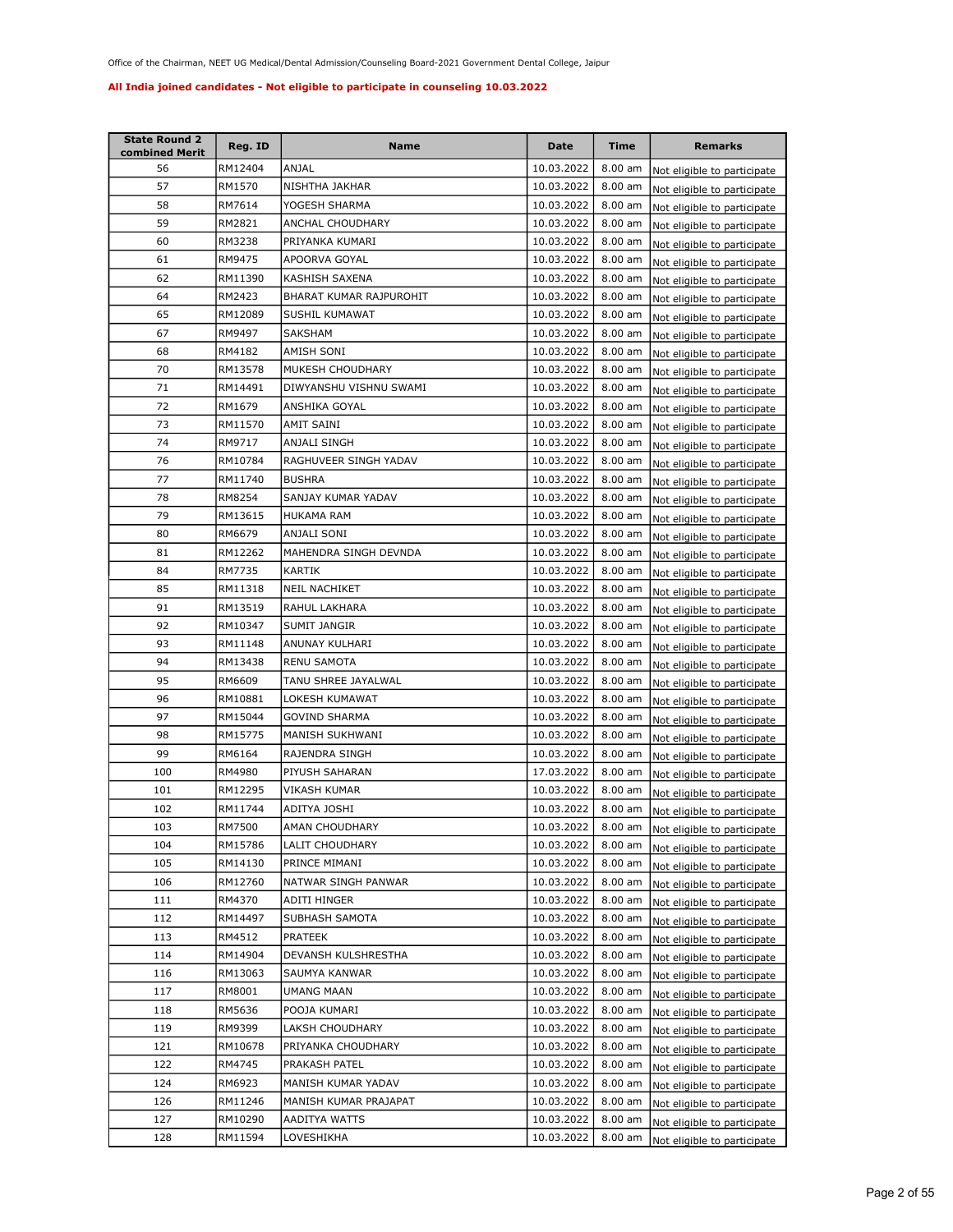| <b>State Round 2</b><br>combined Merit | Reg. ID | Name                    | <b>Date</b> | Time      | <b>Remarks</b>              |
|----------------------------------------|---------|-------------------------|-------------|-----------|-----------------------------|
| 56                                     | RM12404 | ANJAL                   | 10.03.2022  | $8.00$ am | Not eligible to participate |
| 57                                     | RM1570  | NISHTHA JAKHAR          | 10.03.2022  | $8.00$ am | Not eligible to participate |
| 58                                     | RM7614  | YOGESH SHARMA           | 10.03.2022  | $8.00$ am | Not eligible to participate |
| 59                                     | RM2821  | ANCHAL CHOUDHARY        | 10.03.2022  | 8.00 am   | Not eligible to participate |
| 60                                     | RM3238  | PRIYANKA KUMARI         | 10.03.2022  | $8.00$ am | Not eligible to participate |
| 61                                     | RM9475  | APOORVA GOYAL           | 10.03.2022  | 8.00 am   | Not eligible to participate |
| 62                                     | RM11390 | KASHISH SAXENA          | 10.03.2022  | $8.00$ am | Not eligible to participate |
| 64                                     | RM2423  | BHARAT KUMAR RAJPUROHIT | 10.03.2022  | 8.00 am   | Not eligible to participate |
| 65                                     | RM12089 | SUSHIL KUMAWAT          | 10.03.2022  | 8.00 am   | Not eligible to participate |
| 67                                     | RM9497  | SAKSHAM                 | 10.03.2022  | 8.00 am   | Not eligible to participate |
| 68                                     | RM4182  | AMISH SONI              | 10.03.2022  | 8.00 am   | Not eligible to participate |
| 70                                     | RM13578 | MUKESH CHOUDHARY        | 10.03.2022  | 8.00 am   | Not eligible to participate |
| 71                                     | RM14491 | DIWYANSHU VISHNU SWAMI  | 10.03.2022  | 8.00 am   | Not eligible to participate |
| 72                                     | RM1679  | ANSHIKA GOYAL           | 10.03.2022  | $8.00$ am | Not eligible to participate |
| 73                                     | RM11570 | AMIT SAINI              | 10.03.2022  | 8.00 am   | Not eligible to participate |
| 74                                     | RM9717  | <b>ANJALI SINGH</b>     | 10.03.2022  | $8.00$ am | Not eligible to participate |
| 76                                     | RM10784 | RAGHUVEER SINGH YADAV   | 10.03.2022  | 8.00 am   | Not eligible to participate |
| 77                                     | RM11740 | <b>BUSHRA</b>           | 10.03.2022  | 8.00 am   | Not eligible to participate |
| 78                                     | RM8254  | SANJAY KUMAR YADAV      | 10.03.2022  | $8.00$ am | Not eligible to participate |
| 79                                     | RM13615 | <b>HUKAMA RAM</b>       | 10.03.2022  | $8.00$ am | Not eligible to participate |
| 80                                     | RM6679  | ANJALI SONI             | 10.03.2022  | $8.00$ am | Not eligible to participate |
| 81                                     | RM12262 | MAHENDRA SINGH DEVNDA   | 10.03.2022  | $8.00$ am | Not eligible to participate |
| 84                                     | RM7735  | KARTIK                  | 10.03.2022  | $8.00$ am | Not eligible to participate |
| 85                                     | RM11318 | <b>NEIL NACHIKET</b>    | 10.03.2022  | $8.00$ am | Not eligible to participate |
| 91                                     | RM13519 | RAHUL LAKHARA           | 10.03.2022  | 8.00 am   | Not eligible to participate |
| 92                                     | RM10347 | SUMIT JANGIR            | 10.03.2022  | $8.00$ am | Not eligible to participate |
| 93                                     | RM11148 | ANUNAY KULHARI          | 10.03.2022  | 8.00 am   | Not eligible to participate |
| 94                                     | RM13438 | <b>RENU SAMOTA</b>      | 10.03.2022  | 8.00 am   | Not eligible to participate |
| 95                                     | RM6609  | TANU SHREE JAYALWAL     | 10.03.2022  | 8.00 am   | Not eligible to participate |
| 96                                     | RM10881 | LOKESH KUMAWAT          | 10.03.2022  | 8.00 am   | Not eligible to participate |
| 97                                     | RM15044 | <b>GOVIND SHARMA</b>    | 10.03.2022  | 8.00 am   | Not eligible to participate |
| 98                                     | RM15775 | MANISH SUKHWANI         | 10.03.2022  | 8.00 am   | Not eligible to participate |
| 99                                     | RM6164  | RAJENDRA SINGH          | 10.03.2022  | $8.00$ am | Not eligible to participate |
| 100                                    | RM4980  | PIYUSH SAHARAN          | 17.03.2022  | 8.00 am   | Not eligible to participate |
| 101                                    | RM12295 | VIKASH KUMAR            | 10.03.2022  | 8.00 am   | Not eligible to participate |
| 102                                    | RM11744 | ADITYA JOSHI            | 10.03.2022  | 8.00 am   | Not eligible to participate |
| 103                                    | RM7500  | AMAN CHOUDHARY          | 10.03.2022  | $8.00$ am | Not eligible to participate |
| 104                                    | RM15786 | LALIT CHOUDHARY         | 10.03.2022  | $8.00$ am | Not eligible to participate |
| 105                                    | RM14130 | PRINCE MIMANI           | 10.03.2022  | $8.00$ am | Not eligible to participate |
| 106                                    | RM12760 | NATWAR SINGH PANWAR     | 10.03.2022  | 8.00 am   | Not eligible to participate |
| 111                                    | RM4370  | ADITI HINGER            | 10.03.2022  | 8.00 am   | Not eligible to participate |
| 112                                    | RM14497 | SUBHASH SAMOTA          | 10.03.2022  | $8.00$ am | Not eligible to participate |
| 113                                    | RM4512  | PRATEEK                 | 10.03.2022  | 8.00 am   | Not eligible to participate |
| 114                                    | RM14904 | DEVANSH KULSHRESTHA     | 10.03.2022  | 8.00 am   | Not eligible to participate |
| 116                                    | RM13063 | SAUMYA KANWAR           | 10.03.2022  | 8.00 am   | Not eligible to participate |
| 117                                    | RM8001  | UMANG MAAN              | 10.03.2022  | 8.00 am   | Not eligible to participate |
| 118                                    | RM5636  | POOJA KUMARI            | 10.03.2022  | 8.00 am   | Not eligible to participate |
| 119                                    | RM9399  | LAKSH CHOUDHARY         | 10.03.2022  | 8.00 am   | Not eligible to participate |
| 121                                    | RM10678 | PRIYANKA CHOUDHARY      | 10.03.2022  | 8.00 am   | Not eligible to participate |
| 122                                    | RM4745  | PRAKASH PATEL           | 10.03.2022  | 8.00 am   | Not eligible to participate |
| 124                                    | RM6923  | MANISH KUMAR YADAV      | 10.03.2022  | $8.00$ am | Not eligible to participate |
| 126                                    | RM11246 | MANISH KUMAR PRAJAPAT   | 10.03.2022  | $8.00$ am | Not eligible to participate |
| 127                                    | RM10290 | AADITYA WATTS           | 10.03.2022  | $8.00$ am | Not eligible to participate |
| 128                                    | RM11594 | LOVESHIKHA              | 10.03.2022  | $8.00$ am | Not eligible to participate |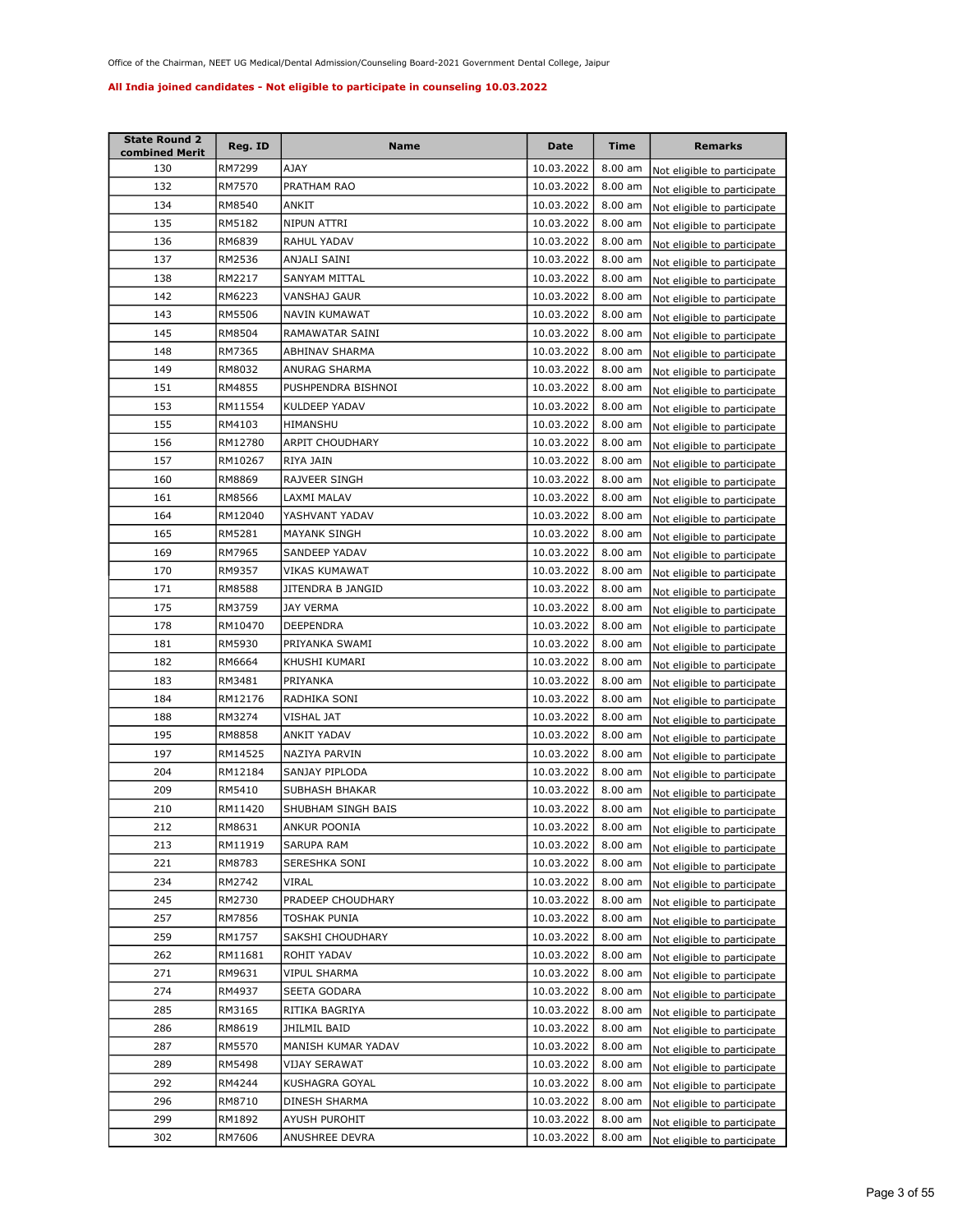| <b>State Round 2</b><br>combined Merit | Reg. ID | Name                 | Date       | Time              | <b>Remarks</b>              |
|----------------------------------------|---------|----------------------|------------|-------------------|-----------------------------|
| 130                                    | RM7299  | AJAY                 | 10.03.2022 | $8.00$ am         | Not eligible to participate |
| 132                                    | RM7570  | PRATHAM RAO          | 10.03.2022 | $8.00$ am         | Not eligible to participate |
| 134                                    | RM8540  | ANKIT                | 10.03.2022 | 8.00 am           | Not eligible to participate |
| 135                                    | RM5182  | NIPUN ATTRI          | 10.03.2022 | $8.00$ am         | Not eligible to participate |
| 136                                    | RM6839  | RAHUL YADAV          | 10.03.2022 | 8.00 am           | Not eligible to participate |
| 137                                    | RM2536  | ANJALI SAINI         | 10.03.2022 | 8.00 am           | Not eligible to participate |
| 138                                    | RM2217  | SANYAM MITTAL        | 10.03.2022 | 8.00 am           | Not eligible to participate |
| 142                                    | RM6223  | <b>VANSHAJ GAUR</b>  | 10.03.2022 | 8.00 am           | Not eligible to participate |
| 143                                    | RM5506  | NAVIN KUMAWAT        | 10.03.2022 | $8.00$ am         | Not eligible to participate |
| 145                                    | RM8504  | RAMAWATAR SAINI      | 10.03.2022 | 8.00 am           | Not eligible to participate |
| 148                                    | RM7365  | ABHINAV SHARMA       | 10.03.2022 | 8.00 am           | Not eligible to participate |
| 149                                    | RM8032  | ANURAG SHARMA        | 10.03.2022 | $8.00$ am         | Not eligible to participate |
| 151                                    | RM4855  | PUSHPENDRA BISHNOI   | 10.03.2022 | 8.00 am           | Not eligible to participate |
| 153                                    | RM11554 | KULDEEP YADAV        | 10.03.2022 | 8.00 am           | Not eligible to participate |
| 155                                    | RM4103  | HIMANSHU             | 10.03.2022 | 8.00 am           | Not eligible to participate |
| 156                                    | RM12780 | ARPIT CHOUDHARY      | 10.03.2022 | 8.00 am           | Not eligible to participate |
| 157                                    | RM10267 | RIYA JAIN            | 10.03.2022 | 8.00 am           | Not eligible to participate |
| 160                                    | RM8869  | RAJVEER SINGH        | 10.03.2022 | 8.00 am           | Not eligible to participate |
| 161                                    | RM8566  | LAXMI MALAV          | 10.03.2022 | 8.00 am           | Not eligible to participate |
| 164                                    | RM12040 | YASHVANT YADAV       | 10.03.2022 | $8.00$ am         | Not eligible to participate |
| 165                                    | RM5281  | <b>MAYANK SINGH</b>  | 10.03.2022 | $8.00$ am         | Not eligible to participate |
| 169                                    | RM7965  | SANDEEP YADAV        | 10.03.2022 | $8.00$ am         | Not eligible to participate |
| 170                                    | RM9357  | VIKAS KUMAWAT        | 10.03.2022 | 8.00 am           | Not eligible to participate |
| 171                                    | RM8588  | JITENDRA B JANGID    | 10.03.2022 | $8.00$ am         | Not eligible to participate |
| 175                                    | RM3759  | JAY VERMA            | 10.03.2022 | 8.00 am           | Not eligible to participate |
| 178                                    | RM10470 | DEEPENDRA            | 10.03.2022 | 8.00 am           | Not eligible to participate |
| 181                                    | RM5930  | PRIYANKA SWAMI       | 10.03.2022 | 8.00 am           | Not eligible to participate |
| 182                                    | RM6664  | KHUSHI KUMARI        | 10.03.2022 | 8.00 am           | Not eligible to participate |
| 183                                    | RM3481  | PRIYANKA             | 10.03.2022 | 8.00 am           | Not eligible to participate |
| 184                                    | RM12176 | RADHIKA SONI         | 10.03.2022 | 8.00 am           | Not eligible to participate |
| 188                                    | RM3274  | VISHAL JAT           | 10.03.2022 | 8.00 am           | Not eligible to participate |
| 195                                    | RM8858  | <b>ANKIT YADAV</b>   | 10.03.2022 | 8.00 am           | Not eligible to participate |
| 197                                    | RM14525 | NAZIYA PARVIN        | 10.03.2022 | 8.00 am           | Not eligible to participate |
| 204                                    | RM12184 | SANJAY PIPLODA       | 10.03.2022 | 8.00 am           | Not eligible to participate |
| 209                                    | RM5410  | SUBHASH BHAKAR       | 10.03.2022 | 8.00 am           | Not eligible to participate |
| 210                                    | RM11420 | SHUBHAM SINGH BAIS   | 10.03.2022 | 8.00 am           | Not eligible to participate |
| 212                                    | RM8631  | ANKUR POONIA         | 10.03.2022 | $8.00 \text{ am}$ | Not eligible to participate |
| 213                                    | RM11919 | SARUPA RAM           | 10.03.2022 | 8.00 am           | Not eligible to participate |
| 221                                    | RM8783  | SERESHKA SONI        | 10.03.2022 | $8.00$ am         | Not eligible to participate |
| 234                                    | RM2742  | VIRAL                | 10.03.2022 | 8.00 am           | Not eligible to participate |
| 245                                    | RM2730  | PRADEEP CHOUDHARY    | 10.03.2022 | $8.00$ am         | Not eligible to participate |
| 257                                    | RM7856  | TOSHAK PUNIA         | 10.03.2022 | $8.00$ am         | Not eligible to participate |
| 259                                    | RM1757  | SAKSHI CHOUDHARY     | 10.03.2022 | $8.00$ am         | Not eligible to participate |
| 262                                    | RM11681 | ROHIT YADAV          | 10.03.2022 | 8.00 am           | Not eligible to participate |
| 271                                    | RM9631  | <b>VIPUL SHARMA</b>  | 10.03.2022 | 8.00 am           | Not eligible to participate |
| 274                                    | RM4937  | SEETA GODARA         | 10.03.2022 | $8.00$ am         | Not eligible to participate |
| 285                                    | RM3165  | RITIKA BAGRIYA       | 10.03.2022 | 8.00 am           | Not eligible to participate |
| 286                                    | RM8619  | JHILMIL BAID         | 10.03.2022 | 8.00 am           | Not eligible to participate |
| 287                                    | RM5570  | MANISH KUMAR YADAV   | 10.03.2022 | 8.00 am           | Not eligible to participate |
| 289                                    | RM5498  | <b>VIJAY SERAWAT</b> | 10.03.2022 | 8.00 am           | Not eligible to participate |
| 292                                    | RM4244  | KUSHAGRA GOYAL       | 10.03.2022 | 8.00 am           | Not eligible to participate |
| 296                                    | RM8710  | DINESH SHARMA        | 10.03.2022 | $8.00$ am         | Not eligible to participate |
| 299                                    | RM1892  | AYUSH PUROHIT        | 10.03.2022 | $8.00$ am         | Not eligible to participate |
| 302                                    | RM7606  | ANUSHREE DEVRA       | 10.03.2022 | 8.00 am           | Not eligible to participate |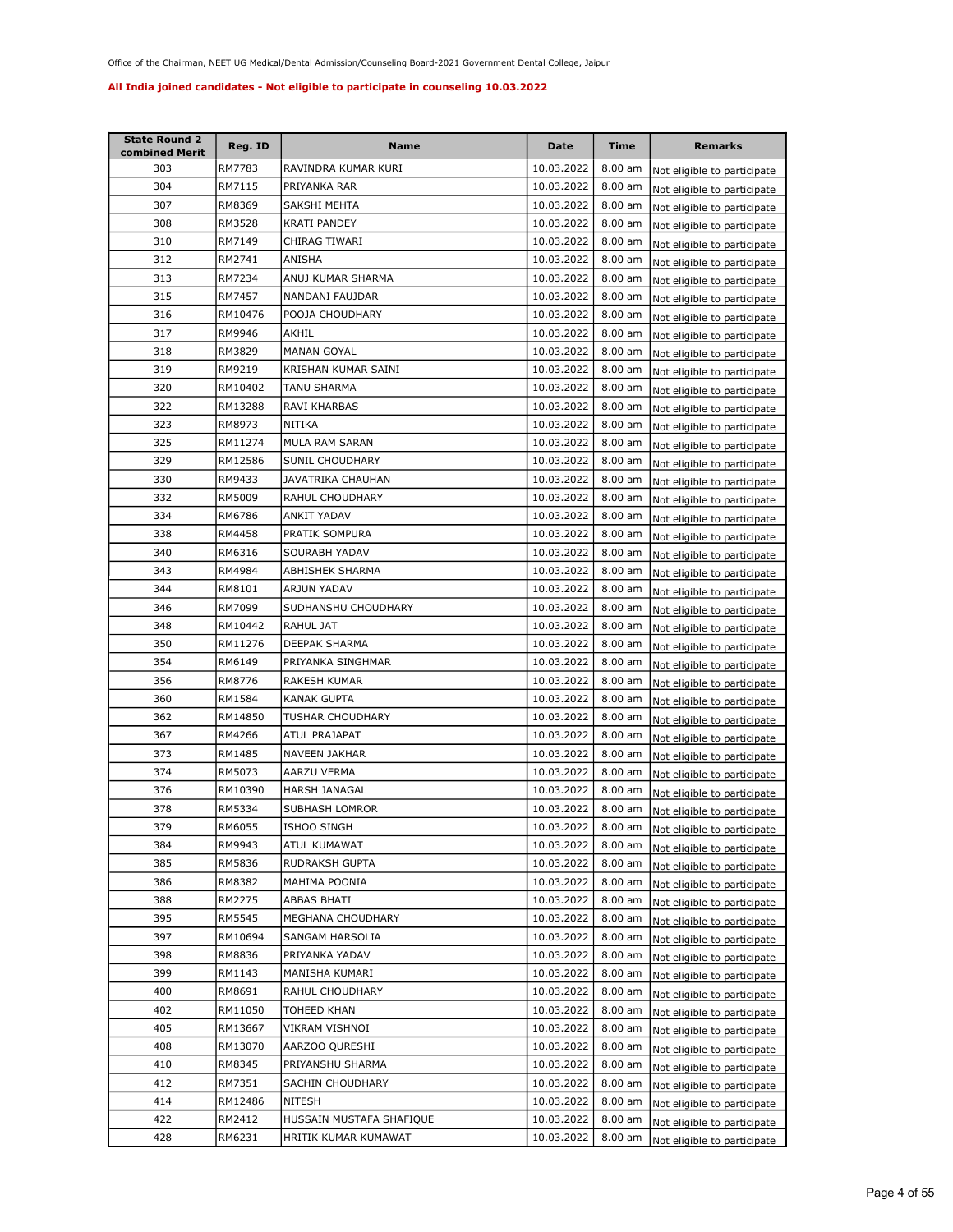| <b>State Round 2</b><br>combined Merit | Reg. ID | <b>Name</b>              | Date       | Time      | Remarks                     |
|----------------------------------------|---------|--------------------------|------------|-----------|-----------------------------|
| 303                                    | RM7783  | RAVINDRA KUMAR KURI      | 10.03.2022 | $8.00$ am | Not eligible to participate |
| 304                                    | RM7115  | PRIYANKA RAR             | 10.03.2022 | 8.00 am   | Not eligible to participate |
| 307                                    | RM8369  | SAKSHI MEHTA             | 10.03.2022 | 8.00 am   | Not eligible to participate |
| 308                                    | RM3528  | <b>KRATI PANDEY</b>      | 10.03.2022 | 8.00 am   | Not eligible to participate |
| 310                                    | RM7149  | CHIRAG TIWARI            | 10.03.2022 | 8.00 am   | Not eligible to participate |
| 312                                    | RM2741  | ANISHA                   | 10.03.2022 | 8.00 am   | Not eligible to participate |
| 313                                    | RM7234  | ANUJ KUMAR SHARMA        | 10.03.2022 | 8.00 am   | Not eligible to participate |
| 315                                    | RM7457  | NANDANI FAUJDAR          | 10.03.2022 | 8.00 am   | Not eligible to participate |
| 316                                    | RM10476 | POOJA CHOUDHARY          | 10.03.2022 | 8.00 am   | Not eligible to participate |
| 317                                    | RM9946  | AKHIL                    | 10.03.2022 | $8.00$ am | Not eligible to participate |
| 318                                    | RM3829  | <b>MANAN GOYAL</b>       | 10.03.2022 | $8.00$ am | Not eligible to participate |
| 319                                    | RM9219  | KRISHAN KUMAR SAINI      | 10.03.2022 | 8.00 am   | Not eligible to participate |
| 320                                    | RM10402 | TANU SHARMA              | 10.03.2022 | 8.00 am   | Not eligible to participate |
| 322                                    | RM13288 | RAVI KHARBAS             | 10.03.2022 | 8.00 am   | Not eligible to participate |
| 323                                    | RM8973  | NITIKA                   | 10.03.2022 | 8.00 am   | Not eligible to participate |
| 325                                    | RM11274 | MULA RAM SARAN           | 10.03.2022 | $8.00$ am | Not eligible to participate |
| 329                                    | RM12586 | SUNIL CHOUDHARY          | 10.03.2022 | 8.00 am   | Not eligible to participate |
| 330                                    | RM9433  | JAVATRIKA CHAUHAN        | 10.03.2022 | 8.00 am   | Not eligible to participate |
| 332                                    | RM5009  | RAHUL CHOUDHARY          | 10.03.2022 | 8.00 am   | Not eligible to participate |
| 334                                    | RM6786  | <b>ANKIT YADAV</b>       | 10.03.2022 | 8.00 am   | Not eligible to participate |
| 338                                    | RM4458  | PRATIK SOMPURA           | 10.03.2022 | 8.00 am   | Not eligible to participate |
| 340                                    | RM6316  | SOURABH YADAV            | 10.03.2022 | $8.00$ am | Not eligible to participate |
| 343                                    | RM4984  | <b>ABHISHEK SHARMA</b>   | 10.03.2022 | 8.00 am   | Not eligible to participate |
| 344                                    | RM8101  | ARJUN YADAV              | 10.03.2022 | $8.00$ am | Not eligible to participate |
| 346                                    | RM7099  | SUDHANSHU CHOUDHARY      | 10.03.2022 | $8.00$ am | Not eligible to participate |
| 348                                    | RM10442 | RAHUL JAT                | 10.03.2022 | $8.00$ am | Not eligible to participate |
| 350                                    | RM11276 | DEEPAK SHARMA            | 10.03.2022 | $8.00$ am | Not eligible to participate |
| 354                                    | RM6149  | PRIYANKA SINGHMAR        | 10.03.2022 | 8.00 am   | Not eligible to participate |
| 356                                    | RM8776  | RAKESH KUMAR             | 10.03.2022 | 8.00 am   | Not eligible to participate |
| 360                                    | RM1584  | KANAK GUPTA              | 10.03.2022 | 8.00 am   | Not eligible to participate |
| 362                                    | RM14850 | <b>TUSHAR CHOUDHARY</b>  | 10.03.2022 | 8.00 am   | Not eligible to participate |
| 367                                    | RM4266  | <b>ATUL PRAJAPAT</b>     | 10.03.2022 | 8.00 am   | Not eligible to participate |
| 373                                    | RM1485  | NAVEEN JAKHAR            | 10.03.2022 | 8.00 am   | Not eligible to participate |
| 374                                    | RM5073  | AARZU VERMA              | 10.03.2022 | 8.00 am   | Not eligible to participate |
| 376                                    | RM10390 | HARSH JANAGAL            | 10.03.2022 | 8.00 am   | Not eligible to participate |
| 378                                    | RM5334  | SUBHASH LOMROR           | 10.03.2022 | 8.00 am   | Not eligible to participate |
| 379                                    | RM6055  | ISHOO SINGH              | 10.03.2022 | $8.00$ am | Not eligible to participate |
| 384                                    | RM9943  | ATUL KUMAWAT             | 10.03.2022 | 8.00 am   | Not eligible to participate |
| 385                                    | RM5836  | RUDRAKSH GUPTA           | 10.03.2022 | $8.00$ am | Not eligible to participate |
| 386                                    | RM8382  | MAHIMA POONIA            | 10.03.2022 | 8.00 am   | Not eligible to participate |
| 388                                    | RM2275  | ABBAS BHATI              | 10.03.2022 | $8.00$ am | Not eligible to participate |
| 395                                    | RM5545  | MEGHANA CHOUDHARY        | 10.03.2022 | 8.00 am   | Not eligible to participate |
| 397                                    | RM10694 | SANGAM HARSOLIA          | 10.03.2022 | 8.00 am   | Not eligible to participate |
| 398                                    | RM8836  | PRIYANKA YADAV           | 10.03.2022 | 8.00 am   | Not eligible to participate |
| 399                                    | RM1143  | MANISHA KUMARI           | 10.03.2022 | $8.00$ am | Not eligible to participate |
| 400                                    | RM8691  | RAHUL CHOUDHARY          | 10.03.2022 | 8.00 am   | Not eligible to participate |
| 402                                    | RM11050 | TOHEED KHAN              | 10.03.2022 | 8.00 am   | Not eligible to participate |
| 405                                    | RM13667 | VIKRAM VISHNOI           | 10.03.2022 | 8.00 am   | Not eligible to participate |
| 408                                    | RM13070 | AARZOO QURESHI           | 10.03.2022 | 8.00 am   | Not eligible to participate |
| 410                                    | RM8345  | PRIYANSHU SHARMA         | 10.03.2022 | 8.00 am   | Not eligible to participate |
| 412                                    | RM7351  | SACHIN CHOUDHARY         | 10.03.2022 | 8.00 am   | Not eligible to participate |
| 414                                    | RM12486 | NITESH                   | 10.03.2022 | 8.00 am   | Not eligible to participate |
| 422                                    | RM2412  | HUSSAIN MUSTAFA SHAFIQUE | 10.03.2022 | 8.00 am   | Not eligible to participate |
| 428                                    | RM6231  | HRITIK KUMAR KUMAWAT     | 10.03.2022 | 8.00 am   | Not eligible to participate |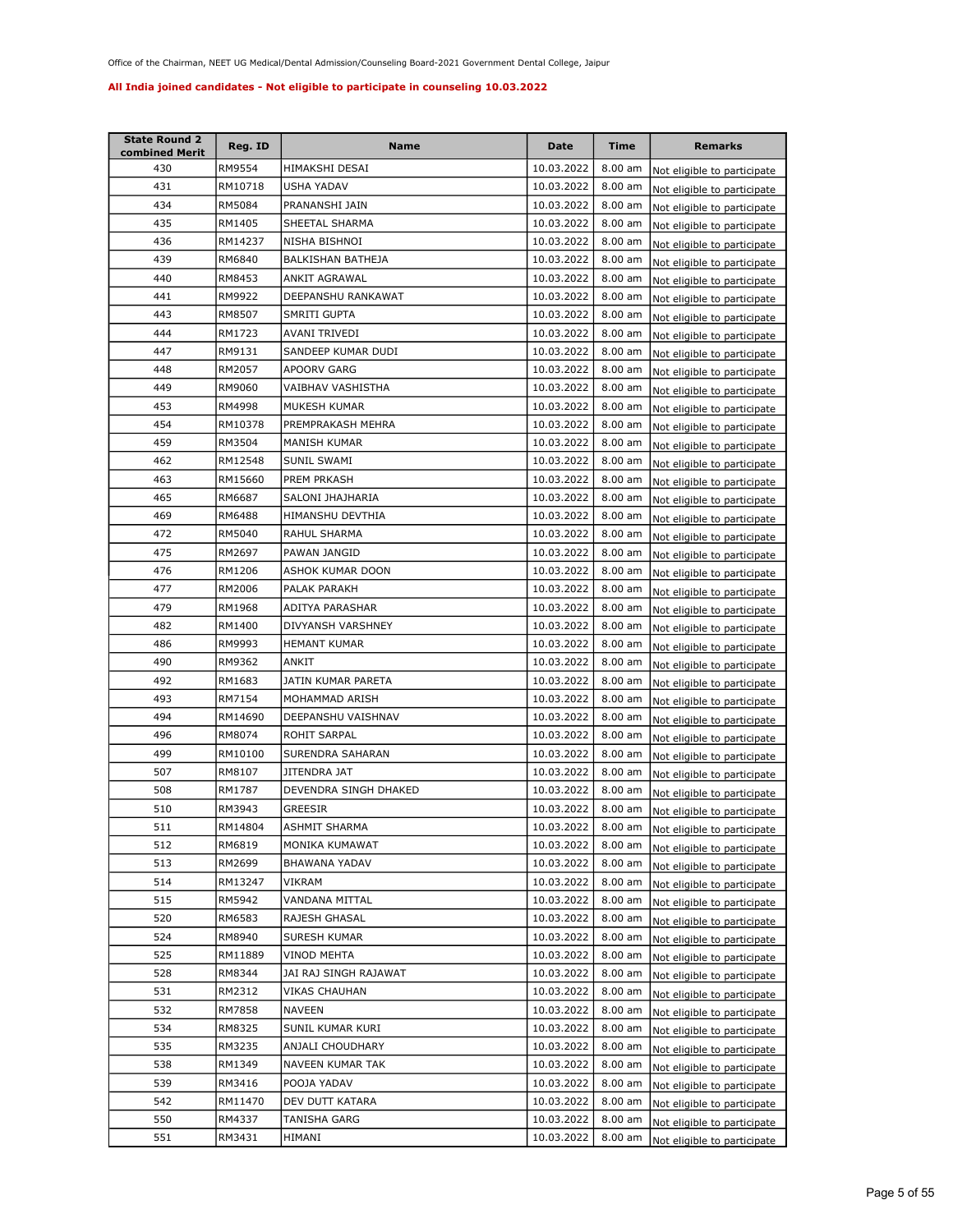| <b>State Round 2</b><br>combined Merit | Reg. ID | <b>Name</b>           | Date       | Time              | <b>Remarks</b>              |
|----------------------------------------|---------|-----------------------|------------|-------------------|-----------------------------|
| 430                                    | RM9554  | HIMAKSHI DESAI        | 10.03.2022 | $8.00$ am         | Not eligible to participate |
| 431                                    | RM10718 | USHA YADAV            | 10.03.2022 | 8.00 am           | Not eligible to participate |
| 434                                    | RM5084  | PRANANSHI JAIN        | 10.03.2022 | $8.00$ am         | Not eligible to participate |
| 435                                    | RM1405  | SHEETAL SHARMA        | 10.03.2022 | 8.00 am           | Not eligible to participate |
| 436                                    | RM14237 | NISHA BISHNOI         | 10.03.2022 | 8.00 am           | Not eligible to participate |
| 439                                    | RM6840  | BALKISHAN BATHEJA     | 10.03.2022 | 8.00 am           | Not eligible to participate |
| 440                                    | RM8453  | ANKIT AGRAWAL         | 10.03.2022 | 8.00 am           | Not eligible to participate |
| 441                                    | RM9922  | DEEPANSHU RANKAWAT    | 10.03.2022 | 8.00 am           | Not eligible to participate |
| 443                                    | RM8507  | SMRITI GUPTA          | 10.03.2022 | 8.00 am           | Not eligible to participate |
| 444                                    | RM1723  | AVANI TRIVEDI         | 10.03.2022 | $8.00$ am         | Not eligible to participate |
| 447                                    | RM9131  | SANDEEP KUMAR DUDI    | 10.03.2022 | 8.00 am           | Not eligible to participate |
| 448                                    | RM2057  | APOORV GARG           | 10.03.2022 | 8.00 am           | Not eligible to participate |
| 449                                    | RM9060  | VAIBHAV VASHISTHA     | 10.03.2022 | 8.00 am           | Not eligible to participate |
| 453                                    | RM4998  | MUKESH KUMAR          | 10.03.2022 | 8.00 am           | Not eligible to participate |
| 454                                    | RM10378 | PREMPRAKASH MEHRA     | 10.03.2022 | 8.00 am           | Not eligible to participate |
| 459                                    | RM3504  | MANISH KUMAR          | 10.03.2022 | $8.00$ am         | Not eligible to participate |
| 462                                    | RM12548 | <b>SUNIL SWAMI</b>    | 10.03.2022 | 8.00 am           | Not eligible to participate |
| 463                                    | RM15660 | PREM PRKASH           | 10.03.2022 | 8.00 am           | Not eligible to participate |
| 465                                    | RM6687  | SALONI JHAJHARIA      | 10.03.2022 | 8.00 am           | Not eligible to participate |
| 469                                    | RM6488  | HIMANSHU DEVTHIA      | 10.03.2022 | 8.00 am           | Not eligible to participate |
| 472                                    | RM5040  | RAHUL SHARMA          | 10.03.2022 | 8.00 am           | Not eligible to participate |
| 475                                    | RM2697  | PAWAN JANGID          | 10.03.2022 | 8.00 am           | Not eligible to participate |
| 476                                    | RM1206  | ASHOK KUMAR DOON      | 10.03.2022 | 8.00 am           | Not eligible to participate |
| 477                                    | RM2006  | PALAK PARAKH          | 10.03.2022 | $8.00$ am         | Not eligible to participate |
| 479                                    | RM1968  | ADITYA PARASHAR       | 10.03.2022 | $8.00$ am         | Not eligible to participate |
| 482                                    | RM1400  | DIVYANSH VARSHNEY     | 10.03.2022 | $8.00$ am         | Not eligible to participate |
| 486                                    | RM9993  | <b>HEMANT KUMAR</b>   | 10.03.2022 | $8.00$ am         | Not eligible to participate |
| 490                                    | RM9362  | ANKIT                 | 10.03.2022 | 8.00 am           | Not eligible to participate |
| 492                                    | RM1683  | JATIN KUMAR PARETA    | 10.03.2022 | $8.00$ am         | Not eligible to participate |
| 493                                    | RM7154  | MOHAMMAD ARISH        | 10.03.2022 | 8.00 am           | Not eligible to participate |
| 494                                    | RM14690 | DEEPANSHU VAISHNAV    | 10.03.2022 | 8.00 am           | Not eligible to participate |
| 496                                    | RM8074  | ROHIT SARPAL          | 10.03.2022 | 8.00 am           | Not eligible to participate |
| 499                                    | RM10100 | SURENDRA SAHARAN      | 10.03.2022 | $8.00$ am         | Not eligible to participate |
| 507                                    | RM8107  | <b>JITENDRA JAT</b>   | 10.03.2022 | 8.00 am           | Not eligible to participate |
| 508                                    | RM1787  | DEVENDRA SINGH DHAKED | 10.03.2022 | 8.00 am           | Not eligible to participate |
| 510                                    | RM3943  | GREESIR               | 10.03.2022 | 8.00 am           | Not eligible to participate |
| 511                                    | RM14804 | ASHMIT SHARMA         | 10.03.2022 | $8.00 \text{ am}$ | Not eligible to participate |
| 512                                    | RM6819  | MONIKA KUMAWAT        | 10.03.2022 | 8.00 am           | Not eligible to participate |
| 513                                    | RM2699  | BHAWANA YADAV         | 10.03.2022 | 8.00 am           | Not eligible to participate |
| 514                                    | RM13247 | VIKRAM                | 10.03.2022 | 8.00 am           | Not eligible to participate |
| 515                                    | RM5942  | VANDANA MITTAL        | 10.03.2022 | 8.00 am           | Not eligible to participate |
| 520                                    | RM6583  | RAJESH GHASAL         | 10.03.2022 | 8.00 am           | Not eligible to participate |
| 524                                    | RM8940  | SURESH KUMAR          | 10.03.2022 | 8.00 am           | Not eligible to participate |
| 525                                    | RM11889 | VINOD MEHTA           | 10.03.2022 | 8.00 am           | Not eligible to participate |
| 528                                    | RM8344  | JAI RAJ SINGH RAJAWAT | 10.03.2022 | 8.00 am           | Not eligible to participate |
| 531                                    | RM2312  | VIKAS CHAUHAN         | 10.03.2022 | 8.00 am           | Not eligible to participate |
| 532                                    | RM7858  | NAVEEN                | 10.03.2022 | 8.00 am           | Not eligible to participate |
| 534                                    | RM8325  | SUNIL KUMAR KURI      | 10.03.2022 | 8.00 am           | Not eligible to participate |
| 535                                    | RM3235  | ANJALI CHOUDHARY      | 10.03.2022 | 8.00 am           | Not eligible to participate |
| 538                                    | RM1349  | NAVEEN KUMAR TAK      | 10.03.2022 | 8.00 am           | Not eligible to participate |
| 539                                    | RM3416  | POOJA YADAV           | 10.03.2022 | 8.00 am           | Not eligible to participate |
| 542                                    | RM11470 | DEV DUTT KATARA       | 10.03.2022 | 8.00 am           | Not eligible to participate |
| 550                                    | RM4337  | TANISHA GARG          | 10.03.2022 | 8.00 am           | Not eligible to participate |
| 551                                    | RM3431  | HIMANI                | 10.03.2022 | 8.00 am           | Not eligible to participate |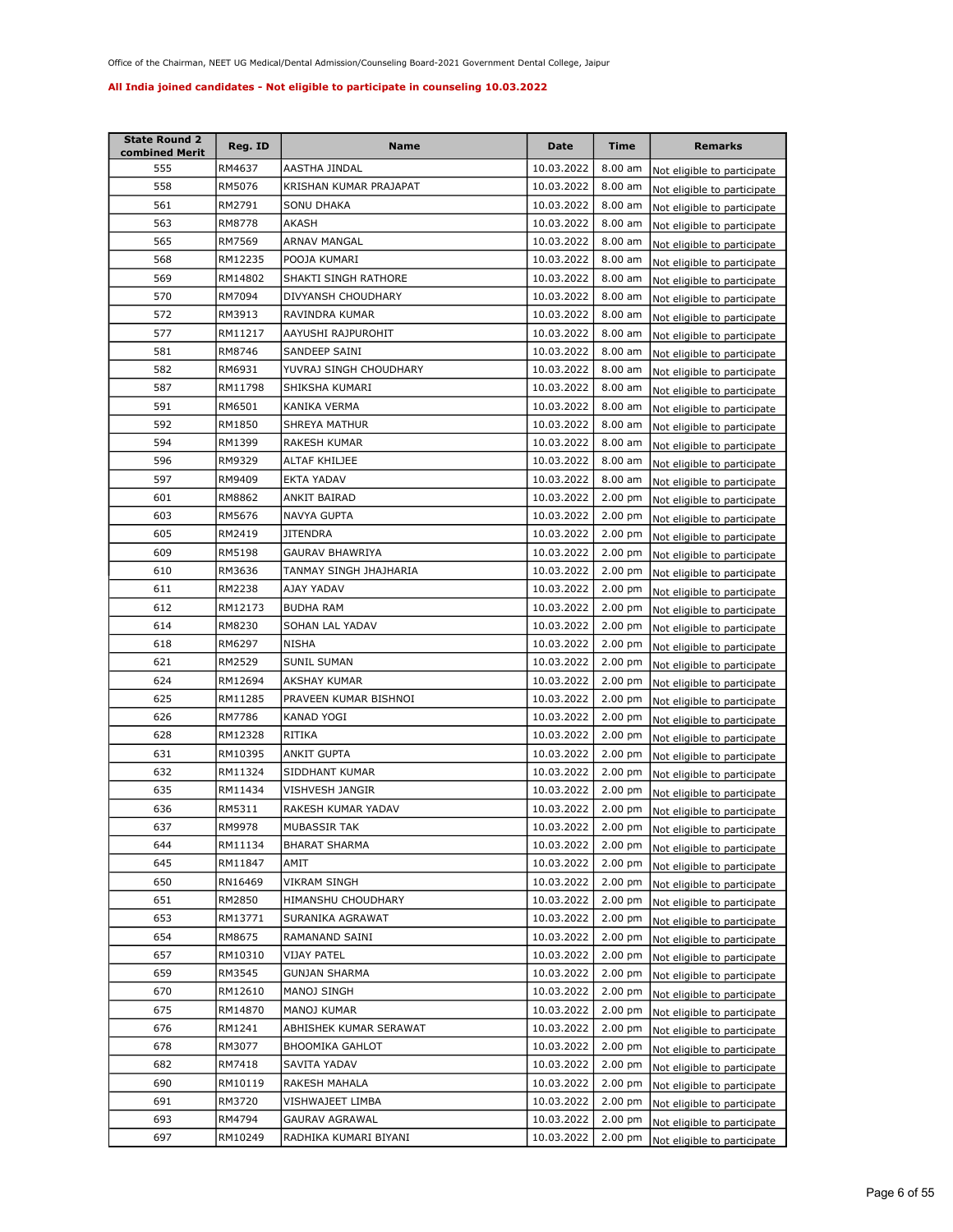| <b>State Round 2</b><br>combined Merit | Reg. ID | <b>Name</b>            | Date       | Time              | <b>Remarks</b>              |
|----------------------------------------|---------|------------------------|------------|-------------------|-----------------------------|
| 555                                    | RM4637  | AASTHA JINDAL          | 10.03.2022 | $8.00$ am         | Not eligible to participate |
| 558                                    | RM5076  | KRISHAN KUMAR PRAJAPAT | 10.03.2022 | 8.00 am           | Not eligible to participate |
| 561                                    | RM2791  | SONU DHAKA             | 10.03.2022 | 8.00 am           | Not eligible to participate |
| 563                                    | RM8778  | AKASH                  | 10.03.2022 | $8.00$ am         | Not eligible to participate |
| 565                                    | RM7569  | <b>ARNAV MANGAL</b>    | 10.03.2022 | 8.00 am           | Not eligible to participate |
| 568                                    | RM12235 | POOJA KUMARI           | 10.03.2022 | $8.00$ am         | Not eligible to participate |
| 569                                    | RM14802 | SHAKTI SINGH RATHORE   | 10.03.2022 | 8.00 am           | Not eligible to participate |
| 570                                    | RM7094  | DIVYANSH CHOUDHARY     | 10.03.2022 | 8.00 am           | Not eligible to participate |
| 572                                    | RM3913  | RAVINDRA KUMAR         | 10.03.2022 | 8.00 am           | Not eligible to participate |
| 577                                    | RM11217 | AAYUSHI RAJPUROHIT     | 10.03.2022 | $8.00$ am         | Not eligible to participate |
| 581                                    | RM8746  | SANDEEP SAINI          | 10.03.2022 | $8.00$ am         | Not eligible to participate |
| 582                                    | RM6931  | YUVRAJ SINGH CHOUDHARY | 10.03.2022 | 8.00 am           | Not eligible to participate |
| 587                                    | RM11798 | SHIKSHA KUMARI         | 10.03.2022 | 8.00 am           | Not eligible to participate |
| 591                                    | RM6501  | KANIKA VERMA           | 10.03.2022 | 8.00 am           | Not eligible to participate |
| 592                                    | RM1850  | SHREYA MATHUR          | 10.03.2022 | 8.00 am           | Not eligible to participate |
| 594                                    | RM1399  | <b>RAKESH KUMAR</b>    | 10.03.2022 | $8.00$ am         | Not eligible to participate |
| 596                                    | RM9329  | ALTAF KHILJEE          | 10.03.2022 | $8.00$ am         | Not eligible to participate |
| 597                                    | RM9409  | <b>EKTA YADAV</b>      | 10.03.2022 | 8.00 am           | Not eligible to participate |
| 601                                    | RM8862  | ANKIT BAIRAD           | 10.03.2022 | $2.00$ pm         | Not eligible to participate |
| 603                                    | RM5676  | <b>NAVYA GUPTA</b>     | 10.03.2022 | $2.00$ pm         | Not eligible to participate |
| 605                                    | RM2419  | <b>JITENDRA</b>        | 10.03.2022 | $2.00$ pm         | Not eligible to participate |
| 609                                    | RM5198  | <b>GAURAV BHAWRIYA</b> | 10.03.2022 | $2.00$ pm         | Not eligible to participate |
| 610                                    | RM3636  | TANMAY SINGH JHAJHARIA | 10.03.2022 | $2.00$ pm         | Not eligible to participate |
| 611                                    | RM2238  | AJAY YADAV             | 10.03.2022 | 2.00 pm           | Not eligible to participate |
| 612                                    | RM12173 | <b>BUDHA RAM</b>       | 10.03.2022 | $2.00$ pm         | Not eligible to participate |
| 614                                    | RM8230  | SOHAN LAL YADAV        | 10.03.2022 | $2.00$ pm         | Not eligible to participate |
| 618                                    | RM6297  | NISHA                  | 10.03.2022 | $2.00$ pm         | Not eligible to participate |
| 621                                    | RM2529  | SUNIL SUMAN            | 10.03.2022 | $2.00$ pm         | Not eligible to participate |
| 624                                    | RM12694 | <b>AKSHAY KUMAR</b>    | 10.03.2022 | 2.00 pm           | Not eligible to participate |
| 625                                    | RM11285 | PRAVEEN KUMAR BISHNOI  | 10.03.2022 | $2.00$ pm         | Not eligible to participate |
| 626                                    | RM7786  | KANAD YOGI             | 10.03.2022 | 2.00 pm           | Not eligible to participate |
| 628                                    | RM12328 | RITIKA                 | 10.03.2022 | 2.00 pm           | Not eligible to participate |
| 631                                    | RM10395 | ANKIT GUPTA            | 10.03.2022 | 2.00 pm           | Not eligible to participate |
| 632                                    | RM11324 | SIDDHANT KUMAR         | 10.03.2022 | 2.00 pm           | Not eligible to participate |
| 635                                    | RM11434 | VISHVESH JANGIR        | 10.03.2022 | $2.00$ pm         | Not eligible to participate |
| 636                                    | RM5311  | RAKESH KUMAR YADAV     | 10.03.2022 | $2.00$ pm         | Not eligible to participate |
| 637                                    | RM9978  | MUBASSIR TAK           | 10.03.2022 | $2.00 \text{ pm}$ | Not eligible to participate |
| 644                                    | RM11134 | BHARAT SHARMA          | 10.03.2022 | $2.00$ pm         | Not eligible to participate |
| 645                                    | RM11847 | AMIT                   | 10.03.2022 | 2.00 pm           | Not eligible to participate |
| 650                                    | RN16469 | VIKRAM SINGH           | 10.03.2022 | 2.00 pm           | Not eligible to participate |
| 651                                    | RM2850  | HIMANSHU CHOUDHARY     | 10.03.2022 | 2.00 pm           | Not eligible to participate |
| 653                                    | RM13771 | SURANIKA AGRAWAT       | 10.03.2022 | 2.00 pm           | Not eligible to participate |
| 654                                    | RM8675  | RAMANAND SAINI         | 10.03.2022 | 2.00 pm           | Not eligible to participate |
| 657                                    | RM10310 | VIJAY PATEL            | 10.03.2022 | 2.00 pm           | Not eligible to participate |
| 659                                    | RM3545  | <b>GUNJAN SHARMA</b>   | 10.03.2022 | $2.00$ pm         | Not eligible to participate |
| 670                                    | RM12610 | MANOJ SINGH            | 10.03.2022 | $2.00$ pm         | Not eligible to participate |
| 675                                    | RM14870 | MANOJ KUMAR            | 10.03.2022 | $2.00$ pm         | Not eligible to participate |
| 676                                    | RM1241  | ABHISHEK KUMAR SERAWAT | 10.03.2022 | $2.00$ pm         | Not eligible to participate |
| 678                                    | RM3077  | <b>BHOOMIKA GAHLOT</b> | 10.03.2022 | 2.00 pm           | Not eligible to participate |
| 682                                    | RM7418  | SAVITA YADAV           | 10.03.2022 | 2.00 pm           | Not eligible to participate |
| 690                                    | RM10119 | RAKESH MAHALA          | 10.03.2022 | $2.00$ pm         | Not eligible to participate |
| 691                                    | RM3720  | VISHWAJEET LIMBA       | 10.03.2022 | $2.00$ pm         | Not eligible to participate |
| 693                                    | RM4794  | GAURAV AGRAWAL         | 10.03.2022 | $2.00$ pm         | Not eligible to participate |
| 697                                    | RM10249 | RADHIKA KUMARI BIYANI  | 10.03.2022 | 2.00 pm           | Not eligible to participate |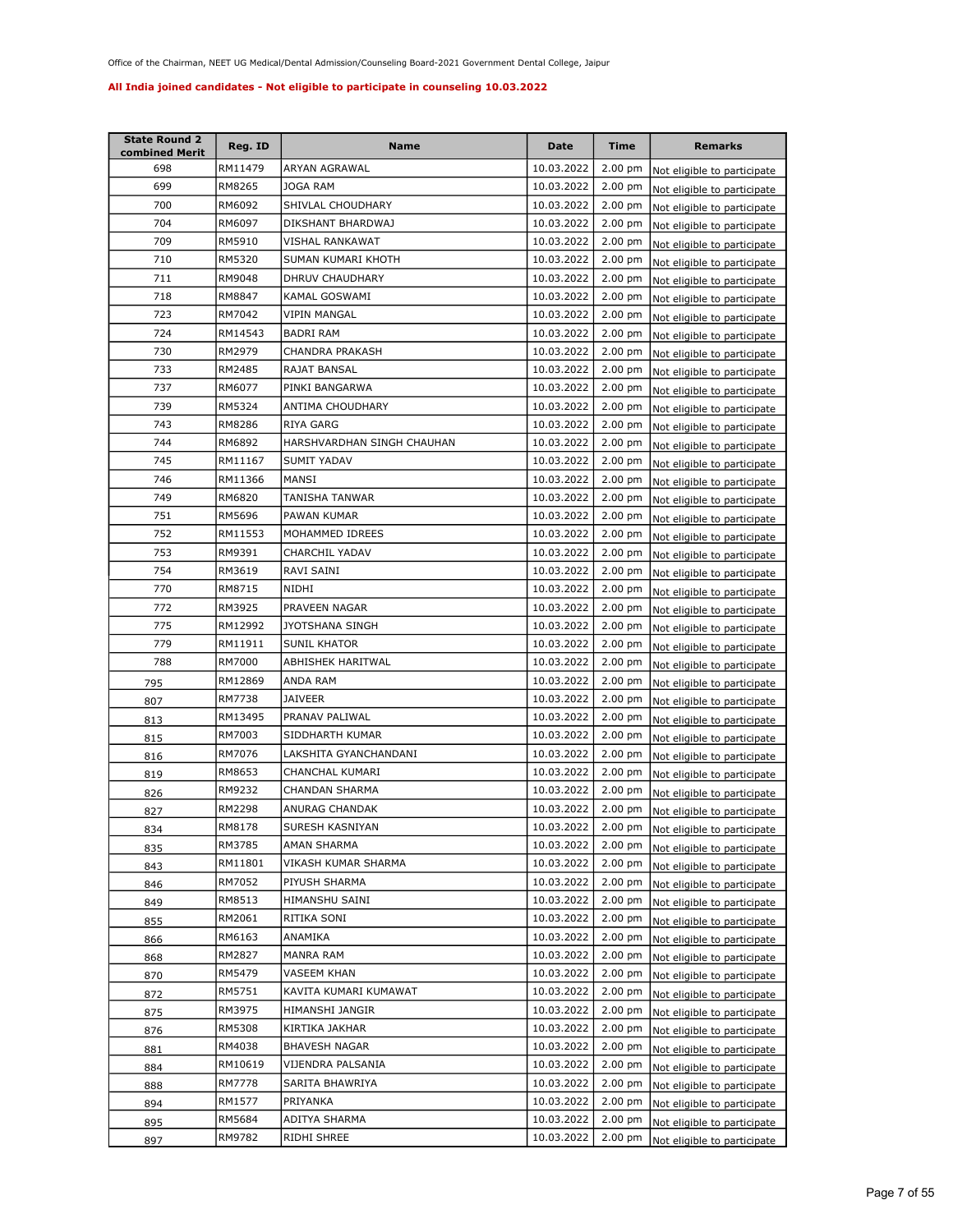| <b>State Round 2</b><br>combined Merit | Reg. ID | <b>Name</b>                | <b>Date</b> | Time              | <b>Remarks</b>              |
|----------------------------------------|---------|----------------------------|-------------|-------------------|-----------------------------|
| 698                                    | RM11479 | ARYAN AGRAWAL              | 10.03.2022  | $2.00$ pm         | Not eligible to participate |
| 699                                    | RM8265  | <b>JOGA RAM</b>            | 10.03.2022  | $2.00$ pm         | Not eligible to participate |
| 700                                    | RM6092  | SHIVLAL CHOUDHARY          | 10.03.2022  | $2.00$ pm         | Not eligible to participate |
| 704                                    | RM6097  | DIKSHANT BHARDWAJ          | 10.03.2022  | 2.00 pm           | Not eligible to participate |
| 709                                    | RM5910  | VISHAL RANKAWAT            | 10.03.2022  | 2.00 pm           | Not eligible to participate |
| 710                                    | RM5320  | SUMAN KUMARI KHOTH         | 10.03.2022  | 2.00 pm           | Not eligible to participate |
| 711                                    | RM9048  | DHRUV CHAUDHARY            | 10.03.2022  | 2.00 pm           | Not eligible to participate |
| 718                                    | RM8847  | KAMAL GOSWAMI              | 10.03.2022  | 2.00 pm           | Not eligible to participate |
| 723                                    | RM7042  | VIPIN MANGAL               | 10.03.2022  | 2.00 pm           | Not eligible to participate |
| 724                                    | RM14543 | <b>BADRI RAM</b>           | 10.03.2022  | $2.00$ pm         | Not eligible to participate |
| 730                                    | RM2979  | CHANDRA PRAKASH            | 10.03.2022  | 2.00 pm           | Not eligible to participate |
| 733                                    | RM2485  | RAJAT BANSAL               | 10.03.2022  | 2.00 pm           | Not eligible to participate |
| 737                                    | RM6077  | PINKI BANGARWA             | 10.03.2022  | 2.00 pm           | Not eligible to participate |
| 739                                    | RM5324  | ANTIMA CHOUDHARY           | 10.03.2022  | $2.00$ pm         | Not eligible to participate |
| 743                                    | RM8286  | <b>RIYA GARG</b>           | 10.03.2022  | 2.00 pm           | Not eligible to participate |
| 744                                    | RM6892  | HARSHVARDHAN SINGH CHAUHAN | 10.03.2022  | $2.00$ pm         | Not eligible to participate |
| 745                                    | RM11167 | <b>SUMIT YADAV</b>         | 10.03.2022  | $2.00$ pm         | Not eligible to participate |
| 746                                    | RM11366 | MANSI                      | 10.03.2022  | $2.00$ pm         | Not eligible to participate |
| 749                                    | RM6820  | TANISHA TANWAR             | 10.03.2022  | $2.00$ pm         | Not eligible to participate |
| 751                                    | RM5696  | PAWAN KUMAR                | 10.03.2022  | $2.00$ pm         | Not eligible to participate |
| 752                                    | RM11553 | MOHAMMED IDREES            | 10.03.2022  | $2.00$ pm         | Not eligible to participate |
| 753                                    | RM9391  | CHARCHIL YADAV             | 10.03.2022  | $2.00$ pm         | Not eligible to participate |
| 754                                    | RM3619  | RAVI SAINI                 | 10.03.2022  | $2.00$ pm         | Not eligible to participate |
| 770                                    | RM8715  | NIDHI                      | 10.03.2022  | $2.00$ pm         | Not eligible to participate |
| 772                                    | RM3925  | PRAVEEN NAGAR              | 10.03.2022  | $2.00$ pm         | Not eligible to participate |
| 775                                    | RM12992 | <b>JYOTSHANA SINGH</b>     | 10.03.2022  | $2.00$ pm         | Not eligible to participate |
| 779                                    | RM11911 | <b>SUNIL KHATOR</b>        | 10.03.2022  | $2.00$ pm         | Not eligible to participate |
| 788                                    | RM7000  | <b>ABHISHEK HARITWAL</b>   | 10.03.2022  | $2.00$ pm         | Not eligible to participate |
| 795                                    | RM12869 | ANDA RAM                   | 10.03.2022  | 2.00 pm           | Not eligible to participate |
| 807                                    | RM7738  | JAIVEER                    | 10.03.2022  | 2.00 pm           | Not eligible to participate |
| 813                                    | RM13495 | PRANAV PALIWAL             | 10.03.2022  | $2.00$ pm         | Not eligible to participate |
| 815                                    | RM7003  | SIDDHARTH KUMAR            | 10.03.2022  | $2.00$ pm         | Not eligible to participate |
| 816                                    | RM7076  | LAKSHITA GYANCHANDANI      | 10.03.2022  | $2.00$ pm         | Not eligible to participate |
| 819                                    | RM8653  | CHANCHAL KUMARI            | 10.03.2022  | $2.00$ pm         | Not eligible to participate |
| 826                                    | RM9232  | CHANDAN SHARMA             | 10.03.2022  | 2.00 pm           | Not eligible to participate |
| 827                                    | RM2298  | ANURAG CHANDAK             | 10.03.2022  | $2.00 \text{ pm}$ | Not eligible to participate |
| 834                                    | RM8178  | SURESH KASNIYAN            | 10.03.2022  | $2.00 \text{ pm}$ | Not eligible to participate |
| 835                                    | RM3785  | AMAN SHARMA                | 10.03.2022  | 2.00 pm           | Not eligible to participate |
| 843                                    | RM11801 | VIKASH KUMAR SHARMA        | 10.03.2022  | $2.00$ pm         | Not eligible to participate |
| 846                                    | RM7052  | PIYUSH SHARMA              | 10.03.2022  | $2.00$ pm         | Not eligible to participate |
| 849                                    | RM8513  | HIMANSHU SAINI             | 10.03.2022  | $2.00$ pm         | Not eligible to participate |
| 855                                    | RM2061  | RITIKA SONI                | 10.03.2022  | $2.00$ pm         | Not eligible to participate |
| 866                                    | RM6163  | ANAMIKA                    | 10.03.2022  | $2.00$ pm         | Not eligible to participate |
| 868                                    | RM2827  | MANRA RAM                  | 10.03.2022  | $2.00$ pm         | Not eligible to participate |
| 870                                    | RM5479  | VASEEM KHAN                | 10.03.2022  | $2.00$ pm         | Not eligible to participate |
| 872                                    | RM5751  | KAVITA KUMARI KUMAWAT      | 10.03.2022  | $2.00$ pm         | Not eligible to participate |
| 875                                    | RM3975  | HIMANSHI JANGIR            | 10.03.2022  | $2.00$ pm         | Not eligible to participate |
| 876                                    | RM5308  | KIRTIKA JAKHAR             | 10.03.2022  | $2.00$ pm         | Not eligible to participate |
| 881                                    | RM4038  | BHAVESH NAGAR              | 10.03.2022  | 2.00 pm           | Not eligible to participate |
| 884                                    | RM10619 | VIJENDRA PALSANIA          | 10.03.2022  | $2.00$ pm         | Not eligible to participate |
| 888                                    | RM7778  | SARITA BHAWRIYA            | 10.03.2022  | $2.00$ pm         | Not eligible to participate |
| 894                                    | RM1577  | PRIYANKA                   | 10.03.2022  | $2.00$ pm         | Not eligible to participate |
| 895                                    | RM5684  | ADITYA SHARMA              | 10.03.2022  | $2.00$ pm         | Not eligible to participate |
| 897                                    | RM9782  | RIDHI SHREE                | 10.03.2022  | $2.00$ pm         | Not eligible to participate |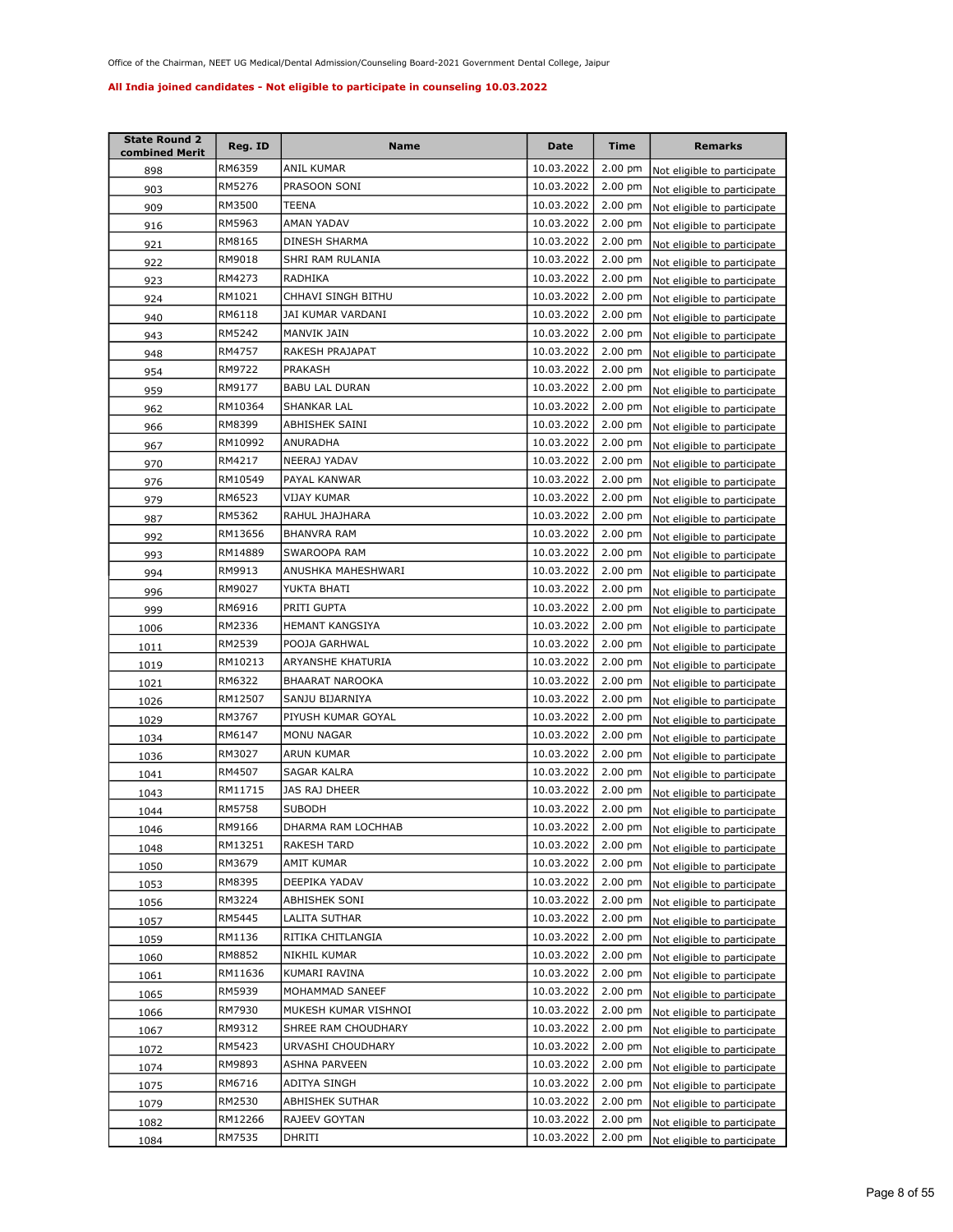| <b>State Round 2</b><br>combined Merit | Reg. ID | <b>Name</b>            | <b>Date</b> | Time              | <b>Remarks</b>                      |
|----------------------------------------|---------|------------------------|-------------|-------------------|-------------------------------------|
| 898                                    | RM6359  | ANIL KUMAR             | 10.03.2022  | 2.00 pm           | Not eligible to participate         |
| 903                                    | RM5276  | PRASOON SONI           | 10.03.2022  | $2.00$ pm         | Not eligible to participate         |
| 909                                    | RM3500  | TEENA                  | 10.03.2022  | $2.00$ pm         | Not eligible to participate         |
| 916                                    | RM5963  | AMAN YADAV             | 10.03.2022  | $2.00$ pm         | Not eligible to participate         |
| 921                                    | RM8165  | DINESH SHARMA          | 10.03.2022  | $2.00$ pm         | Not eligible to participate         |
| 922                                    | RM9018  | SHRI RAM RULANIA       | 10.03.2022  | $2.00$ pm         | Not eligible to participate         |
| 923                                    | RM4273  | RADHIKA                | 10.03.2022  | 2.00 pm           | Not eligible to participate         |
| 924                                    | RM1021  | CHHAVI SINGH BITHU     | 10.03.2022  | 2.00 pm           | Not eligible to participate         |
| 940                                    | RM6118  | JAI KUMAR VARDANI      | 10.03.2022  | 2.00 pm           | Not eligible to participate         |
| 943                                    | RM5242  | MANVIK JAIN            | 10.03.2022  | $2.00$ pm         | Not eligible to participate         |
| 948                                    | RM4757  | RAKESH PRAJAPAT        | 10.03.2022  | $2.00$ pm         | Not eligible to participate         |
| 954                                    | RM9722  | PRAKASH                | 10.03.2022  | $2.00$ pm         | Not eligible to participate         |
| 959                                    | RM9177  | <b>BABU LAL DURAN</b>  | 10.03.2022  | $2.00$ pm         | Not eligible to participate         |
| 962                                    | RM10364 | SHANKAR LAL            | 10.03.2022  | 2.00 pm           | Not eligible to participate         |
| 966                                    | RM8399  | ABHISHEK SAINI         | 10.03.2022  | 2.00 pm           | Not eligible to participate         |
| 967                                    | RM10992 | <b>ANURADHA</b>        | 10.03.2022  | $2.00 \text{ pm}$ | Not eligible to participate         |
| 970                                    | RM4217  | NEERAJ YADAV           | 10.03.2022  | $2.00$ pm         | Not eligible to participate         |
| 976                                    | RM10549 | PAYAL KANWAR           | 10.03.2022  | $2.00$ pm         | Not eligible to participate         |
| 979                                    | RM6523  | VIJAY KUMAR            | 10.03.2022  | $2.00$ pm         | Not eligible to participate         |
| 987                                    | RM5362  | RAHUL JHAJHARA         | 10.03.2022  | $2.00$ pm         | Not eligible to participate         |
| 992                                    | RM13656 | BHANVRA RAM            | 10.03.2022  | $2.00$ pm         | Not eligible to participate         |
| 993                                    | RM14889 | SWAROOPA RAM           | 10.03.2022  | 2.00 pm           | Not eligible to participate         |
| 994                                    | RM9913  | ANUSHKA MAHESHWARI     | 10.03.2022  | $2.00$ pm         | Not eligible to participate         |
| 996                                    | RM9027  | YUKTA BHATI            | 10.03.2022  | $2.00$ pm         | Not eligible to participate         |
| 999                                    | RM6916  | PRITI GUPTA            | 10.03.2022  | 2.00 pm           | Not eligible to participate         |
| 1006                                   | RM2336  | HEMANT KANGSIYA        | 10.03.2022  | $2.00$ pm         | Not eligible to participate         |
| 1011                                   | RM2539  | POOJA GARHWAL          | 10.03.2022  | $2.00$ pm         | Not eligible to participate         |
| 1019                                   | RM10213 | ARYANSHE KHATURIA      | 10.03.2022  | 2.00 pm           | Not eligible to participate         |
| 1021                                   | RM6322  | <b>BHAARAT NAROOKA</b> | 10.03.2022  | $2.00$ pm         | Not eligible to participate         |
| 1026                                   | RM12507 | SANJU BIJARNIYA        | 10.03.2022  | $2.00$ pm         | Not eligible to participate         |
| 1029                                   | RM3767  | PIYUSH KUMAR GOYAL     | 10.03.2022  | 2.00 pm           | Not eligible to participate         |
| 1034                                   | RM6147  | MONU NAGAR             | 10.03.2022  | 2.00 pm           | Not eligible to participate         |
| 1036                                   | RM3027  | ARUN KUMAR             | 10.03.2022  | 2.00 pm           | Not eligible to participate         |
| 1041                                   | RM4507  | <b>SAGAR KALRA</b>     | 10.03.2022  | 2.00 pm           | Not eligible to participate         |
| 1043                                   | RM11715 | JAS RAJ DHEER          | 10.03.2022  | $2.00$ pm         | Not eligible to participate         |
| 1044                                   | RM5758  | <b>SUBODH</b>          | 10.03.2022  | $2.00 \text{ pm}$ | Not eligible to participate         |
| 1046                                   | RM9166  | DHARMA RAM LOCHHAB     | 10.03.2022  |                   | 2.00 pm Not eligible to participate |
| 1048                                   | RM13251 | RAKESH TARD            | 10.03.2022  | $2.00 \text{ pm}$ | Not eligible to participate         |
| 1050                                   | RM3679  | AMIT KUMAR             | 10.03.2022  | 2.00 pm           | Not eligible to participate         |
| 1053                                   | RM8395  | DEEPIKA YADAV          | 10.03.2022  | $2.00$ pm         | Not eligible to participate         |
| 1056                                   | RM3224  | ABHISHEK SONI          | 10.03.2022  | $2.00 \text{ pm}$ | Not eligible to participate         |
| 1057                                   | RM5445  | LALITA SUTHAR          | 10.03.2022  | $2.00$ pm         | Not eligible to participate         |
| 1059                                   | RM1136  | RITIKA CHITLANGIA      | 10.03.2022  | $2.00$ pm         | Not eligible to participate         |
| 1060                                   | RM8852  | NIKHIL KUMAR           | 10.03.2022  | 2.00 pm           | Not eligible to participate         |
| 1061                                   | RM11636 | KUMARI RAVINA          | 10.03.2022  | $2.00$ pm         | Not eligible to participate         |
| 1065                                   | RM5939  | MOHAMMAD SANEEF        | 10.03.2022  | $2.00$ pm         | Not eligible to participate         |
| 1066                                   | RM7930  | MUKESH KUMAR VISHNOI   | 10.03.2022  | $2.00$ pm         | Not eligible to participate         |
| 1067                                   | RM9312  | SHREE RAM CHOUDHARY    | 10.03.2022  | $2.00$ pm         | Not eligible to participate         |
| 1072                                   | RM5423  | URVASHI CHOUDHARY      | 10.03.2022  | $2.00$ pm         | Not eligible to participate         |
| 1074                                   | RM9893  | ASHNA PARVEEN          | 10.03.2022  | 2.00 pm           | Not eligible to participate         |
| 1075                                   | RM6716  | ADITYA SINGH           | 10.03.2022  | 2.00 pm           | Not eligible to participate         |
| 1079                                   | RM2530  | ABHISHEK SUTHAR        | 10.03.2022  | $2.00$ pm         | Not eligible to participate         |
| 1082                                   | RM12266 | RAJEEV GOYTAN          | 10.03.2022  | $2.00$ pm         | Not eligible to participate         |
| 1084                                   | RM7535  | DHRITI                 | 10.03.2022  | $2.00$ pm         | Not eligible to participate         |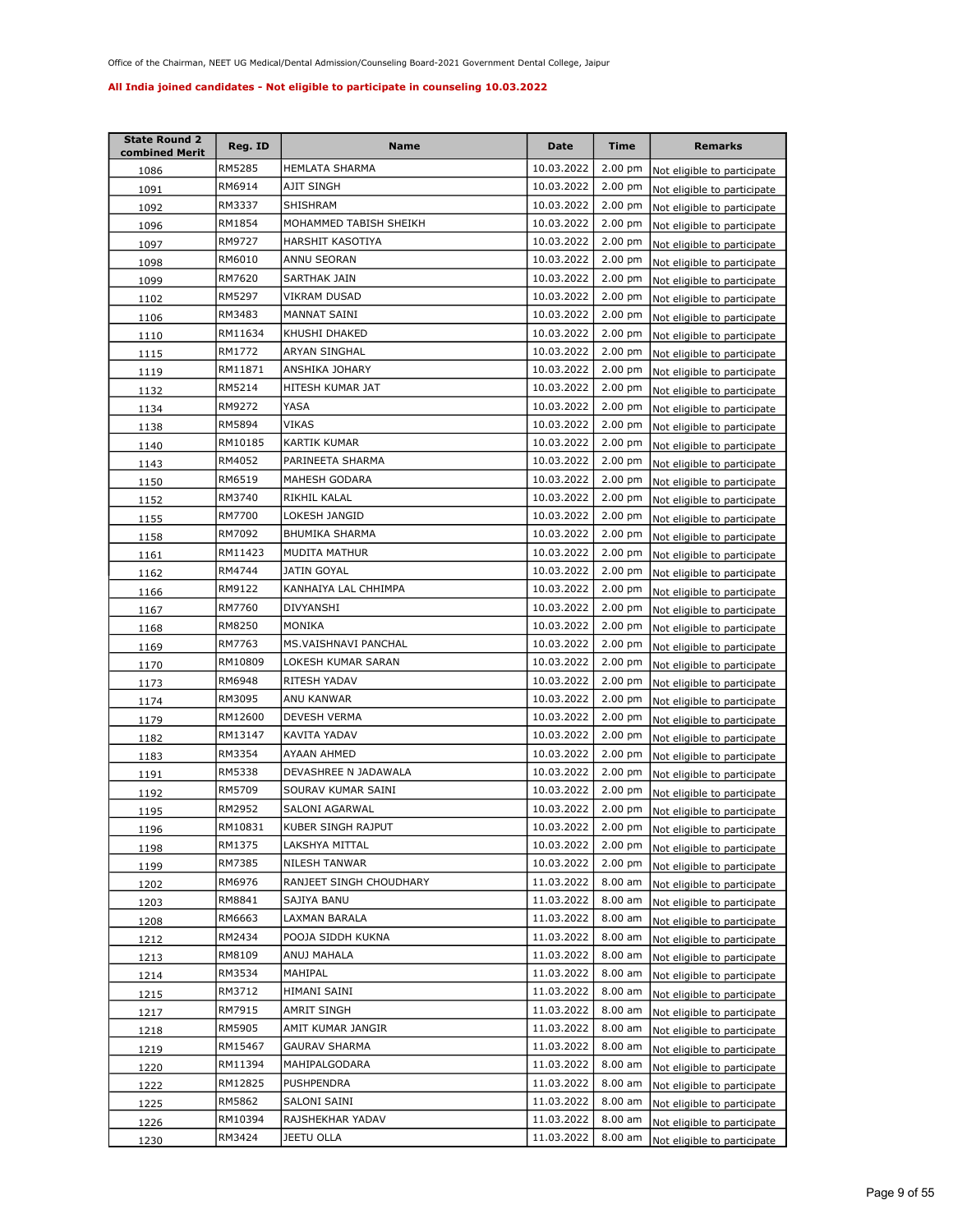| <b>State Round 2</b><br>combined Merit | Reg. ID | <b>Name</b>             | Date       | Time              | <b>Remarks</b>                      |
|----------------------------------------|---------|-------------------------|------------|-------------------|-------------------------------------|
| 1086                                   | RM5285  | HEMLATA SHARMA          | 10.03.2022 | $2.00$ pm         | Not eligible to participate         |
| 1091                                   | RM6914  | AJIT SINGH              | 10.03.2022 | 2.00 pm           | Not eligible to participate         |
| 1092                                   | RM3337  | SHISHRAM                | 10.03.2022 | $2.00$ pm         | Not eligible to participate         |
| 1096                                   | RM1854  | MOHAMMED TABISH SHEIKH  | 10.03.2022 | 2.00 pm           | Not eligible to participate         |
| 1097                                   | RM9727  | HARSHIT KASOTIYA        | 10.03.2022 | 2.00 pm           | Not eligible to participate         |
| 1098                                   | RM6010  | ANNU SEORAN             | 10.03.2022 | 2.00 pm           | Not eligible to participate         |
| 1099                                   | RM7620  | SARTHAK JAIN            | 10.03.2022 | $2.00$ pm         | Not eligible to participate         |
| 1102                                   | RM5297  | VIKRAM DUSAD            | 10.03.2022 | 2.00 pm           | Not eligible to participate         |
| <u>1106</u>                            | RM3483  | MANNAT SAINI            | 10.03.2022 | 2.00 pm           | Not eligible to participate         |
| 1110                                   | RM11634 | KHUSHI DHAKED           | 10.03.2022 | $2.00$ pm         | Not eligible to participate         |
| 1115                                   | RM1772  | ARYAN SINGHAL           | 10.03.2022 | $2.00$ pm         | Not eligible to participate         |
| 1119                                   | RM11871 | ANSHIKA JOHARY          | 10.03.2022 | 2.00 pm           | Not eligible to participate         |
| 1132                                   | RM5214  | HITESH KUMAR JAT        | 10.03.2022 | $2.00$ pm         | Not eligible to participate         |
| 1134                                   | RM9272  | YASA                    | 10.03.2022 | 2.00 pm           | Not eligible to participate         |
| 1138                                   | RM5894  | VIKAS                   | 10.03.2022 | $2.00$ pm         | Not eligible to participate         |
| 1140                                   | RM10185 | KARTIK KUMAR            | 10.03.2022 | $2.00$ pm         | Not eligible to participate         |
| 1143                                   | RM4052  | PARINEETA SHARMA        | 10.03.2022 | 2.00 pm           | Not eligible to participate         |
| 1150                                   | RM6519  | MAHESH GODARA           | 10.03.2022 | $2.00$ pm         | Not eligible to participate         |
| 1152                                   | RM3740  | RIKHIL KALAL            | 10.03.2022 | 2.00 pm           | Not eligible to participate         |
| 1155                                   | RM7700  | LOKESH JANGID           | 10.03.2022 | 2.00 pm           | Not eligible to participate         |
| 1158                                   | RM7092  | <b>BHUMIKA SHARMA</b>   | 10.03.2022 | $2.00 \text{ pm}$ | Not eligible to participate         |
| 1161                                   | RM11423 | <b>MUDITA MATHUR</b>    | 10.03.2022 | $2.00$ pm         | Not eligible to participate         |
| 1162                                   | RM4744  | <b>JATIN GOYAL</b>      | 10.03.2022 | $2.00$ pm         | Not eligible to participate         |
| 1166                                   | RM9122  | KANHAIYA LAL CHHIMPA    | 10.03.2022 | $2.00$ pm         | Not eligible to participate         |
| 1167                                   | RM7760  | DIVYANSHI               | 10.03.2022 | $2.00$ pm         | Not eligible to participate         |
| 1168                                   | RM8250  | MONIKA                  | 10.03.2022 | $2.00$ pm         | Not eligible to participate         |
| 1169                                   | RM7763  | MS.VAISHNAVI PANCHAL    | 10.03.2022 | $2.00$ pm         | Not eligible to participate         |
| 1170                                   | RM10809 | LOKESH KUMAR SARAN      | 10.03.2022 | 2.00 pm           | Not eligible to participate         |
| 1173                                   | RM6948  | RITESH YADAV            | 10.03.2022 | 2.00 pm           | Not eligible to participate         |
| 1174                                   | RM3095  | ANU KANWAR              | 10.03.2022 | 2.00 pm           | Not eligible to participate         |
| 1179                                   | RM12600 | DEVESH VERMA            | 10.03.2022 | 2.00 pm           | Not eligible to participate         |
| 1182                                   | RM13147 | KAVITA YADAV            | 10.03.2022 | 2.00 pm           | Not eligible to participate         |
| 1183                                   | RM3354  | AYAAN AHMED             | 10.03.2022 | 2.00 pm           | Not eligible to participate         |
| <u> 1191</u>                           | RM5338  | DEVASHREE N JADAWALA    | 10.03.2022 | 2.00 pm           | Not eligible to participate         |
| 1192                                   | RM5709  | SOURAV KUMAR SAINI      | 10.03.2022 | $2.00$ pm         | Not eligible to participate         |
| 1195                                   | RM2952  | SALONI AGARWAL          | 10.03.2022 | $2.00$ pm         | Not eligible to participate         |
| 1196                                   | RM10831 | KUBER SINGH RAJPUT      | 10.03.2022 |                   | 2.00 pm Not eligible to participate |
| 1198                                   | RM1375  | LAKSHYA MITTAL          | 10.03.2022 | $2.00$ pm         | Not eligible to participate         |
| 1199                                   | RM7385  | NILESH TANWAR           | 10.03.2022 | $2.00$ pm         | Not eligible to participate         |
| 1202                                   | RM6976  | RANJEET SINGH CHOUDHARY | 11.03.2022 | 8.00 am           | Not eligible to participate         |
| 1203                                   | RM8841  | SAJIYA BANU             | 11.03.2022 | 8.00 am           | Not eligible to participate         |
| 1208                                   | RM6663  | LAXMAN BARALA           | 11.03.2022 | 8.00 am           | Not eligible to participate         |
| 1212                                   | RM2434  | POOJA SIDDH KUKNA       | 11.03.2022 | 8.00 am           | Not eligible to participate         |
| 1213                                   | RM8109  | ANUJ MAHALA             | 11.03.2022 | 8.00 am           | Not eligible to participate         |
| 1214                                   | RM3534  | MAHIPAL                 | 11.03.2022 | 8.00 am           | Not eligible to participate         |
| 1215                                   | RM3712  | HIMANI SAINI            | 11.03.2022 | 8.00 am           | Not eligible to participate         |
| 1217                                   | RM7915  | AMRIT SINGH             | 11.03.2022 | 8.00 am           | Not eligible to participate         |
| 1218                                   | RM5905  | AMIT KUMAR JANGIR       | 11.03.2022 | 8.00 am           | Not eligible to participate         |
| 1219                                   | RM15467 | GAURAV SHARMA           | 11.03.2022 | 8.00 am           | Not eligible to participate         |
| 1220                                   | RM11394 | MAHIPALGODARA           | 11.03.2022 | 8.00 am           | Not eligible to participate         |
| 1222                                   | RM12825 | PUSHPENDRA              | 11.03.2022 | 8.00 am           | Not eligible to participate         |
| 1225                                   | RM5862  | SALONI SAINI            | 11.03.2022 | 8.00 am           | Not eligible to participate         |
| 1226                                   | RM10394 | RAJSHEKHAR YADAV        | 11.03.2022 | 8.00 am           | Not eligible to participate         |
| 1230                                   | RM3424  | JEETU OLLA              | 11.03.2022 | 8.00 am           | Not eligible to participate         |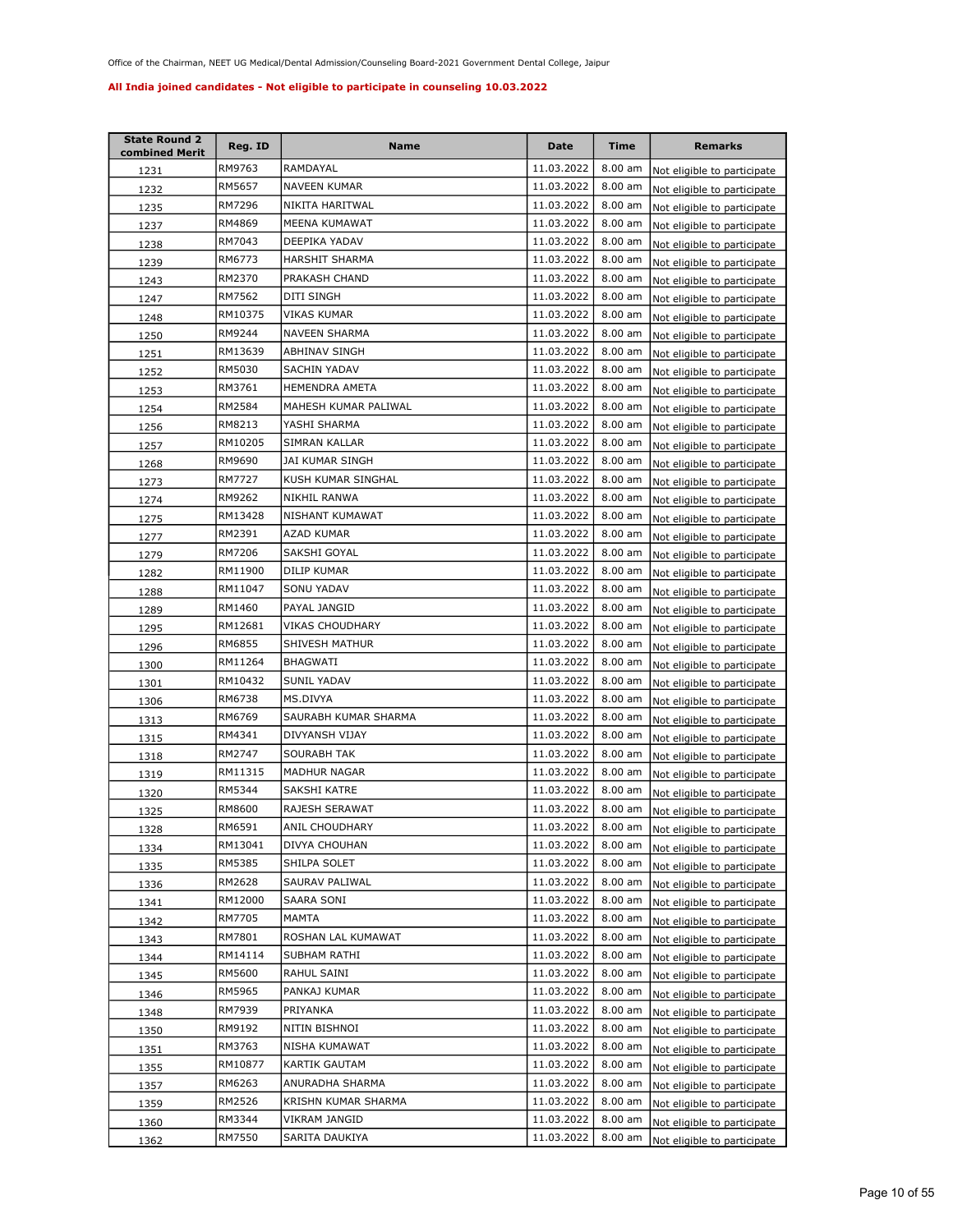| <b>State Round 2</b><br>combined Merit | Reg. ID | Name                 | Date       | Time              | <b>Remarks</b>              |
|----------------------------------------|---------|----------------------|------------|-------------------|-----------------------------|
| 1231                                   | RM9763  | RAMDAYAL             | 11.03.2022 | $8.00$ am         | Not eligible to participate |
| 1232                                   | RM5657  | <b>NAVEEN KUMAR</b>  | 11.03.2022 | $8.00$ am         | Not eligible to participate |
| 1235                                   | RM7296  | NIKITA HARITWAL      | 11.03.2022 | 8.00 am           | Not eligible to participate |
| 1237                                   | RM4869  | MEENA KUMAWAT        | 11.03.2022 | 8.00 am           | Not eligible to participate |
| 1238                                   | RM7043  | DEEPIKA YADAV        | 11.03.2022 | 8.00 am           | Not eligible to participate |
| 1239                                   | RM6773  | HARSHIT SHARMA       | 11.03.2022 | 8.00 am           | Not eligible to participate |
| 1243                                   | RM2370  | PRAKASH CHAND        | 11.03.2022 | 8.00 am           | Not eligible to participate |
| 1247                                   | RM7562  | DITI SINGH           | 11.03.2022 | 8.00 am           | Not eligible to participate |
| 1248                                   | RM10375 | VIKAS KUMAR          | 11.03.2022 | $8.00$ am         | Not eligible to participate |
| 1250                                   | RM9244  | <b>NAVEEN SHARMA</b> | 11.03.2022 | 8.00 am           | Not eligible to participate |
| 1251                                   | RM13639 | ABHINAV SINGH        | 11.03.2022 | 8.00 am           | Not eligible to participate |
| 1252                                   | RM5030  | SACHIN YADAV         | 11.03.2022 | $8.00$ am         | Not eligible to participate |
| 1253                                   | RM3761  | HEMENDRA AMETA       | 11.03.2022 | 8.00 am           | Not eligible to participate |
| 1254                                   | RM2584  | MAHESH KUMAR PALIWAL | 11.03.2022 | $8.00$ am         | Not eligible to participate |
| 1256                                   | RM8213  | YASHI SHARMA         | 11.03.2022 | 8.00 am           | Not eligible to participate |
| 1257                                   | RM10205 | SIMRAN KALLAR        | 11.03.2022 | $8.00$ am         | Not eligible to participate |
| <u>1268</u>                            | RM9690  | JAI KUMAR SINGH      | 11.03.2022 | 8.00 am           | Not eligible to participate |
| 1273                                   | RM7727  | KUSH KUMAR SINGHAL   | 11.03.2022 | 8.00 am           | Not eligible to participate |
| 1274                                   | RM9262  | NIKHIL RANWA         | 11.03.2022 | 8.00 am           | Not eligible to participate |
| 1275                                   | RM13428 | NISHANT KUMAWAT      | 11.03.2022 | 8.00 am           | Not eligible to participate |
| 1277                                   | RM2391  | AZAD KUMAR           | 11.03.2022 | 8.00 am           | Not eligible to participate |
| 1279                                   | RM7206  | SAKSHI GOYAL         | 11.03.2022 | $8.00$ am         | Not eligible to participate |
| 1282                                   | RM11900 | DILIP KUMAR          | 11.03.2022 | 8.00 am           | Not eligible to participate |
| 1288                                   | RM11047 | SONU YADAV           | 11.03.2022 | 8.00 am           | Not eligible to participate |
| 1289                                   | RM1460  | PAYAL JANGID         | 11.03.2022 | $8.00$ am         | Not eligible to participate |
| 1295                                   | RM12681 | VIKAS CHOUDHARY      | 11.03.2022 | $8.00$ am         | Not eligible to participate |
| 1296                                   | RM6855  | SHIVESH MATHUR       | 11.03.2022 | $8.00$ am         | Not eligible to participate |
| 1300                                   | RM11264 | BHAGWATI             | 11.03.2022 | 8.00 am           | Not eligible to participate |
| 1301                                   | RM10432 | SUNIL YADAV          | 11.03.2022 | 8.00 am           | Not eligible to participate |
| 1306                                   | RM6738  | MS.DIVYA             | 11.03.2022 | 8.00 am           | Not eligible to participate |
| 1313                                   | RM6769  | SAURABH KUMAR SHARMA | 11.03.2022 | 8.00 am           | Not eligible to participate |
| 1315                                   | RM4341  | DIVYANSH VIJAY       | 11.03.2022 | 8.00 am           | Not eligible to participate |
| 1318                                   | RM2747  | <b>SOURABH TAK</b>   | 11.03.2022 | $8.00$ am         | Not eligible to participate |
| 1319                                   | RM11315 | <b>MADHUR NAGAR</b>  | 11.03.2022 | 8.00 am           | Not eligible to participate |
| 1320                                   | RM5344  | SAKSHI KATRE         | 11.03.2022 | 8.00 am           | Not eligible to participate |
| 1325                                   | RM8600  | RAJESH SERAWAT       | 11.03.2022 | 8.00 am           | Not eligible to participate |
| 1328                                   | RM6591  | ANIL CHOUDHARY       | 11.03.2022 | $8.00$ am         | Not eligible to participate |
| 1334                                   | RM13041 | DIVYA CHOUHAN        | 11.03.2022 | 8.00 am           | Not eligible to participate |
| 1335                                   | RM5385  | SHILPA SOLET         | 11.03.2022 | 8.00 am           | Not eligible to participate |
| 1336                                   | RM2628  | SAURAV PALIWAL       | 11.03.2022 | 8.00 am           | Not eligible to participate |
| 1341                                   | RM12000 | SAARA SONI           | 11.03.2022 | 8.00 am           | Not eligible to participate |
| 1342                                   | RM7705  | MAMTA                | 11.03.2022 | 8.00 am           | Not eligible to participate |
| 1343                                   | RM7801  | ROSHAN LAL KUMAWAT   | 11.03.2022 | 8.00 am           | Not eligible to participate |
| 1344                                   | RM14114 | SUBHAM RATHI         | 11.03.2022 | 8.00 am           | Not eligible to participate |
| 1345                                   | RM5600  | RAHUL SAINI          | 11.03.2022 | 8.00 am           | Not eligible to participate |
| 1346                                   | RM5965  | PANKAJ KUMAR         | 11.03.2022 | 8.00 am           | Not eligible to participate |
| 1348                                   | RM7939  | PRIYANKA             | 11.03.2022 | 8.00 am           | Not eligible to participate |
| 1350                                   | RM9192  | NITIN BISHNOI        | 11.03.2022 | 8.00 am           | Not eligible to participate |
| 1351                                   | RM3763  | NISHA KUMAWAT        | 11.03.2022 | 8.00 am           | Not eligible to participate |
| 1355                                   | RM10877 | KARTIK GAUTAM        | 11.03.2022 | 8.00 am           | Not eligible to participate |
| 1357                                   | RM6263  | ANURADHA SHARMA      | 11.03.2022 | 8.00 am           | Not eligible to participate |
| 1359                                   | RM2526  | KRISHN KUMAR SHARMA  | 11.03.2022 | 8.00 am           | Not eligible to participate |
| 1360                                   | RM3344  | VIKRAM JANGID        | 11.03.2022 | 8.00 am           | Not eligible to participate |
| 1362                                   | RM7550  | SARITA DAUKIYA       | 11.03.2022 | $8.00 \text{ am}$ | Not eligible to participate |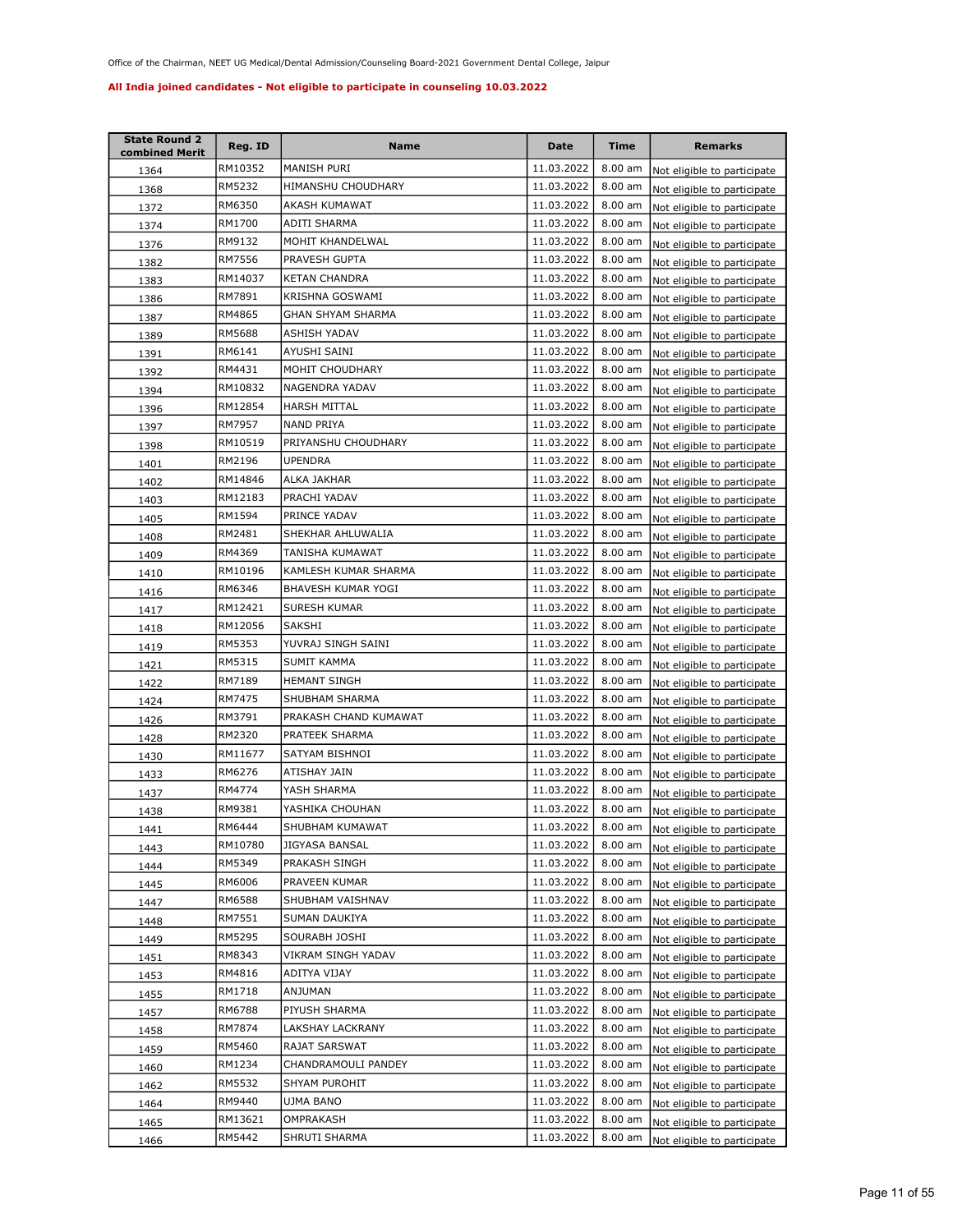| <b>State Round 2</b><br>combined Merit | Reg. ID | Name                  | Date       | Time      | <b>Remarks</b>              |
|----------------------------------------|---------|-----------------------|------------|-----------|-----------------------------|
| 1364                                   | RM10352 | MANISH PURI           | 11.03.2022 | $8.00$ am | Not eligible to participate |
| 1368                                   | RM5232  | HIMANSHU CHOUDHARY    | 11.03.2022 | 8.00 am   | Not eligible to participate |
| 1372                                   | RM6350  | AKASH KUMAWAT         | 11.03.2022 | 8.00 am   | Not eligible to participate |
| 1374                                   | RM1700  | ADITI SHARMA          | 11.03.2022 | 8.00 am   | Not eligible to participate |
| 1376                                   | RM9132  | MOHIT KHANDELWAL      | 11.03.2022 | 8.00 am   | Not eligible to participate |
| <u>1382</u>                            | RM7556  | PRAVESH GUPTA         | 11.03.2022 | 8.00 am   | Not eligible to participate |
| 1383                                   | RM14037 | <b>KETAN CHANDRA</b>  | 11.03.2022 | 8.00 am   | Not eligible to participate |
| 1386                                   | RM7891  | KRISHNA GOSWAMI       | 11.03.2022 | 8.00 am   | Not eligible to participate |
| 1387                                   | RM4865  | GHAN SHYAM SHARMA     | 11.03.2022 | 8.00 am   | Not eligible to participate |
| 1389                                   | RM5688  | <b>ASHISH YADAV</b>   | 11.03.2022 | 8.00 am   | Not eligible to participate |
| 1391                                   | RM6141  | AYUSHI SAINI          | 11.03.2022 | 8.00 am   | Not eligible to participate |
| 1392                                   | RM4431  | MOHIT CHOUDHARY       | 11.03.2022 | 8.00 am   | Not eligible to participate |
| 1394                                   | RM10832 | NAGENDRA YADAV        | 11.03.2022 | 8.00 am   | Not eligible to participate |
| 1396                                   | RM12854 | HARSH MITTAL          | 11.03.2022 | 8.00 am   | Not eligible to participate |
| 1397                                   | RM7957  | <b>NAND PRIYA</b>     | 11.03.2022 | 8.00 am   | Not eligible to participate |
| 1398                                   | RM10519 | PRIYANSHU CHOUDHARY   | 11.03.2022 | 8.00 am   | Not eligible to participate |
| 1401                                   | RM2196  | <b>UPENDRA</b>        | 11.03.2022 | 8.00 am   | Not eligible to participate |
| 1402                                   | RM14846 | ALKA JAKHAR           | 11.03.2022 | 8.00 am   | Not eligible to participate |
| 1403                                   | RM12183 | PRACHI YADAV          | 11.03.2022 | 8.00 am   | Not eligible to participate |
| 1405                                   | RM1594  | PRINCE YADAV          | 11.03.2022 | 8.00 am   | Not eligible to participate |
| 1408                                   | RM2481  | SHEKHAR AHLUWALIA     | 11.03.2022 | 8.00 am   | Not eligible to participate |
| 1409                                   | RM4369  | TANISHA KUMAWAT       | 11.03.2022 | 8.00 am   | Not eligible to participate |
| 1410                                   | RM10196 | KAMLESH KUMAR SHARMA  | 11.03.2022 | 8.00 am   | Not eligible to participate |
| 1416                                   | RM6346  | BHAVESH KUMAR YOGI    | 11.03.2022 | 8.00 am   | Not eligible to participate |
| 1417                                   | RM12421 | SURESH KUMAR          | 11.03.2022 | 8.00 am   | Not eligible to participate |
| 1418                                   | RM12056 | SAKSHI                | 11.03.2022 | 8.00 am   | Not eligible to participate |
| 1419                                   | RM5353  | YUVRAJ SINGH SAINI    | 11.03.2022 | $8.00$ am | Not eligible to participate |
| 1421                                   | RM5315  | SUMIT KAMMA           | 11.03.2022 | $8.00$ am | Not eligible to participate |
| 1422                                   | RM7189  | <b>HEMANT SINGH</b>   | 11.03.2022 | 8.00 am   | Not eligible to participate |
| 1424                                   | RM7475  | SHUBHAM SHARMA        | 11.03.2022 | 8.00 am   | Not eligible to participate |
| 1426                                   | RM3791  | PRAKASH CHAND KUMAWAT | 11.03.2022 | 8.00 am   | Not eligible to participate |
| 1428                                   | RM2320  | PRATEEK SHARMA        | 11.03.2022 | 8.00 am   | Not eligible to participate |
| 1430                                   | RM11677 | SATYAM BISHNOI        | 11.03.2022 | 8.00 am   | Not eligible to participate |
| 1433                                   | RM6276  | ATISHAY JAIN          | 11.03.2022 | 8.00 am   | Not eligible to participate |
| 1437                                   | RM4774  | YASH SHARMA           | 11.03.2022 | 8.00 am   | Not eligible to participate |
| 1438                                   | RM9381  | YASHIKA CHOUHAN       | 11.03.2022 | 8.00 am   | Not eligible to participate |
| 1441                                   | RM6444  | SHUBHAM KUMAWAT       | 11.03.2022 | 8.00 am   | Not eligible to participate |
| 1443                                   | RM10780 | JIGYASA BANSAL        | 11.03.2022 | 8.00 am   | Not eligible to participate |
| 1444                                   | RM5349  | PRAKASH SINGH         | 11.03.2022 | 8.00 am   | Not eligible to participate |
| 1445                                   | RM6006  | PRAVEEN KUMAR         | 11.03.2022 | 8.00 am   | Not eligible to participate |
| 1447                                   | RM6588  | SHUBHAM VAISHNAV      | 11.03.2022 | 8.00 am   | Not eligible to participate |
| 1448                                   | RM7551  | SUMAN DAUKIYA         | 11.03.2022 | 8.00 am   | Not eligible to participate |
| 1449                                   | RM5295  | SOURABH JOSHI         | 11.03.2022 | 8.00 am   | Not eligible to participate |
| 1451                                   | RM8343  | VIKRAM SINGH YADAV    | 11.03.2022 | 8.00 am   | Not eligible to participate |
| 1453                                   | RM4816  | ADITYA VIJAY          | 11.03.2022 | 8.00 am   | Not eligible to participate |
| 1455                                   | RM1718  | ANJUMAN               | 11.03.2022 | 8.00 am   | Not eligible to participate |
| 1457                                   | RM6788  | PIYUSH SHARMA         | 11.03.2022 | 8.00 am   | Not eligible to participate |
| 1458                                   | RM7874  | LAKSHAY LACKRANY      | 11.03.2022 | 8.00 am   | Not eligible to participate |
| 1459                                   | RM5460  | RAJAT SARSWAT         | 11.03.2022 | 8.00 am   | Not eligible to participate |
| 1460                                   | RM1234  | CHANDRAMOULI PANDEY   | 11.03.2022 | 8.00 am   | Not eligible to participate |
| 1462                                   | RM5532  | SHYAM PUROHIT         | 11.03.2022 | 8.00 am   | Not eligible to participate |
| 1464                                   | RM9440  | UJMA BANO             | 11.03.2022 | 8.00 am   | Not eligible to participate |
| 1465                                   | RM13621 | OMPRAKASH             | 11.03.2022 | 8.00 am   | Not eligible to participate |
| 1466                                   | RM5442  | SHRUTI SHARMA         | 11.03.2022 | 8.00 am   | Not eligible to participate |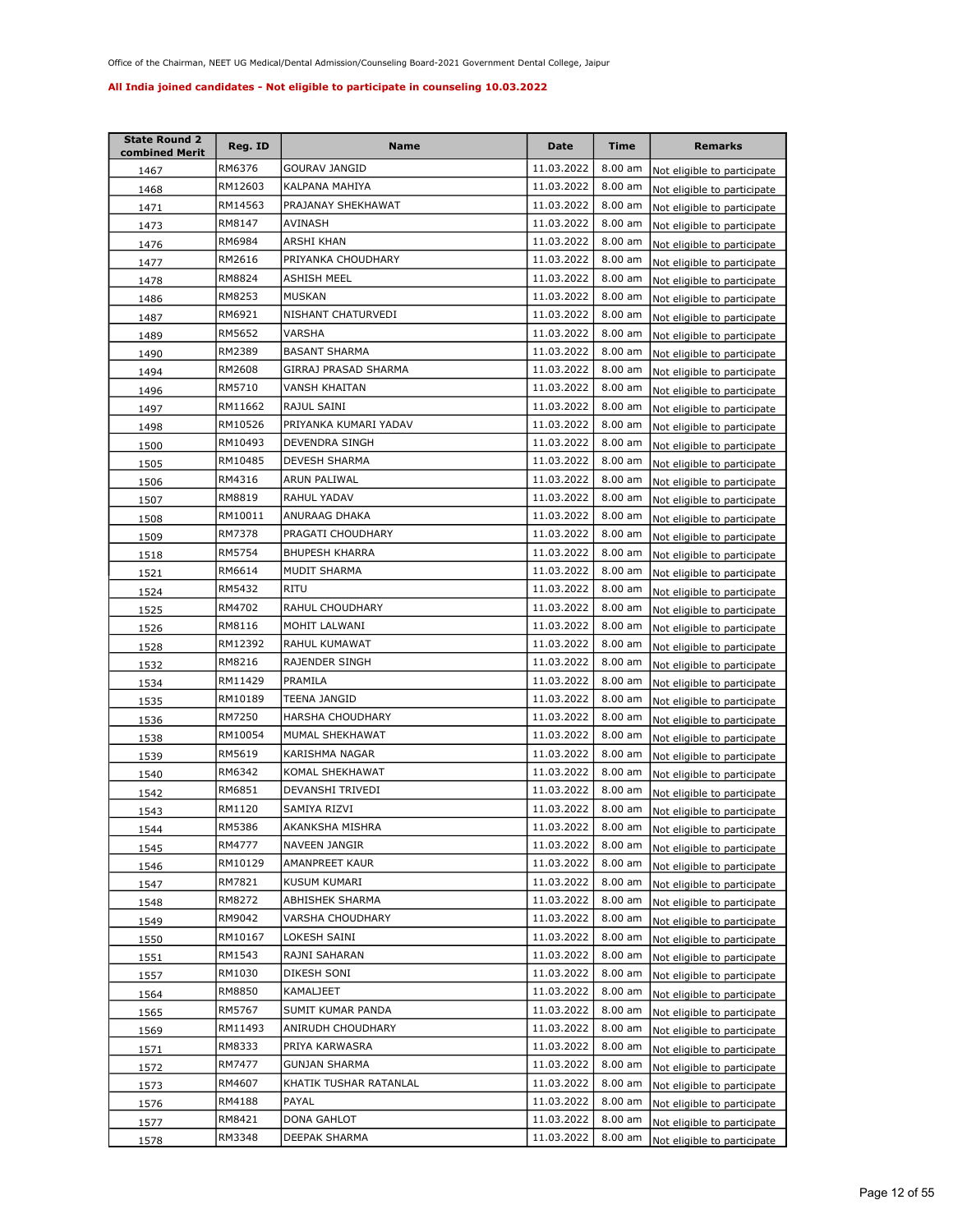| <b>State Round 2</b><br>combined Merit | Reg. ID | Name                   | Date       | <b>Time</b>       | <b>Remarks</b>              |
|----------------------------------------|---------|------------------------|------------|-------------------|-----------------------------|
| 1467                                   | RM6376  | GOURAV JANGID          | 11.03.2022 | $8.00$ am         | Not eligible to participate |
| 1468                                   | RM12603 | KALPANA MAHIYA         | 11.03.2022 | 8.00 am           | Not eligible to participate |
| 1471                                   | RM14563 | PRAJANAY SHEKHAWAT     | 11.03.2022 | 8.00 am           | Not eligible to participate |
| 1473                                   | RM8147  | AVINASH                | 11.03.2022 | 8.00 am           | Not eligible to participate |
| 1476                                   | RM6984  | ARSHI KHAN             | 11.03.2022 | 8.00 am           | Not eligible to participate |
| 1477                                   | RM2616  | PRIYANKA CHOUDHARY     | 11.03.2022 | 8.00 am           | Not eligible to participate |
| 1478                                   | RM8824  | ASHISH MEEL            | 11.03.2022 | 8.00 am           | Not eligible to participate |
| 1486                                   | RM8253  | MUSKAN                 | 11.03.2022 | 8.00 am           | Not eligible to participate |
| 1487                                   | RM6921  | NISHANT CHATURVEDI     | 11.03.2022 | 8.00 am           | Not eligible to participate |
| 1489                                   | RM5652  | VARSHA                 | 11.03.2022 | 8.00 am           | Not eligible to participate |
| 1490                                   | RM2389  | <b>BASANT SHARMA</b>   | 11.03.2022 | 8.00 am           | Not eligible to participate |
| 1494                                   | RM2608  | GIRRAJ PRASAD SHARMA   | 11.03.2022 | 8.00 am           | Not eligible to participate |
| 1496                                   | RM5710  | VANSH KHAITAN          | 11.03.2022 | 8.00 am           | Not eligible to participate |
| 1497                                   | RM11662 | RAJUL SAINI            | 11.03.2022 | 8.00 am           | Not eligible to participate |
| 1498                                   | RM10526 | PRIYANKA KUMARI YADAV  | 11.03.2022 | 8.00 am           | Not eligible to participate |
| 1500                                   | RM10493 | DEVENDRA SINGH         | 11.03.2022 | $8.00$ am         | Not eligible to participate |
| 1505                                   | RM10485 | DEVESH SHARMA          | 11.03.2022 | 8.00 am           | Not eligible to participate |
| 1506                                   | RM4316  | ARUN PALIWAL           | 11.03.2022 | 8.00 am           | Not eligible to participate |
| 1507                                   | RM8819  | RAHUL YADAV            | 11.03.2022 | 8.00 am           | Not eligible to participate |
| 1508                                   | RM10011 | ANURAAG DHAKA          | 11.03.2022 | 8.00 am           | Not eligible to participate |
| 1509                                   | RM7378  | PRAGATI CHOUDHARY      | 11.03.2022 | 8.00 am           | Not eligible to participate |
| 1518                                   | RM5754  | <b>BHUPESH KHARRA</b>  | 11.03.2022 | 8.00 am           | Not eligible to participate |
| 1521                                   | RM6614  | MUDIT SHARMA           | 11.03.2022 | 8.00 am           | Not eligible to participate |
| 1524                                   | RM5432  | ritu                   | 11.03.2022 | 8.00 am           | Not eligible to participate |
| 1525                                   | RM4702  | RAHUL CHOUDHARY        | 11.03.2022 | 8.00 am           | Not eligible to participate |
| 1526                                   | RM8116  | MOHIT LALWANI          | 11.03.2022 | $8.00$ am         | Not eligible to participate |
| 1528                                   | RM12392 | RAHUL KUMAWAT          | 11.03.2022 | 8.00 am           | Not eligible to participate |
| 1532                                   | RM8216  | RAJENDER SINGH         | 11.03.2022 | 8.00 am           | Not eligible to participate |
| 1534                                   | RM11429 | PRAMILA                | 11.03.2022 | 8.00 am           | Not eligible to participate |
| 1535                                   | RM10189 | TEENA JANGID           | 11.03.2022 | 8.00 am           | Not eligible to participate |
| 1536                                   | RM7250  | HARSHA CHOUDHARY       | 11.03.2022 | 8.00 am           | Not eligible to participate |
| 1538                                   | RM10054 | MUMAL SHEKHAWAT        | 11.03.2022 | 8.00 am           | Not eligible to participate |
| 1539                                   | RM5619  | KARISHMA NAGAR         | 11.03.2022 | $8.00$ am         | Not eligible to participate |
| 1540                                   | RM6342  | KOMAL SHEKHAWAT        | 11.03.2022 | 8.00 am           | Not eligible to participate |
| 1542                                   | RM6851  | DEVANSHI TRIVEDI       | 11.03.2022 | 8.00 am           | Not eligible to participate |
| 1543                                   | RM1120  | SAMIYA RIZVI           | 11.03.2022 | 8.00 am           | Not eligible to participate |
| 1544                                   | RM5386  | AKANKSHA MISHRA        | 11.03.2022 | $8.00 \text{ am}$ | Not eligible to participate |
| 1545                                   | RM4777  | NAVEEN JANGIR          | 11.03.2022 | 8.00 am           | Not eligible to participate |
| 1546                                   | RM10129 | AMANPREET KAUR         | 11.03.2022 | 8.00 am           | Not eligible to participate |
| 1547                                   | RM7821  | KUSUM KUMARI           | 11.03.2022 | 8.00 am           | Not eligible to participate |
| 1548                                   | RM8272  | ABHISHEK SHARMA        | 11.03.2022 | 8.00 am           | Not eligible to participate |
| 1549                                   | RM9042  | VARSHA CHOUDHARY       | 11.03.2022 | 8.00 am           | Not eligible to participate |
| 1550                                   | RM10167 | LOKESH SAINI           | 11.03.2022 | 8.00 am           | Not eligible to participate |
| 1551                                   | RM1543  | RAJNI SAHARAN          | 11.03.2022 | 8.00 am           | Not eligible to participate |
| 1557                                   | RM1030  | DIKESH SONI            | 11.03.2022 | 8.00 am           | Not eligible to participate |
| 1564                                   | RM8850  | KAMALJEET              | 11.03.2022 | 8.00 am           | Not eligible to participate |
| 1565                                   | RM5767  | SUMIT KUMAR PANDA      | 11.03.2022 | 8.00 am           | Not eligible to participate |
| 1569                                   | RM11493 | ANIRUDH CHOUDHARY      | 11.03.2022 | 8.00 am           | Not eligible to participate |
| 1571                                   | RM8333  | PRIYA KARWASRA         | 11.03.2022 | 8.00 am           | Not eligible to participate |
| 1572                                   | RM7477  | GUNJAN SHARMA          | 11.03.2022 | 8.00 am           | Not eligible to participate |
| 1573                                   | RM4607  | KHATIK TUSHAR RATANLAL | 11.03.2022 | 8.00 am           | Not eligible to participate |
| 1576                                   | RM4188  | PAYAL                  | 11.03.2022 | 8.00 am           | Not eligible to participate |
| 1577                                   | RM8421  | DONA GAHLOT            | 11.03.2022 | 8.00 am           | Not eligible to participate |
| 1578                                   | RM3348  | DEEPAK SHARMA          | 11.03.2022 | $8.00$ am         | Not eligible to participate |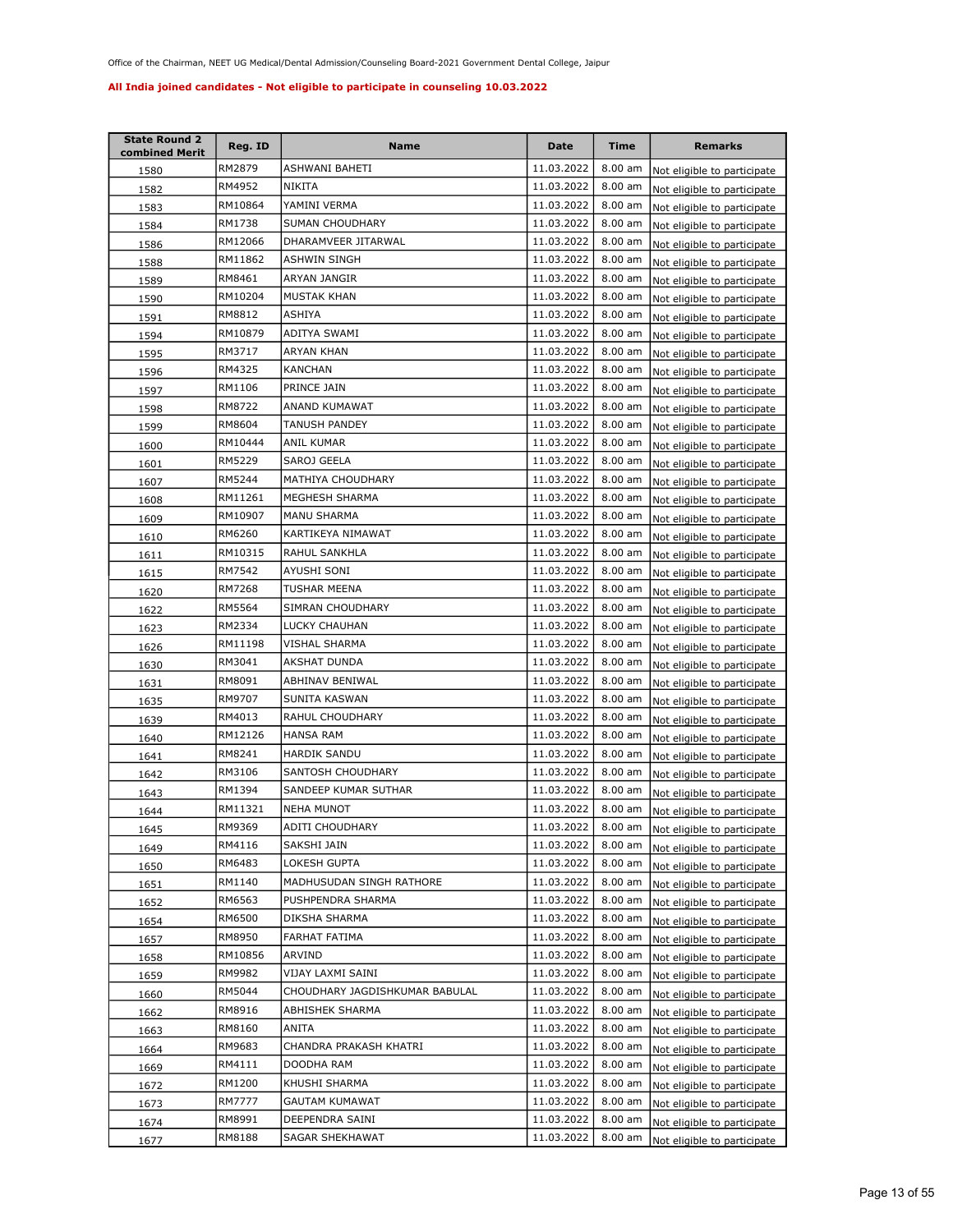| <b>State Round 2</b><br>combined Merit | Reg. ID | Name                           | Date       | Time              | <b>Remarks</b>              |
|----------------------------------------|---------|--------------------------------|------------|-------------------|-----------------------------|
| 1580                                   | RM2879  | ASHWANI BAHETI                 | 11.03.2022 | 8.00 am           | Not eligible to participate |
| 1582                                   | RM4952  | NIKITA                         | 11.03.2022 | $8.00$ am         | Not eligible to participate |
| 1583                                   | RM10864 | YAMINI VERMA                   | 11.03.2022 | $8.00$ am         | Not eligible to participate |
| 1584                                   | RM1738  | SUMAN CHOUDHARY                | 11.03.2022 | 8.00 am           | Not eligible to participate |
| 1586                                   | RM12066 | DHARAMVEER JITARWAL            | 11.03.2022 | 8.00 am           | Not eligible to participate |
| <u>1588</u>                            | RM11862 | ASHWIN SINGH                   | 11.03.2022 | 8.00 am           | Not eligible to participate |
| 1589                                   | RM8461  | ARYAN JANGIR                   | 11.03.2022 | $8.00$ am         | Not eligible to participate |
| 1590                                   | RM10204 | MUSTAK KHAN                    | 11.03.2022 | 8.00 am           | Not eligible to participate |
| 1591                                   | RM8812  | ASHIYA                         | 11.03.2022 | $8.00$ am         | Not eligible to participate |
| 1594                                   | RM10879 | ADITYA SWAMI                   | 11.03.2022 | 8.00 am           | Not eligible to participate |
| 1595                                   | RM3717  | ARYAN KHAN                     | 11.03.2022 | 8.00 am           | Not eligible to participate |
| 1596                                   | RM4325  | KANCHAN                        | 11.03.2022 | $8.00$ am         | Not eligible to participate |
| 1597                                   | RM1106  | PRINCE JAIN                    | 11.03.2022 | 8.00 am           | Not eligible to participate |
| 1598                                   | RM8722  | ANAND KUMAWAT                  | 11.03.2022 | $8.00$ am         | Not eligible to participate |
| 1599                                   | RM8604  | <b>TANUSH PANDEY</b>           | 11.03.2022 | 8.00 am           | Not eligible to participate |
| 1600                                   | RM10444 | ANIL KUMAR                     | 11.03.2022 | $8.00$ am         | Not eligible to participate |
| 1601                                   | RM5229  | SAROJ GEELA                    | 11.03.2022 | 8.00 am           | Not eligible to participate |
| 1607                                   | RM5244  | MATHIYA CHOUDHARY              | 11.03.2022 | 8.00 am           | Not eligible to participate |
| 1608                                   | RM11261 | MEGHESH SHARMA                 | 11.03.2022 | 8.00 am           | Not eligible to participate |
| 1609                                   | RM10907 | <b>MANU SHARMA</b>             | 11.03.2022 | 8.00 am           | Not eligible to participate |
| 1610                                   | RM6260  | KARTIKEYA NIMAWAT              | 11.03.2022 | 8.00 am           | Not eligible to participate |
| 1611                                   | RM10315 | RAHUL SANKHLA                  | 11.03.2022 | $8.00$ am         | Not eligible to participate |
| 1615                                   | RM7542  | AYUSHI SONI                    | 11.03.2022 | 8.00 am           | Not eligible to participate |
| 1620                                   | RM7268  | TUSHAR MEENA                   | 11.03.2022 | 8.00 am           | Not eligible to participate |
| 1622                                   | RM5564  | SIMRAN CHOUDHARY               | 11.03.2022 | 8.00 am           | Not eligible to participate |
| 1623                                   | RM2334  | LUCKY CHAUHAN                  | 11.03.2022 | $8.00$ am         | Not eligible to participate |
| 1626                                   | RM11198 | VISHAL SHARMA                  | 11.03.2022 | $8.00$ am         | Not eligible to participate |
| 1630                                   | RM3041  | <b>AKSHAT DUNDA</b>            | 11.03.2022 | 8.00 am           | Not eligible to participate |
| 1631                                   | RM8091  | ABHINAV BENIWAL                | 11.03.2022 | 8.00 am           | Not eligible to participate |
| 1635                                   | RM9707  | SUNITA KASWAN                  | 11.03.2022 | 8.00 am           | Not eligible to participate |
| 1639                                   | RM4013  | RAHUL CHOUDHARY                | 11.03.2022 | 8.00 am           | Not eligible to participate |
| 1640                                   | RM12126 | <b>HANSA RAM</b>               | 11.03.2022 | 8.00 am           | Not eligible to participate |
| 1641                                   | RM8241  | <b>HARDIK SANDU</b>            | 11.03.2022 | $8.00$ am         | Not eligible to participate |
| 1642                                   | RM3106  | SANTOSH CHOUDHARY              | 11.03.2022 | 8.00 am           | Not eligible to participate |
| 1643                                   | RM1394  | SANDEEP KUMAR SUTHAR           | 11.03.2022 | 8.00 am           | Not eligible to participate |
| 1644                                   | RM11321 | NEHA MUNOT                     | 11.03.2022 | 8.00 am           | Not eligible to participate |
| 1645                                   | RM9369  | ADITI CHOUDHARY                | 11.03.2022 | $8.00 \text{ am}$ | Not eligible to participate |
| 1649                                   | RM4116  | SAKSHI JAIN                    | 11.03.2022 | 8.00 am           | Not eligible to participate |
| 1650                                   | RM6483  | LOKESH GUPTA                   | 11.03.2022 | 8.00 am           | Not eligible to participate |
| 1651                                   | RM1140  | MADHUSUDAN SINGH RATHORE       | 11.03.2022 | 8.00 am           | Not eligible to participate |
| 1652                                   | RM6563  | PUSHPENDRA SHARMA              | 11.03.2022 | 8.00 am           | Not eligible to participate |
| 1654                                   | RM6500  | DIKSHA SHARMA                  | 11.03.2022 | 8.00 am           | Not eligible to participate |
| 1657                                   | RM8950  | FARHAT FATIMA                  | 11.03.2022 | 8.00 am           | Not eligible to participate |
| 1658                                   | RM10856 | ARVIND                         | 11.03.2022 | 8.00 am           | Not eligible to participate |
| 1659                                   | RM9982  | VIJAY LAXMI SAINI              | 11.03.2022 | 8.00 am           | Not eligible to participate |
| 1660                                   | RM5044  | CHOUDHARY JAGDISHKUMAR BABULAL | 11.03.2022 | 8.00 am           | Not eligible to participate |
| 1662                                   | RM8916  | ABHISHEK SHARMA                | 11.03.2022 | 8.00 am           | Not eligible to participate |
| 1663                                   | RM8160  | ANITA                          | 11.03.2022 | 8.00 am           | Not eligible to participate |
| 1664                                   | RM9683  | CHANDRA PRAKASH KHATRI         | 11.03.2022 | 8.00 am           | Not eligible to participate |
| 1669                                   | RM4111  | DOODHA RAM                     | 11.03.2022 | 8.00 am           | Not eligible to participate |
| 1672                                   | RM1200  | KHUSHI SHARMA                  | 11.03.2022 | 8.00 am           | Not eligible to participate |
| 1673                                   | RM7777  | GAUTAM KUMAWAT                 | 11.03.2022 | 8.00 am           | Not eligible to participate |
| 1674                                   | RM8991  | DEEPENDRA SAINI                | 11.03.2022 | 8.00 am           | Not eligible to participate |
| 1677                                   | RM8188  | SAGAR SHEKHAWAT                | 11.03.2022 | $8.00$ am         | Not eligible to participate |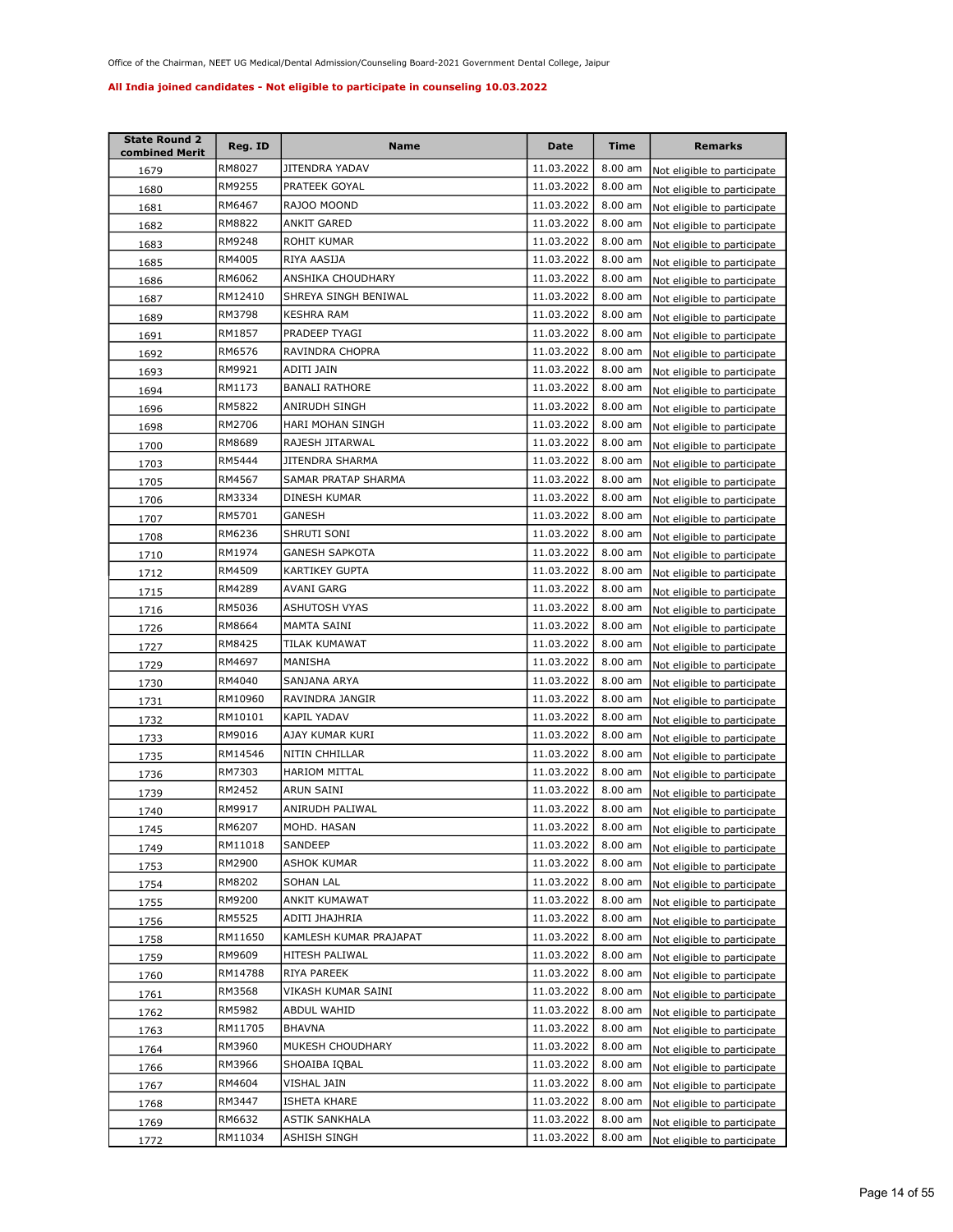| <b>State Round 2</b><br>combined Merit | Reg. ID | <b>Name</b>            | <b>Date</b> | Time      | <b>Remarks</b>              |
|----------------------------------------|---------|------------------------|-------------|-----------|-----------------------------|
| 1679                                   | RM8027  | JITENDRA YADAV         | 11.03.2022  | $8.00$ am | Not eligible to participate |
| 1680                                   | RM9255  | PRATEEK GOYAL          | 11.03.2022  | $8.00$ am | Not eligible to participate |
| 1681                                   | RM6467  | RAJOO MOOND            | 11.03.2022  | $8.00$ am | Not eligible to participate |
| 1682                                   | RM8822  | ANKIT GARED            | 11.03.2022  | 8.00 am   | Not eligible to participate |
| 1683                                   | RM9248  | ROHIT KUMAR            | 11.03.2022  | 8.00 am   | Not eligible to participate |
| 1685                                   | RM4005  | RIYA AASIJA            | 11.03.2022  | 8.00 am   | Not eligible to participate |
| 1686                                   | RM6062  | ANSHIKA CHOUDHARY      | 11.03.2022  | 8.00 am   | Not eligible to participate |
| 1687                                   | RM12410 | SHREYA SINGH BENIWAL   | 11.03.2022  | 8.00 am   | Not eligible to participate |
| 1689                                   | RM3798  | KESHRA RAM             | 11.03.2022  | 8.00 am   | Not eligible to participate |
| 1691                                   | RM1857  | PRADEEP TYAGI          | 11.03.2022  | $8.00$ am | Not eligible to participate |
| 1692                                   | RM6576  | RAVINDRA CHOPRA        | 11.03.2022  | $8.00$ am | Not eligible to participate |
| 1693                                   | RM9921  | ADITI JAIN             | 11.03.2022  | 8.00 am   | Not eligible to participate |
| 1694                                   | RM1173  | <b>BANALI RATHORE</b>  | 11.03.2022  | 8.00 am   | Not eligible to participate |
| 1696                                   | RM5822  | ANIRUDH SINGH          | 11.03.2022  | 8.00 am   | Not eligible to participate |
| 1698                                   | RM2706  | HARI MOHAN SINGH       | 11.03.2022  | 8.00 am   | Not eligible to participate |
| 1700                                   | RM8689  | RAJESH JITARWAL        | 11.03.2022  | $8.00$ am | Not eligible to participate |
| 1703                                   | RM5444  | JITENDRA SHARMA        | 11.03.2022  | 8.00 am   | Not eligible to participate |
| 1705                                   | RM4567  | SAMAR PRATAP SHARMA    | 11.03.2022  | 8.00 am   | Not eligible to participate |
| 1706                                   | RM3334  | DINESH KUMAR           | 11.03.2022  | 8.00 am   | Not eligible to participate |
| 1707                                   | RM5701  | GANESH                 | 11.03.2022  | 8.00 am   | Not eligible to participate |
| 1708                                   | RM6236  | SHRUTI SONI            | 11.03.2022  | $8.00$ am | Not eligible to participate |
| 1710                                   | RM1974  | GANESH SAPKOTA         | 11.03.2022  | 8.00 am   | Not eligible to participate |
| 1712                                   | RM4509  | <b>KARTIKEY GUPTA</b>  | 11.03.2022  | 8.00 am   | Not eligible to participate |
| 1715                                   | RM4289  | AVANI GARG             | 11.03.2022  | $8.00$ am | Not eligible to participate |
| 1716                                   | RM5036  | <b>ASHUTOSH VYAS</b>   | 11.03.2022  | $8.00$ am | Not eligible to participate |
| 1726                                   | RM8664  | MAMTA SAINI            | 11.03.2022  | 8.00 am   | Not eligible to participate |
| 1727                                   | RM8425  | TILAK KUMAWAT          | 11.03.2022  | $8.00$ am | Not eligible to participate |
| 1729                                   | RM4697  | MANISHA                | 11.03.2022  | $8.00$ am | Not eligible to participate |
| 1730                                   | RM4040  | SANJANA ARYA           | 11.03.2022  | 8.00 am   | Not eligible to participate |
| 1731                                   | RM10960 | RAVINDRA JANGIR        | 11.03.2022  | 8.00 am   | Not eligible to participate |
| <u>1732</u>                            | RM10101 | KAPIL YADAV            | 11.03.2022  | 8.00 am   | Not eligible to participate |
| 1733                                   | RM9016  | AJAY KUMAR KURI        | 11.03.2022  | 8.00 am   | Not eligible to participate |
| 1735                                   | RM14546 | NITIN CHHILLAR         | 11.03.2022  | 8.00 am   | Not eligible to participate |
| <u>1736</u>                            | RM7303  | <b>HARIOM MITTAL</b>   | 11.03.2022  | 8.00 am   | Not eligible to participate |
| 1739                                   | RM2452  | ARUN SAINI             | 11.03.2022  | 8.00 am   | Not eligible to participate |
| 1740                                   | RM9917  | ANIRUDH PALIWAL        | 11.03.2022  | 8.00 am   | Not eligible to participate |
| 1745                                   | RM6207  | MOHD. HASAN            | 11.03.2022  | 8.00 am   | Not eligible to participate |
| 1749                                   | RM11018 | SANDEEP                | 11.03.2022  | 8.00 am   | Not eligible to participate |
| 1753                                   | RM2900  | <b>ASHOK KUMAR</b>     | 11.03.2022  | 8.00 am   | Not eligible to participate |
| 1754                                   | RM8202  | SOHAN LAL              | 11.03.2022  | 8.00 am   | Not eligible to participate |
| 1755                                   | RM9200  | ANKIT KUMAWAT          | 11.03.2022  | 8.00 am   | Not eligible to participate |
| 1756                                   | RM5525  | ADITI JHAJHRIA         | 11.03.2022  | 8.00 am   | Not eligible to participate |
| 1758                                   | RM11650 | KAMLESH KUMAR PRAJAPAT | 11.03.2022  | 8.00 am   | Not eligible to participate |
| 1759                                   | RM9609  | HITESH PALIWAL         | 11.03.2022  | 8.00 am   | Not eligible to participate |
| 1760                                   | RM14788 | RIYA PAREEK            | 11.03.2022  | 8.00 am   | Not eligible to participate |
| 1761                                   | RM3568  | VIKASH KUMAR SAINI     | 11.03.2022  | 8.00 am   | Not eligible to participate |
| 1762                                   | RM5982  | ABDUL WAHID            | 11.03.2022  | 8.00 am   | Not eligible to participate |
| 1763                                   | RM11705 | <b>BHAVNA</b>          | 11.03.2022  | 8.00 am   | Not eligible to participate |
| 1764                                   | RM3960  | MUKESH CHOUDHARY       | 11.03.2022  | 8.00 am   | Not eligible to participate |
| 1766                                   | RM3966  | SHOAIBA IQBAL          | 11.03.2022  | 8.00 am   | Not eligible to participate |
| 1767                                   | RM4604  | VISHAL JAIN            | 11.03.2022  | 8.00 am   | Not eligible to participate |
| 1768                                   | RM3447  | ISHETA KHARE           | 11.03.2022  | 8.00 am   | Not eligible to participate |
| 1769                                   | RM6632  | ASTIK SANKHALA         | 11.03.2022  | 8.00 am   | Not eligible to participate |
| 1772                                   | RM11034 | ASHISH SINGH           | 11.03.2022  | $8.00$ am | Not eligible to participate |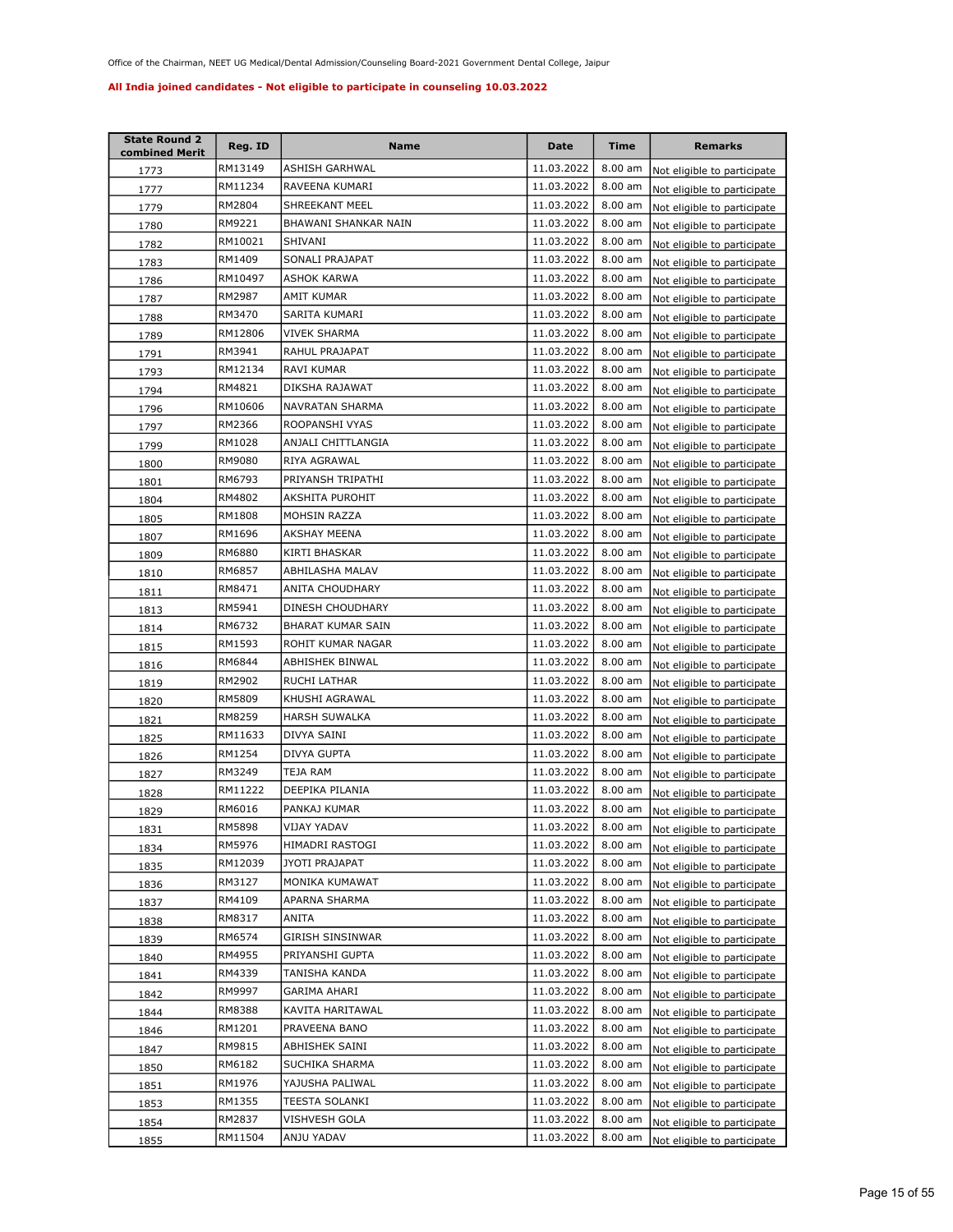| <b>State Round 2</b><br>combined Merit | Reg. ID | Name                 | Date       | <b>Time</b> | <b>Remarks</b>              |
|----------------------------------------|---------|----------------------|------------|-------------|-----------------------------|
| 1773                                   | RM13149 | ASHISH GARHWAL       | 11.03.2022 | $8.00$ am   | Not eligible to participate |
| 1777                                   | RM11234 | RAVEENA KUMARI       | 11.03.2022 | 8.00 am     | Not eligible to participate |
| 1779                                   | RM2804  | SHREEKANT MEEL       | 11.03.2022 | 8.00 am     | Not eligible to participate |
| 1780                                   | RM9221  | BHAWANI SHANKAR NAIN | 11.03.2022 | 8.00 am     | Not eligible to participate |
| 1782                                   | RM10021 | SHIVANI              | 11.03.2022 | 8.00 am     | Not eligible to participate |
| 1783                                   | RM1409  | SONALI PRAJAPAT      | 11.03.2022 | 8.00 am     | Not eligible to participate |
| 1786                                   | RM10497 | ASHOK KARWA          | 11.03.2022 | 8.00 am     | Not eligible to participate |
| 1787                                   | RM2987  | AMIT KUMAR           | 11.03.2022 | 8.00 am     | Not eligible to participate |
| 1788                                   | RM3470  | SARITA KUMARI        | 11.03.2022 | 8.00 am     | Not eligible to participate |
| 1789                                   | RM12806 | VIVEK SHARMA         | 11.03.2022 | 8.00 am     | Not eligible to participate |
| 1791                                   | RM3941  | RAHUL PRAJAPAT       | 11.03.2022 | 8.00 am     | Not eligible to participate |
| 1793                                   | RM12134 | RAVI KUMAR           | 11.03.2022 | 8.00 am     | Not eligible to participate |
| 1794                                   | RM4821  | DIKSHA RAJAWAT       | 11.03.2022 | $8.00$ am   | Not eligible to participate |
| 1796                                   | RM10606 | NAVRATAN SHARMA      | 11.03.2022 | 8.00 am     | Not eligible to participate |
| 1797                                   | RM2366  | ROOPANSHI VYAS       | 11.03.2022 | 8.00 am     | Not eligible to participate |
| 1799                                   | RM1028  | ANJALI CHITTLANGIA   | 11.03.2022 | 8.00 am     | Not eligible to participate |
| 1800                                   | RM9080  | RIYA AGRAWAL         | 11.03.2022 | 8.00 am     | Not eligible to participate |
| 1801                                   | RM6793  | PRIYANSH TRIPATHI    | 11.03.2022 | 8.00 am     | Not eligible to participate |
| 1804                                   | RM4802  | AKSHITA PUROHIT      | 11.03.2022 | 8.00 am     | Not eligible to participate |
| 1805                                   | RM1808  | MOHSIN RAZZA         | 11.03.2022 | 8.00 am     | Not eligible to participate |
| 1807                                   | RM1696  | AKSHAY MEENA         | 11.03.2022 | 8.00 am     | Not eligible to participate |
| 1809                                   | RM6880  | KIRTI BHASKAR        | 11.03.2022 | 8.00 am     | Not eligible to participate |
| 1810                                   | RM6857  | ABHILASHA MALAV      | 11.03.2022 | 8.00 am     | Not eligible to participate |
| 1811                                   | RM8471  | ANITA CHOUDHARY      | 11.03.2022 | 8.00 am     | Not eligible to participate |
| 1813                                   | RM5941  | DINESH CHOUDHARY     | 11.03.2022 | 8.00 am     | Not eligible to participate |
| 1814                                   | RM6732  | BHARAT KUMAR SAIN    | 11.03.2022 | 8.00 am     | Not eligible to participate |
| 1815                                   | RM1593  | ROHIT KUMAR NAGAR    | 11.03.2022 | 8.00 am     | Not eligible to participate |
| 1816                                   | RM6844  | ABHISHEK BINWAL      | 11.03.2022 | 8.00 am     | Not eligible to participate |
| 1819                                   | RM2902  | RUCHI LATHAR         | 11.03.2022 | 8.00 am     | Not eligible to participate |
| 1820                                   | RM5809  | KHUSHI AGRAWAL       | 11.03.2022 | 8.00 am     | Not eligible to participate |
| 1821                                   | RM8259  | <b>HARSH SUWALKA</b> | 11.03.2022 | 8.00 am     | Not eligible to participate |
| 1825                                   | RM11633 | DIVYA SAINI          | 11.03.2022 | 8.00 am     | Not eligible to participate |
| 1826                                   | RM1254  | DIVYA GUPTA          | 11.03.2022 | $8.00$ am   | Not eligible to participate |
| 1827                                   | RM3249  | TEJA RAM             | 11.03.2022 | 8.00 am     | Not eligible to participate |
| 1828                                   | RM11222 | DEEPIKA PILANIA      | 11.03.2022 | 8.00 am     | Not eligible to participate |
| 1829                                   | RM6016  | PANKAJ KUMAR         | 11.03.2022 | 8.00 am     | Not eligible to participate |
| 1831                                   | RM5898  | VIJAY YADAV          | 11.03.2022 | $8.00$ am   | Not eligible to participate |
| 1834                                   | RM5976  | HIMADRI RASTOGI      | 11.03.2022 | 8.00 am     | Not eligible to participate |
| 1835                                   | RM12039 | JYOTI PRAJAPAT       | 11.03.2022 | 8.00 am     | Not eligible to participate |
| 1836                                   | RM3127  | MONIKA KUMAWAT       | 11.03.2022 | 8.00 am     | Not eligible to participate |
| 1837                                   | RM4109  | APARNA SHARMA        | 11.03.2022 | 8.00 am     | Not eligible to participate |
| 1838                                   | RM8317  | ANITA                | 11.03.2022 | 8.00 am     | Not eligible to participate |
| 1839                                   | RM6574  | GIRISH SINSINWAR     | 11.03.2022 | 8.00 am     | Not eligible to participate |
| 1840                                   | RM4955  | PRIYANSHI GUPTA      | 11.03.2022 | 8.00 am     | Not eligible to participate |
| 1841                                   | RM4339  | TANISHA KANDA        | 11.03.2022 | 8.00 am     | Not eligible to participate |
| 1842                                   | RM9997  | GARIMA AHARI         | 11.03.2022 | 8.00 am     | Not eligible to participate |
| 1844                                   | RM8388  | KAVITA HARITAWAL     | 11.03.2022 | 8.00 am     | Not eligible to participate |
| 1846                                   | RM1201  | PRAVEENA BANO        | 11.03.2022 | 8.00 am     | Not eligible to participate |
| 1847                                   | RM9815  | ABHISHEK SAINI       | 11.03.2022 | 8.00 am     | Not eligible to participate |
| 1850                                   | RM6182  | SUCHIKA SHARMA       | 11.03.2022 | 8.00 am     | Not eligible to participate |
| 1851                                   | RM1976  | YAJUSHA PALIWAL      | 11.03.2022 | 8.00 am     | Not eligible to participate |
| 1853                                   | RM1355  | TEESTA SOLANKI       | 11.03.2022 | 8.00 am     | Not eligible to participate |
| 1854                                   | RM2837  | VISHVESH GOLA        | 11.03.2022 | 8.00 am     | Not eligible to participate |
| 1855                                   | RM11504 | ANJU YADAV           | 11.03.2022 | 8.00 am     | Not eligible to participate |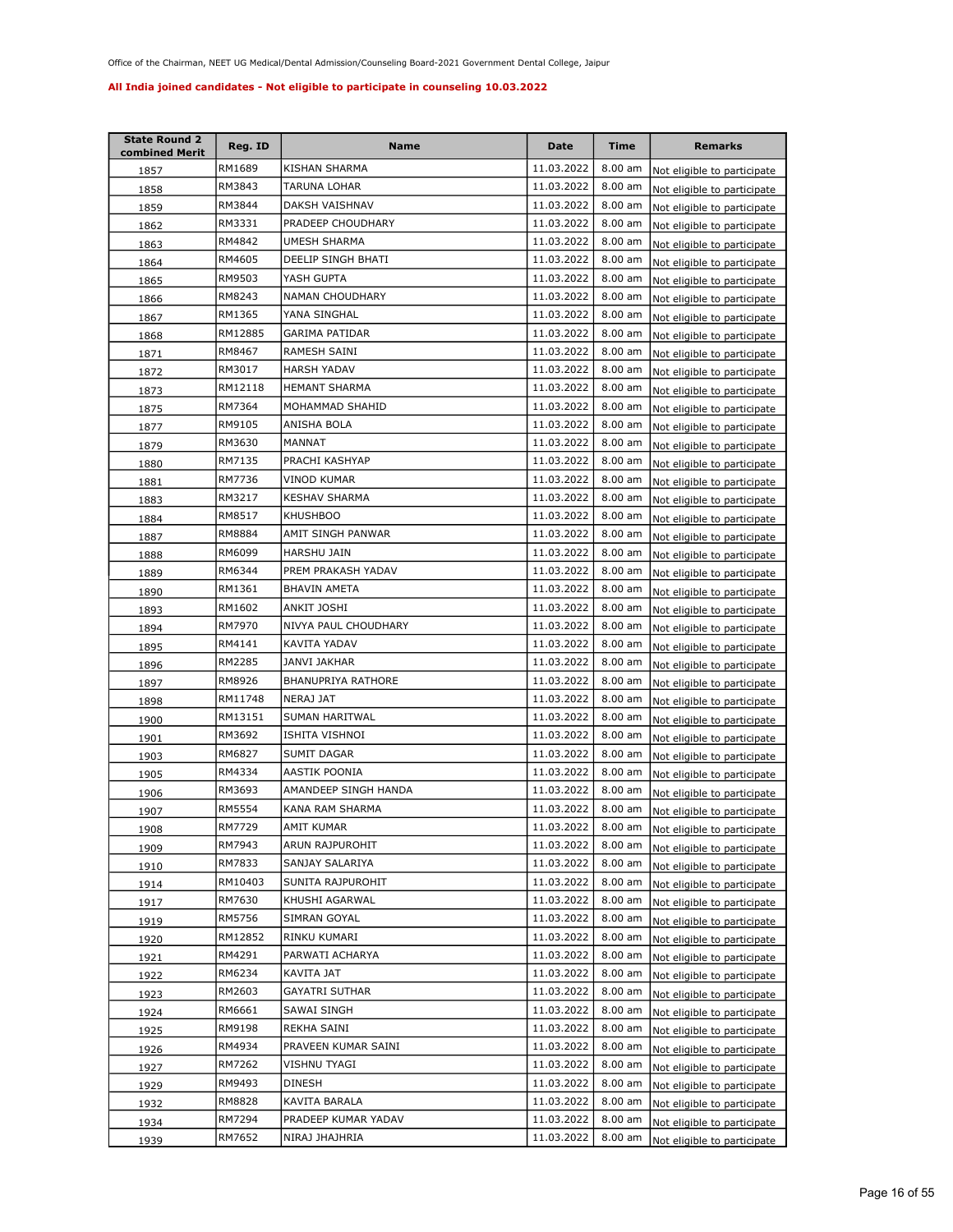| <b>State Round 2</b><br>combined Merit | Reg. ID | Name                  | Date       | <b>Time</b>       | <b>Remarks</b>              |
|----------------------------------------|---------|-----------------------|------------|-------------------|-----------------------------|
| 1857                                   | RM1689  | KISHAN SHARMA         | 11.03.2022 | $8.00$ am         | Not eligible to participate |
| 1858                                   | RM3843  | TARUNA LOHAR          | 11.03.2022 | 8.00 am           | Not eligible to participate |
| 1859                                   | RM3844  | DAKSH VAISHNAV        | 11.03.2022 | 8.00 am           | Not eligible to participate |
| 1862                                   | RM3331  | PRADEEP CHOUDHARY     | 11.03.2022 | 8.00 am           | Not eligible to participate |
| 1863                                   | RM4842  | UMESH SHARMA          | 11.03.2022 | 8.00 am           | Not eligible to participate |
| 1864                                   | RM4605  | DEELIP SINGH BHATI    | 11.03.2022 | 8.00 am           | Not eligible to participate |
| 1865                                   | RM9503  | YASH GUPTA            | 11.03.2022 | 8.00 am           | Not eligible to participate |
| 1866                                   | RM8243  | NAMAN CHOUDHARY       | 11.03.2022 | 8.00 am           | Not eligible to participate |
| 1867                                   | RM1365  | YANA SINGHAL          | 11.03.2022 | 8.00 am           | Not eligible to participate |
| 1868                                   | RM12885 | <b>GARIMA PATIDAR</b> | 11.03.2022 | 8.00 am           | Not eligible to participate |
| 1871                                   | RM8467  | RAMESH SAINI          | 11.03.2022 | 8.00 am           | Not eligible to participate |
| 1872                                   | RM3017  | <b>HARSH YADAV</b>    | 11.03.2022 | 8.00 am           | Not eligible to participate |
| 1873                                   | RM12118 | <b>HEMANT SHARMA</b>  | 11.03.2022 | 8.00 am           | Not eligible to participate |
| 1875                                   | RM7364  | MOHAMMAD SHAHID       | 11.03.2022 | 8.00 am           | Not eligible to participate |
| 1877                                   | RM9105  | ANISHA BOLA           | 11.03.2022 | 8.00 am           | Not eligible to participate |
| 1879                                   | RM3630  | MANNAT                | 11.03.2022 | 8.00 am           | Not eligible to participate |
| 1880                                   | RM7135  | PRACHI KASHYAP        | 11.03.2022 | 8.00 am           | Not eligible to participate |
| 1881                                   | RM7736  | VINOD KUMAR           | 11.03.2022 | 8.00 am           | Not eligible to participate |
| 1883                                   | RM3217  | <b>KESHAV SHARMA</b>  | 11.03.2022 | 8.00 am           | Not eligible to participate |
| 1884                                   | RM8517  | <b>KHUSHBOO</b>       | 11.03.2022 | 8.00 am           | Not eligible to participate |
| 1887                                   | RM8884  | AMIT SINGH PANWAR     | 11.03.2022 | 8.00 am           | Not eligible to participate |
| 1888                                   | RM6099  | HARSHU JAIN           | 11.03.2022 | 8.00 am           | Not eligible to participate |
| 1889                                   | RM6344  | PREM PRAKASH YADAV    | 11.03.2022 | 8.00 am           | Not eligible to participate |
| 1890                                   | RM1361  | <b>BHAVIN AMETA</b>   | 11.03.2022 | 8.00 am           | Not eligible to participate |
| 1893                                   | RM1602  | ANKIT JOSHI           | 11.03.2022 | 8.00 am           | Not eligible to participate |
| 1894                                   | RM7970  | NIVYA PAUL CHOUDHARY  | 11.03.2022 | $8.00$ am         | Not eligible to participate |
| 1895                                   | RM4141  | KAVITA YADAV          | 11.03.2022 | 8.00 am           | Not eligible to participate |
| 1896                                   | RM2285  | JANVI JAKHAR          | 11.03.2022 | 8.00 am           | Not eligible to participate |
| 1897                                   | RM8926  | BHANUPRIYA RATHORE    | 11.03.2022 | 8.00 am           | Not eligible to participate |
| 1898                                   | RM11748 | NERAJ JAT             | 11.03.2022 | 8.00 am           | Not eligible to participate |
| 1900                                   | RM13151 | SUMAN HARITWAL        | 11.03.2022 | 8.00 am           | Not eligible to participate |
| 1901                                   | RM3692  | ISHITA VISHNOI        | 11.03.2022 | 8.00 am           | Not eligible to participate |
| 1903                                   | RM6827  | <b>SUMIT DAGAR</b>    | 11.03.2022 | $8.00$ am         | Not eligible to participate |
| 1905                                   | RM4334  | AASTIK POONIA         | 11.03.2022 | 8.00 am           | Not eligible to participate |
| 1906                                   | RM3693  | AMANDEEP SINGH HANDA  | 11.03.2022 | 8.00 am           | Not eligible to participate |
| 1907                                   | RM5554  | KANA RAM SHARMA       | 11.03.2022 | 8.00 am           | Not eligible to participate |
| 1908                                   | RM7729  | AMIT KUMAR            | 11.03.2022 | $8.00 \text{ am}$ | Not eligible to participate |
| 1909                                   | RM7943  | ARUN RAJPUROHIT       | 11.03.2022 | 8.00 am           | Not eligible to participate |
| 1910                                   | RM7833  | SANJAY SALARIYA       | 11.03.2022 | 8.00 am           | Not eligible to participate |
| 1914                                   | RM10403 | SUNITA RAJPUROHIT     | 11.03.2022 | 8.00 am           | Not eligible to participate |
| 1917                                   | RM7630  | KHUSHI AGARWAL        | 11.03.2022 | 8.00 am           | Not eligible to participate |
| <u>1919</u>                            | RM5756  | SIMRAN GOYAL          | 11.03.2022 | 8.00 am           | Not eligible to participate |
| 1920                                   | RM12852 | RINKU KUMARI          | 11.03.2022 | 8.00 am           | Not eligible to participate |
| 1921                                   | RM4291  | PARWATI ACHARYA       | 11.03.2022 | 8.00 am           | Not eligible to participate |
| 1922                                   | RM6234  | KAVITA JAT            | 11.03.2022 | 8.00 am           | Not eligible to participate |
| 1923                                   | RM2603  | <b>GAYATRI SUTHAR</b> | 11.03.2022 | 8.00 am           | Not eligible to participate |
| 1924                                   | RM6661  | SAWAI SINGH           | 11.03.2022 | 8.00 am           | Not eligible to participate |
| 1925                                   | RM9198  | REKHA SAINI           | 11.03.2022 | 8.00 am           | Not eligible to participate |
| 1926                                   | RM4934  | PRAVEEN KUMAR SAINI   | 11.03.2022 | 8.00 am           | Not eligible to participate |
| 1927                                   | RM7262  | VISHNU TYAGI          | 11.03.2022 | 8.00 am           | Not eligible to participate |
| 1929                                   | RM9493  | DINESH                | 11.03.2022 | 8.00 am           | Not eligible to participate |
| 1932                                   | RM8828  | KAVITA BARALA         | 11.03.2022 | 8.00 am           | Not eligible to participate |
| 1934                                   | RM7294  | PRADEEP KUMAR YADAV   | 11.03.2022 | 8.00 am           | Not eligible to participate |
| 1939                                   | RM7652  | NIRAJ JHAJHRIA        | 11.03.2022 | 8.00 am           | Not eligible to participate |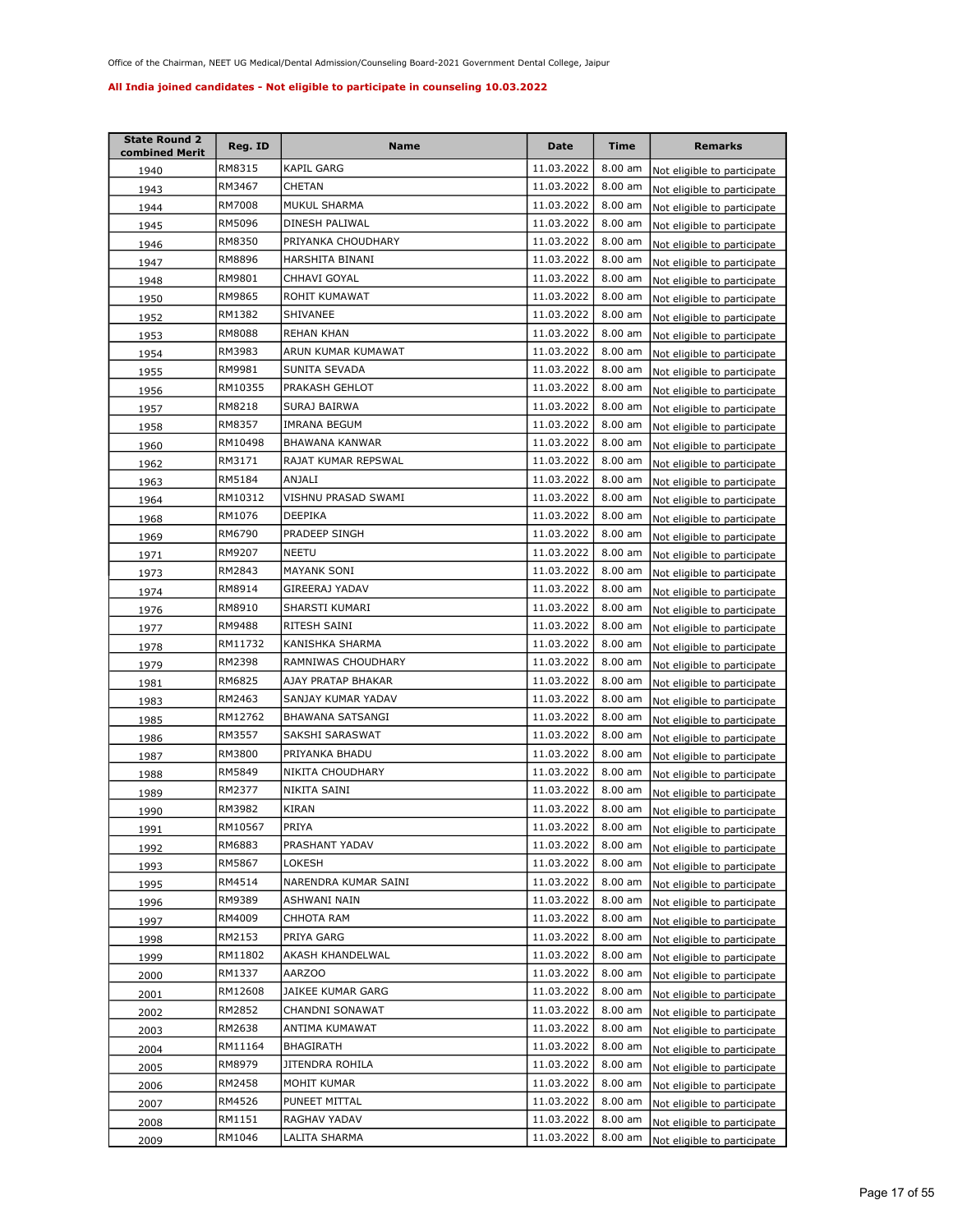| <b>State Round 2</b><br>combined Merit | Reg. ID | Name                  | <b>Date</b> | Time      | <b>Remarks</b>              |
|----------------------------------------|---------|-----------------------|-------------|-----------|-----------------------------|
| 1940                                   | RM8315  | <b>KAPIL GARG</b>     | 11.03.2022  | $8.00$ am | Not eligible to participate |
| 1943                                   | RM3467  | CHETAN                | 11.03.2022  | 8.00 am   | Not eligible to participate |
| 1944                                   | RM7008  | MUKUL SHARMA          | 11.03.2022  | $8.00$ am | Not eligible to participate |
| 1945                                   | RM5096  | DINESH PALIWAL        | 11.03.2022  | 8.00 am   | Not eligible to participate |
| 1946                                   | RM8350  | PRIYANKA CHOUDHARY    | 11.03.2022  | 8.00 am   | Not eligible to participate |
| 1947                                   | RM8896  | HARSHITA BINANI       | 11.03.2022  | 8.00 am   | Not eligible to participate |
| 1948                                   | RM9801  | CHHAVI GOYAL          | 11.03.2022  | $8.00$ am | Not eligible to participate |
| 1950                                   | RM9865  | ROHIT KUMAWAT         | 11.03.2022  | 8.00 am   | Not eligible to participate |
| 1952                                   | RM1382  | SHIVANEE              | 11.03.2022  | 8.00 am   | Not eligible to participate |
| 1953                                   | RM8088  | <b>REHAN KHAN</b>     | 11.03.2022  | 8.00 am   | Not eligible to participate |
| 1954                                   | RM3983  | ARUN KUMAR KUMAWAT    | 11.03.2022  | 8.00 am   | Not eligible to participate |
| 1955                                   | RM9981  | SUNITA SEVADA         | 11.03.2022  | $8.00$ am | Not eligible to participate |
| 1956                                   | RM10355 | PRAKASH GEHLOT        | 11.03.2022  | $8.00$ am | Not eligible to participate |
| 1957                                   | RM8218  | SURAJ BAIRWA          | 11.03.2022  | 8.00 am   | Not eligible to participate |
| 1958                                   | RM8357  | <b>IMRANA BEGUM</b>   | 11.03.2022  | 8.00 am   | Not eligible to participate |
| 1960                                   | RM10498 | <b>BHAWANA KANWAR</b> | 11.03.2022  | $8.00$ am | Not eligible to participate |
| 1962                                   | RM3171  | RAJAT KUMAR REPSWAL   | 11.03.2022  | 8.00 am   | Not eligible to participate |
| 1963                                   | RM5184  | ANJALI                | 11.03.2022  | 8.00 am   | Not eligible to participate |
| 1964                                   | RM10312 | VISHNU PRASAD SWAMI   | 11.03.2022  | 8.00 am   | Not eligible to participate |
| 1968                                   | RM1076  | <b>DEEPIKA</b>        | 11.03.2022  | 8.00 am   | Not eligible to participate |
| 1969                                   | RM6790  | PRADEEP SINGH         | 11.03.2022  | $8.00$ am | Not eligible to participate |
| 1971                                   | RM9207  | NEETU                 | 11.03.2022  | $8.00$ am | Not eligible to participate |
| 1973                                   | RM2843  | MAYANK SONI           | 11.03.2022  | 8.00 am   | Not eligible to participate |
| 1974                                   | RM8914  | GIREERAJ YADAV        | 11.03.2022  | $8.00$ am | Not eligible to participate |
| 1976                                   | RM8910  | SHARSTI KUMARI        | 11.03.2022  | $8.00$ am | Not eligible to participate |
| 1977                                   | RM9488  | RITESH SAINI          | 11.03.2022  | 8.00 am   | Not eligible to participate |
| 1978                                   | RM11732 | KANISHKA SHARMA       | 11.03.2022  | 8.00 am   | Not eligible to participate |
| 1979                                   | RM2398  | RAMNIWAS CHOUDHARY    | 11.03.2022  | 8.00 am   | Not eligible to participate |
| 1981                                   | RM6825  | AJAY PRATAP BHAKAR    | 11.03.2022  | 8.00 am   | Not eligible to participate |
| 1983                                   | RM2463  | SANJAY KUMAR YADAV    | 11.03.2022  | $8.00$ am | Not eligible to participate |
| 1985                                   | RM12762 | BHAWANA SATSANGI      | 11.03.2022  | 8.00 am   | Not eligible to participate |
| 1986                                   | RM3557  | SAKSHI SARASWAT       | 11.03.2022  | 8.00 am   | Not eligible to participate |
| 1987                                   | RM3800  | PRIYANKA BHADU        | 11.03.2022  | 8.00 am   | Not eligible to participate |
| 1988                                   | RM5849  | NIKITA CHOUDHARY      | 11.03.2022  | 8.00 am   | Not eligible to participate |
| 1989                                   | RM2377  | NIKITA SAINI          | 11.03.2022  | 8.00 am   | Not eligible to participate |
| 1990                                   | RM3982  | KIRAN                 | 11.03.2022  | 8.00 am   | Not eligible to participate |
| 1991                                   | RM10567 | PRIYA                 | 11.03.2022  | 8.00 am   | Not eligible to participate |
| 1992                                   | RM6883  | PRASHANT YADAV        | 11.03.2022  | 8.00 am   | Not eligible to participate |
| 1993                                   | RM5867  | LOKESH                | 11.03.2022  | 8.00 am   | Not eligible to participate |
| 1995                                   | RM4514  | NARENDRA KUMAR SAINI  | 11.03.2022  | 8.00 am   | Not eligible to participate |
| 1996                                   | RM9389  | ASHWANI NAIN          | 11.03.2022  | 8.00 am   | Not eligible to participate |
| 1997                                   | RM4009  | CHHOTA RAM            | 11.03.2022  | 8.00 am   | Not eligible to participate |
| 1998                                   | RM2153  | PRIYA GARG            | 11.03.2022  | 8.00 am   | Not eligible to participate |
| 1999                                   | RM11802 | AKASH KHANDELWAL      | 11.03.2022  | $8.00$ am | Not eligible to participate |
| 2000                                   | RM1337  | AARZOO                | 11.03.2022  | $8.00$ am | Not eligible to participate |
| 2001                                   | RM12608 | JAIKEE KUMAR GARG     | 11.03.2022  | 8.00 am   | Not eligible to participate |
| 2002                                   | RM2852  | CHANDNI SONAWAT       | 11.03.2022  | 8.00 am   | Not eligible to participate |
| 2003                                   | RM2638  | ANTIMA KUMAWAT        | 11.03.2022  | 8.00 am   | Not eligible to participate |
| 2004                                   | RM11164 | BHAGIRATH             | 11.03.2022  | 8.00 am   | Not eligible to participate |
| 2005                                   | RM8979  | JITENDRA ROHILA       | 11.03.2022  | 8.00 am   | Not eligible to participate |
| 2006                                   | RM2458  | MOHIT KUMAR           | 11.03.2022  | $8.00$ am | Not eligible to participate |
| 2007                                   | RM4526  | PUNEET MITTAL         | 11.03.2022  | $8.00$ am | Not eligible to participate |
| 2008                                   | RM1151  | RAGHAV YADAV          | 11.03.2022  | 8.00 am   | Not eligible to participate |
| 2009                                   | RM1046  | LALITA SHARMA         | 11.03.2022  | 8.00 am   | Not eligible to participate |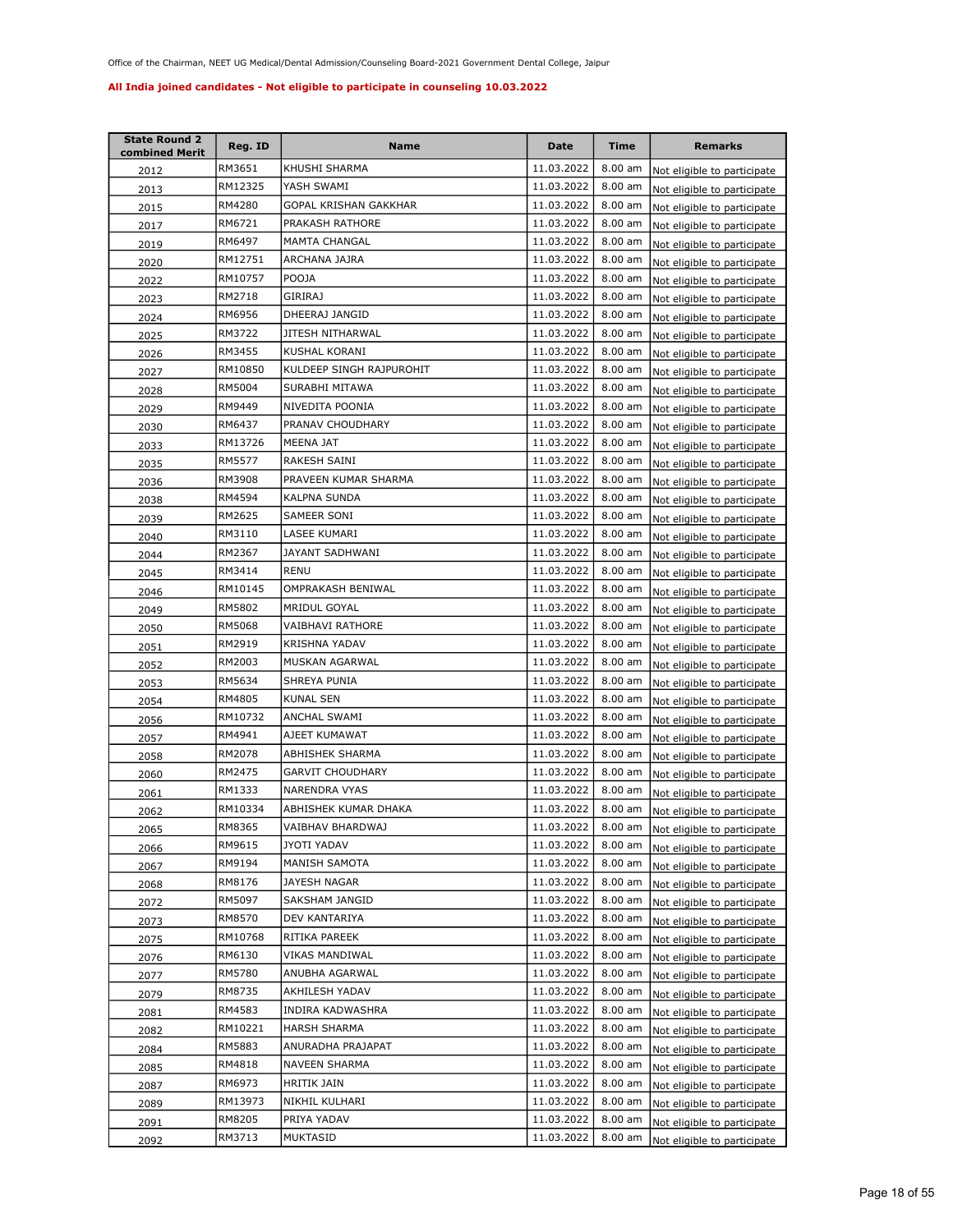| <b>State Round 2</b><br>combined Merit | Reg. ID | Name                     | Date       | <b>Time</b>       | <b>Remarks</b>              |
|----------------------------------------|---------|--------------------------|------------|-------------------|-----------------------------|
| 2012                                   | RM3651  | KHUSHI SHARMA            | 11.03.2022 | 8.00 am           | Not eligible to participate |
| 2013                                   | RM12325 | YASH SWAMI               | 11.03.2022 | 8.00 am           | Not eligible to participate |
| 2015                                   | RM4280  | GOPAL KRISHAN GAKKHAR    | 11.03.2022 | 8.00 am           | Not eligible to participate |
| 2017                                   | RM6721  | PRAKASH RATHORE          | 11.03.2022 | 8.00 am           | Not eligible to participate |
| 2019                                   | RM6497  | <b>MAMTA CHANGAL</b>     | 11.03.2022 | 8.00 am           | Not eligible to participate |
| 2020                                   | RM12751 | ARCHANA JAJRA            | 11.03.2022 | 8.00 am           | Not eligible to participate |
| 2022                                   | RM10757 | POOJA                    | 11.03.2022 | 8.00 am           | Not eligible to participate |
| 2023                                   | RM2718  | GIRIRAJ                  | 11.03.2022 | 8.00 am           | Not eligible to participate |
| 2024                                   | RM6956  | DHEERAJ JANGID           | 11.03.2022 | 8.00 am           | Not eligible to participate |
| 2025                                   | RM3722  | JITESH NITHARWAL         | 11.03.2022 | 8.00 am           | Not eligible to participate |
| 2026                                   | RM3455  | KUSHAL KORANI            | 11.03.2022 | 8.00 am           | Not eligible to participate |
| 2027                                   | RM10850 | KULDEEP SINGH RAJPUROHIT | 11.03.2022 | 8.00 am           | Not eligible to participate |
| 2028                                   | RM5004  | SURABHI MITAWA           | 11.03.2022 | 8.00 am           | Not eligible to participate |
| 2029                                   | RM9449  | NIVEDITA POONIA          | 11.03.2022 | 8.00 am           | Not eligible to participate |
| 2030                                   | RM6437  | PRANAV CHOUDHARY         | 11.03.2022 | 8.00 am           | Not eligible to participate |
| 2033                                   | RM13726 | MEENA JAT                | 11.03.2022 | 8.00 am           | Not eligible to participate |
| 2035                                   | RM5577  | RAKESH SAINI             | 11.03.2022 | 8.00 am           | Not eligible to participate |
| 2036                                   | RM3908  | PRAVEEN KUMAR SHARMA     | 11.03.2022 | 8.00 am           | Not eligible to participate |
| 2038                                   | RM4594  | <b>KALPNA SUNDA</b>      | 11.03.2022 | 8.00 am           | Not eligible to participate |
| 2039                                   | RM2625  | SAMEER SONI              | 11.03.2022 | 8.00 am           | Not eligible to participate |
| 2040                                   | RM3110  | LASEE KUMARI             | 11.03.2022 | 8.00 am           | Not eligible to participate |
| 2044                                   | RM2367  | JAYANT SADHWANI          | 11.03.2022 | 8.00 am           | Not eligible to participate |
| 2045                                   | RM3414  | RENU                     | 11.03.2022 | 8.00 am           | Not eligible to participate |
| 2046                                   | RM10145 | OMPRAKASH BENIWAL        | 11.03.2022 | 8.00 am           | Not eligible to participate |
| 2049                                   | RM5802  | MRIDUL GOYAL             | 11.03.2022 | 8.00 am           | Not eligible to participate |
| 2050                                   | RM5068  | VAIBHAVI RATHORE         | 11.03.2022 | 8.00 am           | Not eligible to participate |
| 2051                                   | RM2919  | KRISHNA YADAV            | 11.03.2022 | 8.00 am           | Not eligible to participate |
| 2052                                   | RM2003  | MUSKAN AGARWAL           | 11.03.2022 | 8.00 am           | Not eligible to participate |
| 2053                                   | RM5634  | SHREYA PUNIA             | 11.03.2022 | 8.00 am           | Not eligible to participate |
| 2054                                   | RM4805  | KUNAL SEN                | 11.03.2022 | 8.00 am           | Not eligible to participate |
| 2056                                   | RM10732 | ANCHAL SWAMI             | 11.03.2022 | 8.00 am           | Not eligible to participate |
| 2057                                   | RM4941  | AJEET KUMAWAT            | 11.03.2022 | 8.00 am           | Not eligible to participate |
| 2058                                   | RM2078  | ABHISHEK SHARMA          | 11.03.2022 | $8.00$ am         | Not eligible to participate |
| 2060                                   | RM2475  | <b>GARVIT CHOUDHARY</b>  | 11.03.2022 | 8.00 am           | Not eligible to participate |
| 2061                                   | RM1333  | NARENDRA VYAS            | 11.03.2022 | 8.00 am           | Not eligible to participate |
| 2062                                   | RM10334 | ABHISHEK KUMAR DHAKA     | 11.03.2022 | 8.00 am           | Not eligible to participate |
| 2065                                   | RM8365  | VAIBHAV BHARDWAJ         | 11.03.2022 | $8.00 \text{ am}$ | Not eligible to participate |
| 2066                                   | RM9615  | JYOTI YADAV              | 11.03.2022 | 8.00 am           | Not eligible to participate |
| 2067                                   | RM9194  | MANISH SAMOTA            | 11.03.2022 | 8.00 am           | Not eligible to participate |
| 2068                                   | RM8176  | JAYESH NAGAR             | 11.03.2022 | 8.00 am           | Not eligible to participate |
| 2072                                   | RM5097  | SAKSHAM JANGID           | 11.03.2022 | 8.00 am           | Not eligible to participate |
| 2073                                   | RM8570  | DEV KANTARIYA            | 11.03.2022 | 8.00 am           | Not eligible to participate |
| 2075                                   | RM10768 | RITIKA PAREEK            | 11.03.2022 | 8.00 am           | Not eligible to participate |
| 2076                                   | RM6130  | VIKAS MANDIWAL           | 11.03.2022 | 8.00 am           | Not eligible to participate |
| 2077                                   | RM5780  | ANUBHA AGARWAL           | 11.03.2022 | 8.00 am           | Not eligible to participate |
| 2079                                   | RM8735  | AKHILESH YADAV           | 11.03.2022 | 8.00 am           | Not eligible to participate |
| 2081                                   | RM4583  | INDIRA KADWASHRA         | 11.03.2022 | 8.00 am           | Not eligible to participate |
| 2082                                   | RM10221 | HARSH SHARMA             | 11.03.2022 | 8.00 am           | Not eligible to participate |
| 2084                                   | RM5883  | ANURADHA PRAJAPAT        | 11.03.2022 | 8.00 am           | Not eligible to participate |
| 2085                                   | RM4818  | NAVEEN SHARMA            | 11.03.2022 | 8.00 am           | Not eligible to participate |
| 2087                                   | RM6973  | HRITIK JAIN              | 11.03.2022 | 8.00 am           | Not eligible to participate |
| 2089                                   | RM13973 | NIKHIL KULHARI           | 11.03.2022 | 8.00 am           | Not eligible to participate |
| 2091                                   | RM8205  | PRIYA YADAV              | 11.03.2022 | 8.00 am           | Not eligible to participate |
| 2092                                   | RM3713  | MUKTASID                 | 11.03.2022 | $8.00$ am         | Not eligible to participate |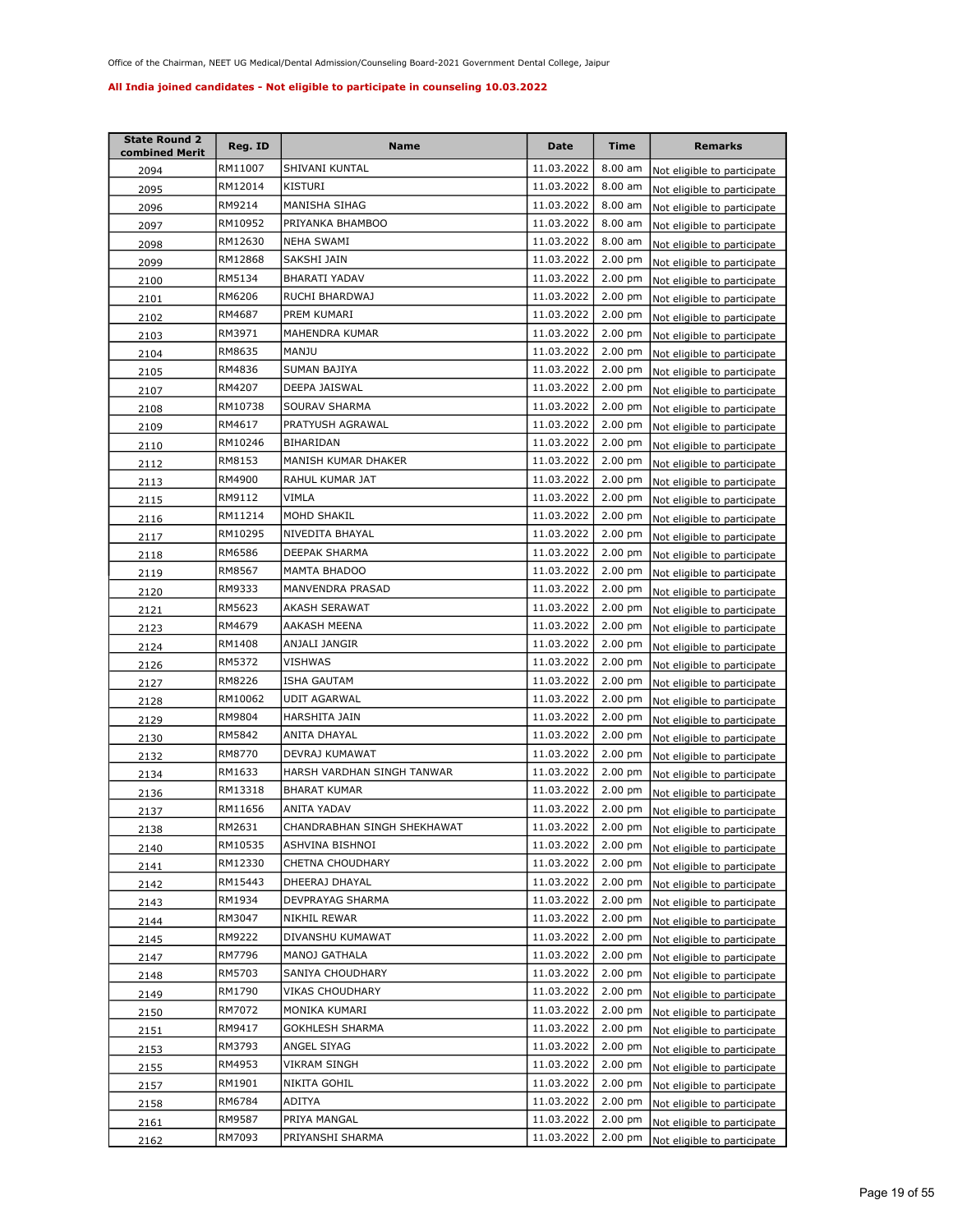| <b>State Round 2</b><br>combined Merit | Reg. ID | Name                        | <b>Date</b> | <b>Time</b>       | <b>Remarks</b>                      |
|----------------------------------------|---------|-----------------------------|-------------|-------------------|-------------------------------------|
| 2094                                   | RM11007 | SHIVANI KUNTAL              | 11.03.2022  | 8.00 am           | Not eligible to participate         |
| 2095                                   | RM12014 | KISTURI                     | 11.03.2022  | 8.00 am           | Not eligible to participate         |
| 2096                                   | RM9214  | MANISHA SIHAG               | 11.03.2022  | 8.00 am           | Not eligible to participate         |
| 2097                                   | RM10952 | PRIYANKA BHAMBOO            | 11.03.2022  | 8.00 am           | Not eligible to participate         |
| 2098                                   | RM12630 | <b>NEHA SWAMI</b>           | 11.03.2022  | 8.00 am           | Not eligible to participate         |
| 2099                                   | RM12868 | SAKSHI JAIN                 | 11.03.2022  | 2.00 pm           | Not eligible to participate         |
| 2100                                   | RM5134  | <b>BHARATI YADAV</b>        | 11.03.2022  | 2.00 pm           | Not eligible to participate         |
| 2101                                   | RM6206  | RUCHI BHARDWAJ              | 11.03.2022  | 2.00 pm           | Not eligible to participate         |
| 2102                                   | RM4687  | PREM KUMARI                 | 11.03.2022  | 2.00 pm           | Not eligible to participate         |
| 2103                                   | RM3971  | MAHENDRA KUMAR              | 11.03.2022  | $2.00$ pm         | Not eligible to participate         |
| 2104                                   | RM8635  | MANJU                       | 11.03.2022  | 2.00 pm           | Not eligible to participate         |
| 2105                                   | RM4836  | SUMAN BAJIYA                | 11.03.2022  | 2.00 pm           | Not eligible to participate         |
| 2107                                   | RM4207  | DEEPA JAISWAL               | 11.03.2022  | 2.00 pm           | Not eligible to participate         |
| 2108                                   | RM10738 | SOURAV SHARMA               | 11.03.2022  | 2.00 pm           | Not eligible to participate         |
| 2109                                   | RM4617  | PRATYUSH AGRAWAL            | 11.03.2022  | 2.00 pm           | Not eligible to participate         |
| 2110                                   | RM10246 | BIHARIDAN                   | 11.03.2022  | $2.00 \text{ pm}$ | Not eligible to participate         |
| 2112                                   | RM8153  | MANISH KUMAR DHAKER         | 11.03.2022  | $2.00$ pm         | Not eligible to participate         |
| 2113                                   | RM4900  | RAHUL KUMAR JAT             | 11.03.2022  | $2.00$ pm         | Not eligible to participate         |
| 2115                                   | RM9112  | VIMLA                       | 11.03.2022  | $2.00$ pm         | Not eligible to participate         |
| 2116                                   | RM11214 | MOHD SHAKIL                 | 11.03.2022  | $2.00$ pm         | Not eligible to participate         |
| 2117                                   | RM10295 | NIVEDITA BHAYAL             | 11.03.2022  | $2.00$ pm         | Not eligible to participate         |
| 2118                                   | RM6586  | DEEPAK SHARMA               | 11.03.2022  | $2.00$ pm         | Not eligible to participate         |
| 2119                                   | RM8567  | MAMTA BHADOO                | 11.03.2022  | 2.00 pm           | Not eligible to participate         |
| 2120                                   | RM9333  | MANVENDRA PRASAD            | 11.03.2022  | $2.00$ pm         | Not eligible to participate         |
| 2121                                   | RM5623  | AKASH SERAWAT               | 11.03.2022  | $2.00$ pm         | Not eligible to participate         |
| 2123                                   | RM4679  | AAKASH MEENA                | 11.03.2022  | $2.00$ pm         | Not eligible to participate         |
| 2124                                   | RM1408  | ANJALI JANGIR               | 11.03.2022  | $2.00$ pm         | Not eligible to participate         |
| 2126                                   | RM5372  | VISHWAS                     | 11.03.2022  | 2.00 pm           | Not eligible to participate         |
| 2127                                   | RM8226  | ISHA GAUTAM                 | 11.03.2022  | 2.00 pm           | Not eligible to participate         |
| 2128                                   | RM10062 | UDIT AGARWAL                | 11.03.2022  | $2.00$ pm         | Not eligible to participate         |
| 2129                                   | RM9804  | HARSHITA JAIN               | 11.03.2022  | $2.00$ pm         | Not eligible to participate         |
| 2130                                   | RM5842  | ANITA DHAYAL                | 11.03.2022  | $2.00$ pm         | Not eligible to participate         |
| 2132                                   | RM8770  | DEVRAJ KUMAWAT              | 11.03.2022  | $2.00$ pm         | Not eligible to participate         |
| 2134                                   | RM1633  | HARSH VARDHAN SINGH TANWAR  | 11.03.2022  | 2.00 pm           | Not eligible to participate         |
| 2136                                   | RM13318 | <b>BHARAT KUMAR</b>         | 11.03.2022  | 2.00 pm           | Not eligible to participate         |
| 2137                                   | RM11656 | ANITA YADAV                 | 11.03.2022  | $2.00 \text{ pm}$ | Not eligible to participate         |
| 2138                                   | RM2631  | CHANDRABHAN SINGH SHEKHAWAT | 11.03.2022  |                   | 2.00 pm Not eligible to participate |
| 2140                                   | RM10535 | ASHVINA BISHNOI             | 11.03.2022  | $2.00 \text{ pm}$ | Not eligible to participate         |
| 2141                                   | RM12330 | CHETNA CHOUDHARY            | 11.03.2022  | $2.00$ pm         | Not eligible to participate         |
| 2142                                   | RM15443 | DHEERAJ DHAYAL              | 11.03.2022  | $2.00$ pm         | Not eligible to participate         |
| 2143                                   | RM1934  | DEVPRAYAG SHARMA            | 11.03.2022  | $2.00 \text{ pm}$ | Not eligible to participate         |
| 2144                                   | RM3047  | NIKHIL REWAR                | 11.03.2022  | $2.00 \text{ pm}$ | Not eligible to participate         |
| 2145                                   | RM9222  | DIVANSHU KUMAWAT            | 11.03.2022  | $2.00$ pm         | Not eligible to participate         |
| 2147                                   | RM7796  | MANOJ GATHALA               | 11.03.2022  | 2.00 pm           | Not eligible to participate         |
| 2148                                   | RM5703  | SANIYA CHOUDHARY            | 11.03.2022  | 2.00 pm           | Not eligible to participate         |
| 2149                                   | RM1790  | VIKAS CHOUDHARY             | 11.03.2022  | 2.00 pm           | Not eligible to participate         |
| 2150                                   | RM7072  | MONIKA KUMARI               | 11.03.2022  | 2.00 pm           | Not eligible to participate         |
| 2151                                   | RM9417  | GOKHLESH SHARMA             | 11.03.2022  | $2.00$ pm         | Not eligible to participate         |
| 2153                                   | RM3793  | ANGEL SIYAG                 | 11.03.2022  | 2.00 pm           | Not eligible to participate         |
| 2155                                   | RM4953  | VIKRAM SINGH                | 11.03.2022  | 2.00 pm           | Not eligible to participate         |
| 2157                                   | RM1901  | NIKITA GOHIL                | 11.03.2022  | 2.00 pm           | Not eligible to participate         |
| 2158                                   | RM6784  | ADITYA                      | 11.03.2022  | $2.00$ pm         | Not eligible to participate         |
| 2161                                   | RM9587  | PRIYA MANGAL                | 11.03.2022  | $2.00$ pm         | Not eligible to participate         |
| 2162                                   | RM7093  | PRIYANSHI SHARMA            | 11.03.2022  | 2.00 pm           | Not eligible to participate         |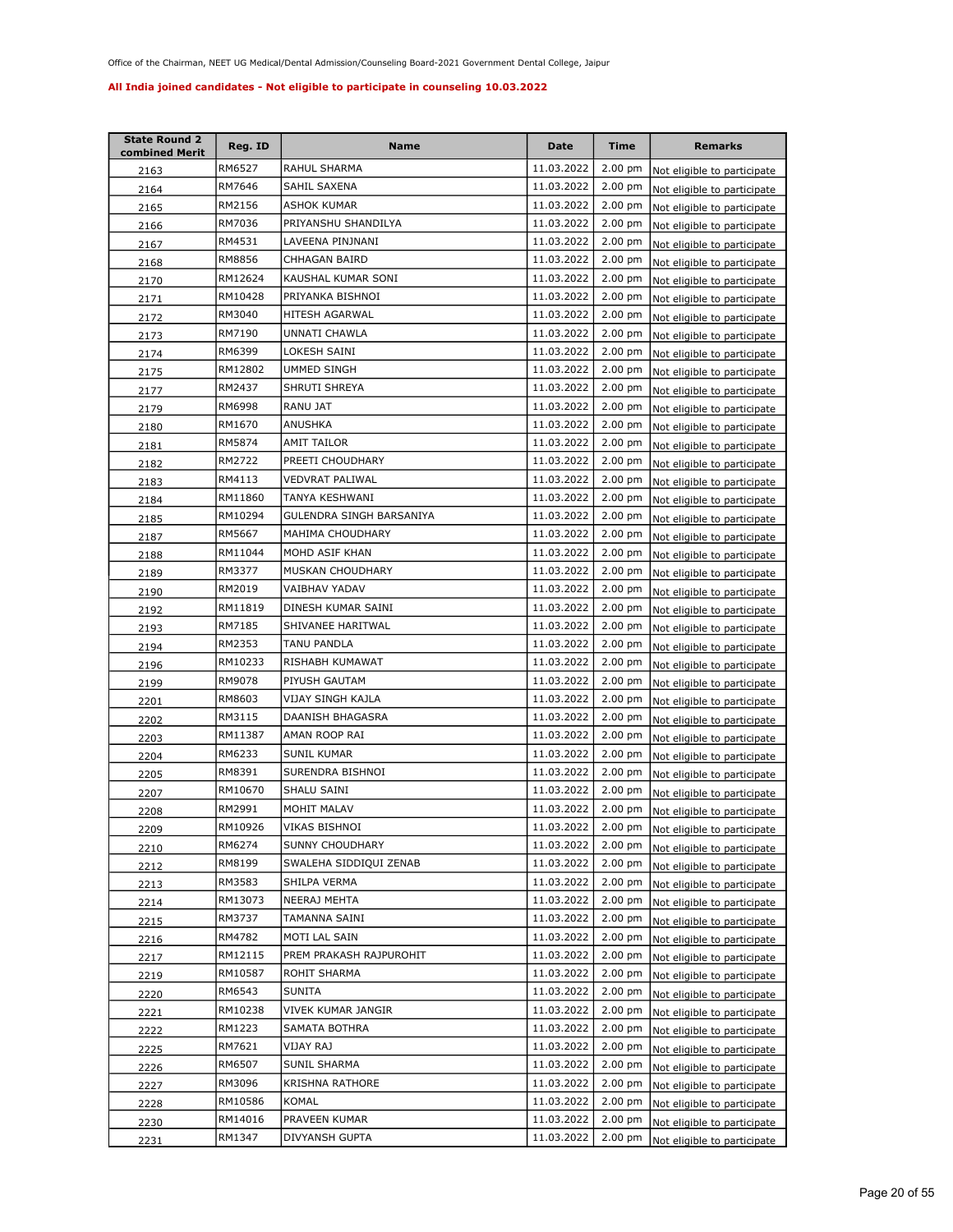| <b>State Round 2</b><br>combined Merit | Reg. ID | <b>Name</b>              | Date       | <b>Time</b>       | <b>Remarks</b>                      |
|----------------------------------------|---------|--------------------------|------------|-------------------|-------------------------------------|
| 2163                                   | RM6527  | RAHUL SHARMA             | 11.03.2022 | $2.00$ pm         | Not eligible to participate         |
| 2164                                   | RM7646  | SAHIL SAXENA             | 11.03.2022 | 2.00 pm           | Not eligible to participate         |
| 2165                                   | RM2156  | ASHOK KUMAR              | 11.03.2022 | $2.00$ pm         | Not eligible to participate         |
| 2166                                   | RM7036  | PRIYANSHU SHANDILYA      | 11.03.2022 | 2.00 pm           | Not eligible to participate         |
| 2167                                   | RM4531  | LAVEENA PINJNANI         | 11.03.2022 | $2.00$ pm         | Not eligible to participate         |
| 2168                                   | RM8856  | CHHAGAN BAIRD            | 11.03.2022 | $2.00$ pm         | Not eligible to participate         |
| 2170                                   | RM12624 | KAUSHAL KUMAR SONI       | 11.03.2022 | 2.00 pm           | Not eligible to participate         |
| 2171                                   | RM10428 | PRIYANKA BISHNOI         | 11.03.2022 | 2.00 pm           | Not eligible to participate         |
| 2172                                   | RM3040  | HITESH AGARWAL           | 11.03.2022 | 2.00 pm           | Not eligible to participate         |
| 2173                                   | RM7190  | UNNATI CHAWLA            | 11.03.2022 | 2.00 pm           | Not eligible to participate         |
| 2174                                   | RM6399  | LOKESH SAINI             | 11.03.2022 | 2.00 pm           | Not eligible to participate         |
| 2175                                   | RM12802 | UMMED SINGH              | 11.03.2022 | 2.00 pm           | Not eligible to participate         |
| 2177                                   | RM2437  | SHRUTI SHREYA            | 11.03.2022 | $2.00$ pm         | Not eligible to participate         |
| 2179                                   | RM6998  | RANU JAT                 | 11.03.2022 | $2.00$ pm         | Not eligible to participate         |
| 2180                                   | RM1670  | ANUSHKA                  | 11.03.2022 | $2.00$ pm         | Not eligible to participate         |
| 2181                                   | RM5874  | AMIT TAILOR              | 11.03.2022 | 2.00 pm           | Not eligible to participate         |
| 2182                                   | RM2722  | PREETI CHOUDHARY         | 11.03.2022 | 2.00 pm           | Not eligible to participate         |
| 2183                                   | RM4113  | VEDVRAT PALIWAL          | 11.03.2022 | 2.00 pm           | Not eligible to participate         |
| 2184                                   | RM11860 | <b>TANYA KESHWANI</b>    | 11.03.2022 | $2.00$ pm         | Not eligible to participate         |
| 2185                                   | RM10294 | GULENDRA SINGH BARSANIYA | 11.03.2022 | $2.00$ pm         | Not eligible to participate         |
| 2187                                   | RM5667  | MAHIMA CHOUDHARY         | 11.03.2022 | $2.00$ pm         | Not eligible to participate         |
| 2188                                   | RM11044 | MOHD ASIF KHAN           | 11.03.2022 | $2.00$ pm         | Not eligible to participate         |
| 2189                                   | RM3377  | MUSKAN CHOUDHARY         | 11.03.2022 | $2.00$ pm         | Not eligible to participate         |
| 2190                                   | RM2019  | VAIBHAV YADAV            | 11.03.2022 | $2.00$ pm         | Not eligible to participate         |
| 2192                                   | RM11819 | DINESH KUMAR SAINI       | 11.03.2022 | $2.00$ pm         | Not eligible to participate         |
| 2193                                   | RM7185  | SHIVANEE HARITWAL        | 11.03.2022 | $2.00$ pm         | Not eligible to participate         |
| 2194                                   | RM2353  | TANU PANDLA              | 11.03.2022 | 2.00 pm           | Not eligible to participate         |
| 2196                                   | RM10233 | RISHABH KUMAWAT          | 11.03.2022 | $2.00$ pm         | Not eligible to participate         |
| 2199                                   | RM9078  | PIYUSH GAUTAM            | 11.03.2022 | 2.00 pm           | Not eligible to participate         |
| 2201                                   | RM8603  | VIJAY SINGH KAJLA        | 11.03.2022 | $2.00 \text{ pm}$ | Not eligible to participate         |
| 2202                                   | RM3115  | DAANISH BHAGASRA         | 11.03.2022 | 2.00 pm           | Not eligible to participate         |
| 2203                                   | RM11387 | AMAN ROOP RAI            | 11.03.2022 | $2.00$ pm         | Not eligible to participate         |
| 2204                                   | RM6233  | SUNIL KUMAR              | 11.03.2022 | $2.00$ pm         | Not eligible to participate         |
| 2205                                   | RM8391  | SURENDRA BISHNOI         | 11.03.2022 | $2.00$ pm         | Not eligible to participate         |
| 2207                                   | RM10670 | SHALU SAINI              | 11.03.2022 | $2.00$ pm         | Not eligible to participate         |
| 2208                                   | RM2991  | MOHIT MALAV              | 11.03.2022 | $2.00$ pm         | Not eligible to participate         |
| 2209                                   | RM10926 | VIKAS BISHNOI            | 11.03.2022 |                   | 2.00 pm Not eligible to participate |
| 2210                                   | RM6274  | SUNNY CHOUDHARY          | 11.03.2022 | $2.00 \text{ pm}$ | Not eligible to participate         |
| 2212                                   | RM8199  | SWALEHA SIDDIQUI ZENAB   | 11.03.2022 | 2.00 pm           | Not eligible to participate         |
| 2213                                   | RM3583  | SHILPA VERMA             | 11.03.2022 | $2.00$ pm         | Not eligible to participate         |
| 2214                                   | RM13073 | NEERAJ MEHTA             | 11.03.2022 | $2.00$ pm         | Not eligible to participate         |
| 2215                                   | RM3737  | TAMANNA SAINI            | 11.03.2022 | 2.00 pm           | Not eligible to participate         |
| 2216                                   | RM4782  | MOTI LAL SAIN            | 11.03.2022 | 2.00 pm           | Not eligible to participate         |
| 2217                                   | RM12115 | PREM PRAKASH RAJPUROHIT  | 11.03.2022 | 2.00 pm           | Not eligible to participate         |
| 2219                                   | RM10587 | ROHIT SHARMA             | 11.03.2022 | 2.00 pm           | Not eligible to participate         |
| 2220                                   | RM6543  | SUNITA                   | 11.03.2022 | 2.00 pm           | Not eligible to participate         |
| 2221                                   | RM10238 | VIVEK KUMAR JANGIR       | 11.03.2022 | 2.00 pm           | Not eligible to participate         |
| 2222                                   | RM1223  | SAMATA BOTHRA            | 11.03.2022 | 2.00 pm           | Not eligible to participate         |
| 2225                                   | RM7621  | VIJAY RAJ                | 11.03.2022 | 2.00 pm           | Not eligible to participate         |
| 2226                                   | RM6507  | SUNIL SHARMA             | 11.03.2022 | 2.00 pm           | Not eligible to participate         |
| 2227                                   | RM3096  | KRISHNA RATHORE          | 11.03.2022 | 2.00 pm           | Not eligible to participate         |
| 2228                                   | RM10586 | KOMAL                    | 11.03.2022 | 2.00 pm           | Not eligible to participate         |
| 2230                                   | RM14016 | PRAVEEN KUMAR            | 11.03.2022 | 2.00 pm           | Not eligible to participate         |
| 2231                                   | RM1347  | DIVYANSH GUPTA           | 11.03.2022 | 2.00 pm           | Not eligible to participate         |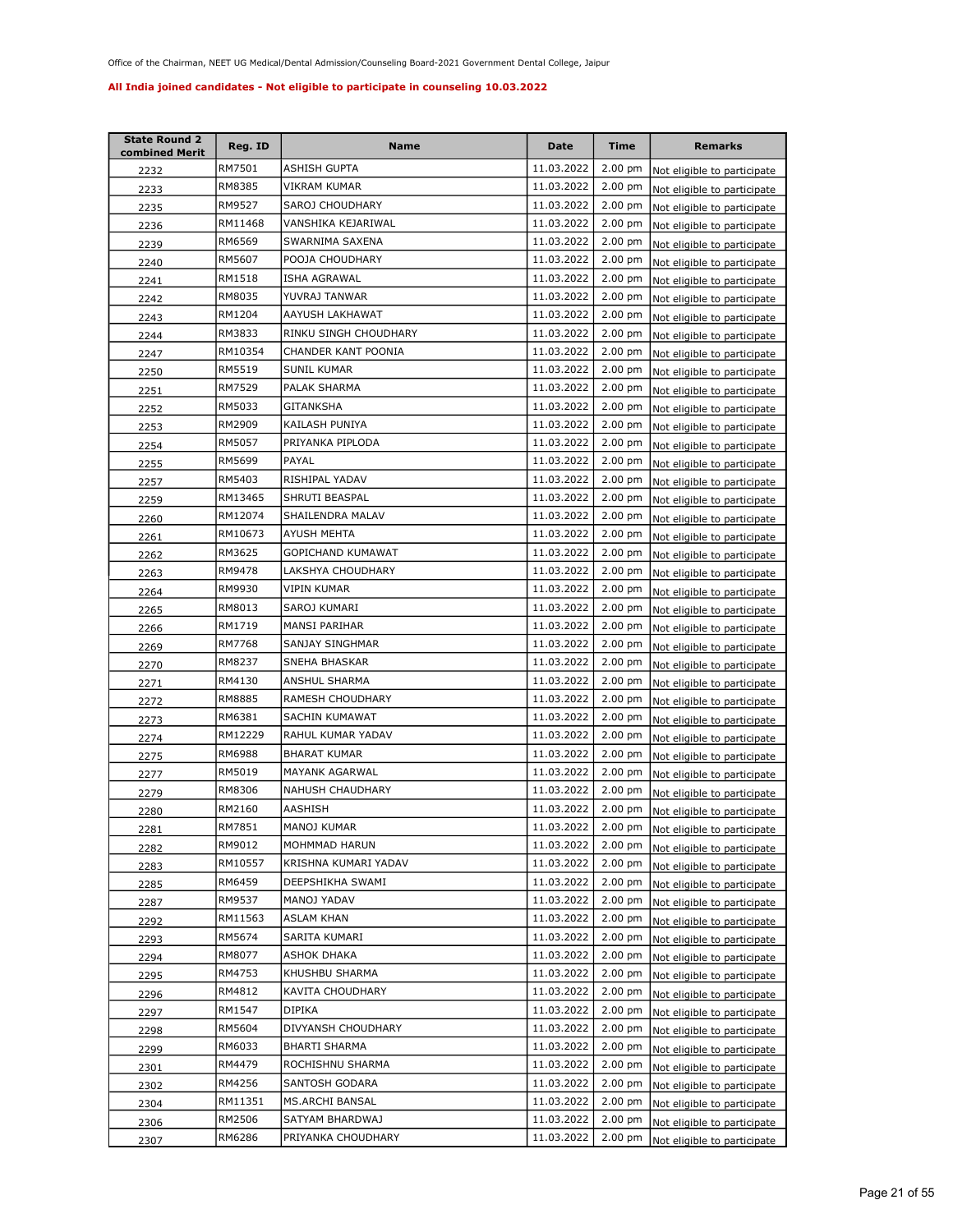| <b>State Round 2</b><br>combined Merit | Reg. ID | Name                  | Date       | <b>Time</b>       | <b>Remarks</b>                      |
|----------------------------------------|---------|-----------------------|------------|-------------------|-------------------------------------|
| 2232                                   | RM7501  | ASHISH GUPTA          | 11.03.2022 | $2.00$ pm         | Not eligible to participate         |
| 2233                                   | RM8385  | VIKRAM KUMAR          | 11.03.2022 | 2.00 pm           | Not eligible to participate         |
| 2235                                   | RM9527  | SAROJ CHOUDHARY       | 11.03.2022 | $2.00$ pm         | Not eligible to participate         |
| 2236                                   | RM11468 | VANSHIKA KEJARIWAL    | 11.03.2022 | 2.00 pm           | Not eligible to participate         |
| 2239                                   | RM6569  | SWARNIMA SAXENA       | 11.03.2022 | $2.00$ pm         | Not eligible to participate         |
| 2240                                   | RM5607  | POOJA CHOUDHARY       | 11.03.2022 | 2.00 pm           | Not eligible to participate         |
| 2241                                   | RM1518  | ISHA AGRAWAL          | 11.03.2022 | $2.00$ pm         | Not eligible to participate         |
| 2242                                   | RM8035  | YUVRAJ TANWAR         | 11.03.2022 | 2.00 pm           | Not eligible to participate         |
| 2243                                   | RM1204  | AAYUSH LAKHAWAT       | 11.03.2022 | 2.00 pm           | Not eligible to participate         |
| 2244                                   | RM3833  | RINKU SINGH CHOUDHARY | 11.03.2022 | 2.00 pm           | Not eligible to participate         |
| 2247                                   | RM10354 | CHANDER KANT POONIA   | 11.03.2022 | 2.00 pm           | Not eligible to participate         |
| 2250                                   | RM5519  | SUNIL KUMAR           | 11.03.2022 | 2.00 pm           | Not eligible to participate         |
| 2251                                   | RM7529  | PALAK SHARMA          | 11.03.2022 | $2.00$ pm         | Not eligible to participate         |
| 2252                                   | RM5033  | <b>GITANKSHA</b>      | 11.03.2022 | $2.00$ pm         | Not eligible to participate         |
| 2253                                   | RM2909  | KAILASH PUNIYA        | 11.03.2022 | $2.00$ pm         | Not eligible to participate         |
| 2254                                   | RM5057  | PRIYANKA PIPLODA      | 11.03.2022 | 2.00 pm           | Not eligible to participate         |
| 2255                                   | RM5699  | PAYAL                 | 11.03.2022 | $2.00$ pm         | Not eligible to participate         |
| 2257                                   | RM5403  | RISHIPAL YADAV        | 11.03.2022 | 2.00 pm           | Not eligible to participate         |
| 2259                                   | RM13465 | SHRUTI BEASPAL        | 11.03.2022 | $2.00$ pm         | Not eligible to participate         |
| 2260                                   | RM12074 | SHAILENDRA MALAV      | 11.03.2022 | $2.00$ pm         | Not eligible to participate         |
| 2261                                   | RM10673 | AYUSH MEHTA           | 11.03.2022 | $2.00$ pm         | Not eligible to participate         |
| 2262                                   | RM3625  | GOPICHAND KUMAWAT     | 11.03.2022 | $2.00$ pm         | Not eligible to participate         |
| 2263                                   | RM9478  | LAKSHYA CHOUDHARY     | 11.03.2022 | $2.00$ pm         | Not eligible to participate         |
| 2264                                   | RM9930  | VIPIN KUMAR           | 11.03.2022 | $2.00$ pm         | Not eligible to participate         |
| 2265                                   | RM8013  | SAROJ KUMARI          | 11.03.2022 | $2.00$ pm         | Not eligible to participate         |
| 2266                                   | RM1719  | MANSI PARIHAR         | 11.03.2022 | $2.00$ pm         | Not eligible to participate         |
| 2269                                   | RM7768  | SANJAY SINGHMAR       | 11.03.2022 | $2.00$ pm         | Not eligible to participate         |
| 2270                                   | RM8237  | SNEHA BHASKAR         | 11.03.2022 | $2.00$ pm         | Not eligible to participate         |
| 2271                                   | RM4130  | ANSHUL SHARMA         | 11.03.2022 | 2.00 pm           | Not eligible to participate         |
| 2272                                   | RM8885  | RAMESH CHOUDHARY      | 11.03.2022 | $2.00 \text{ pm}$ | Not eligible to participate         |
| 2273                                   | RM6381  | SACHIN KUMAWAT        | 11.03.2022 | 2.00 pm           | Not eligible to participate         |
| 2274                                   | RM12229 | RAHUL KUMAR YADAV     | 11.03.2022 | $2.00$ pm         | Not eligible to participate         |
| 2275                                   | RM6988  | <b>BHARAT KUMAR</b>   | 11.03.2022 | $2.00$ pm         | Not eligible to participate         |
| 2277                                   | RM5019  | MAYANK AGARWAL        | 11.03.2022 | 2.00 pm           | Not eligible to participate         |
| 2279                                   | RM8306  | NAHUSH CHAUDHARY      | 11.03.2022 | $2.00$ pm         | Not eligible to participate         |
| 2280                                   | RM2160  | AASHISH               | 11.03.2022 | $2.00$ pm         | Not eligible to participate         |
| 2281                                   | RM7851  | MANOJ KUMAR           | 11.03.2022 |                   | 2.00 pm Not eligible to participate |
| 2282                                   | RM9012  | MOHMMAD HARUN         | 11.03.2022 | $2.00 \text{ pm}$ | Not eligible to participate         |
| 2283                                   | RM10557 | KRISHNA KUMARI YADAV  | 11.03.2022 | 2.00 pm           | Not eligible to participate         |
| 2285                                   | RM6459  | DEEPSHIKHA SWAMI      | 11.03.2022 | $2.00$ pm         | Not eligible to participate         |
| 2287                                   | RM9537  | MANOJ YADAV           | 11.03.2022 | $2.00$ pm         | Not eligible to participate         |
| 2292                                   | RM11563 | ASLAM KHAN            | 11.03.2022 | 2.00 pm           | Not eligible to participate         |
| 2293                                   | RM5674  | SARITA KUMARI         | 11.03.2022 | 2.00 pm           | Not eligible to participate         |
| 2294                                   | RM8077  | ASHOK DHAKA           | 11.03.2022 | 2.00 pm           | Not eligible to participate         |
| 2295                                   | RM4753  | KHUSHBU SHARMA        | 11.03.2022 | 2.00 pm           | Not eligible to participate         |
| 2296                                   | RM4812  | KAVITA CHOUDHARY      | 11.03.2022 | 2.00 pm           | Not eligible to participate         |
| 2297                                   | RM1547  | DIPIKA                | 11.03.2022 | 2.00 pm           | Not eligible to participate         |
| 2298                                   | RM5604  | DIVYANSH CHOUDHARY    | 11.03.2022 | 2.00 pm           | Not eligible to participate         |
| 2299                                   | RM6033  | BHARTI SHARMA         | 11.03.2022 | 2.00 pm           | Not eligible to participate         |
| 2301                                   | RM4479  | ROCHISHNU SHARMA      | 11.03.2022 | 2.00 pm           | Not eligible to participate         |
| 2302                                   | RM4256  | SANTOSH GODARA        | 11.03.2022 | 2.00 pm           | Not eligible to participate         |
| 2304                                   | RM11351 | MS.ARCHI BANSAL       | 11.03.2022 | $2.00$ pm         | Not eligible to participate         |
| 2306                                   | RM2506  | SATYAM BHARDWAJ       | 11.03.2022 | $2.00$ pm         | Not eligible to participate         |
| 2307                                   | RM6286  | PRIYANKA CHOUDHARY    | 11.03.2022 | $2.00 \text{ pm}$ | Not eligible to participate         |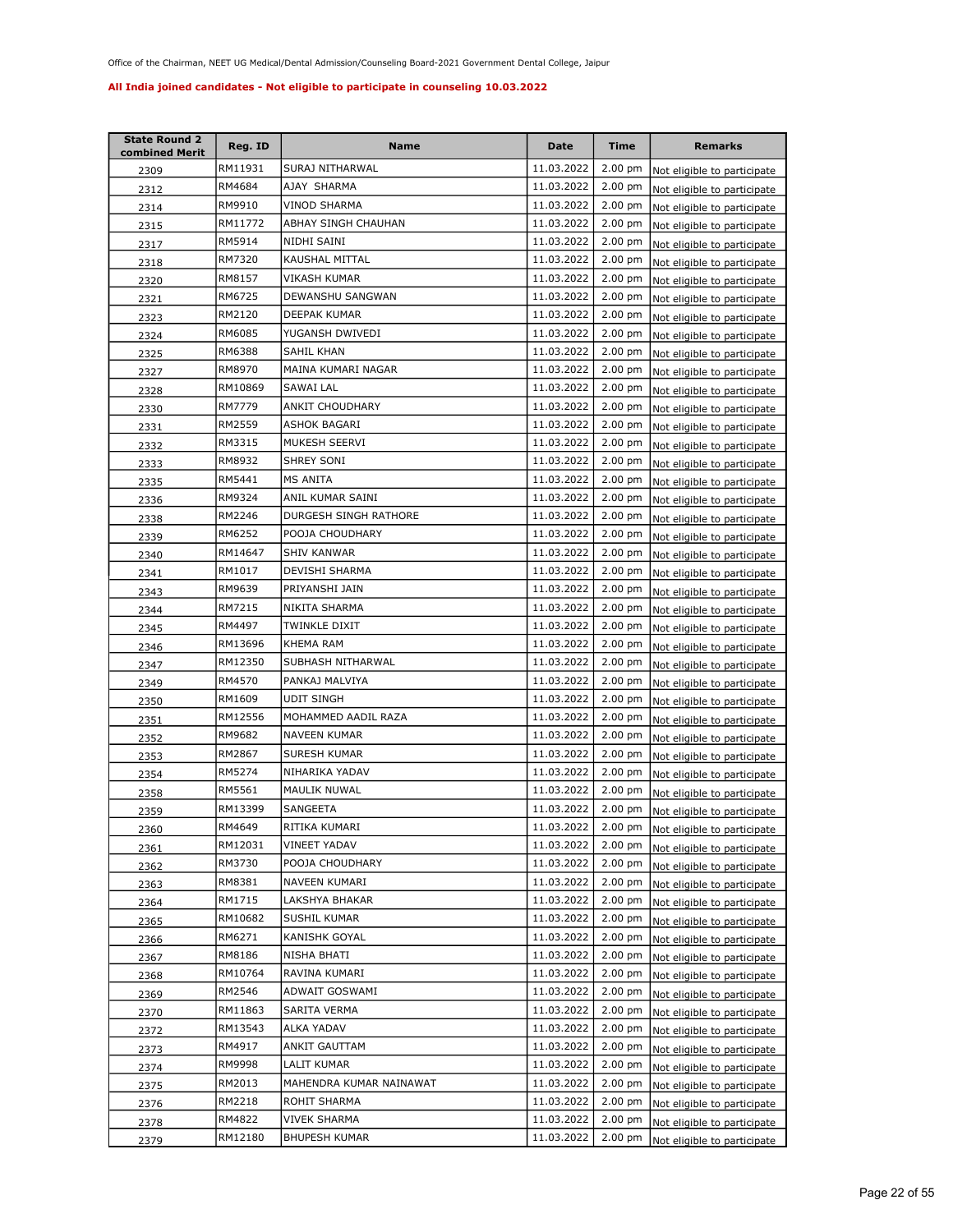| <b>State Round 2</b><br>combined Merit | Reg. ID | Name                    | <b>Date</b> | <b>Time</b>       | <b>Remarks</b>                      |
|----------------------------------------|---------|-------------------------|-------------|-------------------|-------------------------------------|
| 2309                                   | RM11931 | SURAJ NITHARWAL         | 11.03.2022  | 2.00 pm           | Not eligible to participate         |
| 2312                                   | RM4684  | AJAY SHARMA             | 11.03.2022  | 2.00 pm           | Not eligible to participate         |
| 2314                                   | RM9910  | VINOD SHARMA            | 11.03.2022  | $2.00$ pm         | Not eligible to participate         |
| 2315                                   | RM11772 | ABHAY SINGH CHAUHAN     | 11.03.2022  | 2.00 pm           | Not eligible to participate         |
| 2317                                   | RM5914  | NIDHI SAINI             | 11.03.2022  | $2.00$ pm         | Not eligible to participate         |
| <u>2318</u>                            | RM7320  | KAUSHAL MITTAL          | 11.03.2022  | 2.00 pm           | Not eligible to participate         |
| 2320                                   | RM8157  | VIKASH KUMAR            | 11.03.2022  | 2.00 pm           | Not eligible to participate         |
| 2321                                   | RM6725  | DEWANSHU SANGWAN        | 11.03.2022  | 2.00 pm           | Not eligible to participate         |
| 2323                                   | RM2120  | DEEPAK KUMAR            | 11.03.2022  | 2.00 pm           | Not eligible to participate         |
| 2324                                   | RM6085  | YUGANSH DWIVEDI         | 11.03.2022  | $2.00$ pm         | Not eligible to participate         |
| 2325                                   | RM6388  | SAHIL KHAN              | 11.03.2022  | 2.00 pm           | Not eligible to participate         |
| 2327                                   | RM8970  | MAINA KUMARI NAGAR      | 11.03.2022  | $2.00$ pm         | Not eligible to participate         |
| 2328                                   | RM10869 | SAWAI LAL               | 11.03.2022  | 2.00 pm           | Not eligible to participate         |
| 2330                                   | RM7779  | ANKIT CHOUDHARY         | 11.03.2022  | 2.00 pm           | Not eligible to participate         |
| 2331                                   | RM2559  | ASHOK BAGARI            | 11.03.2022  | $2.00$ pm         | Not eligible to participate         |
| 2332                                   | RM3315  | MUKESH SEERVI           | 11.03.2022  | $2.00 \text{ pm}$ | Not eligible to participate         |
| 2333                                   | RM8932  | SHREY SONI              | 11.03.2022  | 2.00 pm           | Not eligible to participate         |
| 2335                                   | RM5441  | <b>MS ANITA</b>         | 11.03.2022  | $2.00$ pm         | Not eligible to participate         |
| 2336                                   | RM9324  | ANIL KUMAR SAINI        | 11.03.2022  | $2.00$ pm         | Not eligible to participate         |
| 2338                                   | RM2246  | DURGESH SINGH RATHORE   | 11.03.2022  | $2.00$ pm         | Not eligible to participate         |
| 2339                                   | RM6252  | POOJA CHOUDHARY         | 11.03.2022  | $2.00$ pm         | Not eligible to participate         |
| 2340                                   | RM14647 | SHIV KANWAR             | 11.03.2022  | $2.00$ pm         | Not eligible to participate         |
| 2341                                   | RM1017  | DEVISHI SHARMA          | 11.03.2022  | 2.00 pm           | Not eligible to participate         |
| 2343                                   | RM9639  | PRIYANSHI JAIN          | 11.03.2022  | $2.00$ pm         | Not eligible to participate         |
| 2344                                   | RM7215  | NIKITA SHARMA           | 11.03.2022  | 2.00 pm           | Not eligible to participate         |
| 2345                                   | RM4497  | TWINKLE DIXIT           | 11.03.2022  | 2.00 pm           | Not eligible to participate         |
| 2346                                   | RM13696 | KHEMA RAM               | 11.03.2022  | $2.00$ pm         | Not eligible to participate         |
| 2347                                   | RM12350 | SUBHASH NITHARWAL       | 11.03.2022  | 2.00 pm           | Not eligible to participate         |
| 2349                                   | RM4570  | PANKAJ MALVIYA          | 11.03.2022  | 2.00 pm           | Not eligible to participate         |
| 2350                                   | RM1609  | <b>UDIT SINGH</b>       | 11.03.2022  | $2.00$ pm         | Not eligible to participate         |
| <u>2351</u>                            | RM12556 | MOHAMMED AADIL RAZA     | 11.03.2022  | $2.00$ pm         | Not eligible to participate         |
| 2352                                   | RM9682  | <b>NAVEEN KUMAR</b>     | 11.03.2022  | $2.00$ pm         | Not eligible to participate         |
| 2353                                   | RM2867  | SURESH KUMAR            | 11.03.2022  | $2.00$ pm         | Not eligible to participate         |
| 2354                                   | RM5274  | NIHARIKA YADAV          | 11.03.2022  | $2.00$ pm         | Not eligible to participate         |
| 2358                                   | RM5561  | MAULIK NUWAL            | 11.03.2022  | $2.00$ pm         | Not eligible to participate         |
| 2359                                   | RM13399 | SANGEETA                | 11.03.2022  | $2.00 \text{ pm}$ | Not eligible to participate         |
| 2360                                   | RM4649  | RITIKA KUMARI           | 11.03.2022  |                   | 2.00 pm Not eligible to participate |
| 2361                                   | RM12031 | VINEET YADAV            | 11.03.2022  | $2.00 \text{ pm}$ | Not eligible to participate         |
| 2362                                   | RM3730  | POOJA CHOUDHARY         | 11.03.2022  | $2.00$ pm         | Not eligible to participate         |
| 2363                                   | RM8381  | NAVEEN KUMARI           | 11.03.2022  | $2.00 \text{ pm}$ | Not eligible to participate         |
| 2364                                   | RM1715  | LAKSHYA BHAKAR          | 11.03.2022  | $2.00$ pm         | Not eligible to participate         |
| 2365                                   | RM10682 | SUSHIL KUMAR            | 11.03.2022  | $2.00 \text{ pm}$ | Not eligible to participate         |
| 2366                                   | RM6271  | KANISHK GOYAL           | 11.03.2022  | 2.00 pm           | Not eligible to participate         |
| 2367                                   | RM8186  | NISHA BHATI             | 11.03.2022  | 2.00 pm           | Not eligible to participate         |
| 2368                                   | RM10764 | RAVINA KUMARI           | 11.03.2022  | 2.00 pm           | Not eligible to participate         |
| 2369                                   | RM2546  | ADWAIT GOSWAMI          | 11.03.2022  | 2.00 pm           | Not eligible to participate         |
| 2370                                   | RM11863 | SARITA VERMA            | 11.03.2022  | $2.00$ pm         | Not eligible to participate         |
| 2372                                   | RM13543 | ALKA YADAV              | 11.03.2022  | 2.00 pm           | Not eligible to participate         |
| 2373                                   | RM4917  | ANKIT GAUTTAM           | 11.03.2022  | 2.00 pm           | Not eligible to participate         |
| 2374                                   | RM9998  | LALIT KUMAR             | 11.03.2022  | $2.00$ pm         | Not eligible to participate         |
| 2375                                   | RM2013  | MAHENDRA KUMAR NAINAWAT | 11.03.2022  | 2.00 pm           | Not eligible to participate         |
| 2376                                   | RM2218  | ROHIT SHARMA            | 11.03.2022  | 2.00 pm           | Not eligible to participate         |
| 2378                                   | RM4822  | VIVEK SHARMA            | 11.03.2022  | $2.00$ pm         | Not eligible to participate         |
| 2379                                   | RM12180 | <b>BHUPESH KUMAR</b>    | 11.03.2022  | $2.00$ pm         | Not eligible to participate         |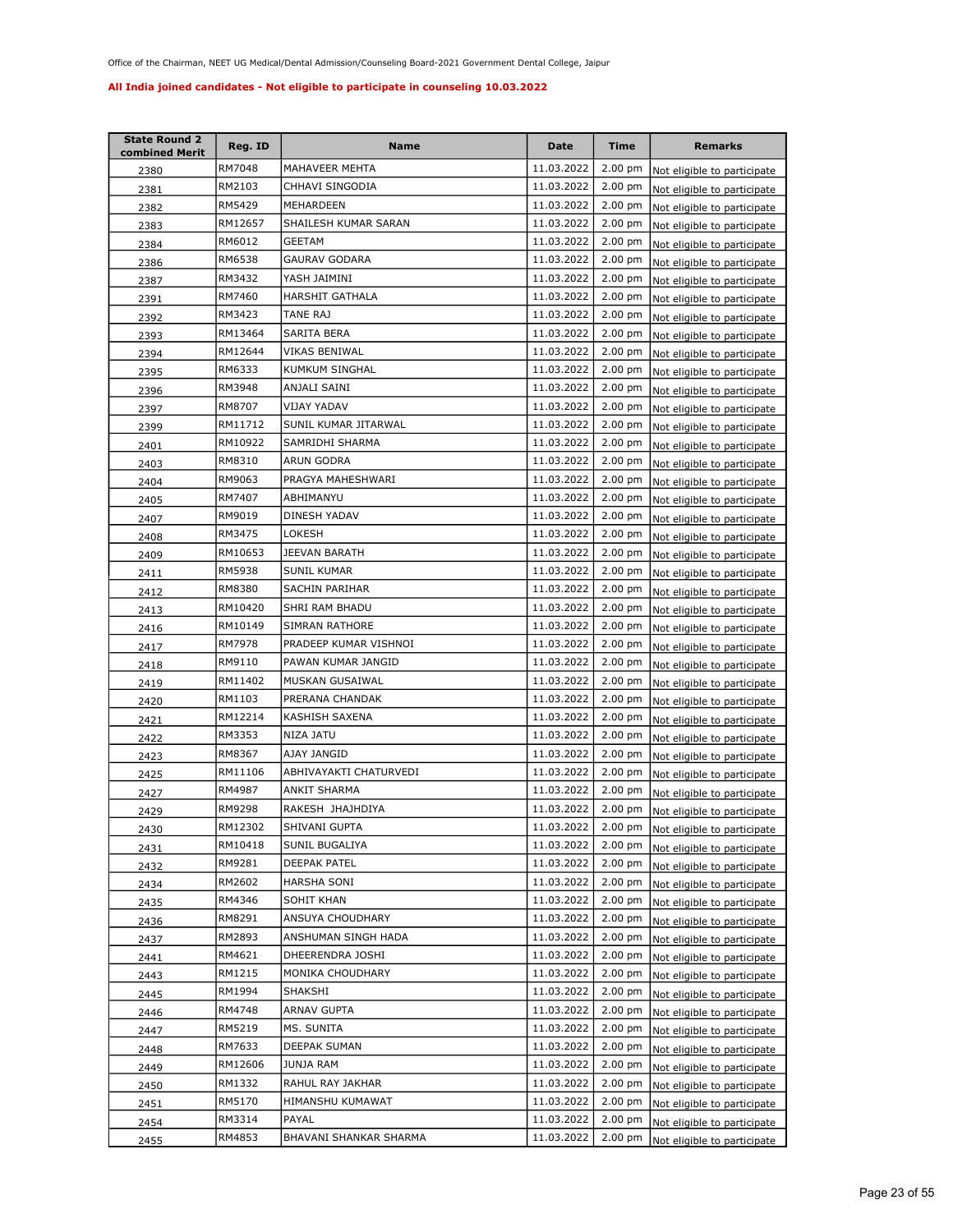| <b>State Round 2</b><br>combined Merit | Reg. ID | Name                   | <b>Date</b> | <b>Time</b>       | <b>Remarks</b>                      |
|----------------------------------------|---------|------------------------|-------------|-------------------|-------------------------------------|
| 2380                                   | RM7048  | MAHAVEER MEHTA         | 11.03.2022  | 2.00 pm           | Not eligible to participate         |
| 2381                                   | RM2103  | CHHAVI SINGODIA        | 11.03.2022  | 2.00 pm           | Not eligible to participate         |
| 2382                                   | RM5429  | MEHARDEEN              | 11.03.2022  | 2.00 pm           | Not eligible to participate         |
| 2383                                   | RM12657 | SHAILESH KUMAR SARAN   | 11.03.2022  | 2.00 pm           | Not eligible to participate         |
| 2384                                   | RM6012  | GEETAM                 | 11.03.2022  | 2.00 pm           | Not eligible to participate         |
| 2386                                   | RM6538  | GAURAV GODARA          | 11.03.2022  | 2.00 pm           | Not eligible to participate         |
| 2387                                   | RM3432  | YASH JAIMINI           | 11.03.2022  | 2.00 pm           | Not eligible to participate         |
| 2391                                   | RM7460  | HARSHIT GATHALA        | 11.03.2022  | 2.00 pm           | Not eligible to participate         |
| 2392                                   | RM3423  | TANE RAJ               | 11.03.2022  | 2.00 pm           | Not eligible to participate         |
| 2393                                   | RM13464 | SARITA BERA            | 11.03.2022  | $2.00$ pm         | Not eligible to participate         |
| 2394                                   | RM12644 | VIKAS BENIWAL          | 11.03.2022  | 2.00 pm           | Not eligible to participate         |
| 2395                                   | RM6333  | KUMKUM SINGHAL         | 11.03.2022  | $2.00$ pm         | Not eligible to participate         |
| 2396                                   | RM3948  | ANJALI SAINI           | 11.03.2022  | 2.00 pm           | Not eligible to participate         |
| 2397                                   | RM8707  | VIJAY YADAV            | 11.03.2022  | 2.00 pm           | Not eligible to participate         |
| 2399                                   | RM11712 | SUNIL KUMAR JITARWAL   | 11.03.2022  | 2.00 pm           | Not eligible to participate         |
| 2401                                   | RM10922 | SAMRIDHI SHARMA        | 11.03.2022  | $2.00 \text{ pm}$ | Not eligible to participate         |
| 2403                                   | RM8310  | <b>ARUN GODRA</b>      | 11.03.2022  | $2.00$ pm         | Not eligible to participate         |
| 2404                                   | RM9063  | PRAGYA MAHESHWARI      | 11.03.2022  | $2.00$ pm         | Not eligible to participate         |
| 2405                                   | RM7407  | ABHIMANYU              | 11.03.2022  | $2.00$ pm         | Not eligible to participate         |
| 2407                                   | RM9019  | DINESH YADAV           | 11.03.2022  | $2.00$ pm         | Not eligible to participate         |
| 2408                                   | RM3475  | LOKESH                 | 11.03.2022  | $2.00$ pm         | Not eligible to participate         |
| 2409                                   | RM10653 | JEEVAN BARATH          | 11.03.2022  | $2.00$ pm         | Not eligible to participate         |
| 2411                                   | RM5938  | SUNIL KUMAR            | 11.03.2022  | 2.00 pm           | Not eligible to participate         |
| 2412                                   | RM8380  | SACHIN PARIHAR         | 11.03.2022  | $2.00$ pm         | Not eligible to participate         |
| 2413                                   | RM10420 | SHRI RAM BHADU         | 11.03.2022  | 2.00 pm           | Not eligible to participate         |
| 2416                                   | RM10149 | SIMRAN RATHORE         | 11.03.2022  | 2.00 pm           | Not eligible to participate         |
| 2417                                   | RM7978  | PRADEEP KUMAR VISHNOI  | 11.03.2022  | $2.00$ pm         | Not eligible to participate         |
| 2418                                   | RM9110  | PAWAN KUMAR JANGID     | 11.03.2022  | 2.00 pm           | Not eligible to participate         |
| 2419                                   | RM11402 | MUSKAN GUSAIWAL        | 11.03.2022  | 2.00 pm           | Not eligible to participate         |
| 2420                                   | RM1103  | PRERANA CHANDAK        | 11.03.2022  | $2.00$ pm         | Not eligible to participate         |
| 2421                                   | RM12214 | KASHISH SAXENA         | 11.03.2022  | $2.00$ pm         | Not eligible to participate         |
| 2422                                   | RM3353  | NIZA JATU              | 11.03.2022  | $2.00$ pm         | Not eligible to participate         |
| 2423                                   | RM8367  | AJAY JANGID            | 11.03.2022  | $2.00$ pm         | Not eligible to participate         |
| 2425                                   | RM11106 | ABHIVAYAKTI CHATURVEDI | 11.03.2022  | $2.00$ pm         | Not eligible to participate         |
| 2427                                   | RM4987  | ANKIT SHARMA           | 11.03.2022  | $2.00$ pm         | Not eligible to participate         |
| 2429                                   | RM9298  | RAKESH JHAJHDIYA       | 11.03.2022  | $2.00 \text{ pm}$ | Not eligible to participate         |
| 2430                                   | RM12302 | SHIVANI GUPTA          | 11.03.2022  |                   | 2.00 pm Not eligible to participate |
| 2431                                   | RM10418 | SUNIL BUGALIYA         | 11.03.2022  | $2.00 \text{ pm}$ | Not eligible to participate         |
| 2432                                   | RM9281  | DEEPAK PATEL           | 11.03.2022  | $2.00$ pm         | Not eligible to participate         |
| 2434                                   | RM2602  | HARSHA SONI            | 11.03.2022  | $2.00 \text{ pm}$ | Not eligible to participate         |
| 2435                                   | RM4346  | SOHIT KHAN             | 11.03.2022  | $2.00$ pm         | Not eligible to participate         |
| 2436                                   | RM8291  | ANSUYA CHOUDHARY       | 11.03.2022  | $2.00$ pm         | Not eligible to participate         |
| 2437                                   | RM2893  | ANSHUMAN SINGH HADA    | 11.03.2022  | $2.00 \text{ pm}$ | Not eligible to participate         |
| 2441                                   | RM4621  | DHEERENDRA JOSHI       | 11.03.2022  | 2.00 pm           | Not eligible to participate         |
| 2443                                   | RM1215  | MONIKA CHOUDHARY       | 11.03.2022  | 2.00 pm           | Not eligible to participate         |
| 2445                                   | RM1994  | SHAKSHI                | 11.03.2022  | $2.00$ pm         | Not eligible to participate         |
| 2446                                   | RM4748  | ARNAV GUPTA            | 11.03.2022  | $2.00$ pm         | Not eligible to participate         |
| 2447                                   | RM5219  | MS. SUNITA             | 11.03.2022  | $2.00$ pm         | Not eligible to participate         |
| 2448                                   | RM7633  | DEEPAK SUMAN           | 11.03.2022  | 2.00 pm           | Not eligible to participate         |
| 2449                                   | RM12606 | JUNJA RAM              | 11.03.2022  | $2.00$ pm         | Not eligible to participate         |
| 2450                                   | RM1332  | RAHUL RAY JAKHAR       | 11.03.2022  | 2.00 pm           | Not eligible to participate         |
| 2451                                   | RM5170  | HIMANSHU KUMAWAT       | 11.03.2022  | 2.00 pm           | Not eligible to participate         |
| 2454                                   | RM3314  | PAYAL                  | 11.03.2022  | $2.00$ pm         | Not eligible to participate         |
| 2455                                   | RM4853  | BHAVANI SHANKAR SHARMA | 11.03.2022  | 2.00 pm           | Not eligible to participate         |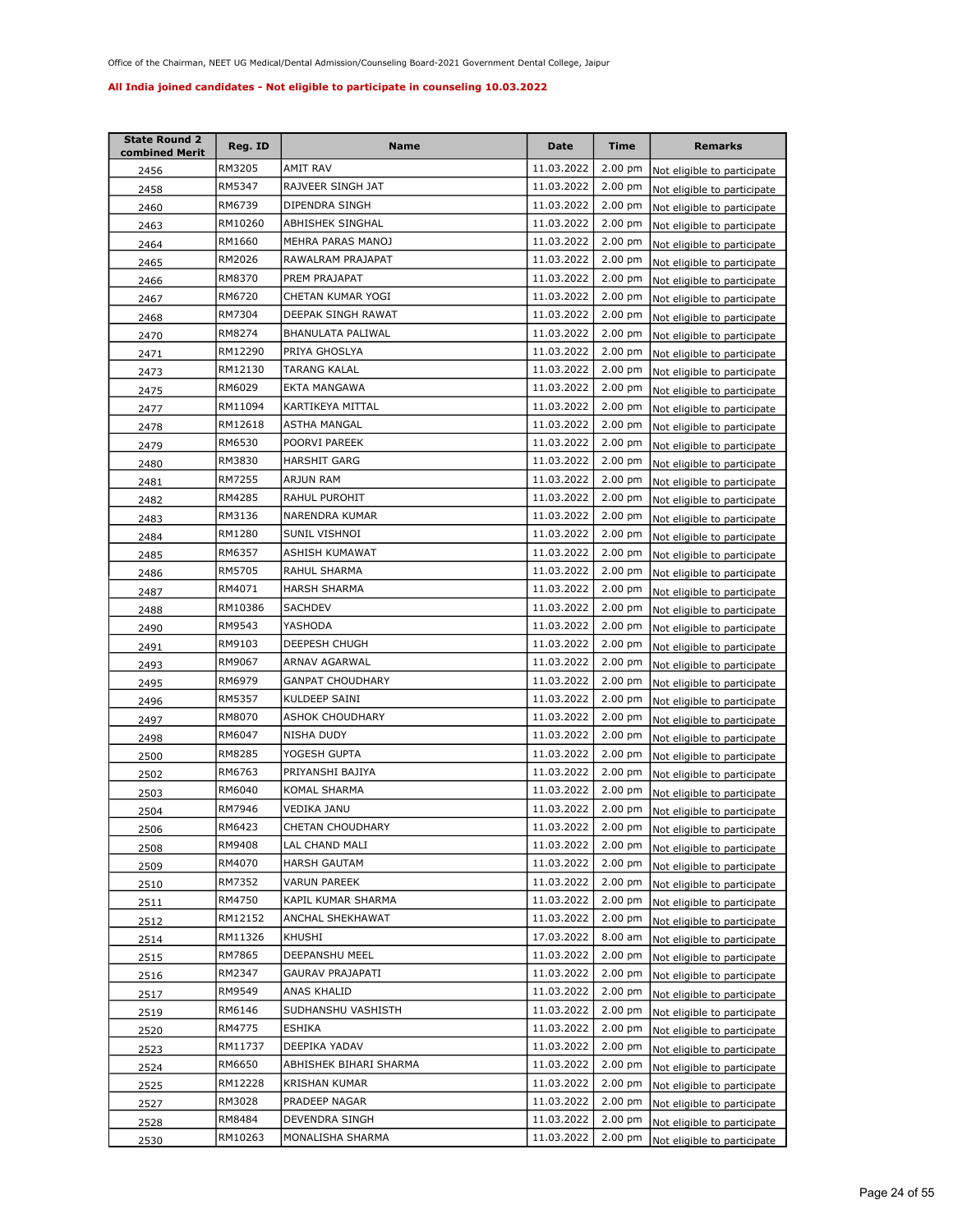| <b>State Round 2</b><br>combined Merit | Reg. ID | Name                   | <b>Date</b> | <b>Time</b>       | <b>Remarks</b>                      |
|----------------------------------------|---------|------------------------|-------------|-------------------|-------------------------------------|
| 2456                                   | RM3205  | AMIT RAV               | 11.03.2022  | 2.00 pm           | Not eligible to participate         |
| 2458                                   | RM5347  | RAJVEER SINGH JAT      | 11.03.2022  | 2.00 pm           | Not eligible to participate         |
| 2460                                   | RM6739  | DIPENDRA SINGH         | 11.03.2022  | $2.00$ pm         | Not eligible to participate         |
| 2463                                   | RM10260 | ABHISHEK SINGHAL       | 11.03.2022  | 2.00 pm           | Not eligible to participate         |
| 2464                                   | RM1660  | MEHRA PARAS MANOJ      | 11.03.2022  | 2.00 pm           | Not eligible to participate         |
| 2465                                   | RM2026  | RAWALRAM PRAJAPAT      | 11.03.2022  | 2.00 pm           | Not eligible to participate         |
| 2466                                   | RM8370  | PREM PRAJAPAT          | 11.03.2022  | 2.00 pm           | Not eligible to participate         |
| 2467                                   | RM6720  | CHETAN KUMAR YOGI      | 11.03.2022  | 2.00 pm           | Not eligible to participate         |
| 2468                                   | RM7304  | DEEPAK SINGH RAWAT     | 11.03.2022  | 2.00 pm           | Not eligible to participate         |
| 2470                                   | RM8274  | BHANULATA PALIWAL      | 11.03.2022  | $2.00$ pm         | Not eligible to participate         |
| 2471                                   | RM12290 | PRIYA GHOSLYA          | 11.03.2022  | 2.00 pm           | Not eligible to participate         |
| 2473                                   | RM12130 | TARANG KALAL           | 11.03.2022  | 2.00 pm           | Not eligible to participate         |
| 2475                                   | RM6029  | EKTA MANGAWA           | 11.03.2022  | 2.00 pm           | Not eligible to participate         |
| 2477                                   | RM11094 | KARTIKEYA MITTAL       | 11.03.2022  | 2.00 pm           | Not eligible to participate         |
| 2478                                   | RM12618 | ASTHA MANGAL           | 11.03.2022  | 2.00 pm           | Not eligible to participate         |
| 2479                                   | RM6530  | POORVI PAREEK          | 11.03.2022  | $2.00$ pm         | Not eligible to participate         |
| 2480                                   | RM3830  | <b>HARSHIT GARG</b>    | 11.03.2022  | 2.00 pm           | Not eligible to participate         |
| 2481                                   | RM7255  | ARJUN RAM              | 11.03.2022  | $2.00$ pm         | Not eligible to participate         |
| 2482                                   | RM4285  | RAHUL PUROHIT          | 11.03.2022  | $2.00$ pm         | Not eligible to participate         |
| 2483                                   | RM3136  | NARENDRA KUMAR         | 11.03.2022  | $2.00$ pm         | Not eligible to participate         |
| 2484                                   | RM1280  | SUNIL VISHNOI          | 11.03.2022  | $2.00$ pm         | Not eligible to participate         |
| 2485                                   | RM6357  | ASHISH KUMAWAT         | 11.03.2022  | $2.00$ pm         | Not eligible to participate         |
| 2486                                   | RM5705  | RAHUL SHARMA           | 11.03.2022  | 2.00 pm           | Not eligible to participate         |
| 2487                                   | RM4071  | HARSH SHARMA           | 11.03.2022  | $2.00$ pm         | Not eligible to participate         |
| 2488                                   | RM10386 | SACHDEV                | 11.03.2022  | 2.00 pm           | Not eligible to participate         |
| 2490                                   | RM9543  | YASHODA                | 11.03.2022  | 2.00 pm           | Not eligible to participate         |
| 2491                                   | RM9103  | DEEPESH CHUGH          | 11.03.2022  | $2.00$ pm         | Not eligible to participate         |
| 2493                                   | RM9067  | ARNAV AGARWAL          | 11.03.2022  | 2.00 pm           | Not eligible to participate         |
| 2495                                   | RM6979  | GANPAT CHOUDHARY       | 11.03.2022  | 2.00 pm           | Not eligible to participate         |
| 2496                                   | RM5357  | KULDEEP SAINI          | 11.03.2022  | $2.00$ pm         | Not eligible to participate         |
| 2497                                   | RM8070  | ASHOK CHOUDHARY        | 11.03.2022  | 2.00 pm           | Not eligible to participate         |
| 2498                                   | RM6047  | NISHA DUDY             | 11.03.2022  | $2.00$ pm         | Not eligible to participate         |
| 2500                                   | RM8285  | YOGESH GUPTA           | 11.03.2022  | $2.00$ pm         | Not eligible to participate         |
| 2502                                   | RM6763  | PRIYANSHI BAJIYA       | 11.03.2022  | 2.00 pm           | Not eligible to participate         |
| 2503                                   | RM6040  | KOMAL SHARMA           | 11.03.2022  | $2.00$ pm         | Not eligible to participate         |
| 2504                                   | RM7946  | VEDIKA JANU            | 11.03.2022  | $2.00 \text{ pm}$ | Not eligible to participate         |
| 2506                                   | RM6423  | CHETAN CHOUDHARY       | 11.03.2022  |                   | 2.00 pm Not eligible to participate |
| 2508                                   | RM9408  | LAL CHAND MALI         | 11.03.2022  | $2.00 \text{ pm}$ | Not eligible to participate         |
| 2509                                   | RM4070  | HARSH GAUTAM           | 11.03.2022  | $2.00$ pm         | Not eligible to participate         |
| 2510                                   | RM7352  | VARUN PAREEK           | 11.03.2022  | $2.00$ pm         | Not eligible to participate         |
| 2511                                   | RM4750  | KAPIL KUMAR SHARMA     | 11.03.2022  | $2.00 \text{ pm}$ | Not eligible to participate         |
| 2512                                   | RM12152 | ANCHAL SHEKHAWAT       | 11.03.2022  | $2.00$ pm         | Not eligible to participate         |
| 2514                                   | RM11326 | KHUSHI                 | 17.03.2022  | 8.00 am           | Not eligible to participate         |
| 2515                                   | RM7865  | DEEPANSHU MEEL         | 11.03.2022  | 2.00 pm           | Not eligible to participate         |
| 2516                                   | RM2347  | GAURAV PRAJAPATI       | 11.03.2022  | 2.00 pm           | Not eligible to participate         |
| 2517                                   | RM9549  | ANAS KHALID            | 11.03.2022  | $2.00$ pm         | Not eligible to participate         |
| 2519                                   | RM6146  | SUDHANSHU VASHISTH     | 11.03.2022  | 2.00 pm           | Not eligible to participate         |
| 2520                                   | RM4775  | ESHIKA                 | 11.03.2022  | $2.00$ pm         | Not eligible to participate         |
| 2523                                   | RM11737 | DEEPIKA YADAV          | 11.03.2022  | 2.00 pm           | Not eligible to participate         |
| 2524                                   | RM6650  | ABHISHEK BIHARI SHARMA | 11.03.2022  | 2.00 pm           | Not eligible to participate         |
| 2525                                   | RM12228 | KRISHAN KUMAR          | 11.03.2022  | 2.00 pm           | Not eligible to participate         |
| 2527                                   | RM3028  | PRADEEP NAGAR          | 11.03.2022  | 2.00 pm           | Not eligible to participate         |
| 2528                                   | RM8484  | DEVENDRA SINGH         | 11.03.2022  | $2.00$ pm         | Not eligible to participate         |
| 2530                                   | RM10263 | MONALISHA SHARMA       | 11.03.2022  | 2.00 pm           | Not eligible to participate         |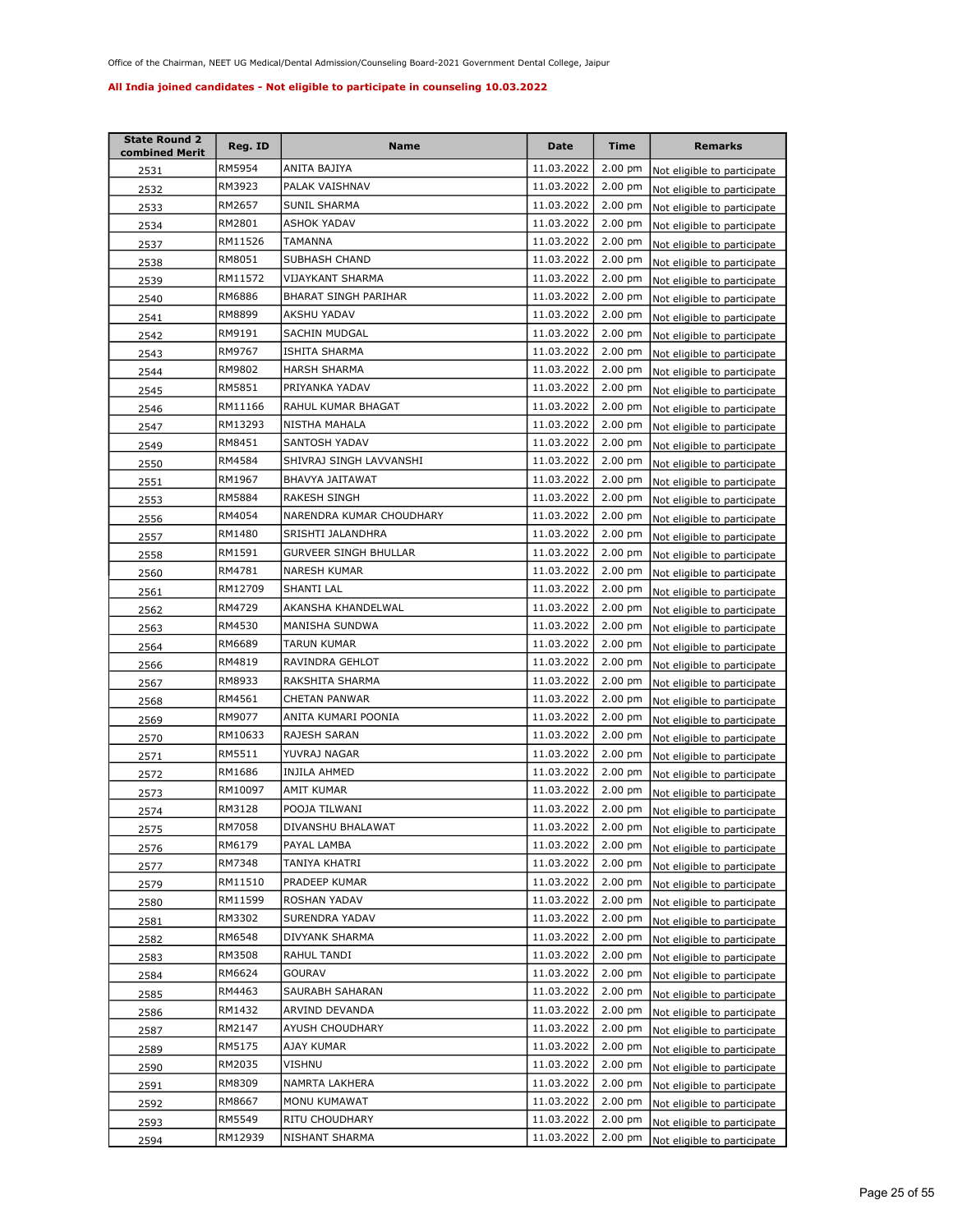| <b>State Round 2</b><br>combined Merit | Reg. ID | Name                     | Date       | <b>Time</b>       | <b>Remarks</b>                      |
|----------------------------------------|---------|--------------------------|------------|-------------------|-------------------------------------|
| 2531                                   | RM5954  | ANITA BAJIYA             | 11.03.2022 | $2.00$ pm         | Not eligible to participate         |
| 2532                                   | RM3923  | PALAK VAISHNAV           | 11.03.2022 | 2.00 pm           | Not eligible to participate         |
| 2533                                   | RM2657  | SUNIL SHARMA             | 11.03.2022 | $2.00$ pm         | Not eligible to participate         |
| 2534                                   | RM2801  | <b>ASHOK YADAV</b>       | 11.03.2022 | 2.00 pm           | Not eligible to participate         |
| 2537                                   | RM11526 | TAMANNA                  | 11.03.2022 | $2.00$ pm         | Not eligible to participate         |
| 2538                                   | RM8051  | SUBHASH CHAND            | 11.03.2022 | $2.00$ pm         | Not eligible to participate         |
| 2539                                   | RM11572 | VIJAYKANT SHARMA         | 11.03.2022 | 2.00 pm           | Not eligible to participate         |
| 2540                                   | RM6886  | BHARAT SINGH PARIHAR     | 11.03.2022 | 2.00 pm           | Not eligible to participate         |
| 2541                                   | RM8899  | AKSHU YADAV              | 11.03.2022 | 2.00 pm           | Not eligible to participate         |
| 2542                                   | RM9191  | SACHIN MUDGAL            | 11.03.2022 | 2.00 pm           | Not eligible to participate         |
| 2543                                   | RM9767  | ISHITA SHARMA            | 11.03.2022 | 2.00 pm           | Not eligible to participate         |
| 2544                                   | RM9802  | <b>HARSH SHARMA</b>      | 11.03.2022 | 2.00 pm           | Not eligible to participate         |
| 2545                                   | RM5851  | PRIYANKA YADAV           | 11.03.2022 | 2.00 pm           | Not eligible to participate         |
| 2546                                   | RM11166 | RAHUL KUMAR BHAGAT       | 11.03.2022 | 2.00 pm           | Not eligible to participate         |
| 2547                                   | RM13293 | NISTHA MAHALA            | 11.03.2022 | 2.00 pm           | Not eligible to participate         |
| 2549                                   | RM8451  | SANTOSH YADAV            | 11.03.2022 | 2.00 pm           | Not eligible to participate         |
| 2550                                   | RM4584  | SHIVRAJ SINGH LAVVANSHI  | 11.03.2022 | 2.00 pm           | Not eligible to participate         |
| 2551                                   | RM1967  | BHAVYA JAITAWAT          | 11.03.2022 | 2.00 pm           | Not eligible to participate         |
| 2553                                   | RM5884  | <b>RAKESH SINGH</b>      | 11.03.2022 | $2.00$ pm         | Not eligible to participate         |
| 2556                                   | RM4054  | NARENDRA KUMAR CHOUDHARY | 11.03.2022 | 2.00 pm           | Not eligible to participate         |
| 2557                                   | RM1480  | SRISHTI JALANDHRA        | 11.03.2022 | $2.00$ pm         | Not eligible to participate         |
| 2558                                   | RM1591  | GURVEER SINGH BHULLAR    | 11.03.2022 | $2.00$ pm         | Not eligible to participate         |
| 2560                                   | RM4781  | NARESH KUMAR             | 11.03.2022 | $2.00$ pm         | Not eligible to participate         |
| 2561                                   | RM12709 | SHANTI LAL               | 11.03.2022 | $2.00 \text{ pm}$ | Not eligible to participate         |
| 2562                                   | RM4729  | AKANSHA KHANDELWAL       | 11.03.2022 | $2.00$ pm         | Not eligible to participate         |
| 2563                                   | RM4530  | MANISHA SUNDWA           | 11.03.2022 | $2.00$ pm         | Not eligible to participate         |
| 2564                                   | RM6689  | TARUN KUMAR              | 11.03.2022 | 2.00 pm           | Not eligible to participate         |
| 2566                                   | RM4819  | RAVINDRA GEHLOT          | 11.03.2022 | $2.00$ pm         | Not eligible to participate         |
| 2567                                   | RM8933  | RAKSHITA SHARMA          | 11.03.2022 | $2.00$ pm         | Not eligible to participate         |
| 2568                                   | RM4561  | CHETAN PANWAR            | 11.03.2022 | $2.00 \text{ pm}$ | Not eligible to participate         |
| 2569                                   | RM9077  | ANITA KUMARI POONIA      | 11.03.2022 | 2.00 pm           | Not eligible to participate         |
| 2570                                   | RM10633 | <b>RAJESH SARAN</b>      | 11.03.2022 | $2.00$ pm         | Not eligible to participate         |
| 2571                                   | RM5511  | YUVRAJ NAGAR             | 11.03.2022 | $2.00$ pm         | Not eligible to participate         |
| 2572                                   | RM1686  | INJILA AHMED             | 11.03.2022 | $2.00$ pm         | Not eligible to participate         |
| 2573                                   | RM10097 | AMIT KUMAR               | 11.03.2022 | $2.00$ pm         | Not eligible to participate         |
| 2574                                   | RM3128  | POOJA TILWANI            | 11.03.2022 | 2.00 pm           | Not eligible to participate         |
| 2575                                   | RM7058  | DIVANSHU BHALAWAT        | 11.03.2022 |                   | 2.00 pm Not eligible to participate |
| 2576                                   | RM6179  | PAYAL LAMBA              | 11.03.2022 | $2.00$ pm         | Not eligible to participate         |
| 2577                                   | RM7348  | TANIYA KHATRI            | 11.03.2022 | 2.00 pm           | Not eligible to participate         |
| 2579                                   | RM11510 | PRADEEP KUMAR            | 11.03.2022 | 2.00 pm           | Not eligible to participate         |
| 2580                                   | RM11599 | ROSHAN YADAV             | 11.03.2022 | $2.00$ pm         | Not eligible to participate         |
| 2581                                   | RM3302  | SURENDRA YADAV           | 11.03.2022 | $2.00$ pm         | Not eligible to participate         |
| 2582                                   | RM6548  | DIVYANK SHARMA           | 11.03.2022 | 2.00 pm           | Not eligible to participate         |
| 2583                                   | RM3508  | RAHUL TANDI              | 11.03.2022 | 2.00 pm           | Not eligible to participate         |
| 2584                                   | RM6624  | GOURAV                   | 11.03.2022 | $2.00$ pm         | Not eligible to participate         |
| 2585                                   | RM4463  | SAURABH SAHARAN          | 11.03.2022 | 2.00 pm           | Not eligible to participate         |
| 2586                                   | RM1432  | ARVIND DEVANDA           | 11.03.2022 | 2.00 pm           | Not eligible to participate         |
| 2587                                   | RM2147  | AYUSH CHOUDHARY          | 11.03.2022 | 2.00 pm           | Not eligible to participate         |
| 2589                                   | RM5175  | AJAY KUMAR               | 11.03.2022 | 2.00 pm           | Not eligible to participate         |
| 2590                                   | RM2035  | VISHNU                   | 11.03.2022 | 2.00 pm           | Not eligible to participate         |
| 2591                                   | RM8309  | NAMRTA LAKHERA           | 11.03.2022 | 2.00 pm           | Not eligible to participate         |
| 2592                                   | RM8667  | MONU KUMAWAT             | 11.03.2022 | 2.00 pm           | Not eligible to participate         |
| 2593                                   | RM5549  | RITU CHOUDHARY           | 11.03.2022 | $2.00$ pm         | Not eligible to participate         |
| 2594                                   | RM12939 | NISHANT SHARMA           | 11.03.2022 | $2.00 \text{ pm}$ | Not eligible to participate         |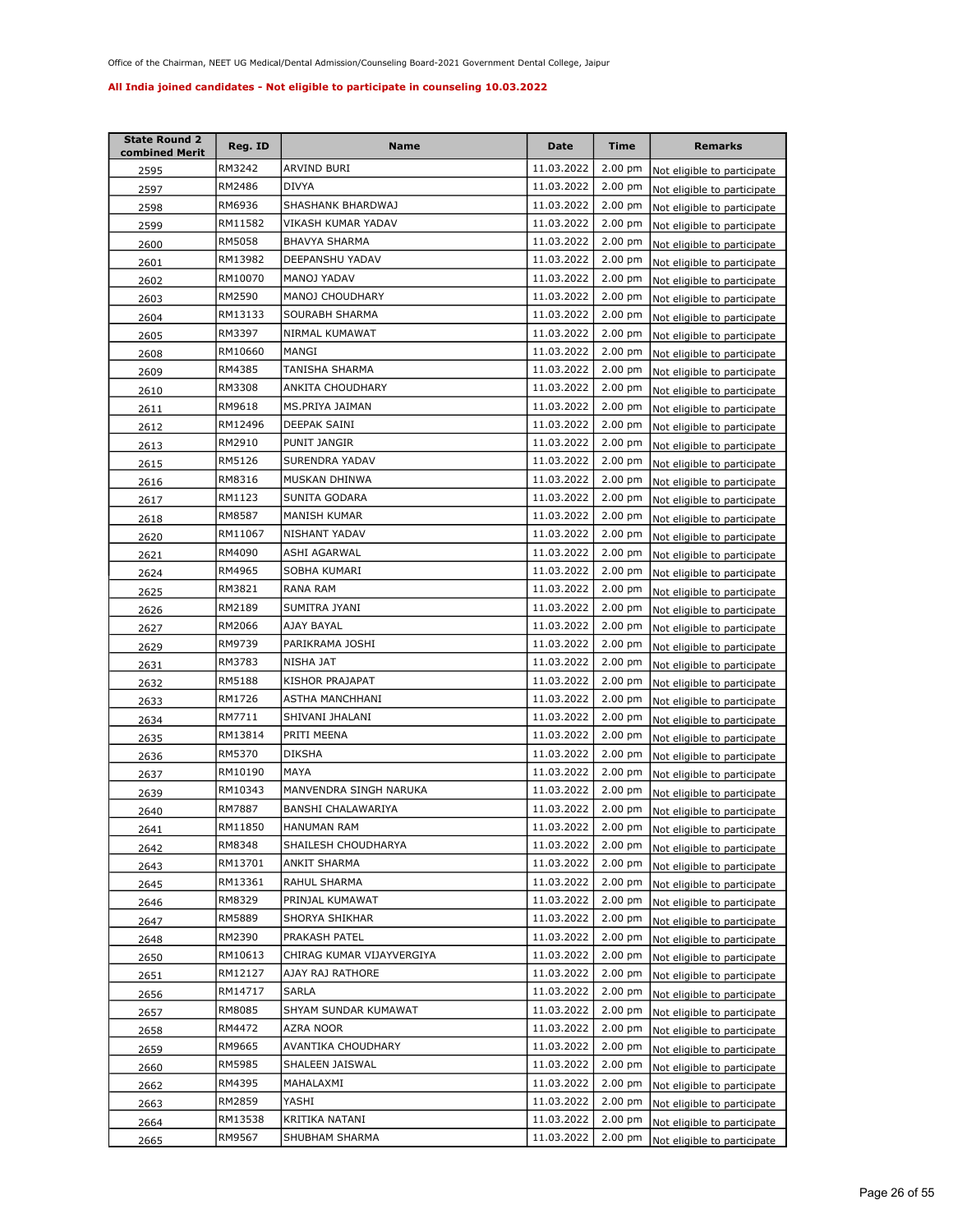| <b>State Round 2</b><br>combined Merit | Reg. ID | Name                      | <b>Date</b> | <b>Time</b>       | <b>Remarks</b>                      |
|----------------------------------------|---------|---------------------------|-------------|-------------------|-------------------------------------|
| 2595                                   | RM3242  | ARVIND BURI               | 11.03.2022  | 2.00 pm           | Not eligible to participate         |
| 2597                                   | RM2486  | <b>DIVYA</b>              | 11.03.2022  | 2.00 pm           | Not eligible to participate         |
| 2598                                   | RM6936  | SHASHANK BHARDWAJ         | 11.03.2022  | 2.00 pm           | Not eligible to participate         |
| 2599                                   | RM11582 | VIKASH KUMAR YADAV        | 11.03.2022  | 2.00 pm           | Not eligible to participate         |
| 2600                                   | RM5058  | <b>BHAVYA SHARMA</b>      | 11.03.2022  | 2.00 pm           | Not eligible to participate         |
| 2601                                   | RM13982 | DEEPANSHU YADAV           | 11.03.2022  | 2.00 pm           | Not eligible to participate         |
| 2602                                   | RM10070 | MANOJ YADAV               | 11.03.2022  | 2.00 pm           | Not eligible to participate         |
| 2603                                   | RM2590  | MANOJ CHOUDHARY           | 11.03.2022  | 2.00 pm           | Not eligible to participate         |
| 2604                                   | RM13133 | SOURABH SHARMA            | 11.03.2022  | 2.00 pm           | Not eligible to participate         |
| 2605                                   | RM3397  | NIRMAL KUMAWAT            | 11.03.2022  | $2.00$ pm         | Not eligible to participate         |
| 2608                                   | RM10660 | MANGI                     | 11.03.2022  | 2.00 pm           | Not eligible to participate         |
| 2609                                   | RM4385  | TANISHA SHARMA            | 11.03.2022  | $2.00$ pm         | Not eligible to participate         |
| 2610                                   | RM3308  | ANKITA CHOUDHARY          | 11.03.2022  | 2.00 pm           | Not eligible to participate         |
| 2611                                   | RM9618  | MS.PRIYA JAIMAN           | 11.03.2022  | 2.00 pm           | Not eligible to participate         |
| 2612                                   | RM12496 | DEEPAK SAINI              | 11.03.2022  | 2.00 pm           | Not eligible to participate         |
| 2613                                   | RM2910  | PUNIT JANGIR              | 11.03.2022  | $2.00$ pm         | Not eligible to participate         |
| 2615                                   | RM5126  | SURENDRA YADAV            | 11.03.2022  | $2.00$ pm         | Not eligible to participate         |
| 2616                                   | RM8316  | MUSKAN DHINWA             | 11.03.2022  | $2.00$ pm         | Not eligible to participate         |
| 2617                                   | RM1123  | SUNITA GODARA             | 11.03.2022  | $2.00$ pm         | Not eligible to participate         |
| 2618                                   | RM8587  | MANISH KUMAR              | 11.03.2022  | $2.00$ pm         | Not eligible to participate         |
| 2620                                   | RM11067 | NISHANT YADAV             | 11.03.2022  | $2.00$ pm         | Not eligible to participate         |
| 2621                                   | RM4090  | ASHI AGARWAL              | 11.03.2022  | $2.00$ pm         | Not eligible to participate         |
| 2624                                   | RM4965  | SOBHA KUMARI              | 11.03.2022  | 2.00 pm           | Not eligible to participate         |
| 2625                                   | RM3821  | RANA RAM                  | 11.03.2022  | $2.00$ pm         | Not eligible to participate         |
| 2626                                   | RM2189  | SUMITRA JYANI             | 11.03.2022  | 2.00 pm           | Not eligible to participate         |
| 2627                                   | RM2066  | AJAY BAYAL                | 11.03.2022  | 2.00 pm           | Not eligible to participate         |
| 2629                                   | RM9739  | PARIKRAMA JOSHI           | 11.03.2022  | $2.00$ pm         | Not eligible to participate         |
| 2631                                   | RM3783  | NISHA JAT                 | 11.03.2022  | 2.00 pm           | Not eligible to participate         |
| 2632                                   | RM5188  | KISHOR PRAJAPAT           | 11.03.2022  | 2.00 pm           | Not eligible to participate         |
| 2633                                   | RM1726  | ASTHA MANCHHANI           | 11.03.2022  | $2.00$ pm         | Not eligible to participate         |
| 2634                                   | RM7711  | SHIVANI JHALANI           | 11.03.2022  | 2.00 pm           | Not eligible to participate         |
| 2635                                   | RM13814 | PRITI MEENA               | 11.03.2022  | $2.00$ pm         | Not eligible to participate         |
| 2636                                   | RM5370  | <b>DIKSHA</b>             | 11.03.2022  | $2.00$ pm         | Not eligible to participate         |
| 2637                                   | RM10190 | MAYA                      | 11.03.2022  | 2.00 pm           | Not eligible to participate         |
| 2639                                   | RM10343 | MANVENDRA SINGH NARUKA    | 11.03.2022  | $2.00$ pm         | Not eligible to participate         |
| 2640                                   | RM7887  | BANSHI CHALAWARIYA        | 11.03.2022  | $2.00 \text{ pm}$ | Not eligible to participate         |
| 2641                                   | RM11850 | HANUMAN RAM               | 11.03.2022  |                   | 2.00 pm Not eligible to participate |
| 2642                                   | RM8348  | SHAILESH CHOUDHARYA       | 11.03.2022  | $2.00 \text{ pm}$ | Not eligible to participate         |
| 2643                                   | RM13701 | ANKIT SHARMA              | 11.03.2022  | $2.00$ pm         | Not eligible to participate         |
| 2645                                   | RM13361 | RAHUL SHARMA              | 11.03.2022  | $2.00 \text{ pm}$ | Not eligible to participate         |
| 2646                                   | RM8329  | PRINJAL KUMAWAT           | 11.03.2022  | $2.00$ pm         | Not eligible to participate         |
| 2647                                   | RM5889  | SHORYA SHIKHAR            | 11.03.2022  | $2.00 \text{ pm}$ | Not eligible to participate         |
| 2648                                   | RM2390  | PRAKASH PATEL             | 11.03.2022  | $2.00 \text{ pm}$ | Not eligible to participate         |
| 2650                                   | RM10613 | CHIRAG KUMAR VIJAYVERGIYA | 11.03.2022  | 2.00 pm           | Not eligible to participate         |
| 2651                                   | RM12127 | AJAY RAJ RATHORE          | 11.03.2022  | $2.00$ pm         | Not eligible to participate         |
| 2656                                   | RM14717 | SARLA                     | 11.03.2022  | $2.00$ pm         | Not eligible to participate         |
| 2657                                   | RM8085  | SHYAM SUNDAR KUMAWAT      | 11.03.2022  | $2.00$ pm         | Not eligible to participate         |
| 2658                                   | RM4472  | AZRA NOOR                 | 11.03.2022  | $2.00$ pm         | Not eligible to participate         |
| 2659                                   | RM9665  | AVANTIKA CHOUDHARY        | 11.03.2022  | 2.00 pm           | Not eligible to participate         |
| 2660                                   | RM5985  | SHALEEN JAISWAL           | 11.03.2022  | $2.00$ pm         | Not eligible to participate         |
| 2662                                   | RM4395  | MAHALAXMI                 | 11.03.2022  | $2.00$ pm         | Not eligible to participate         |
| 2663                                   | RM2859  | YASHI                     | 11.03.2022  | $2.00$ pm         | Not eligible to participate         |
| 2664                                   | RM13538 | KRITIKA NATANI            | 11.03.2022  | $2.00$ pm         | Not eligible to participate         |
| 2665                                   | RM9567  | SHUBHAM SHARMA            | 11.03.2022  | $2.00$ pm         | Not eligible to participate         |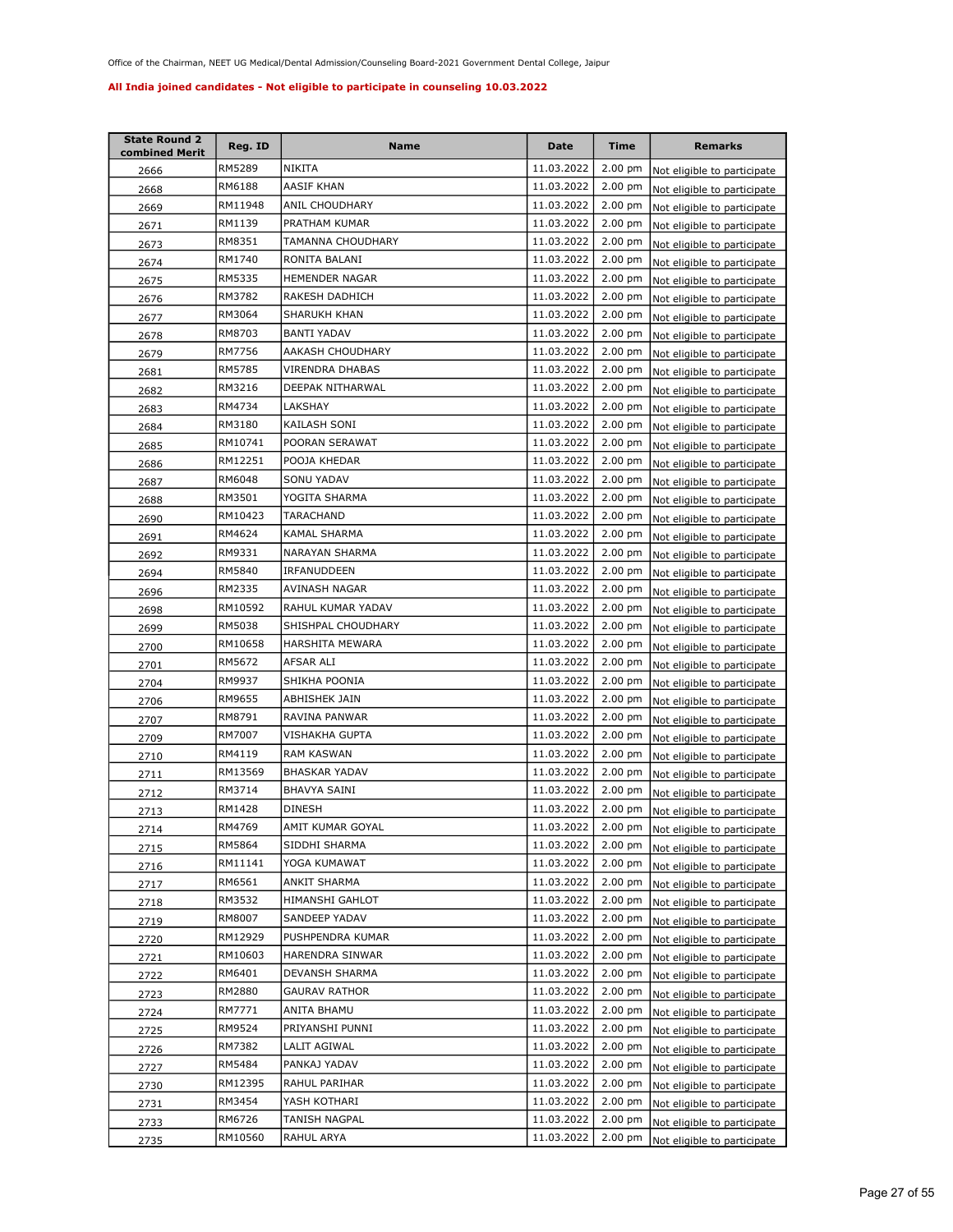| <b>State Round 2</b><br>combined Merit | Reg. ID | Name                 | <b>Date</b> | <b>Time</b>       | <b>Remarks</b>                      |
|----------------------------------------|---------|----------------------|-------------|-------------------|-------------------------------------|
| 2666                                   | RM5289  | NIKITA               | 11.03.2022  | 2.00 pm           | Not eligible to participate         |
| 2668                                   | RM6188  | AASIF KHAN           | 11.03.2022  | 2.00 pm           | Not eligible to participate         |
| 2669                                   | RM11948 | ANIL CHOUDHARY       | 11.03.2022  | $2.00$ pm         | Not eligible to participate         |
| 2671                                   | RM1139  | PRATHAM KUMAR        | 11.03.2022  | 2.00 pm           | Not eligible to participate         |
| 2673                                   | RM8351  | TAMANNA CHOUDHARY    | 11.03.2022  | 2.00 pm           | Not eligible to participate         |
| 2674                                   | RM1740  | RONITA BALANI        | 11.03.2022  | 2.00 pm           | Not eligible to participate         |
| 2675                                   | RM5335  | HEMENDER NAGAR       | 11.03.2022  | 2.00 pm           | Not eligible to participate         |
| 2676                                   | RM3782  | RAKESH DADHICH       | 11.03.2022  | 2.00 pm           | Not eligible to participate         |
| 2677                                   | RM3064  | SHARUKH KHAN         | 11.03.2022  | 2.00 pm           | Not eligible to participate         |
| 2678                                   | RM8703  | <b>BANTI YADAV</b>   | 11.03.2022  | $2.00$ pm         | Not eligible to participate         |
| 2679                                   | RM7756  | AAKASH CHOUDHARY     | 11.03.2022  | 2.00 pm           | Not eligible to participate         |
| 2681                                   | RM5785  | VIRENDRA DHABAS      | 11.03.2022  | 2.00 pm           | Not eligible to participate         |
| 2682                                   | RM3216  | DEEPAK NITHARWAL     | 11.03.2022  | 2.00 pm           | Not eligible to participate         |
| 2683                                   | RM4734  | LAKSHAY              | 11.03.2022  | 2.00 pm           | Not eligible to participate         |
| 2684                                   | RM3180  | KAILASH SONI         | 11.03.2022  | 2.00 pm           | Not eligible to participate         |
| 2685                                   | RM10741 | POORAN SERAWAT       | 11.03.2022  | $2.00 \text{ pm}$ | Not eligible to participate         |
| 2686                                   | RM12251 | POOJA KHEDAR         | 11.03.2022  | 2.00 pm           | Not eligible to participate         |
| 2687                                   | RM6048  | SONU YADAV           | 11.03.2022  | $2.00$ pm         | Not eligible to participate         |
| 2688                                   | RM3501  | YOGITA SHARMA        | 11.03.2022  | $2.00$ pm         | Not eligible to participate         |
| 2690                                   | RM10423 | TARACHAND            | 11.03.2022  | $2.00$ pm         | Not eligible to participate         |
| 2691                                   | RM4624  | KAMAL SHARMA         | 11.03.2022  | $2.00$ pm         | Not eligible to participate         |
| 2692                                   | RM9331  | NARAYAN SHARMA       | 11.03.2022  | $2.00$ pm         | Not eligible to participate         |
| 2694                                   | RM5840  | IRFANUDDEEN          | 11.03.2022  | 2.00 pm           | Not eligible to participate         |
| 2696                                   | RM2335  | AVINASH NAGAR        | 11.03.2022  | $2.00$ pm         | Not eligible to participate         |
| 2698                                   | RM10592 | RAHUL KUMAR YADAV    | 11.03.2022  | 2.00 pm           | Not eligible to participate         |
| 2699                                   | RM5038  | SHISHPAL CHOUDHARY   | 11.03.2022  | 2.00 pm           | Not eligible to participate         |
| 2700                                   | RM10658 | HARSHITA MEWARA      | 11.03.2022  | $2.00$ pm         | Not eligible to participate         |
| 2701                                   | RM5672  | AFSAR ALI            | 11.03.2022  | 2.00 pm           | Not eligible to participate         |
| 2704                                   | RM9937  | SHIKHA POONIA        | 11.03.2022  | 2.00 pm           | Not eligible to participate         |
| 2706                                   | RM9655  | ABHISHEK JAIN        | 11.03.2022  | $2.00$ pm         | Not eligible to participate         |
| 2707                                   | RM8791  | RAVINA PANWAR        | 11.03.2022  | 2.00 pm           | Not eligible to participate         |
| 2709                                   | RM7007  | VISHAKHA GUPTA       | 11.03.2022  | $2.00$ pm         | Not eligible to participate         |
| 2710                                   | RM4119  | <b>RAM KASWAN</b>    | 11.03.2022  | $2.00$ pm         | Not eligible to participate         |
| 2711                                   | RM13569 | <b>BHASKAR YADAV</b> | 11.03.2022  | $2.00$ pm         | Not eligible to participate         |
| 2712                                   | RM3714  | BHAVYA SAINI         | 11.03.2022  | $2.00$ pm         | Not eligible to participate         |
| 2713                                   | RM1428  | <b>DINESH</b>        | 11.03.2022  | $2.00 \text{ pm}$ | Not eligible to participate         |
| 2714                                   | RM4769  | AMIT KUMAR GOYAL     | 11.03.2022  |                   | 2.00 pm Not eligible to participate |
| 2715                                   | RM5864  | SIDDHI SHARMA        | 11.03.2022  | $2.00 \text{ pm}$ | Not eligible to participate         |
| 2716                                   | RM11141 | YOGA KUMAWAT         | 11.03.2022  | 2.00 pm           | Not eligible to participate         |
| 2717                                   | RM6561  | ANKIT SHARMA         | 11.03.2022  | $2.00$ pm         | Not eligible to participate         |
| 2718                                   | RM3532  | HIMANSHI GAHLOT      | 11.03.2022  | $2.00 \text{ pm}$ | Not eligible to participate         |
| 2719                                   | RM8007  | SANDEEP YADAV        | 11.03.2022  | $2.00$ pm         | Not eligible to participate         |
| 2720                                   | RM12929 | PUSHPENDRA KUMAR     | 11.03.2022  | $2.00 \text{ pm}$ | Not eligible to participate         |
| 2721                                   | RM10603 | HARENDRA SINWAR      | 11.03.2022  | 2.00 pm           | Not eligible to participate         |
| 2722                                   | RM6401  | DEVANSH SHARMA       | 11.03.2022  | 2.00 pm           | Not eligible to participate         |
| 2723                                   | RM2880  | GAURAV RATHOR        | 11.03.2022  | $2.00$ pm         | Not eligible to participate         |
| 2724                                   | RM7771  | ANITA BHAMU          | 11.03.2022  | 2.00 pm           | Not eligible to participate         |
| 2725                                   | RM9524  | PRIYANSHI PUNNI      | 11.03.2022  | $2.00$ pm         | Not eligible to participate         |
| 2726                                   | RM7382  | LALIT AGIWAL         | 11.03.2022  | 2.00 pm           | Not eligible to participate         |
| 2727                                   | RM5484  | PANKAJ YADAV         | 11.03.2022  | $2.00$ pm         | Not eligible to participate         |
| 2730                                   | RM12395 | RAHUL PARIHAR        | 11.03.2022  | $2.00$ pm         | Not eligible to participate         |
| 2731                                   | RM3454  | YASH KOTHARI         | 11.03.2022  | $2.00$ pm         | Not eligible to participate         |
| <u> 2733 </u>                          | RM6726  | TANISH NAGPAL        | 11.03.2022  | $2.00$ pm         | Not eligible to participate         |
| 2735                                   | RM10560 | RAHUL ARYA           | 11.03.2022  | $2.00$ pm         | Not eligible to participate         |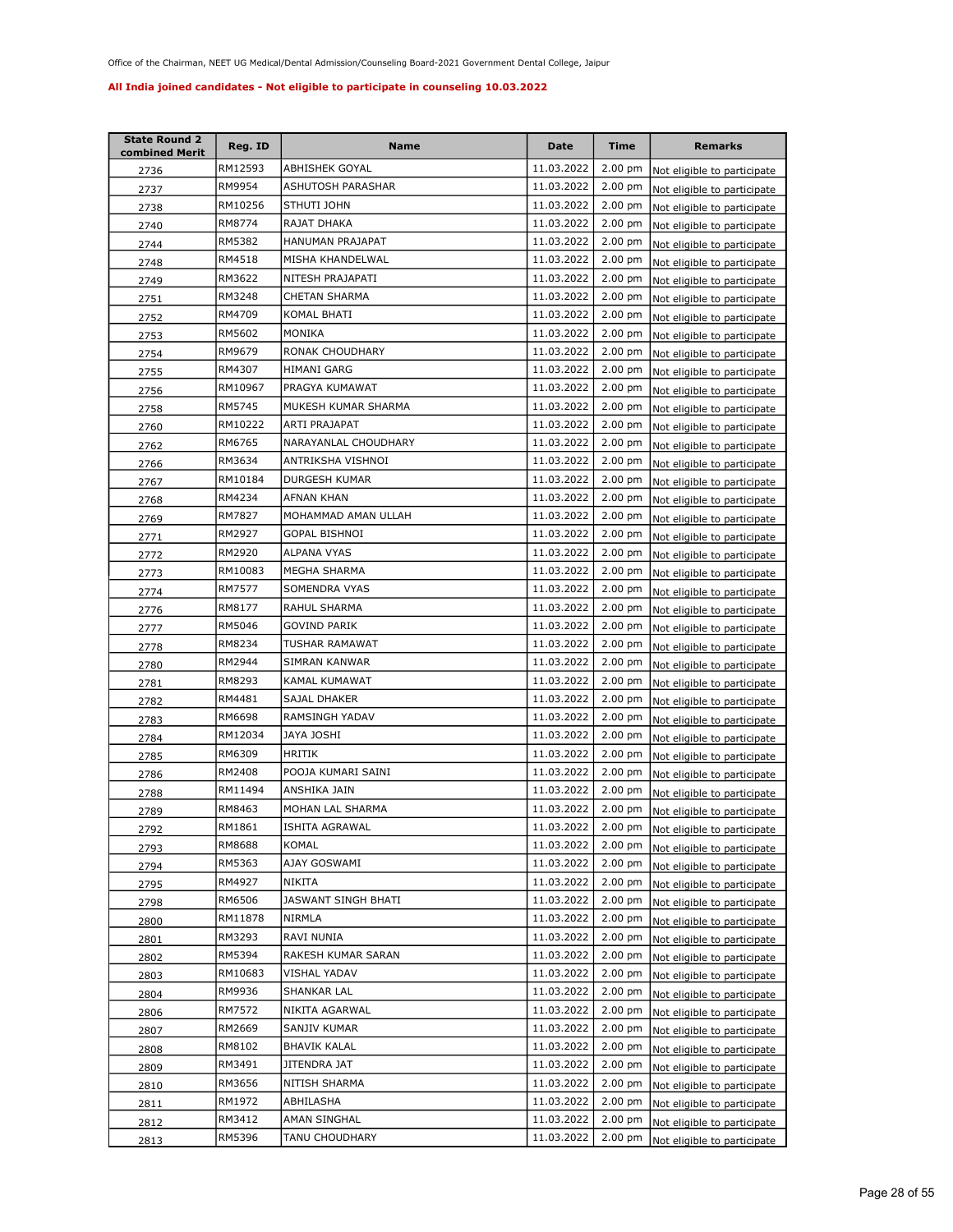| <b>State Round 2</b><br>combined Merit | Reg. ID | Name                  | Date       | <b>Time</b>       | <b>Remarks</b>              |
|----------------------------------------|---------|-----------------------|------------|-------------------|-----------------------------|
| 2736                                   | RM12593 | <b>ABHISHEK GOYAL</b> | 11.03.2022 | $2.00$ pm         | Not eligible to participate |
| 2737                                   | RM9954  | ASHUTOSH PARASHAR     | 11.03.2022 | $2.00$ pm         | Not eligible to participate |
| 2738                                   | RM10256 | STHUTI JOHN           | 11.03.2022 | $2.00$ pm         | Not eligible to participate |
| 2740                                   | RM8774  | RAJAT DHAKA           | 11.03.2022 | 2.00 pm           | Not eligible to participate |
| 2744                                   | RM5382  | HANUMAN PRAJAPAT      | 11.03.2022 | $2.00$ pm         | Not eligible to participate |
| 2748                                   | RM4518  | MISHA KHANDELWAL      | 11.03.2022 | 2.00 pm           | Not eligible to participate |
| 2749                                   | RM3622  | NITESH PRAJAPATI      | 11.03.2022 | $2.00$ pm         | Not eligible to participate |
| 2751                                   | RM3248  | <b>CHETAN SHARMA</b>  | 11.03.2022 | 2.00 pm           | Not eligible to participate |
| 2752                                   | RM4709  | KOMAL BHATI           | 11.03.2022 | 2.00 pm           | Not eligible to participate |
| 2753                                   | RM5602  | MONIKA                | 11.03.2022 | 2.00 pm           | Not eligible to participate |
| 2754                                   | RM9679  | RONAK CHOUDHARY       | 11.03.2022 | 2.00 pm           | Not eligible to participate |
| 2755                                   | RM4307  | HIMANI GARG           | 11.03.2022 | 2.00 pm           | Not eligible to participate |
| 2756                                   | RM10967 | PRAGYA KUMAWAT        | 11.03.2022 | $2.00$ pm         | Not eligible to participate |
| 2758                                   | RM5745  | MUKESH KUMAR SHARMA   | 11.03.2022 | $2.00$ pm         | Not eligible to participate |
| 2760                                   | RM10222 | ARTI PRAJAPAT         | 11.03.2022 | $2.00$ pm         | Not eligible to participate |
| 2762                                   | RM6765  | NARAYANLAL CHOUDHARY  | 11.03.2022 | $2.00$ pm         | Not eligible to participate |
| 2766                                   | RM3634  | ANTRIKSHA VISHNOI     | 11.03.2022 | $2.00$ pm         | Not eligible to participate |
| 2767                                   | RM10184 | <b>DURGESH KUMAR</b>  | 11.03.2022 | 2.00 pm           | Not eligible to participate |
| 2768                                   | RM4234  | <b>AFNAN KHAN</b>     | 11.03.2022 | $2.00$ pm         | Not eligible to participate |
| 2769                                   | RM7827  | MOHAMMAD AMAN ULLAH   | 11.03.2022 | $2.00$ pm         | Not eligible to participate |
| 2771                                   | RM2927  | <b>GOPAL BISHNOI</b>  | 11.03.2022 | $2.00$ pm         | Not eligible to participate |
| 2772                                   | RM2920  | ALPANA VYAS           | 11.03.2022 | $2.00$ pm         | Not eligible to participate |
| 2773                                   | RM10083 | MEGHA SHARMA          | 11.03.2022 | $2.00$ pm         | Not eligible to participate |
| 2774                                   | RM7577  | SOMENDRA VYAS         | 11.03.2022 | $2.00$ pm         | Not eligible to participate |
| 2776                                   | RM8177  | RAHUL SHARMA          | 11.03.2022 | $2.00$ pm         | Not eligible to participate |
| 2777                                   | RM5046  | GOVIND PARIK          | 11.03.2022 | $2.00$ pm         | Not eligible to participate |
| 2778                                   | RM8234  | TUSHAR RAMAWAT        | 11.03.2022 | $2.00$ pm         | Not eligible to participate |
| 2780                                   | RM2944  | SIMRAN KANWAR         | 11.03.2022 | $2.00$ pm         | Not eligible to participate |
| 2781                                   | RM8293  | KAMAL KUMAWAT         | 11.03.2022 | $2.00$ pm         | Not eligible to participate |
| 2782                                   | RM4481  | SAJAL DHAKER          | 11.03.2022 | $2.00 \text{ pm}$ | Not eligible to participate |
| 2783                                   | RM6698  | RAMSINGH YADAV        | 11.03.2022 | 2.00 pm           | Not eligible to participate |
| 2784                                   | RM12034 | JAYA JOSHI            | 11.03.2022 | $2.00$ pm         | Not eligible to participate |
| 2785                                   | RM6309  | <b>HRITIK</b>         | 11.03.2022 | $2.00$ pm         | Not eligible to participate |
| 2786                                   | RM2408  | POOJA KUMARI SAINI    | 11.03.2022 | $2.00$ pm         | Not eligible to participate |
| 2788                                   | RM11494 | ANSHIKA JAIN          | 11.03.2022 | $2.00$ pm         | Not eligible to participate |
| 2789                                   | RM8463  | MOHAN LAL SHARMA      | 11.03.2022 | $2.00$ pm         | Not eligible to participate |
| 2792                                   | RM1861  | ISHITA AGRAWAL        | 11.03.2022 | $2.00 \text{ pm}$ | Not eligible to participate |
| 2793                                   | RM8688  | KOMAL                 | 11.03.2022 | $2.00$ pm         | Not eligible to participate |
| 2794                                   | RM5363  | AJAY GOSWAMI          | 11.03.2022 | $2.00$ pm         | Not eligible to participate |
| 2795                                   | RM4927  | <b>NIKITA</b>         | 11.03.2022 | $2.00$ pm         | Not eligible to participate |
| 2798                                   | RM6506  | JASWANT SINGH BHATI   | 11.03.2022 | $2.00$ pm         | Not eligible to participate |
| 2800                                   | RM11878 | NIRMLA                | 11.03.2022 | $2.00$ pm         | Not eligible to participate |
| 2801                                   | RM3293  | RAVI NUNIA            | 11.03.2022 | $2.00$ pm         | Not eligible to participate |
| 2802                                   | RM5394  | RAKESH KUMAR SARAN    | 11.03.2022 | $2.00$ pm         | Not eligible to participate |
| 2803                                   | RM10683 | VISHAL YADAV          | 11.03.2022 | $2.00$ pm         | Not eligible to participate |
| 2804                                   | RM9936  | SHANKAR LAL           | 11.03.2022 | $2.00$ pm         | Not eligible to participate |
| 2806                                   | RM7572  | NIKITA AGARWAL        | 11.03.2022 | 2.00 pm           | Not eligible to participate |
| 2807                                   | RM2669  | SANJIV KUMAR          | 11.03.2022 | 2.00 pm           | Not eligible to participate |
| 2808                                   | RM8102  | <b>BHAVIK KALAL</b>   | 11.03.2022 | 2.00 pm           | Not eligible to participate |
| 2809                                   | RM3491  | JITENDRA JAT          | 11.03.2022 | $2.00$ pm         | Not eligible to participate |
| 2810                                   | RM3656  | NITISH SHARMA         | 11.03.2022 | $2.00$ pm         | Not eligible to participate |
| 2811                                   | RM1972  | ABHILASHA             | 11.03.2022 | $2.00$ pm         | Not eligible to participate |
| 2812                                   | RM3412  | AMAN SINGHAL          | 11.03.2022 | $2.00$ pm         | Not eligible to participate |
| 2813                                   | RM5396  | TANU CHOUDHARY        | 11.03.2022 | $2.00 \text{ pm}$ | Not eligible to participate |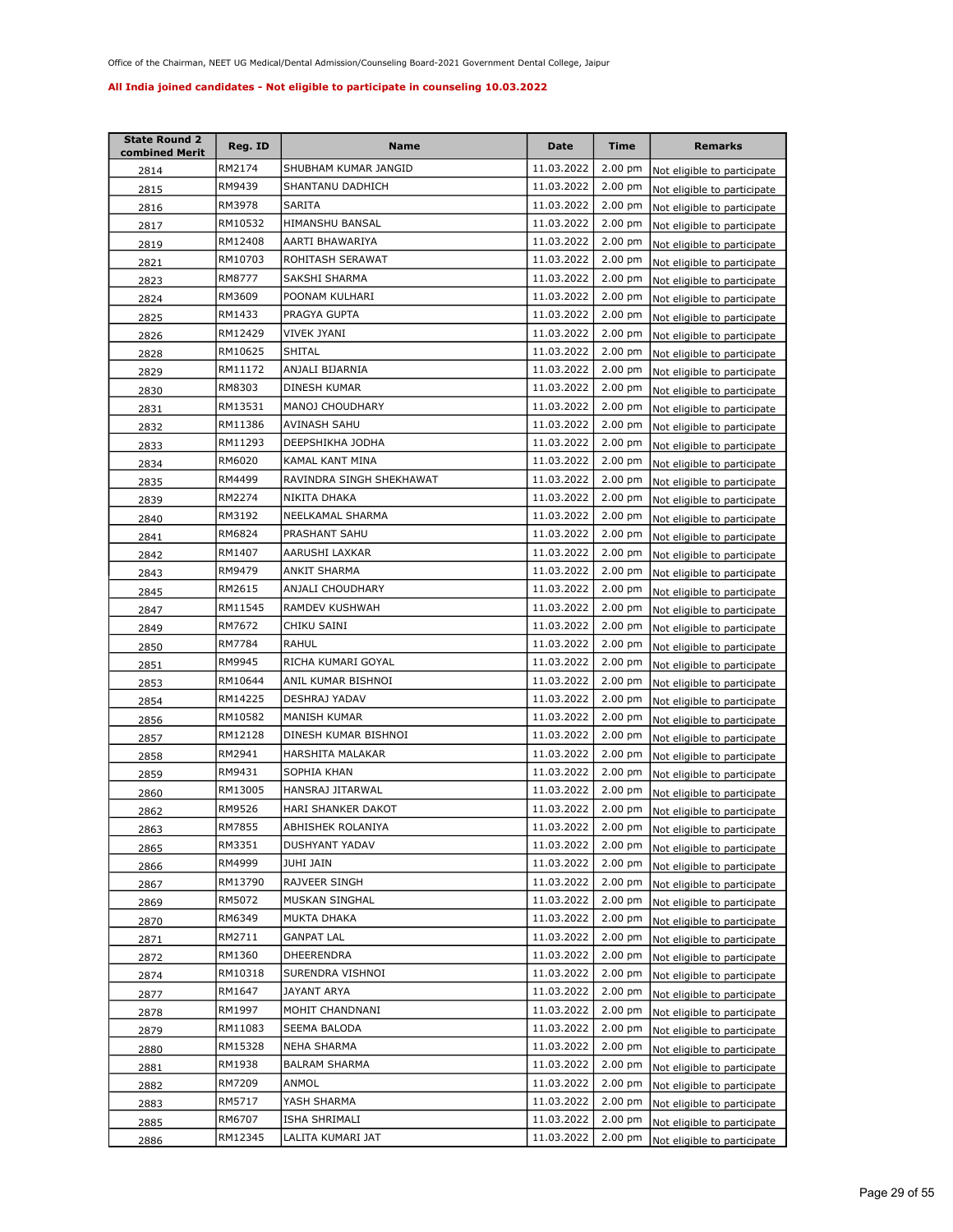| <b>State Round 2</b><br>combined Merit | Reg. ID | Name                     | <b>Date</b> | Time              | <b>Remarks</b>                      |
|----------------------------------------|---------|--------------------------|-------------|-------------------|-------------------------------------|
| 2814                                   | RM2174  | SHUBHAM KUMAR JANGID     | 11.03.2022  | $2.00$ pm         | Not eligible to participate         |
| 2815                                   | RM9439  | SHANTANU DADHICH         | 11.03.2022  | $2.00$ pm         | Not eligible to participate         |
| 2816                                   | RM3978  | SARITA                   | 11.03.2022  | $2.00$ pm         | Not eligible to participate         |
| 2817                                   | RM10532 | HIMANSHU BANSAL          | 11.03.2022  | 2.00 pm           | Not eligible to participate         |
| 2819                                   | RM12408 | AARTI BHAWARIYA          | 11.03.2022  | 2.00 pm           | Not eligible to participate         |
| 2821                                   | RM10703 | ROHITASH SERAWAT         | 11.03.2022  | 2.00 pm           | Not eligible to participate         |
| 2823                                   | RM8777  | SAKSHI SHARMA            | 11.03.2022  | $2.00$ pm         | Not eligible to participate         |
| 2824                                   | RM3609  | POONAM KULHARI           | 11.03.2022  | $2.00$ pm         | Not eligible to participate         |
| 2825                                   | RM1433  | PRAGYA GUPTA             | 11.03.2022  | 2.00 pm           | Not eligible to participate         |
| 2826                                   | RM12429 | VIVEK JYANI              | 11.03.2022  | 2.00 pm           | Not eligible to participate         |
| 2828                                   | RM10625 | SHITAL                   | 11.03.2022  | 2.00 pm           | Not eligible to participate         |
| 2829                                   | RM11172 | ANJALI BIJARNIA          | 11.03.2022  | 2.00 pm           | Not eligible to participate         |
| 2830                                   | RM8303  | DINESH KUMAR             | 11.03.2022  | $2.00$ pm         | Not eligible to participate         |
| 2831                                   | RM13531 | MANOJ CHOUDHARY          | 11.03.2022  | $2.00$ pm         | Not eligible to participate         |
| 2832                                   | RM11386 | AVINASH SAHU             | 11.03.2022  | $2.00$ pm         | Not eligible to participate         |
| 2833                                   | RM11293 | DEEPSHIKHA JODHA         | 11.03.2022  | 2.00 pm           | Not eligible to participate         |
| 2834                                   | RM6020  | KAMAL KANT MINA          | 11.03.2022  | 2.00 pm           | Not eligible to participate         |
| 2835                                   | RM4499  | RAVINDRA SINGH SHEKHAWAT | 11.03.2022  | 2.00 pm           | Not eligible to participate         |
| 2839                                   | RM2274  | NIKITA DHAKA             | 11.03.2022  | 2.00 pm           | Not eligible to participate         |
| 2840                                   | RM3192  | NEELKAMAL SHARMA         | 11.03.2022  | 2.00 pm           | Not eligible to participate         |
| 2841                                   | RM6824  | PRASHANT SAHU            | 11.03.2022  | $2.00 \text{ pm}$ | Not eligible to participate         |
| 2842                                   | RM1407  | AARUSHI LAXKAR           | 11.03.2022  | $2.00$ pm         | Not eligible to participate         |
| 2843                                   | RM9479  | ANKIT SHARMA             | 11.03.2022  | $2.00$ pm         | Not eligible to participate         |
| 2845                                   | RM2615  | ANJALI CHOUDHARY         | 11.03.2022  | $2.00$ pm         | Not eligible to participate         |
| 2847                                   | RM11545 | RAMDEV KUSHWAH           | 11.03.2022  | $2.00$ pm         | Not eligible to participate         |
| 2849                                   | RM7672  | CHIKU SAINI              | 11.03.2022  | $2.00$ pm         | Not eligible to participate         |
| 2850                                   | RM7784  | RAHUL                    | 11.03.2022  | $2.00$ pm         | Not eligible to participate         |
| 2851                                   | RM9945  | RICHA KUMARI GOYAL       | 11.03.2022  | 2.00 pm           | Not eligible to participate         |
| 2853                                   | RM10644 | ANIL KUMAR BISHNOI       | 11.03.2022  | 2.00 pm           | Not eligible to participate         |
| 2854                                   | RM14225 | DESHRAJ YADAV            | 11.03.2022  | 2.00 pm           | Not eligible to participate         |
| 2856                                   | RM10582 | MANISH KUMAR             | 11.03.2022  | 2.00 pm           | Not eligible to participate         |
| 2857                                   | RM12128 | DINESH KUMAR BISHNOI     | 11.03.2022  | $2.00 \text{ pm}$ | Not eligible to participate         |
| 2858                                   | RM2941  | HARSHITA MALAKAR         | 11.03.2022  | 2.00 pm           | Not eligible to participate         |
| 2859                                   | RM9431  | SOPHIA KHAN              | 11.03.2022  | $2.00$ pm         | Not eligible to participate         |
| 2860                                   | RM13005 | HANSRAJ JITARWAL         | 11.03.2022  | $2.00$ pm         | Not eligible to participate         |
| 2862                                   | RM9526  | HARI SHANKER DAKOT       | 11.03.2022  | $2.00$ pm         | Not eligible to participate         |
| 2863                                   | RM7855  | ABHISHEK ROLANIYA        | 11.03.2022  |                   | 2.00 pm Not eligible to participate |
| 2865                                   | RM3351  | DUSHYANT YADAV           | 11.03.2022  | $2.00 \text{ pm}$ | Not eligible to participate         |
| 2866                                   | RM4999  | JUHI JAIN                | 11.03.2022  | $2.00$ pm         | Not eligible to participate         |
| 2867                                   | RM13790 | RAJVEER SINGH            | 11.03.2022  | $2.00$ pm         | Not eligible to participate         |
| 2869                                   | RM5072  | MUSKAN SINGHAL           | 11.03.2022  | 2.00 pm           | Not eligible to participate         |
| 2870                                   | RM6349  | MUKTA DHAKA              | 11.03.2022  | 2.00 pm           | Not eligible to participate         |
| 2871                                   | RM2711  | <b>GANPAT LAL</b>        | 11.03.2022  | 2.00 pm           | Not eligible to participate         |
| 2872                                   | RM1360  | DHEERENDRA               | 11.03.2022  | 2.00 pm           | Not eligible to participate         |
| 2874                                   | RM10318 | SURENDRA VISHNOI         | 11.03.2022  | $2.00$ pm         | Not eligible to participate         |
| 2877                                   | RM1647  | JAYANT ARYA              | 11.03.2022  | 2.00 pm           | Not eligible to participate         |
| 2878                                   | RM1997  | MOHIT CHANDNANI          | 11.03.2022  | 2.00 pm           | Not eligible to participate         |
| 2879                                   | RM11083 | SEEMA BALODA             | 11.03.2022  | 2.00 pm           | Not eligible to participate         |
| 2880                                   | RM15328 | NEHA SHARMA              | 11.03.2022  | 2.00 pm           | Not eligible to participate         |
| 2881                                   | RM1938  | <b>BALRAM SHARMA</b>     | 11.03.2022  | 2.00 pm           | Not eligible to participate         |
| 2882                                   | RM7209  | ANMOL                    | 11.03.2022  | 2.00 pm           | Not eligible to participate         |
| 2883                                   | RM5717  | YASH SHARMA              | 11.03.2022  | 2.00 pm           | Not eligible to participate         |
| 2885                                   | RM6707  | ISHA SHRIMALI            | 11.03.2022  | 2.00 pm           | Not eligible to participate         |
| 2886                                   | RM12345 | LALITA KUMARI JAT        | 11.03.2022  | $2.00$ pm         | Not eligible to participate         |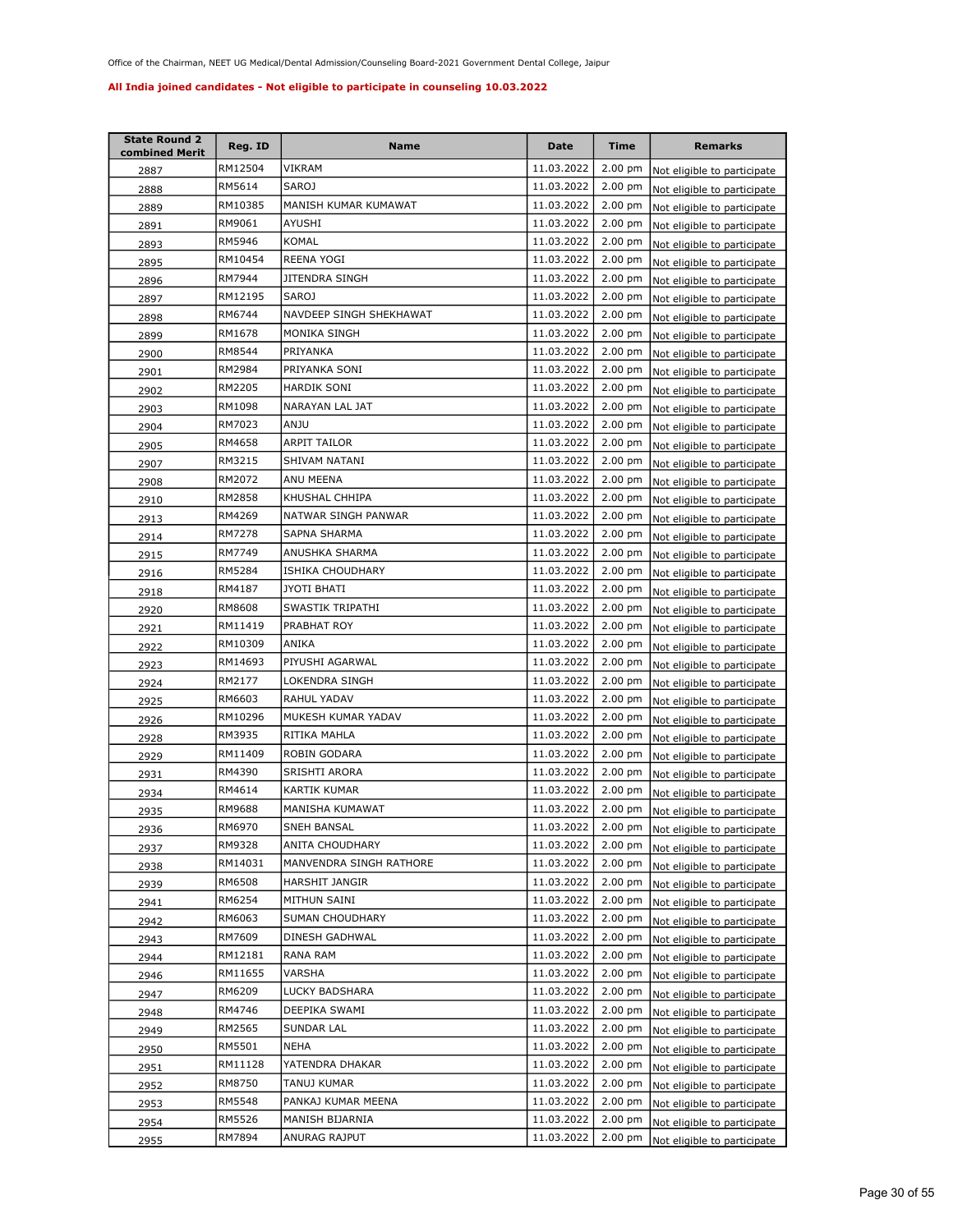| <b>State Round 2</b><br>combined Merit | Reg. ID | <b>Name</b>             | Date       | <b>Time</b>       | <b>Remarks</b>                      |
|----------------------------------------|---------|-------------------------|------------|-------------------|-------------------------------------|
| 2887                                   | RM12504 | VIKRAM                  | 11.03.2022 | 2.00 pm           | Not eligible to participate         |
| 2888                                   | RM5614  | <b>SAROJ</b>            | 11.03.2022 | 2.00 pm           | Not eligible to participate         |
| 2889                                   | RM10385 | MANISH KUMAR KUMAWAT    | 11.03.2022 | 2.00 pm           | Not eligible to participate         |
| 2891                                   | RM9061  | AYUSHI                  | 11.03.2022 | $2.00$ pm         | Not eligible to participate         |
| 2893                                   | RM5946  | <b>KOMAL</b>            | 11.03.2022 | 2.00 pm           | Not eligible to participate         |
| 2895                                   | RM10454 | REENA YOGI              | 11.03.2022 | 2.00 pm           | Not eligible to participate         |
| 2896                                   | RM7944  | JITENDRA SINGH          | 11.03.2022 | 2.00 pm           | Not eligible to participate         |
| 2897                                   | RM12195 | SAROJ                   | 11.03.2022 | 2.00 pm           | Not eligible to participate         |
| 2898                                   | RM6744  | NAVDEEP SINGH SHEKHAWAT | 11.03.2022 | 2.00 pm           | Not eligible to participate         |
| 2899                                   | RM1678  | MONIKA SINGH            | 11.03.2022 | $2.00$ pm         | Not eligible to participate         |
| 2900                                   | RM8544  | PRIYANKA                | 11.03.2022 | 2.00 pm           | Not eligible to participate         |
| 2901                                   | RM2984  | PRIYANKA SONI           | 11.03.2022 | 2.00 pm           | Not eligible to participate         |
| 2902                                   | RM2205  | <b>HARDIK SONI</b>      | 11.03.2022 | $2.00$ pm         | Not eligible to participate         |
| 2903                                   | RM1098  | NARAYAN LAL JAT         | 11.03.2022 | $2.00$ pm         | Not eligible to participate         |
| 2904                                   | RM7023  | ANJU                    | 11.03.2022 | 2.00 pm           | Not eligible to participate         |
| 2905                                   | RM4658  | ARPIT TAILOR            | 11.03.2022 | $2.00$ pm         | Not eligible to participate         |
| 2907                                   | RM3215  | SHIVAM NATANI           | 11.03.2022 | $2.00$ pm         | Not eligible to participate         |
| 2908                                   | RM2072  | ANU MEENA               | 11.03.2022 | $2.00$ pm         | Not eligible to participate         |
| 2910                                   | RM2858  | KHUSHAL CHHIPA          | 11.03.2022 | $2.00$ pm         | Not eligible to participate         |
| 2913                                   | RM4269  | NATWAR SINGH PANWAR     | 11.03.2022 | $2.00$ pm         | Not eligible to participate         |
| 2914                                   | RM7278  | SAPNA SHARMA            | 11.03.2022 | $2.00$ pm         | Not eligible to participate         |
| 2915                                   | RM7749  | ANUSHKA SHARMA          | 11.03.2022 | $2.00$ pm         | Not eligible to participate         |
| 2916                                   | RM5284  | ISHIKA CHOUDHARY        | 11.03.2022 | $2.00$ pm         | Not eligible to participate         |
| 2918                                   | RM4187  | JYOTI BHATI             | 11.03.2022 | $2.00$ pm         | Not eligible to participate         |
| 2920                                   | RM8608  | SWASTIK TRIPATHI        | 11.03.2022 | $2.00$ pm         | Not eligible to participate         |
| 2921                                   | RM11419 | PRABHAT ROY             | 11.03.2022 | 2.00 pm           | Not eligible to participate         |
| 2922                                   | RM10309 | ANIKA                   | 11.03.2022 | $2.00 \text{ pm}$ | Not eligible to participate         |
| 2923                                   | RM14693 | PIYUSHI AGARWAL         | 11.03.2022 | 2.00 pm           | Not eligible to participate         |
| 2924                                   | RM2177  | LOKENDRA SINGH          | 11.03.2022 | $2.00$ pm         | Not eligible to participate         |
| 2925                                   | RM6603  | RAHUL YADAV             | 11.03.2022 | 2.00 pm           | Not eligible to participate         |
| 2926                                   | RM10296 | MUKESH KUMAR YADAV      | 11.03.2022 | $2.00$ pm         | Not eligible to participate         |
| 2928                                   | RM3935  | RITIKA MAHLA            | 11.03.2022 | 2.00 pm           | Not eligible to participate         |
| 2929                                   | RM11409 | ROBIN GODARA            | 11.03.2022 | 2.00 pm           | Not eligible to participate         |
| 2931                                   | RM4390  | SRISHTI ARORA           | 11.03.2022 | 2.00 pm           | Not eligible to participate         |
| 2934                                   | RM4614  | <b>KARTIK KUMAR</b>     | 11.03.2022 | 2.00 pm           | Not eligible to participate         |
| 2935                                   | RM9688  | MANISHA KUMAWAT         | 11.03.2022 | $2.00 \text{ pm}$ | Not eligible to participate         |
| 2936                                   | RM6970  | SNEH BANSAL             | 11.03.2022 |                   | 2.00 pm Not eligible to participate |
| 2937                                   | RM9328  | ANITA CHOUDHARY         | 11.03.2022 | $2.00 \text{ pm}$ | Not eligible to participate         |
| 2938                                   | RM14031 | MANVENDRA SINGH RATHORE | 11.03.2022 | 2.00 pm           | Not eligible to participate         |
| 2939                                   | RM6508  | HARSHIT JANGIR          | 11.03.2022 | 2.00 pm           | Not eligible to participate         |
| 2941                                   | RM6254  | MITHUN SAINI            | 11.03.2022 | 2.00 pm           | Not eligible to participate         |
| 2942                                   | RM6063  | SUMAN CHOUDHARY         | 11.03.2022 | 2.00 pm           | Not eligible to participate         |
| 2943                                   | RM7609  | DINESH GADHWAL          | 11.03.2022 | 2.00 pm           | Not eligible to participate         |
| 2944                                   | RM12181 | RANA RAM                | 11.03.2022 | 2.00 pm           | Not eligible to participate         |
| 2946                                   | RM11655 | VARSHA                  | 11.03.2022 | 2.00 pm           | Not eligible to participate         |
| 2947                                   | RM6209  | LUCKY BADSHARA          | 11.03.2022 | 2.00 pm           | Not eligible to participate         |
| 2948                                   | RM4746  | DEEPIKA SWAMI           | 11.03.2022 | 2.00 pm           | Not eligible to participate         |
| 2949                                   | RM2565  | SUNDAR LAL              | 11.03.2022 | 2.00 pm           | Not eligible to participate         |
| 2950                                   | RM5501  | NEHA                    | 11.03.2022 | $2.00$ pm         | Not eligible to participate         |
| 2951                                   | RM11128 | YATENDRA DHAKAR         | 11.03.2022 | 2.00 pm           | Not eligible to participate         |
| 2952                                   | RM8750  | TANUJ KUMAR             | 11.03.2022 | $2.00$ pm         | Not eligible to participate         |
| 2953                                   | RM5548  | PANKAJ KUMAR MEENA      | 11.03.2022 | $2.00$ pm         | Not eligible to participate         |
| 2954                                   | RM5526  | MANISH BIJARNIA         | 11.03.2022 | $2.00$ pm         | Not eligible to participate         |
| 2955                                   | RM7894  | ANURAG RAJPUT           | 11.03.2022 | $2.00$ pm         | Not eligible to participate         |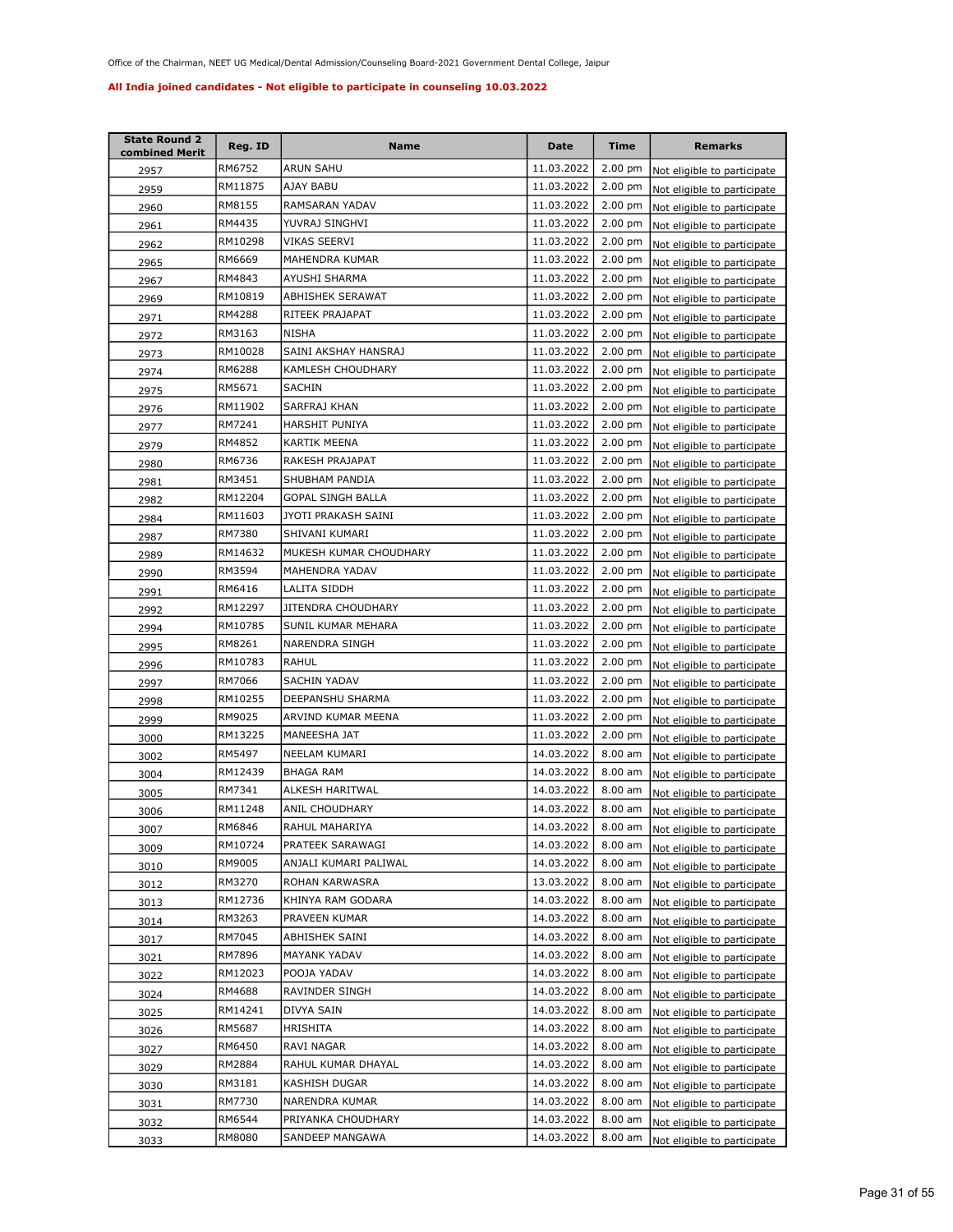| <b>State Round 2</b><br>combined Merit | Reg. ID | Name                     | <b>Date</b> | <b>Time</b> | <b>Remarks</b>              |
|----------------------------------------|---------|--------------------------|-------------|-------------|-----------------------------|
| 2957                                   | RM6752  | ARUN SAHU                | 11.03.2022  | 2.00 pm     | Not eligible to participate |
| 2959                                   | RM11875 | AJAY BABU                | 11.03.2022  | 2.00 pm     | Not eligible to participate |
| 2960                                   | RM8155  | RAMSARAN YADAV           | 11.03.2022  | $2.00$ pm   | Not eligible to participate |
| 2961                                   | RM4435  | YUVRAJ SINGHVI           | 11.03.2022  | 2.00 pm     | Not eligible to participate |
| 2962                                   | RM10298 | VIKAS SEERVI             | 11.03.2022  | 2.00 pm     | Not eligible to participate |
| 2965                                   | RM6669  | MAHENDRA KUMAR           | 11.03.2022  | 2.00 pm     | Not eligible to participate |
| 2967                                   | RM4843  | AYUSHI SHARMA            | 11.03.2022  | $2.00$ pm   | Not eligible to participate |
| 2969                                   | RM10819 | <b>ABHISHEK SERAWAT</b>  | 11.03.2022  | 2.00 pm     | Not eligible to participate |
| 2971                                   | RM4288  | RITEEK PRAJAPAT          | 11.03.2022  | 2.00 pm     | Not eligible to participate |
| 2972                                   | RM3163  | NISHA                    | 11.03.2022  | $2.00$ pm   | Not eligible to participate |
| 2973                                   | RM10028 | SAINI AKSHAY HANSRAJ     | 11.03.2022  | 2.00 pm     | Not eligible to participate |
| 2974                                   | RM6288  | KAMLESH CHOUDHARY        | 11.03.2022  | $2.00$ pm   | Not eligible to participate |
| 2975                                   | RM5671  | SACHIN                   | 11.03.2022  | 2.00 pm     | Not eligible to participate |
| 2976                                   | RM11902 | SARFRAJ KHAN             | 11.03.2022  | 2.00 pm     | Not eligible to participate |
| 2977                                   | RM7241  | HARSHIT PUNIYA           | 11.03.2022  | 2.00 pm     | Not eligible to participate |
| 2979                                   | RM4852  | KARTIK MEENA             | 11.03.2022  | $2.00$ pm   | Not eligible to participate |
| 2980                                   | RM6736  | RAKESH PRAJAPAT          | 11.03.2022  | $2.00$ pm   | Not eligible to participate |
| 2981                                   | RM3451  | SHUBHAM PANDIA           | 11.03.2022  | $2.00$ pm   | Not eligible to participate |
| 2982                                   | RM12204 | <b>GOPAL SINGH BALLA</b> | 11.03.2022  | $2.00$ pm   | Not eligible to participate |
| 2984                                   | RM11603 | JYOTI PRAKASH SAINI      | 11.03.2022  | $2.00$ pm   | Not eligible to participate |
| 2987                                   | RM7380  | SHIVANI KUMARI           | 11.03.2022  | $2.00$ pm   | Not eligible to participate |
| 2989                                   | RM14632 | MUKESH KUMAR CHOUDHARY   | 11.03.2022  | $2.00$ pm   | Not eligible to participate |
| 2990                                   | RM3594  | MAHENDRA YADAV           | 11.03.2022  | 2.00 pm     | Not eligible to participate |
| 2991                                   | RM6416  | LALITA SIDDH             | 11.03.2022  | $2.00$ pm   | Not eligible to participate |
| 2992                                   | RM12297 | JITENDRA CHOUDHARY       | 11.03.2022  | 2.00 pm     | Not eligible to participate |
| 2994                                   | RM10785 | SUNIL KUMAR MEHARA       | 11.03.2022  | 2.00 pm     | Not eligible to participate |
| 2995                                   | RM8261  | NARENDRA SINGH           | 11.03.2022  | $2.00$ pm   | Not eligible to participate |
| 2996                                   | RM10783 | RAHUL                    | 11.03.2022  | 2.00 pm     | Not eligible to participate |
| 2997                                   | RM7066  | SACHIN YADAV             | 11.03.2022  | 2.00 pm     | Not eligible to participate |
| 2998                                   | RM10255 | DEEPANSHU SHARMA         | 11.03.2022  | $2.00$ pm   | Not eligible to participate |
| 2999                                   | RM9025  | ARVIND KUMAR MEENA       | 11.03.2022  | $2.00$ pm   | Not eligible to participate |
| 3000                                   | RM13225 | MANEESHA JAT             | 11.03.2022  | $2.00$ pm   | Not eligible to participate |
| 3002                                   | RM5497  | NEELAM KUMARI            | 14.03.2022  | 8.00 am     | Not eligible to participate |
| 3004                                   | RM12439 | <b>BHAGA RAM</b>         | 14.03.2022  | 8.00 am     | Not eligible to participate |
| 3005                                   | RM7341  | ALKESH HARITWAL          | 14.03.2022  | 8.00 am     | Not eligible to participate |
| 3006                                   | RM11248 | ANIL CHOUDHARY           | 14.03.2022  | 8.00 am     | Not eligible to participate |
| 3007                                   | RM6846  | RAHUL MAHARIYA           | 14.03.2022  | 8.00 am     | Not eligible to participate |
| 3009                                   | RM10724 | PRATEEK SARAWAGI         | 14.03.2022  | 8.00 am     | Not eligible to participate |
| 3010                                   | RM9005  | ANJALI KUMARI PALIWAL    | 14.03.2022  | 8.00 am     | Not eligible to participate |
| 3012                                   | RM3270  | ROHAN KARWASRA           | 13.03.2022  | 8.00 am     | Not eligible to participate |
| 3013                                   | RM12736 | KHINYA RAM GODARA        | 14.03.2022  | 8.00 am     | Not eligible to participate |
| 3014                                   | RM3263  | PRAVEEN KUMAR            | 14.03.2022  | 8.00 am     | Not eligible to participate |
| 3017                                   | RM7045  | ABHISHEK SAINI           | 14.03.2022  | $8.00$ am   | Not eligible to participate |
| 3021                                   | RM7896  | MAYANK YADAV             | 14.03.2022  | 8.00 am     | Not eligible to participate |
| 3022                                   | RM12023 | POOJA YADAV              | 14.03.2022  | $8.00$ am   | Not eligible to participate |
| 3024                                   | RM4688  | RAVINDER SINGH           | 14.03.2022  | 8.00 am     | Not eligible to participate |
| 3025                                   | RM14241 | DIVYA SAIN               | 14.03.2022  | 8.00 am     | Not eligible to participate |
| 3026                                   | RM5687  | HRISHITA                 | 14.03.2022  | 8.00 am     | Not eligible to participate |
| 3027                                   | RM6450  | RAVI NAGAR               | 14.03.2022  | 8.00 am     | Not eligible to participate |
| 3029                                   | RM2884  | RAHUL KUMAR DHAYAL       | 14.03.2022  | 8.00 am     | Not eligible to participate |
| 3030                                   | RM3181  | KASHISH DUGAR            | 14.03.2022  | 8.00 am     | Not eligible to participate |
| 3031                                   | RM7730  | NARENDRA KUMAR           | 14.03.2022  | 8.00 am     | Not eligible to participate |
| 3032                                   | RM6544  | PRIYANKA CHOUDHARY       | 14.03.2022  | 8.00 am     | Not eligible to participate |
| 3033                                   | RM8080  | SANDEEP MANGAWA          | 14.03.2022  | 8.00 am     | Not eligible to participate |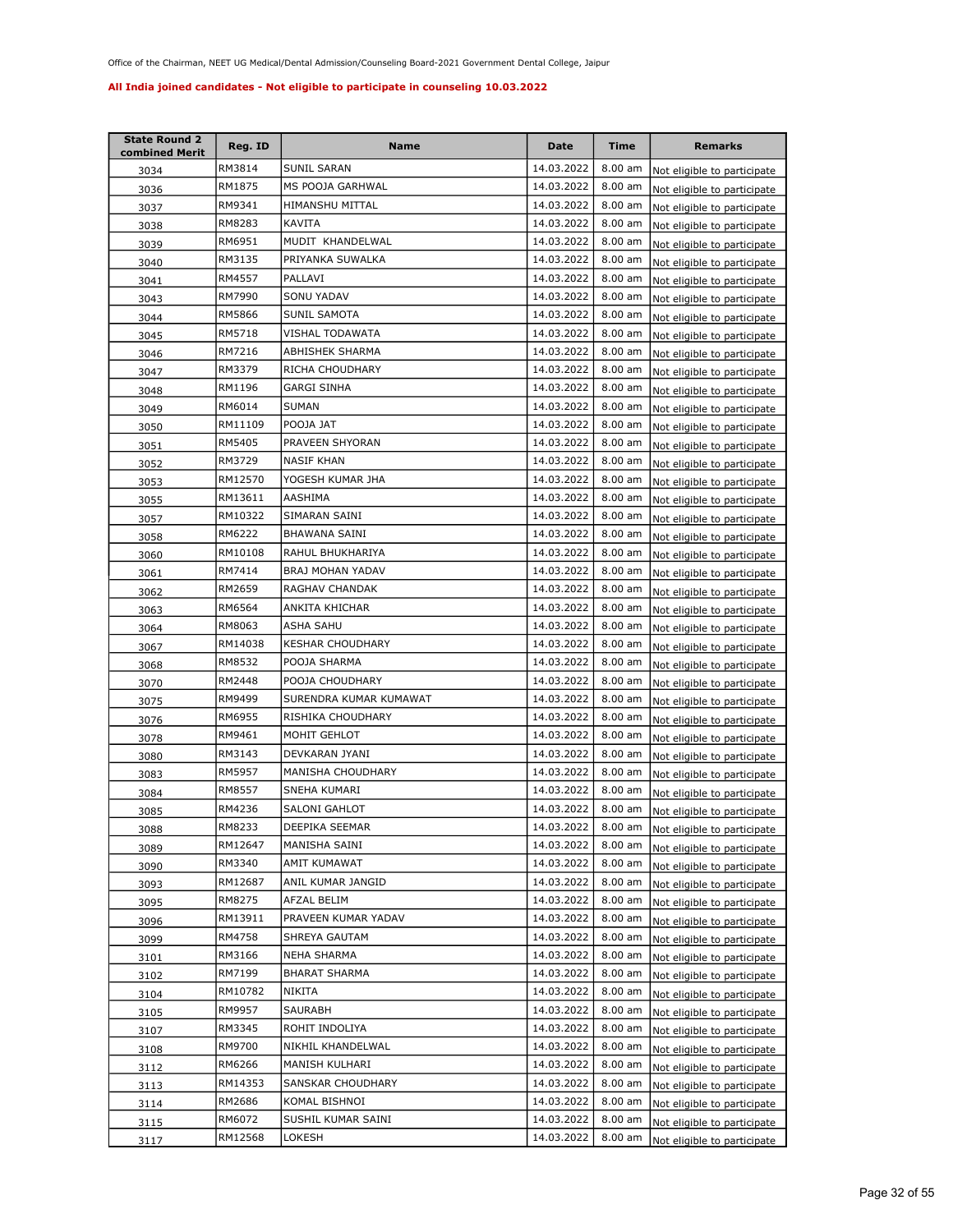| <b>State Round 2</b><br>combined Merit | Reg. ID | Name                    | Date       | Time      | <b>Remarks</b>              |
|----------------------------------------|---------|-------------------------|------------|-----------|-----------------------------|
| 3034                                   | RM3814  | SUNIL SARAN             | 14.03.2022 | $8.00$ am | Not eligible to participate |
| 3036                                   | RM1875  | MS POOJA GARHWAL        | 14.03.2022 | 8.00 am   | Not eligible to participate |
| 3037                                   | RM9341  | HIMANSHU MITTAL         | 14.03.2022 | 8.00 am   | Not eligible to participate |
| 3038                                   | RM8283  | KAVITA                  | 14.03.2022 | 8.00 am   | Not eligible to participate |
| 3039                                   | RM6951  | MUDIT KHANDELWAL        | 14.03.2022 | 8.00 am   | Not eligible to participate |
| 3040                                   | RM3135  | PRIYANKA SUWALKA        | 14.03.2022 | 8.00 am   | Not eligible to participate |
| 3041                                   | RM4557  | PALLAVI                 | 14.03.2022 | 8.00 am   | Not eligible to participate |
| 3043                                   | RM7990  | SONU YADAV              | 14.03.2022 | 8.00 am   | Not eligible to participate |
| 3044                                   | RM5866  | SUNIL SAMOTA            | 14.03.2022 | 8.00 am   | Not eligible to participate |
| 3045                                   | RM5718  | VISHAL TODAWATA         | 14.03.2022 | 8.00 am   | Not eligible to participate |
| 3046                                   | RM7216  | ABHISHEK SHARMA         | 14.03.2022 | 8.00 am   | Not eligible to participate |
| 3047                                   | RM3379  | RICHA CHOUDHARY         | 14.03.2022 | 8.00 am   | Not eligible to participate |
| 3048                                   | RM1196  | GARGI SINHA             | 14.03.2022 | 8.00 am   | Not eligible to participate |
| 3049                                   | RM6014  | <b>SUMAN</b>            | 14.03.2022 | 8.00 am   | Not eligible to participate |
| 3050                                   | RM11109 | POOJA JAT               | 14.03.2022 | 8.00 am   | Not eligible to participate |
| 3051                                   | RM5405  | PRAVEEN SHYORAN         | 14.03.2022 | 8.00 am   | Not eligible to participate |
| 3052                                   | RM3729  | <b>NASIF KHAN</b>       | 14.03.2022 | $8.00$ am | Not eligible to participate |
| 3053                                   | RM12570 | YOGESH KUMAR JHA        | 14.03.2022 | 8.00 am   | Not eligible to participate |
| 3055                                   | RM13611 | AASHIMA                 | 14.03.2022 | 8.00 am   | Not eligible to participate |
| 3057                                   | RM10322 | SIMARAN SAINI           | 14.03.2022 | 8.00 am   | Not eligible to participate |
| 3058                                   | RM6222  | BHAWANA SAINI           | 14.03.2022 | 8.00 am   | Not eligible to participate |
| 3060                                   | RM10108 | RAHUL BHUKHARIYA        | 14.03.2022 | 8.00 am   | Not eligible to participate |
| 3061                                   | RM7414  | BRAJ MOHAN YADAV        | 14.03.2022 | 8.00 am   | Not eligible to participate |
| 3062                                   | RM2659  | RAGHAV CHANDAK          | 14.03.2022 | 8.00 am   | Not eligible to participate |
| 3063                                   | RM6564  | ANKITA KHICHAR          | 14.03.2022 | 8.00 am   | Not eligible to participate |
| 3064                                   | RM8063  | ASHA SAHU               | 14.03.2022 | 8.00 am   | Not eligible to participate |
| 3067                                   | RM14038 | <b>KESHAR CHOUDHARY</b> | 14.03.2022 | 8.00 am   | Not eligible to participate |
| 3068                                   | RM8532  | POOJA SHARMA            | 14.03.2022 | $8.00$ am | Not eligible to participate |
| 3070                                   | RM2448  | POOJA CHOUDHARY         | 14.03.2022 | 8.00 am   | Not eligible to participate |
| 3075                                   | RM9499  | SURENDRA KUMAR KUMAWAT  | 14.03.2022 | 8.00 am   | Not eligible to participate |
| 3076                                   | RM6955  | RISHIKA CHOUDHARY       | 14.03.2022 | $8.00$ am | Not eligible to participate |
| 3078                                   | RM9461  | MOHIT GEHLOT            | 14.03.2022 | 8.00 am   | Not eligible to participate |
| 3080                                   | RM3143  | DEVKARAN JYANI          | 14.03.2022 | 8.00 am   | Not eligible to participate |
| 3083                                   | RM5957  | MANISHA CHOUDHARY       | 14.03.2022 | 8.00 am   | Not eligible to participate |
| 3084                                   | RM8557  | SNEHA KUMARI            | 14.03.2022 | 8.00 am   | Not eligible to participate |
| 3085                                   | RM4236  | SALONI GAHLOT           | 14.03.2022 | 8.00 am   | Not eligible to participate |
| 3088                                   | RM8233  | DEEPIKA SEEMAR          | 14.03.2022 | 8.00 am   | Not eligible to participate |
| 3089                                   | RM12647 | MANISHA SAINI           | 14.03.2022 | 8.00 am   | Not eligible to participate |
| 3090                                   | RM3340  | AMIT KUMAWAT            | 14.03.2022 | 8.00 am   | Not eligible to participate |
| 3093                                   | RM12687 | ANIL KUMAR JANGID       | 14.03.2022 | 8.00 am   | Not eligible to participate |
| 3095                                   | RM8275  | AFZAL BELIM             | 14.03.2022 | 8.00 am   | Not eligible to participate |
| 3096                                   | RM13911 | PRAVEEN KUMAR YADAV     | 14.03.2022 | 8.00 am   | Not eligible to participate |
| 3099                                   | RM4758  | SHREYA GAUTAM           | 14.03.2022 | 8.00 am   | Not eligible to participate |
| 3101                                   | RM3166  | NEHA SHARMA             | 14.03.2022 | 8.00 am   | Not eligible to participate |
| 3102                                   | RM7199  | <b>BHARAT SHARMA</b>    | 14.03.2022 | 8.00 am   | Not eligible to participate |
| 3104                                   | RM10782 | <b>NIKITA</b>           | 14.03.2022 | 8.00 am   | Not eligible to participate |
| 3105                                   | RM9957  | SAURABH                 | 14.03.2022 | 8.00 am   | Not eligible to participate |
| 3107                                   | RM3345  | ROHIT INDOLIYA          | 14.03.2022 | 8.00 am   | Not eligible to participate |
| 3108                                   | RM9700  | NIKHIL KHANDELWAL       | 14.03.2022 | 8.00 am   | Not eligible to participate |
| 3112                                   | RM6266  | MANISH KULHARI          | 14.03.2022 | 8.00 am   | Not eligible to participate |
| 3113                                   | RM14353 | SANSKAR CHOUDHARY       | 14.03.2022 | 8.00 am   | Not eligible to participate |
| 3114                                   | RM2686  | KOMAL BISHNOI           | 14.03.2022 | 8.00 am   | Not eligible to participate |
| 3115                                   | RM6072  | SUSHIL KUMAR SAINI      | 14.03.2022 | 8.00 am   | Not eligible to participate |
| 3117                                   | RM12568 | LOKESH                  | 14.03.2022 | 8.00 am   | Not eligible to participate |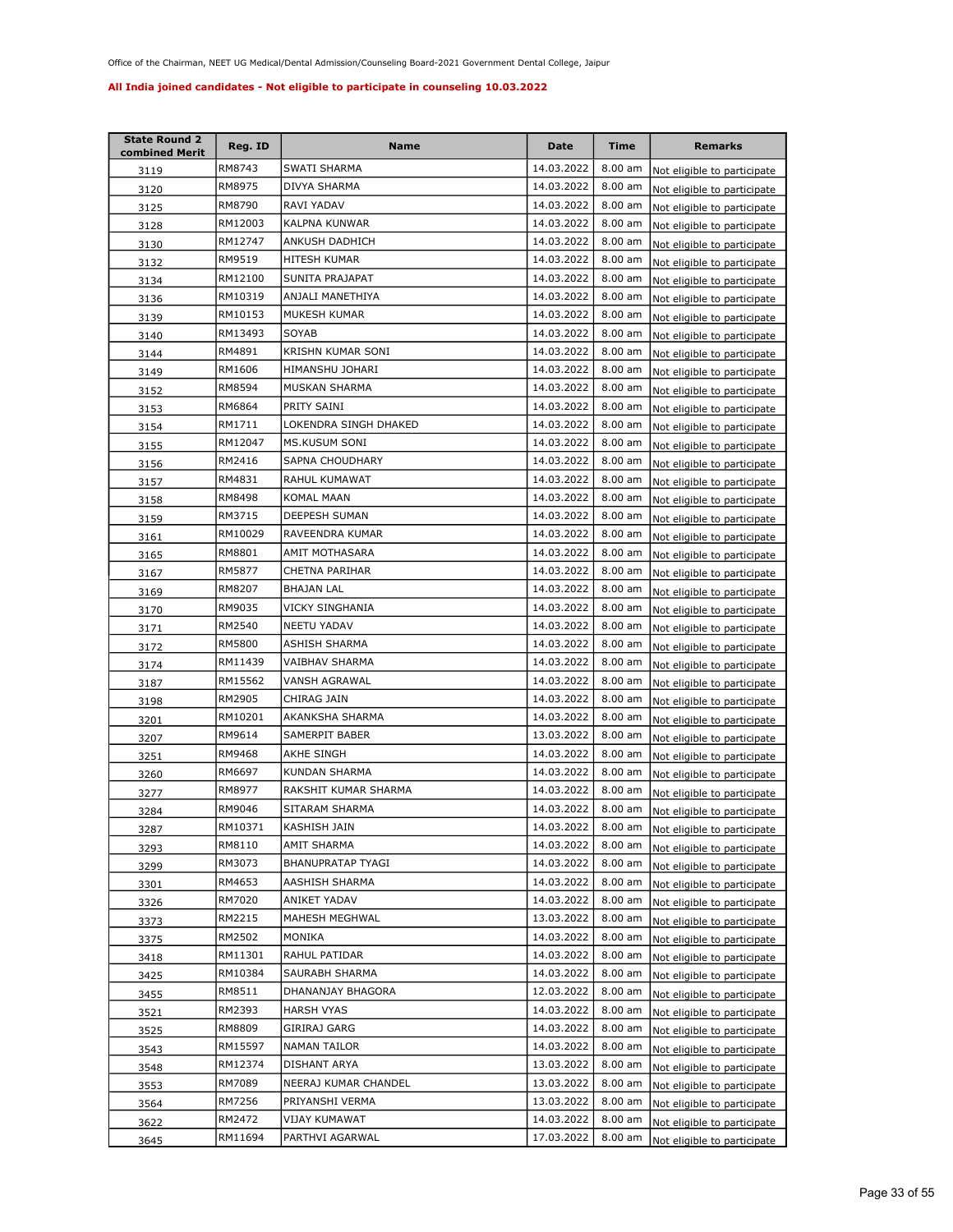| <b>State Round 2</b><br>combined Merit | Reg. ID | Name                  | Date       | Time      | <b>Remarks</b>              |
|----------------------------------------|---------|-----------------------|------------|-----------|-----------------------------|
| 3119                                   | RM8743  | SWATI SHARMA          | 14.03.2022 | 8.00 am   | Not eligible to participate |
| 3120                                   | RM8975  | DIVYA SHARMA          | 14.03.2022 | $8.00$ am | Not eligible to participate |
| 3125                                   | RM8790  | RAVI YADAV            | 14.03.2022 | $8.00$ am | Not eligible to participate |
| 3128                                   | RM12003 | KALPNA KUNWAR         | 14.03.2022 | 8.00 am   | Not eligible to participate |
| 3130                                   | RM12747 | ANKUSH DADHICH        | 14.03.2022 | 8.00 am   | Not eligible to participate |
| <u>3132</u>                            | RM9519  | HITESH KUMAR          | 14.03.2022 | 8.00 am   | Not eligible to participate |
| 3134                                   | RM12100 | SUNITA PRAJAPAT       | 14.03.2022 | 8.00 am   | Not eligible to participate |
| 3136                                   | RM10319 | ANJALI MANETHIYA      | 14.03.2022 | 8.00 am   | Not eligible to participate |
| 3139                                   | RM10153 | MUKESH KUMAR          | 14.03.2022 | 8.00 am   | Not eligible to participate |
| 3140                                   | RM13493 | SOYAB                 | 14.03.2022 | 8.00 am   | Not eligible to participate |
| 3144                                   | RM4891  | KRISHN KUMAR SONI     | 14.03.2022 | 8.00 am   | Not eligible to participate |
| 3149                                   | RM1606  | HIMANSHU JOHARI       | 14.03.2022 | 8.00 am   | Not eligible to participate |
| 3152                                   | RM8594  | MUSKAN SHARMA         | 14.03.2022 | 8.00 am   | Not eligible to participate |
| 3153                                   | RM6864  | PRITY SAINI           | 14.03.2022 | 8.00 am   | Not eligible to participate |
| 3154                                   | RM1711  | LOKENDRA SINGH DHAKED | 14.03.2022 | 8.00 am   | Not eligible to participate |
| 3155                                   | RM12047 | MS.KUSUM SONI         | 14.03.2022 | 8.00 am   | Not eligible to participate |
| 3156                                   | RM2416  | SAPNA CHOUDHARY       | 14.03.2022 | 8.00 am   | Not eligible to participate |
| 3157                                   | RM4831  | RAHUL KUMAWAT         | 14.03.2022 | 8.00 am   | Not eligible to participate |
| 3158                                   | RM8498  | KOMAL MAAN            | 14.03.2022 | 8.00 am   | Not eligible to participate |
| 3159                                   | RM3715  | <b>DEEPESH SUMAN</b>  | 14.03.2022 | 8.00 am   | Not eligible to participate |
| 3161                                   | RM10029 | RAVEENDRA KUMAR       | 14.03.2022 | 8.00 am   | Not eligible to participate |
| 3165                                   | RM8801  | AMIT MOTHASARA        | 14.03.2022 | 8.00 am   | Not eligible to participate |
| 3167                                   | RM5877  | CHETNA PARIHAR        | 14.03.2022 | 8.00 am   | Not eligible to participate |
| 3169                                   | RM8207  | BHAJAN LAL            | 14.03.2022 | 8.00 am   | Not eligible to participate |
| 3170                                   | RM9035  | VICKY SINGHANIA       | 14.03.2022 | 8.00 am   | Not eligible to participate |
| 3171                                   | RM2540  | NEETU YADAV           | 14.03.2022 | 8.00 am   | Not eligible to participate |
| 3172                                   | RM5800  | ASHISH SHARMA         | 14.03.2022 | $8.00$ am | Not eligible to participate |
| 3174                                   | RM11439 | VAIBHAV SHARMA        | 14.03.2022 | $8.00$ am | Not eligible to participate |
| 3187                                   | RM15562 | VANSH AGRAWAL         | 14.03.2022 | 8.00 am   | Not eligible to participate |
| 3198                                   | RM2905  | CHIRAG JAIN           | 14.03.2022 | 8.00 am   | Not eligible to participate |
| <u>3201</u>                            | RM10201 | AKANKSHA SHARMA       | 14.03.2022 | $8.00$ am | Not eligible to participate |
| 3207                                   | RM9614  | SAMERPIT BABER        | 13.03.2022 | 8.00 am   | Not eligible to participate |
| 3251                                   | RM9468  | AKHE SINGH            | 14.03.2022 | $8.00$ am | Not eligible to participate |
| 3260                                   | RM6697  | KUNDAN SHARMA         | 14.03.2022 | 8.00 am   | Not eligible to participate |
| 3277                                   | RM8977  | RAKSHIT KUMAR SHARMA  | 14.03.2022 | 8.00 am   | Not eligible to participate |
| 3284                                   | RM9046  | SITARAM SHARMA        | 14.03.2022 | 8.00 am   | Not eligible to participate |
| 3287                                   | RM10371 | KASHISH JAIN          | 14.03.2022 | 8.00 am   | Not eligible to participate |
| 3293                                   | RM8110  | AMIT SHARMA           | 14.03.2022 | 8.00 am   | Not eligible to participate |
| 3299                                   | RM3073  | BHANUPRATAP TYAGI     | 14.03.2022 | 8.00 am   | Not eligible to participate |
| 3301                                   | RM4653  | AASHISH SHARMA        | 14.03.2022 | 8.00 am   | Not eligible to participate |
| 3326                                   | RM7020  | ANIKET YADAV          | 14.03.2022 | 8.00 am   | Not eligible to participate |
| 3373                                   | RM2215  | MAHESH MEGHWAL        | 13.03.2022 | 8.00 am   | Not eligible to participate |
| 3375                                   | RM2502  | MONIKA                | 14.03.2022 | 8.00 am   | Not eligible to participate |
| 3418                                   | RM11301 | RAHUL PATIDAR         | 14.03.2022 | 8.00 am   | Not eligible to participate |
| 3425                                   | RM10384 | SAURABH SHARMA        | 14.03.2022 | 8.00 am   | Not eligible to participate |
| 3455                                   | RM8511  | DHANANJAY BHAGORA     | 12.03.2022 | 8.00 am   | Not eligible to participate |
| 3521                                   | RM2393  | HARSH VYAS            | 14.03.2022 | 8.00 am   | Not eligible to participate |
| 3525                                   | RM8809  | GIRIRAJ GARG          | 14.03.2022 | 8.00 am   | Not eligible to participate |
| 3543                                   | RM15597 | NAMAN TAILOR          | 14.03.2022 | 8.00 am   | Not eligible to participate |
| 3548                                   | RM12374 | DISHANT ARYA          | 13.03.2022 | 8.00 am   | Not eligible to participate |
| 3553                                   | RM7089  | NEERAJ KUMAR CHANDEL  | 13.03.2022 | 8.00 am   | Not eligible to participate |
| 3564                                   | RM7256  | PRIYANSHI VERMA       | 13.03.2022 | 8.00 am   | Not eligible to participate |
| 3622                                   | RM2472  | VIJAY KUMAWAT         | 14.03.2022 | 8.00 am   | Not eligible to participate |
| 3645                                   | RM11694 | PARTHVI AGARWAL       | 17.03.2022 | 8.00 am   | Not eligible to participate |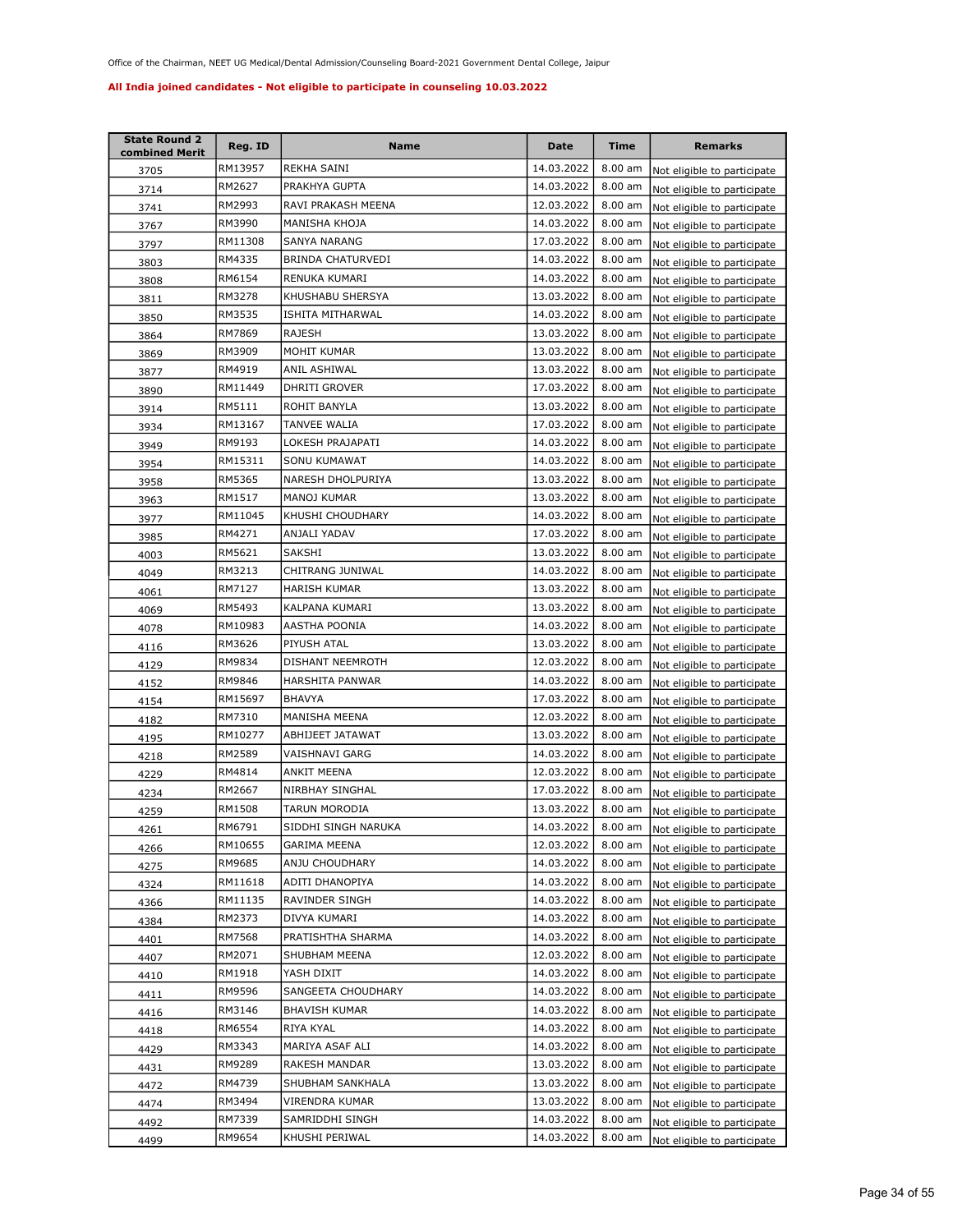| <b>State Round 2</b><br>combined Merit | Reg. ID | Name                 | Date       | Time      | <b>Remarks</b>              |
|----------------------------------------|---------|----------------------|------------|-----------|-----------------------------|
| 3705                                   | RM13957 | REKHA SAINI          | 14.03.2022 | 8.00 am   | Not eligible to participate |
| 3714                                   | RM2627  | PRAKHYA GUPTA        | 14.03.2022 | 8.00 am   | Not eligible to participate |
| 3741                                   | RM2993  | RAVI PRAKASH MEENA   | 12.03.2022 | 8.00 am   | Not eligible to participate |
| 3767                                   | RM3990  | MANISHA KHOJA        | 14.03.2022 | 8.00 am   | Not eligible to participate |
| 3797                                   | RM11308 | SANYA NARANG         | 17.03.2022 | 8.00 am   | Not eligible to participate |
| 3803                                   | RM4335  | BRINDA CHATURVEDI    | 14.03.2022 | 8.00 am   | Not eligible to participate |
| 3808                                   | RM6154  | RENUKA KUMARI        | 14.03.2022 | 8.00 am   | Not eligible to participate |
| 3811                                   | RM3278  | KHUSHABU SHERSYA     | 13.03.2022 | 8.00 am   | Not eligible to participate |
| 3850                                   | RM3535  | ISHITA MITHARWAL     | 14.03.2022 | 8.00 am   | Not eligible to participate |
| 3864                                   | RM7869  | RAJESH               | 13.03.2022 | 8.00 am   | Not eligible to participate |
| 3869                                   | RM3909  | MOHIT KUMAR          | 13.03.2022 | 8.00 am   | Not eligible to participate |
| 3877                                   | RM4919  | ANIL ASHIWAL         | 13.03.2022 | 8.00 am   | Not eligible to participate |
| 3890                                   | RM11449 | DHRITI GROVER        | 17.03.2022 | 8.00 am   | Not eligible to participate |
| 3914                                   | RM5111  | ROHIT BANYLA         | 13.03.2022 | 8.00 am   | Not eligible to participate |
| 3934                                   | RM13167 | TANVEE WALIA         | 17.03.2022 | 8.00 am   | Not eligible to participate |
| 3949                                   | RM9193  | LOKESH PRAJAPATI     | 14.03.2022 | 8.00 am   | Not eligible to participate |
| 3954                                   | RM15311 | SONU KUMAWAT         | 14.03.2022 | 8.00 am   | Not eligible to participate |
| 3958                                   | RM5365  | NARESH DHOLPURIYA    | 13.03.2022 | 8.00 am   | Not eligible to participate |
| 3963                                   | RM1517  | <b>MANOJ KUMAR</b>   | 13.03.2022 | 8.00 am   | Not eligible to participate |
| 3977                                   | RM11045 | KHUSHI CHOUDHARY     | 14.03.2022 | 8.00 am   | Not eligible to participate |
| 3985                                   | RM4271  | ANJALI YADAV         | 17.03.2022 | 8.00 am   | Not eligible to participate |
| 4003                                   | RM5621  | SAKSHI               | 13.03.2022 | 8.00 am   | Not eligible to participate |
| 4049                                   | RM3213  | CHITRANG JUNIWAL     | 14.03.2022 | 8.00 am   | Not eligible to participate |
| 4061                                   | RM7127  | HARISH KUMAR         | 13.03.2022 | 8.00 am   | Not eligible to participate |
| 4069                                   | RM5493  | KALPANA KUMARI       | 13.03.2022 | 8.00 am   | Not eligible to participate |
| 4078                                   | RM10983 | AASTHA POONIA        | 14.03.2022 | 8.00 am   | Not eligible to participate |
| 4116                                   | RM3626  | PIYUSH ATAL          | 13.03.2022 | 8.00 am   | Not eligible to participate |
| 4129                                   | RM9834  | DISHANT NEEMROTH     | 12.03.2022 | $8.00$ am | Not eligible to participate |
| 4152                                   | RM9846  | HARSHITA PANWAR      | 14.03.2022 | 8.00 am   | Not eligible to participate |
| 4154                                   | RM15697 | BHAVYA               | 17.03.2022 | 8.00 am   | Not eligible to participate |
| 4182                                   | RM7310  | MANISHA MEENA        | 12.03.2022 | $8.00$ am | Not eligible to participate |
| 4195                                   | RM10277 | ABHIJEET JATAWAT     | 13.03.2022 | 8.00 am   | Not eligible to participate |
| 4218                                   | RM2589  | VAISHNAVI GARG       | 14.03.2022 | 8.00 am   | Not eligible to participate |
| 4229                                   | RM4814  | ANKIT MEENA          | 12.03.2022 | 8.00 am   | Not eligible to participate |
| 4234                                   | RM2667  | NIRBHAY SINGHAL      | 17.03.2022 | 8.00 am   | Not eligible to participate |
| 4259                                   | RM1508  | TARUN MORODIA        | 13.03.2022 | 8.00 am   | Not eligible to participate |
| 4261                                   | RM6791  | SIDDHI SINGH NARUKA  | 14.03.2022 | 8.00 am   | Not eligible to participate |
| 4266                                   | RM10655 | GARIMA MEENA         | 12.03.2022 | 8.00 am   | Not eligible to participate |
| 4275                                   | RM9685  | ANJU CHOUDHARY       | 14.03.2022 | 8.00 am   | Not eligible to participate |
| 4324                                   | RM11618 | ADITI DHANOPIYA      | 14.03.2022 | 8.00 am   | Not eligible to participate |
| 4366                                   | RM11135 | RAVINDER SINGH       | 14.03.2022 | 8.00 am   | Not eligible to participate |
| 4384                                   | RM2373  | DIVYA KUMARI         | 14.03.2022 | 8.00 am   | Not eligible to participate |
| 4401                                   | RM7568  | PRATISHTHA SHARMA    | 14.03.2022 | 8.00 am   | Not eligible to participate |
| 4407                                   | RM2071  | SHUBHAM MEENA        | 12.03.2022 | 8.00 am   | Not eligible to participate |
| 4410                                   | RM1918  | YASH DIXIT           | 14.03.2022 | 8.00 am   | Not eligible to participate |
| 4411                                   | RM9596  | SANGEETA CHOUDHARY   | 14.03.2022 | 8.00 am   | Not eligible to participate |
| 4416                                   | RM3146  | <b>BHAVISH KUMAR</b> | 14.03.2022 | 8.00 am   | Not eligible to participate |
| 4418                                   | RM6554  | RIYA KYAL            | 14.03.2022 | 8.00 am   | Not eligible to participate |
| 4429                                   | RM3343  | MARIYA ASAF ALI      | 14.03.2022 | 8.00 am   | Not eligible to participate |
| 4431                                   | RM9289  | RAKESH MANDAR        | 13.03.2022 | 8.00 am   | Not eligible to participate |
| 4472                                   | RM4739  | SHUBHAM SANKHALA     | 13.03.2022 | 8.00 am   | Not eligible to participate |
| 4474                                   | RM3494  | VIRENDRA KUMAR       | 13.03.2022 | 8.00 am   | Not eligible to participate |
| 4492                                   | RM7339  | SAMRIDDHI SINGH      | 14.03.2022 | 8.00 am   | Not eligible to participate |
| 4499                                   | RM9654  | KHUSHI PERIWAL       | 14.03.2022 | $8.00$ am | Not eligible to participate |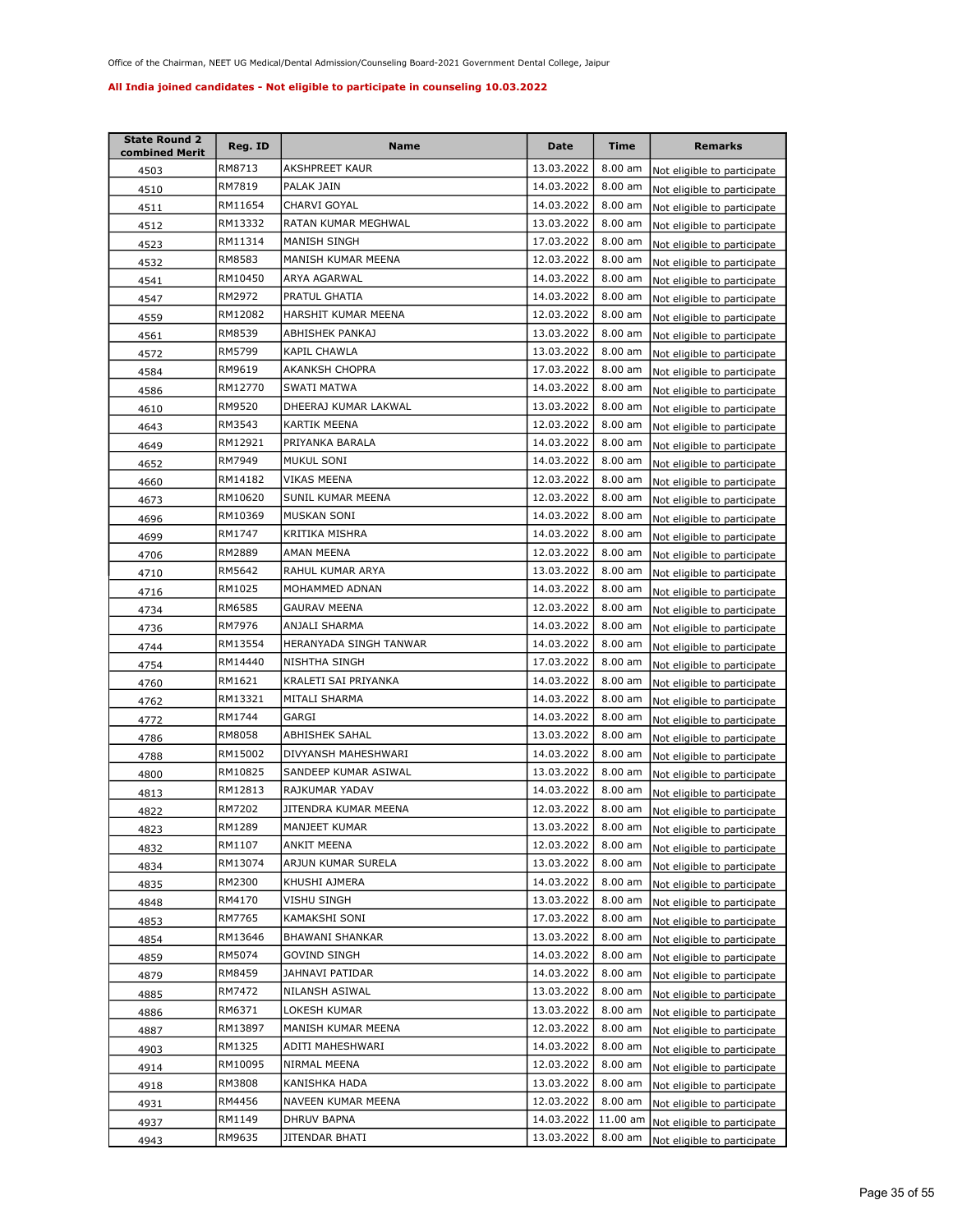| <b>State Round 2</b><br>combined Merit | Reg. ID | Name                   | Date       | <b>Time</b>       | <b>Remarks</b>              |
|----------------------------------------|---------|------------------------|------------|-------------------|-----------------------------|
| 4503                                   | RM8713  | AKSHPREET KAUR         | 13.03.2022 | $8.00$ am         | Not eligible to participate |
| 4510                                   | RM7819  | PALAK JAIN             | 14.03.2022 | 8.00 am           | Not eligible to participate |
| 4511                                   | RM11654 | CHARVI GOYAL           | 14.03.2022 | 8.00 am           | Not eligible to participate |
| 4512                                   | RM13332 | RATAN KUMAR MEGHWAL    | 13.03.2022 | 8.00 am           | Not eligible to participate |
| 4523                                   | RM11314 | MANISH SINGH           | 17.03.2022 | 8.00 am           | Not eligible to participate |
| 4532                                   | RM8583  | MANISH KUMAR MEENA     | 12.03.2022 | 8.00 am           | Not eligible to participate |
| 4541                                   | RM10450 | ARYA AGARWAL           | 14.03.2022 | 8.00 am           | Not eligible to participate |
| 4547                                   | RM2972  | PRATUL GHATIA          | 14.03.2022 | 8.00 am           | Not eligible to participate |
| 4559                                   | RM12082 | HARSHIT KUMAR MEENA    | 12.03.2022 | 8.00 am           | Not eligible to participate |
| 4561                                   | RM8539  | ABHISHEK PANKAJ        | 13.03.2022 | 8.00 am           | Not eligible to participate |
| 4572                                   | RM5799  | KAPIL CHAWLA           | 13.03.2022 | 8.00 am           | Not eligible to participate |
| 4584                                   | RM9619  | AKANKSH CHOPRA         | 17.03.2022 | 8.00 am           | Not eligible to participate |
| 4586                                   | RM12770 | SWATI MATWA            | 14.03.2022 | 8.00 am           | Not eligible to participate |
| 4610                                   | RM9520  | DHEERAJ KUMAR LAKWAL   | 13.03.2022 | 8.00 am           | Not eligible to participate |
| 4643                                   | RM3543  | <b>KARTIK MEENA</b>    | 12.03.2022 | 8.00 am           | Not eligible to participate |
| 4649                                   | RM12921 | PRIYANKA BARALA        | 14.03.2022 | 8.00 am           | Not eligible to participate |
| 4652                                   | RM7949  | MUKUL SONI             | 14.03.2022 | 8.00 am           | Not eligible to participate |
| 4660                                   | RM14182 | VIKAS MEENA            | 12.03.2022 | 8.00 am           | Not eligible to participate |
| 4673                                   | RM10620 | SUNIL KUMAR MEENA      | 12.03.2022 | 8.00 am           | Not eligible to participate |
| 4696                                   | RM10369 | MUSKAN SONI            | 14.03.2022 | 8.00 am           | Not eligible to participate |
| 4699                                   | RM1747  | KRITIKA MISHRA         | 14.03.2022 | 8.00 am           | Not eligible to participate |
| 4706                                   | RM2889  | AMAN MEENA             | 12.03.2022 | 8.00 am           | Not eligible to participate |
| 4710                                   | RM5642  | RAHUL KUMAR ARYA       | 13.03.2022 | 8.00 am           | Not eligible to participate |
| 4716                                   | RM1025  | MOHAMMED ADNAN         | 14.03.2022 | 8.00 am           | Not eligible to participate |
| 4734                                   | RM6585  | GAURAV MEENA           | 12.03.2022 | 8.00 am           | Not eligible to participate |
| 4736                                   | RM7976  | ANJALI SHARMA          | 14.03.2022 | $8.00$ am         | Not eligible to participate |
| 4744                                   | RM13554 | HERANYADA SINGH TANWAR | 14.03.2022 | 8.00 am           | Not eligible to participate |
| 4754                                   | RM14440 | NISHTHA SINGH          | 17.03.2022 | 8.00 am           | Not eligible to participate |
| 4760                                   | RM1621  | KRALETI SAI PRIYANKA   | 14.03.2022 | 8.00 am           | Not eligible to participate |
| 4762                                   | RM13321 | MITALI SHARMA          | 14.03.2022 | 8.00 am           | Not eligible to participate |
| 4772                                   | RM1744  | GARGI                  | 14.03.2022 | 8.00 am           | Not eligible to participate |
| 4786                                   | RM8058  | ABHISHEK SAHAL         | 13.03.2022 | 8.00 am           | Not eligible to participate |
| 4788                                   | RM15002 | DIVYANSH MAHESHWARI    | 14.03.2022 | $8.00$ am         | Not eligible to participate |
| 4800                                   | RM10825 | SANDEEP KUMAR ASIWAL   | 13.03.2022 | 8.00 am           | Not eligible to participate |
| 4813                                   | RM12813 | RAJKUMAR YADAV         | 14.03.2022 | 8.00 am           | Not eligible to participate |
| 4822                                   | RM7202  | JITENDRA KUMAR MEENA   | 12.03.2022 | 8.00 am           | Not eligible to participate |
| 4823                                   | RM1289  | MANJEET KUMAR          | 13.03.2022 | $8.00 \text{ am}$ | Not eligible to participate |
| 4832                                   | RM1107  | ANKIT MEENA            | 12.03.2022 | 8.00 am           | Not eligible to participate |
| 4834                                   | RM13074 | ARJUN KUMAR SURELA     | 13.03.2022 | 8.00 am           | Not eligible to participate |
| 4835                                   | RM2300  | KHUSHI AJMERA          | 14.03.2022 | 8.00 am           | Not eligible to participate |
| 4848                                   | RM4170  | VISHU SINGH            | 13.03.2022 | 8.00 am           | Not eligible to participate |
| 4853                                   | RM7765  | KAMAKSHI SONI          | 17.03.2022 | 8.00 am           | Not eligible to participate |
| 4854                                   | RM13646 | BHAWANI SHANKAR        | 13.03.2022 | 8.00 am           | Not eligible to participate |
| 4859                                   | RM5074  | GOVIND SINGH           | 14.03.2022 | 8.00 am           | Not eligible to participate |
| 4879                                   | RM8459  | JAHNAVI PATIDAR        | 14.03.2022 | 8.00 am           | Not eligible to participate |
| 4885                                   | RM7472  | NILANSH ASIWAL         | 13.03.2022 | 8.00 am           | Not eligible to participate |
| 4886                                   | RM6371  | LOKESH KUMAR           | 13.03.2022 | 8.00 am           | Not eligible to participate |
| 4887                                   | RM13897 | MANISH KUMAR MEENA     | 12.03.2022 | 8.00 am           | Not eligible to participate |
| 4903                                   | RM1325  | ADITI MAHESHWARI       | 14.03.2022 | 8.00 am           | Not eligible to participate |
| 4914                                   | RM10095 | NIRMAL MEENA           | 12.03.2022 | 8.00 am           | Not eligible to participate |
| 4918                                   | RM3808  | KANISHKA HADA          | 13.03.2022 | 8.00 am           | Not eligible to participate |
| 4931                                   | RM4456  | NAVEEN KUMAR MEENA     | 12.03.2022 | 8.00 am           | Not eligible to participate |
| 4937                                   | RM1149  | DHRUV BAPNA            | 14.03.2022 | 11.00 am          | Not eligible to participate |
| 4943                                   | RM9635  | JITENDAR BHATI         | 13.03.2022 | 8.00 am           | Not eligible to participate |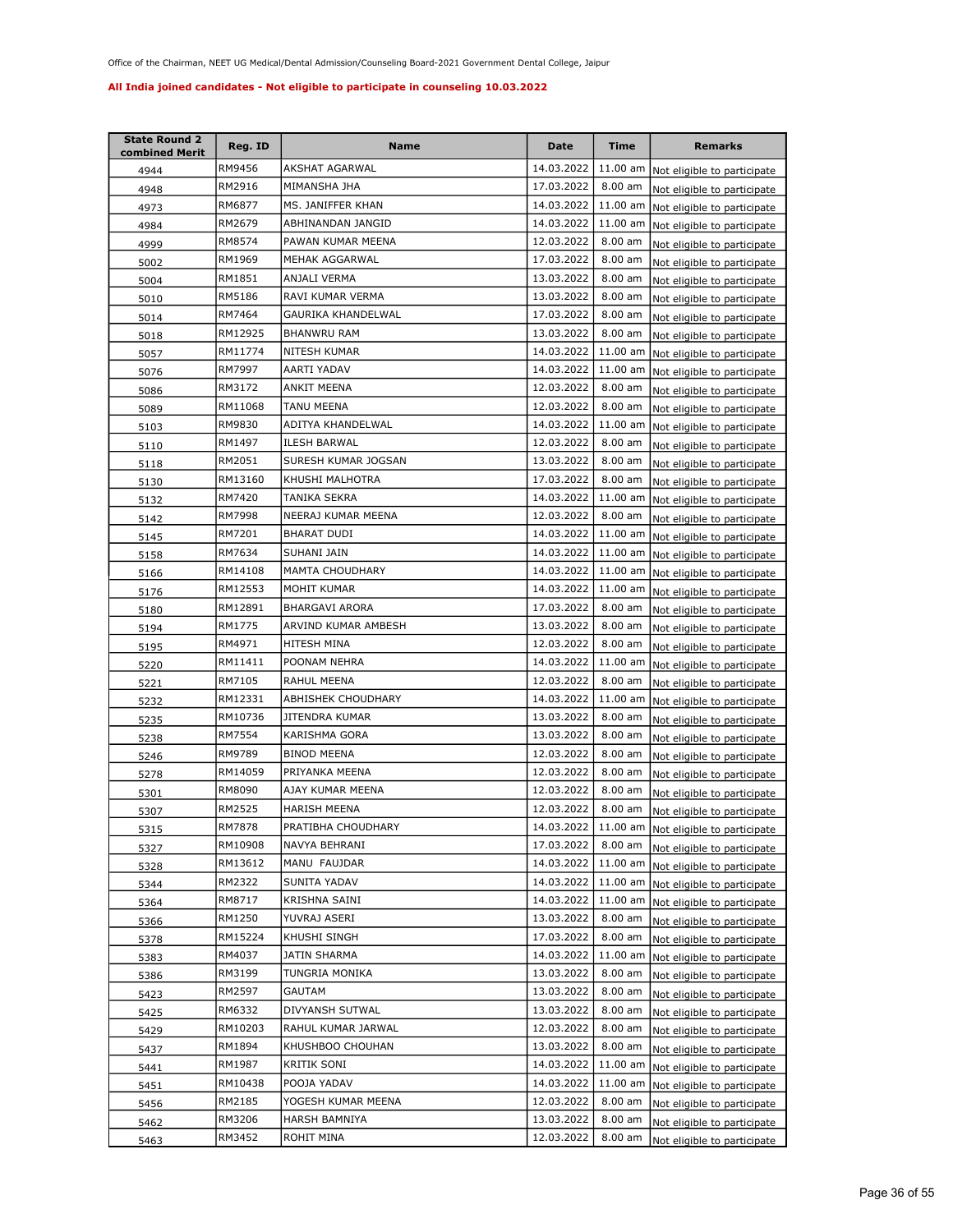| <b>State Round 2</b><br>combined Merit | Reg. ID | Name                   | <b>Date</b> | Time      | <b>Remarks</b>                       |
|----------------------------------------|---------|------------------------|-------------|-----------|--------------------------------------|
| 4944                                   | RM9456  | AKSHAT AGARWAL         | 14.03.2022  | 11.00 am  | Not eligible to participate          |
| 4948                                   | RM2916  | MIMANSHA JHA           | 17.03.2022  | 8.00 am   | Not eligible to participate          |
| 4973                                   | RM6877  | MS. JANIFFER KHAN      | 14.03.2022  | 11.00 am  | Not eligible to participate          |
| 4984                                   | RM2679  | ABHINANDAN JANGID      | 14.03.2022  | 11.00 am  | Not eligible to participate          |
| 4999                                   | RM8574  | PAWAN KUMAR MEENA      | 12.03.2022  | 8.00 am   | Not eligible to participate          |
| 5002                                   | RM1969  | MEHAK AGGARWAL         | 17.03.2022  | 8.00 am   | Not eligible to participate          |
| 5004                                   | RM1851  | ANJALI VERMA           | 13.03.2022  | $8.00$ am | Not eligible to participate          |
| 5010                                   | RM5186  | RAVI KUMAR VERMA       | 13.03.2022  | 8.00 am   | Not eligible to participate          |
| 5014                                   | RM7464  | GAURIKA KHANDELWAL     | 17.03.2022  | 8.00 am   | Not eligible to participate          |
| 5018                                   | RM12925 | <b>BHANWRU RAM</b>     | 13.03.2022  | 8.00 am   | Not eligible to participate          |
| 5057                                   | RM11774 | NITESH KUMAR           | 14.03.2022  | 11.00 am  | Not eligible to participate          |
| 5076                                   | RM7997  | AARTI YADAV            | 14.03.2022  | 11.00 am  | Not eligible to participate          |
| 5086                                   | RM3172  | ANKIT MEENA            | 12.03.2022  | 8.00 am   | Not eligible to participate          |
| 5089                                   | RM11068 | TANU MEENA             | 12.03.2022  | 8.00 am   | Not eligible to participate          |
| 5103                                   | RM9830  | ADITYA KHANDELWAL      | 14.03.2022  | 11.00 am  | Not eligible to participate          |
| 5110                                   | RM1497  | <b>ILESH BARWAL</b>    | 12.03.2022  | 8.00 am   | Not eligible to participate          |
| 5118                                   | RM2051  | SURESH KUMAR JOGSAN    | 13.03.2022  | 8.00 am   | Not eligible to participate          |
| 5130                                   | RM13160 | KHUSHI MALHOTRA        | 17.03.2022  | 8.00 am   | Not eligible to participate          |
| 5132                                   | RM7420  | TANIKA SEKRA           | 14.03.2022  | 11.00 am  | Not eligible to participate          |
| 5142                                   | RM7998  | NEERAJ KUMAR MEENA     | 12.03.2022  | 8.00 am   | Not eligible to participate          |
| 5145                                   | RM7201  | BHARAT DUDI            | 14.03.2022  | 11.00 am  | Not eligible to participate          |
| 5158                                   | RM7634  | SUHANI JAIN            | 14.03.2022  | 11.00 am  | Not eligible to participate          |
| 5166                                   | RM14108 | <b>MAMTA CHOUDHARY</b> | 14.03.2022  | 11.00 am  | Not eligible to participate          |
| 5176                                   | RM12553 | MOHIT KUMAR            | 14.03.2022  | 11.00 am  | Not eligible to participate          |
| 5180                                   | RM12891 | <b>BHARGAVI ARORA</b>  | 17.03.2022  | 8.00 am   | Not eligible to participate          |
| 5194                                   | RM1775  | ARVIND KUMAR AMBESH    | 13.03.2022  | 8.00 am   | Not eligible to participate          |
| 5195                                   | RM4971  | HITESH MINA            | 12.03.2022  | 8.00 am   | Not eligible to participate          |
| 5220                                   | RM11411 | POONAM NEHRA           | 14.03.2022  | 11.00 am  | Not eligible to participate          |
| 5221                                   | RM7105  | RAHUL MEENA            | 12.03.2022  | 8.00 am   | Not eligible to participate          |
| 5232                                   | RM12331 | ABHISHEK CHOUDHARY     | 14.03.2022  | 11.00 am  | Not eligible to participate          |
| <u>5235</u>                            | RM10736 | JITENDRA KUMAR         | 13.03.2022  | 8.00 am   | Not eligible to participate          |
| 5238                                   | RM7554  | KARISHMA GORA          | 13.03.2022  | 8.00 am   | Not eligible to participate          |
| 5246                                   | RM9789  | <b>BINOD MEENA</b>     | 12.03.2022  | 8.00 am   | Not eligible to participate          |
| 5278                                   | RM14059 | PRIYANKA MEENA         | 12.03.2022  | 8.00 am   | Not eligible to participate          |
| 5301                                   | RM8090  | AJAY KUMAR MEENA       | 12.03.2022  | 8.00 am   | Not eligible to participate          |
| 5307                                   | RM2525  | <b>HARISH MEENA</b>    | 12.03.2022  | 8.00 am   | Not eligible to participate          |
| 5315                                   | RM7878  | PRATIBHA CHOUDHARY     | 14.03.2022  |           | 11.00 am Not eligible to participate |
| 5327                                   | RM10908 | NAVYA BEHRANI          | 17.03.2022  | 8.00 am   | Not eligible to participate          |
| 5328                                   | RM13612 | MANU FAUJDAR           | 14.03.2022  | 11.00 am  | Not eligible to participate          |
| 5344                                   | RM2322  | SUNITA YADAV           | 14.03.2022  | 11.00 am  | Not eligible to participate          |
| 5364                                   | RM8717  | KRISHNA SAINI          | 14.03.2022  | 11.00 am  | Not eligible to participate          |
| 5366                                   | RM1250  | YUVRAJ ASERI           | 13.03.2022  | 8.00 am   | Not eligible to participate          |
| 5378                                   | RM15224 | KHUSHI SINGH           | 17.03.2022  | 8.00 am   | Not eligible to participate          |
| 5383                                   | RM4037  | JATIN SHARMA           | 14.03.2022  | 11.00 am  | Not eligible to participate          |
| 5386                                   | RM3199  | TUNGRIA MONIKA         | 13.03.2022  | $8.00$ am | Not eligible to participate          |
| 5423                                   | RM2597  | GAUTAM                 | 13.03.2022  | 8.00 am   | Not eligible to participate          |
| 5425                                   | RM6332  | DIVYANSH SUTWAL        | 13.03.2022  | 8.00 am   | Not eligible to participate          |
| 5429                                   | RM10203 | RAHUL KUMAR JARWAL     | 12.03.2022  | 8.00 am   | Not eligible to participate          |
| 5437                                   | RM1894  | KHUSHBOO CHOUHAN       | 13.03.2022  | 8.00 am   | Not eligible to participate          |
| 5441                                   | RM1987  | KRITIK SONI            | 14.03.2022  | 11.00 am  | Not eligible to participate          |
| 5451                                   | RM10438 | POOJA YADAV            | 14.03.2022  | 11.00 am  | Not eligible to participate          |
| 5456                                   | RM2185  | YOGESH KUMAR MEENA     | 12.03.2022  | 8.00 am   | Not eligible to participate          |
| 5462                                   | RM3206  | HARSH BAMNIYA          | 13.03.2022  | 8.00 am   | Not eligible to participate          |
| 5463                                   | RM3452  | ROHIT MINA             | 12.03.2022  | 8.00 am   | Not eligible to participate          |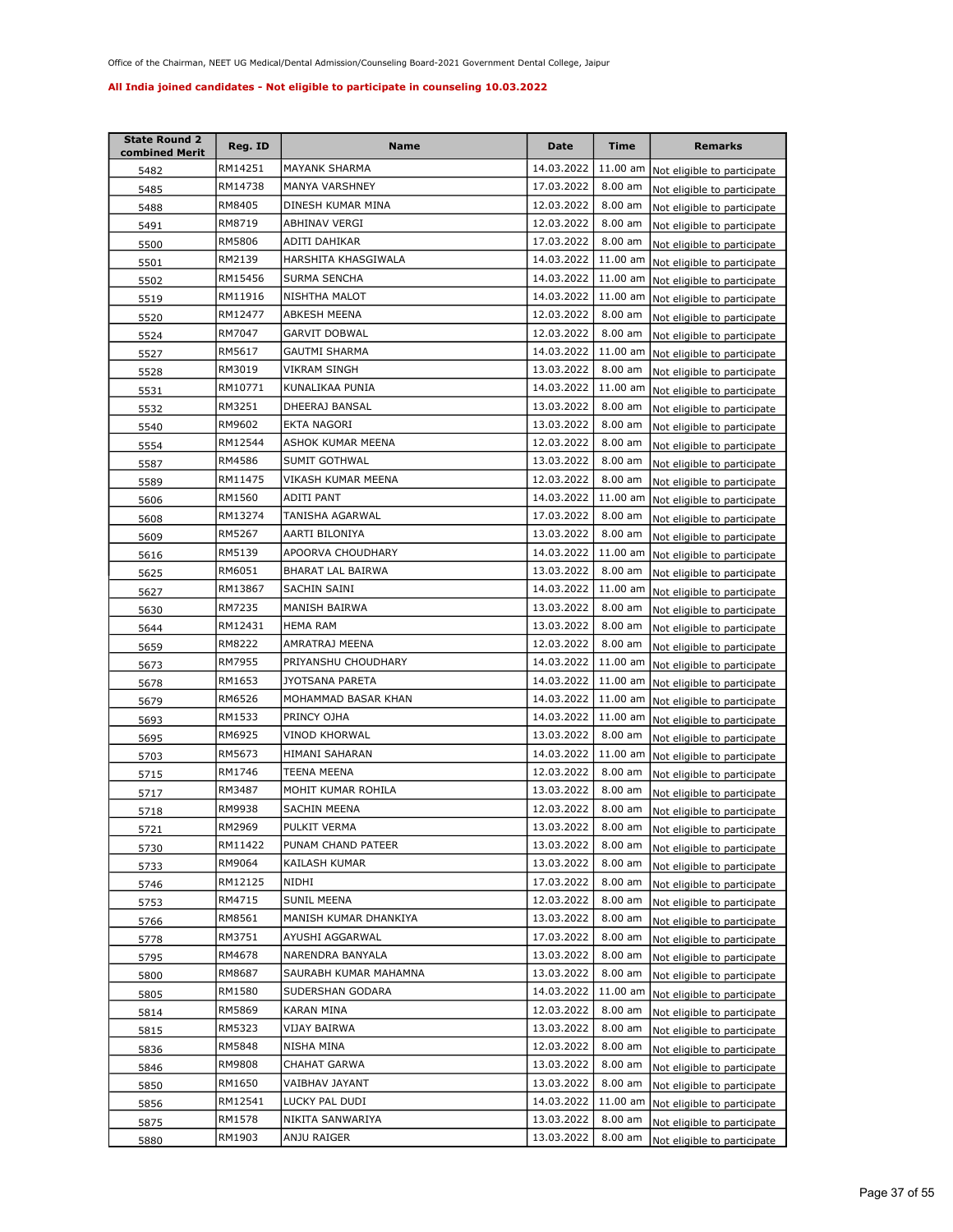| <b>State Round 2</b><br>combined Merit | Reg. ID | Name                  | <b>Date</b> | Time      | <b>Remarks</b>              |
|----------------------------------------|---------|-----------------------|-------------|-----------|-----------------------------|
| 5482                                   | RM14251 | MAYANK SHARMA         | 14.03.2022  | 11.00 am  | Not eligible to participate |
| 5485                                   | RM14738 | MANYA VARSHNEY        | 17.03.2022  | 8.00 am   | Not eligible to participate |
| 5488                                   | RM8405  | DINESH KUMAR MINA     | 12.03.2022  | 8.00 am   | Not eligible to participate |
| 5491                                   | RM8719  | ABHINAV VERGI         | 12.03.2022  | 8.00 am   | Not eligible to participate |
| 5500                                   | RM5806  | ADITI DAHIKAR         | 17.03.2022  | $8.00$ am | Not eligible to participate |
| 5501                                   | RM2139  | HARSHITA KHASGIWALA   | 14.03.2022  | 11.00 am  | Not eligible to participate |
| 5502                                   | RM15456 | SURMA SENCHA          | 14.03.2022  | 11.00 am  | Not eligible to participate |
| 5519                                   | RM11916 | NISHTHA MALOT         | 14.03.2022  | 11.00 am  | Not eligible to participate |
| 5520                                   | RM12477 | ABKESH MEENA          | 12.03.2022  | 8.00 am   | Not eligible to participate |
| 5524                                   | RM7047  | <b>GARVIT DOBWAL</b>  | 12.03.2022  | 8.00 am   | Not eligible to participate |
| 5527                                   | RM5617  | <b>GAUTMI SHARMA</b>  | 14.03.2022  | 11.00 am  | Not eligible to participate |
| 5528                                   | RM3019  | VIKRAM SINGH          | 13.03.2022  | 8.00 am   | Not eligible to participate |
| 5531                                   | RM10771 | KUNALIKAA PUNIA       | 14.03.2022  | 11.00 am  | Not eligible to participate |
| 5532                                   | RM3251  | DHEERAJ BANSAL        | 13.03.2022  | 8.00 am   | Not eligible to participate |
| 5540                                   | RM9602  | EKTA NAGORI           | 13.03.2022  | 8.00 am   | Not eligible to participate |
| 5554                                   | RM12544 | ASHOK KUMAR MEENA     | 12.03.2022  | 8.00 am   | Not eligible to participate |
| 5587                                   | RM4586  | <b>SUMIT GOTHWAL</b>  | 13.03.2022  | 8.00 am   | Not eligible to participate |
| 5589                                   | RM11475 | VIKASH KUMAR MEENA    | 12.03.2022  | 8.00 am   | Not eligible to participate |
| 5606                                   | RM1560  | <b>ADITI PANT</b>     | 14.03.2022  | 11.00 am  | Not eligible to participate |
| 5608                                   | RM13274 | TANISHA AGARWAL       | 17.03.2022  | 8.00 am   | Not eligible to participate |
| 5609                                   | RM5267  | AARTI BILONIYA        | 13.03.2022  | 8.00 am   | Not eligible to participate |
| 5616                                   | RM5139  | APOORVA CHOUDHARY     | 14.03.2022  | 11.00 am  | Not eligible to participate |
| 5625                                   | RM6051  | BHARAT LAL BAIRWA     | 13.03.2022  | 8.00 am   | Not eligible to participate |
| 5627                                   | RM13867 | SACHIN SAINI          | 14.03.2022  | 11.00 am  | Not eligible to participate |
| 5630                                   | RM7235  | MANISH BAIRWA         | 13.03.2022  | 8.00 am   | Not eligible to participate |
| 5644                                   | RM12431 | <b>HEMA RAM</b>       | 13.03.2022  | 8.00 am   | Not eligible to participate |
| 5659                                   | RM8222  | AMRATRAJ MEENA        | 12.03.2022  | 8.00 am   | Not eligible to participate |
| 5673                                   | RM7955  | PRIYANSHU CHOUDHARY   | 14.03.2022  | 11.00 am  | Not eligible to participate |
| 5678                                   | RM1653  | JYOTSANA PARETA       | 14.03.2022  | 11.00 am  | Not eligible to participate |
| 5679                                   | RM6526  | MOHAMMAD BASAR KHAN   | 14.03.2022  | 11.00 am  | Not eligible to participate |
| 5693                                   | RM1533  | PRINCY OJHA           | 14.03.2022  | 11.00 am  | Not eligible to participate |
| 5695                                   | RM6925  | VINOD KHORWAL         | 13.03.2022  | 8.00 am   | Not eligible to participate |
| 5703                                   | RM5673  | HIMANI SAHARAN        | 14.03.2022  | 11.00 am  | Not eligible to participate |
| 5715                                   | RM1746  | <b>TEENA MEENA</b>    | 12.03.2022  | 8.00 am   | Not eligible to participate |
| 5717                                   | RM3487  | MOHIT KUMAR ROHILA    | 13.03.2022  | 8.00 am   | Not eligible to participate |
| 5718                                   | RM9938  | <b>SACHIN MEENA</b>   | 12.03.2022  | 8.00 am   | Not eligible to participate |
| 5721                                   | RM2969  | PULKIT VERMA          | 13.03.2022  | 8.00 am   | Not eligible to participate |
| 5730                                   | RM11422 | PUNAM CHAND PATEER    | 13.03.2022  | 8.00 am   | Not eligible to participate |
| 5733                                   | RM9064  | KAILASH KUMAR         | 13.03.2022  | 8.00 am   | Not eligible to participate |
| 5746                                   | RM12125 | NIDHI                 | 17.03.2022  | 8.00 am   | Not eligible to participate |
| 5753                                   | RM4715  | SUNIL MEENA           | 12.03.2022  | 8.00 am   | Not eligible to participate |
| 5766                                   | RM8561  | MANISH KUMAR DHANKIYA | 13.03.2022  | $8.00$ am | Not eligible to participate |
| 5778                                   | RM3751  | AYUSHI AGGARWAL       | 17.03.2022  | 8.00 am   | Not eligible to participate |
| 5795                                   | RM4678  | NARENDRA BANYALA      | 13.03.2022  | 8.00 am   | Not eligible to participate |
| 5800                                   | RM8687  | SAURABH KUMAR MAHAMNA | 13.03.2022  | 8.00 am   | Not eligible to participate |
| 5805                                   | RM1580  | SUDERSHAN GODARA      | 14.03.2022  | 11.00 am  | Not eligible to participate |
| 5814                                   | RM5869  | KARAN MINA            | 12.03.2022  | 8.00 am   | Not eligible to participate |
| 5815                                   | RM5323  | VIJAY BAIRWA          | 13.03.2022  | 8.00 am   | Not eligible to participate |
| 5836                                   | RM5848  | NISHA MINA            | 12.03.2022  | 8.00 am   | Not eligible to participate |
| 5846                                   | RM9808  | CHAHAT GARWA          | 13.03.2022  | 8.00 am   | Not eligible to participate |
| 5850                                   | RM1650  | VAIBHAV JAYANT        | 13.03.2022  | 8.00 am   | Not eligible to participate |
| 5856                                   | RM12541 | LUCKY PAL DUDI        | 14.03.2022  | 11.00 am  | Not eligible to participate |
| 5875                                   | RM1578  | NIKITA SANWARIYA      | 13.03.2022  | 8.00 am   | Not eligible to participate |
| 5880                                   | RM1903  | ANJU RAIGER           | 13.03.2022  | 8.00 am   | Not eligible to participate |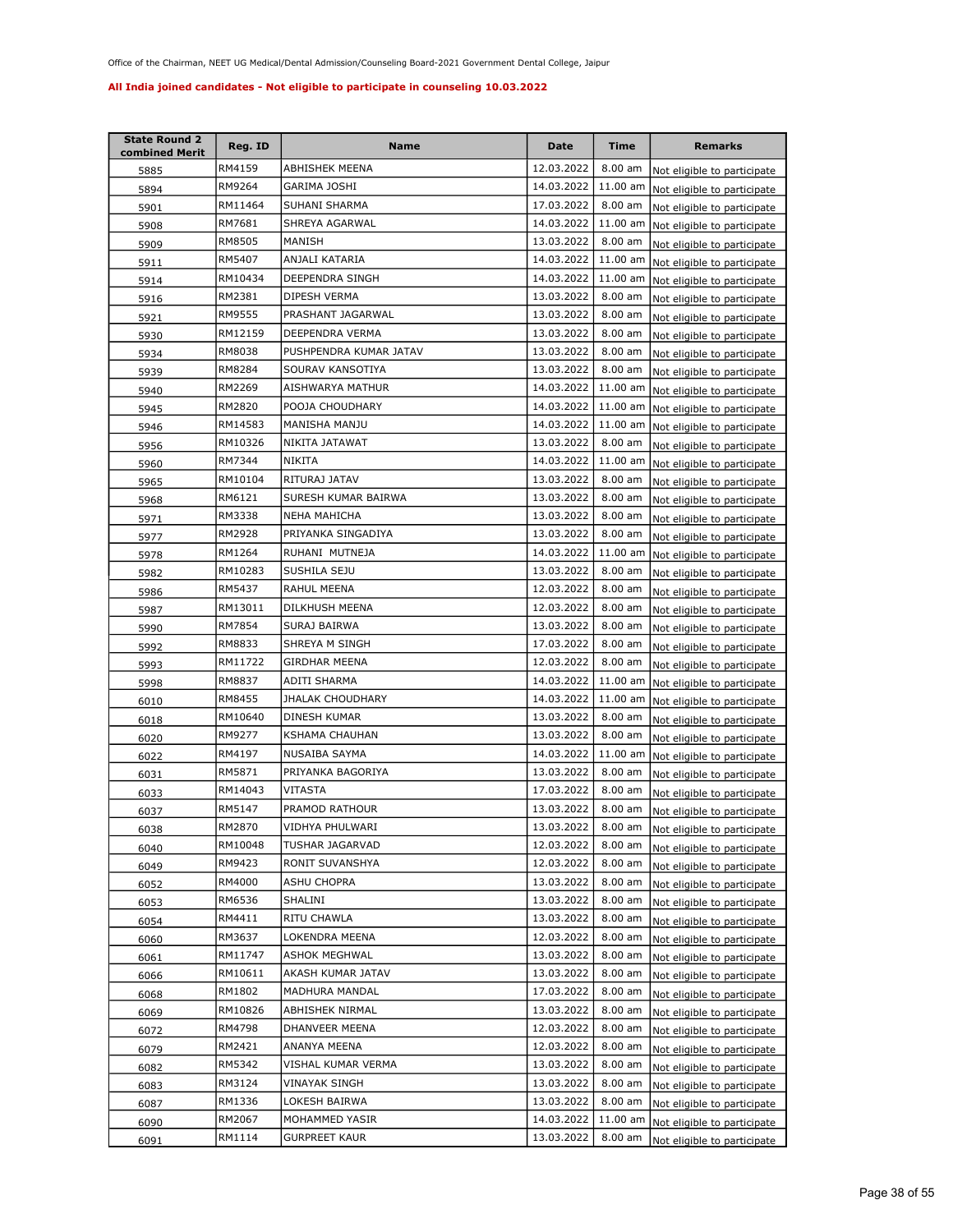| <b>State Round 2</b><br>combined Merit | Reg. ID | Name                   | Date       | <b>Time</b> | <b>Remarks</b>              |
|----------------------------------------|---------|------------------------|------------|-------------|-----------------------------|
| 5885                                   | RM4159  | ABHISHEK MEENA         | 12.03.2022 | 8.00 am     | Not eligible to participate |
| 5894                                   | RM9264  | GARIMA JOSHI           | 14.03.2022 | 11.00 am    | Not eligible to participate |
| 5901                                   | RM11464 | SUHANI SHARMA          | 17.03.2022 | 8.00 am     | Not eligible to participate |
| 5908                                   | RM7681  | SHREYA AGARWAL         | 14.03.2022 | 11.00 am    | Not eligible to participate |
| 5909                                   | RM8505  | MANISH                 | 13.03.2022 | $8.00$ am   | Not eligible to participate |
| 5911                                   | RM5407  | ANJALI KATARIA         | 14.03.2022 | 11.00 am    | Not eligible to participate |
| 5914                                   | RM10434 | DEEPENDRA SINGH        | 14.03.2022 | 11.00 am    | Not eligible to participate |
| 5916                                   | RM2381  | DIPESH VERMA           | 13.03.2022 | 8.00 am     | Not eligible to participate |
| 5921                                   | RM9555  | PRASHANT JAGARWAL      | 13.03.2022 | 8.00 am     | Not eligible to participate |
| 5930                                   | RM12159 | DEEPENDRA VERMA        | 13.03.2022 | 8.00 am     | Not eligible to participate |
| 5934                                   | RM8038  | PUSHPENDRA KUMAR JATAV | 13.03.2022 | 8.00 am     | Not eligible to participate |
| 5939                                   | RM8284  | SOURAV KANSOTIYA       | 13.03.2022 | 8.00 am     | Not eligible to participate |
| 5940                                   | RM2269  | AISHWARYA MATHUR       | 14.03.2022 | 11.00 am    | Not eligible to participate |
| 5945                                   | RM2820  | POOJA CHOUDHARY        | 14.03.2022 | 11.00 am    | Not eligible to participate |
| 5946                                   | RM14583 | MANISHA MANJU          | 14.03.2022 | 11.00 am    | Not eligible to participate |
| 5956                                   | RM10326 | NIKITA JATAWAT         | 13.03.2022 | 8.00 am     | Not eligible to participate |
| 5960                                   | RM7344  | NIKITA                 | 14.03.2022 | 11.00 am    | Not eligible to participate |
| 5965                                   | RM10104 | RITURAJ JATAV          | 13.03.2022 | 8.00 am     | Not eligible to participate |
| 5968                                   | RM6121  | SURESH KUMAR BAIRWA    | 13.03.2022 | 8.00 am     | Not eligible to participate |
| 5971                                   | RM3338  | <b>NEHA MAHICHA</b>    | 13.03.2022 | 8.00 am     | Not eligible to participate |
| 5977                                   | RM2928  | PRIYANKA SINGADIYA     | 13.03.2022 | 8.00 am     | Not eligible to participate |
| 5978                                   | RM1264  | RUHANI MUTNEJA         | 14.03.2022 | 11.00 am    | Not eligible to participate |
| 5982                                   | RM10283 | SUSHILA SEJU           | 13.03.2022 | 8.00 am     | Not eligible to participate |
| 5986                                   | RM5437  | RAHUL MEENA            | 12.03.2022 | 8.00 am     | Not eligible to participate |
| 5987                                   | RM13011 | DILKHUSH MEENA         | 12.03.2022 | $8.00$ am   | Not eligible to participate |
| 5990                                   | RM7854  | SURAJ BAIRWA           | 13.03.2022 | 8.00 am     | Not eligible to participate |
| 5992                                   | RM8833  | SHREYA M SINGH         | 17.03.2022 | 8.00 am     | Not eligible to participate |
| 5993                                   | RM11722 | <b>GIRDHAR MEENA</b>   | 12.03.2022 | 8.00 am     | Not eligible to participate |
| 5998                                   | RM8837  | ADITI SHARMA           | 14.03.2022 | 11.00 am    | Not eligible to participate |
| 6010                                   | RM8455  | JHALAK CHOUDHARY       | 14.03.2022 | 11.00 am    | Not eligible to participate |
| 6018                                   | RM10640 | DINESH KUMAR           | 13.03.2022 | 8.00 am     | Not eligible to participate |
| 6020                                   | RM9277  | <b>KSHAMA CHAUHAN</b>  | 13.03.2022 | 8.00 am     | Not eligible to participate |
| 6022                                   | RM4197  | NUSAIBA SAYMA          | 14.03.2022 | 11.00 am    | Not eligible to participate |
| 6031                                   | RM5871  | PRIYANKA BAGORIYA      | 13.03.2022 | 8.00 am     | Not eligible to participate |
| 6033                                   | RM14043 | VITASTA                | 17.03.2022 | 8.00 am     | Not eligible to participate |
| 6037                                   | RM5147  | PRAMOD RATHOUR         | 13.03.2022 | 8.00 am     | Not eligible to participate |
| 6038                                   | RM2870  | VIDHYA PHULWARI        | 13.03.2022 | 8.00 am     | Not eligible to participate |
| 6040                                   | RM10048 | TUSHAR JAGARVAD        | 12.03.2022 | 8.00 am     | Not eligible to participate |
| 6049                                   | RM9423  | RONIT SUVANSHYA        | 12.03.2022 | 8.00 am     | Not eligible to participate |
| 6052                                   | RM4000  | ASHU CHOPRA            | 13.03.2022 | 8.00 am     | Not eligible to participate |
| 6053                                   | RM6536  | SHALINI                | 13.03.2022 | 8.00 am     | Not eligible to participate |
| 6054                                   | RM4411  | RITU CHAWLA            | 13.03.2022 | 8.00 am     | Not eligible to participate |
| 6060                                   | RM3637  | LOKENDRA MEENA         | 12.03.2022 | 8.00 am     | Not eligible to participate |
| 6061                                   | RM11747 | <b>ASHOK MEGHWAL</b>   | 13.03.2022 | 8.00 am     | Not eligible to participate |
| 6066                                   | RM10611 | AKASH KUMAR JATAV      | 13.03.2022 | 8.00 am     | Not eligible to participate |
| 6068                                   | RM1802  | MADHURA MANDAL         | 17.03.2022 | 8.00 am     | Not eligible to participate |
| 6069                                   | RM10826 | ABHISHEK NIRMAL        | 13.03.2022 | 8.00 am     | Not eligible to participate |
| 6072                                   | RM4798  | DHANVEER MEENA         | 12.03.2022 | 8.00 am     | Not eligible to participate |
| 6079                                   | RM2421  | ANANYA MEENA           | 12.03.2022 | 8.00 am     | Not eligible to participate |
| 6082                                   | RM5342  | VISHAL KUMAR VERMA     | 13.03.2022 | 8.00 am     | Not eligible to participate |
| 6083                                   | RM3124  | VINAYAK SINGH          | 13.03.2022 | 8.00 am     | Not eligible to participate |
| 6087                                   | RM1336  | LOKESH BAIRWA          | 13.03.2022 | 8.00 am     | Not eligible to participate |
| 6090                                   | RM2067  | MOHAMMED YASIR         | 14.03.2022 | 11.00 am    | Not eligible to participate |
| 6091                                   | RM1114  | GURPREET KAUR          | 13.03.2022 | $8.00$ am   | Not eligible to participate |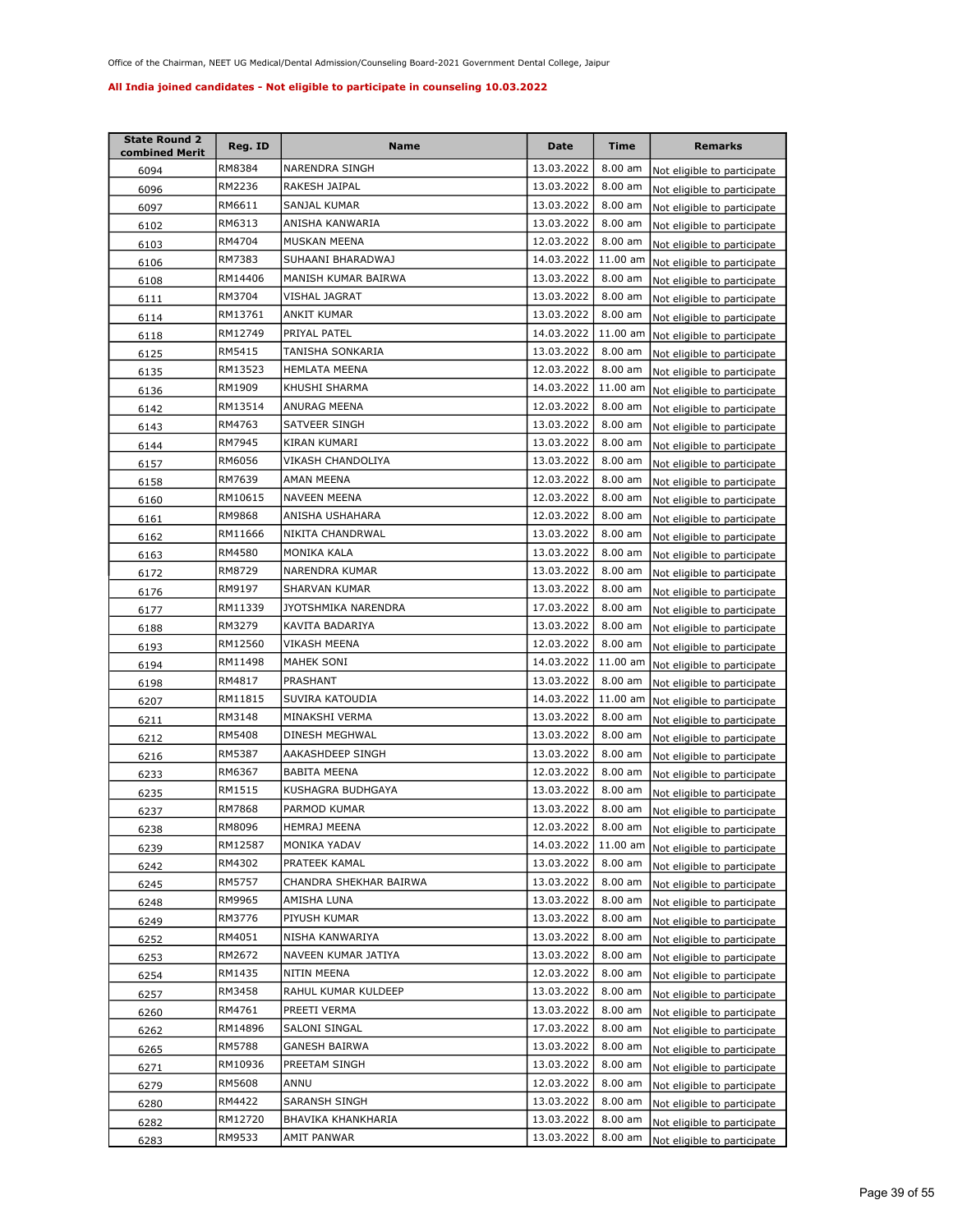| <b>State Round 2</b><br>combined Merit | Reg. ID | Name                   | Date       | <b>Time</b>       | <b>Remarks</b>              |
|----------------------------------------|---------|------------------------|------------|-------------------|-----------------------------|
| 6094                                   | RM8384  | NARENDRA SINGH         | 13.03.2022 | $8.00$ am         | Not eligible to participate |
| 6096                                   | RM2236  | RAKESH JAIPAL          | 13.03.2022 | 8.00 am           | Not eligible to participate |
| 6097                                   | RM6611  | SANJAL KUMAR           | 13.03.2022 | 8.00 am           | Not eligible to participate |
| 6102                                   | RM6313  | ANISHA KANWARIA        | 13.03.2022 | 8.00 am           | Not eligible to participate |
| 6103                                   | RM4704  | MUSKAN MEENA           | 12.03.2022 | 8.00 am           | Not eligible to participate |
| 6106                                   | RM7383  | SUHAANI BHARADWAJ      | 14.03.2022 | 11.00 am          | Not eligible to participate |
| 6108                                   | RM14406 | MANISH KUMAR BAIRWA    | 13.03.2022 | 8.00 am           | Not eligible to participate |
| 6111                                   | RM3704  | VISHAL JAGRAT          | 13.03.2022 | 8.00 am           | Not eligible to participate |
| 6114                                   | RM13761 | ANKIT KUMAR            | 13.03.2022 | 8.00 am           | Not eligible to participate |
| 6118                                   | RM12749 | PRIYAL PATEL           | 14.03.2022 | 11.00 am          | Not eligible to participate |
| 6125                                   | RM5415  | TANISHA SONKARIA       | 13.03.2022 | 8.00 am           | Not eligible to participate |
| 6135                                   | RM13523 | <b>HEMLATA MEENA</b>   | 12.03.2022 | 8.00 am           | Not eligible to participate |
| 6136                                   | RM1909  | KHUSHI SHARMA          | 14.03.2022 | 11.00 am          | Not eligible to participate |
| 6142                                   | RM13514 | ANURAG MEENA           | 12.03.2022 | 8.00 am           | Not eligible to participate |
| 6143                                   | RM4763  | SATVEER SINGH          | 13.03.2022 | 8.00 am           | Not eligible to participate |
| 6144                                   | RM7945  | KIRAN KUMARI           | 13.03.2022 | 8.00 am           | Not eligible to participate |
| 6157                                   | RM6056  | VIKASH CHANDOLIYA      | 13.03.2022 | 8.00 am           | Not eligible to participate |
| 6158                                   | RM7639  | AMAN MEENA             | 12.03.2022 | 8.00 am           | Not eligible to participate |
| 6160                                   | RM10615 | <b>NAVEEN MEENA</b>    | 12.03.2022 | 8.00 am           | Not eligible to participate |
| 6161                                   | RM9868  | ANISHA USHAHARA        | 12.03.2022 | 8.00 am           | Not eligible to participate |
| 6162                                   | RM11666 | NIKITA CHANDRWAL       | 13.03.2022 | 8.00 am           | Not eligible to participate |
| 6163                                   | RM4580  | MONIKA KALA            | 13.03.2022 | 8.00 am           | Not eligible to participate |
| 6172                                   | RM8729  | NARENDRA KUMAR         | 13.03.2022 | 8.00 am           | Not eligible to participate |
| 6176                                   | RM9197  | SHARVAN KUMAR          | 13.03.2022 | 8.00 am           | Not eligible to participate |
| 6177                                   | RM11339 | JYOTSHMIKA NARENDRA    | 17.03.2022 | 8.00 am           | Not eligible to participate |
| 6188                                   | RM3279  | KAVITA BADARIYA        | 13.03.2022 | 8.00 am           | Not eligible to participate |
| 6193                                   | RM12560 | VIKASH MEENA           | 12.03.2022 | 8.00 am           | Not eligible to participate |
| 6194                                   | RM11498 | MAHEK SONI             | 14.03.2022 | 11.00 am          | Not eligible to participate |
| 6198                                   | RM4817  | PRASHANT               | 13.03.2022 | 8.00 am           | Not eligible to participate |
| 6207                                   | RM11815 | SUVIRA KATOUDIA        | 14.03.2022 | 11.00 am          | Not eligible to participate |
| 6211                                   | RM3148  | MINAKSHI VERMA         | 13.03.2022 | 8.00 am           | Not eligible to participate |
| 6212                                   | RM5408  | DINESH MEGHWAL         | 13.03.2022 | 8.00 am           | Not eligible to participate |
| 6216                                   | RM5387  | AAKASHDEEP SINGH       | 13.03.2022 | $8.00$ am         | Not eligible to participate |
| 6233                                   | RM6367  | <b>BABITA MEENA</b>    | 12.03.2022 | 8.00 am           | Not eligible to participate |
| 6235                                   | RM1515  | KUSHAGRA BUDHGAYA      | 13.03.2022 | 8.00 am           | Not eligible to participate |
| 6237                                   | RM7868  | PARMOD KUMAR           | 13.03.2022 | 8.00 am           | Not eligible to participate |
| 6238                                   | RM8096  | HEMRAJ MEENA           | 12.03.2022 | $8.00 \text{ am}$ | Not eligible to participate |
| 6239                                   | RM12587 | MONIKA YADAV           | 14.03.2022 | 11.00 am          | Not eligible to participate |
| 6242                                   | RM4302  | PRATEEK KAMAL          | 13.03.2022 | 8.00 am           | Not eligible to participate |
| 6245                                   | RM5757  | CHANDRA SHEKHAR BAIRWA | 13.03.2022 | 8.00 am           | Not eligible to participate |
| 6248                                   | RM9965  | AMISHA LUNA            | 13.03.2022 | 8.00 am           | Not eligible to participate |
| 6249                                   | RM3776  | PIYUSH KUMAR           | 13.03.2022 | 8.00 am           | Not eligible to participate |
| 6252                                   | RM4051  | NISHA KANWARIYA        | 13.03.2022 | 8.00 am           | Not eligible to participate |
| 6253                                   | RM2672  | NAVEEN KUMAR JATIYA    | 13.03.2022 | 8.00 am           | Not eligible to participate |
| 6254                                   | RM1435  | NITIN MEENA            | 12.03.2022 | 8.00 am           | Not eligible to participate |
| 6257                                   | RM3458  | RAHUL KUMAR KULDEEP    | 13.03.2022 | 8.00 am           | Not eligible to participate |
| 6260                                   | RM4761  | PREETI VERMA           | 13.03.2022 | 8.00 am           | Not eligible to participate |
| 6262                                   | RM14896 | SALONI SINGAL          | 17.03.2022 | 8.00 am           | Not eligible to participate |
| 6265                                   | RM5788  | GANESH BAIRWA          | 13.03.2022 | 8.00 am           | Not eligible to participate |
| 6271                                   | RM10936 | PREETAM SINGH          | 13.03.2022 | 8.00 am           | Not eligible to participate |
| 6279                                   | RM5608  | ANNU                   | 12.03.2022 | 8.00 am           | Not eligible to participate |
| 6280                                   | RM4422  | SARANSH SINGH          | 13.03.2022 | 8.00 am           | Not eligible to participate |
| 6282                                   | RM12720 | BHAVIKA KHANKHARIA     | 13.03.2022 | 8.00 am           | Not eligible to participate |
| 6283                                   | RM9533  | AMIT PANWAR            | 13.03.2022 | 8.00 am           | Not eligible to participate |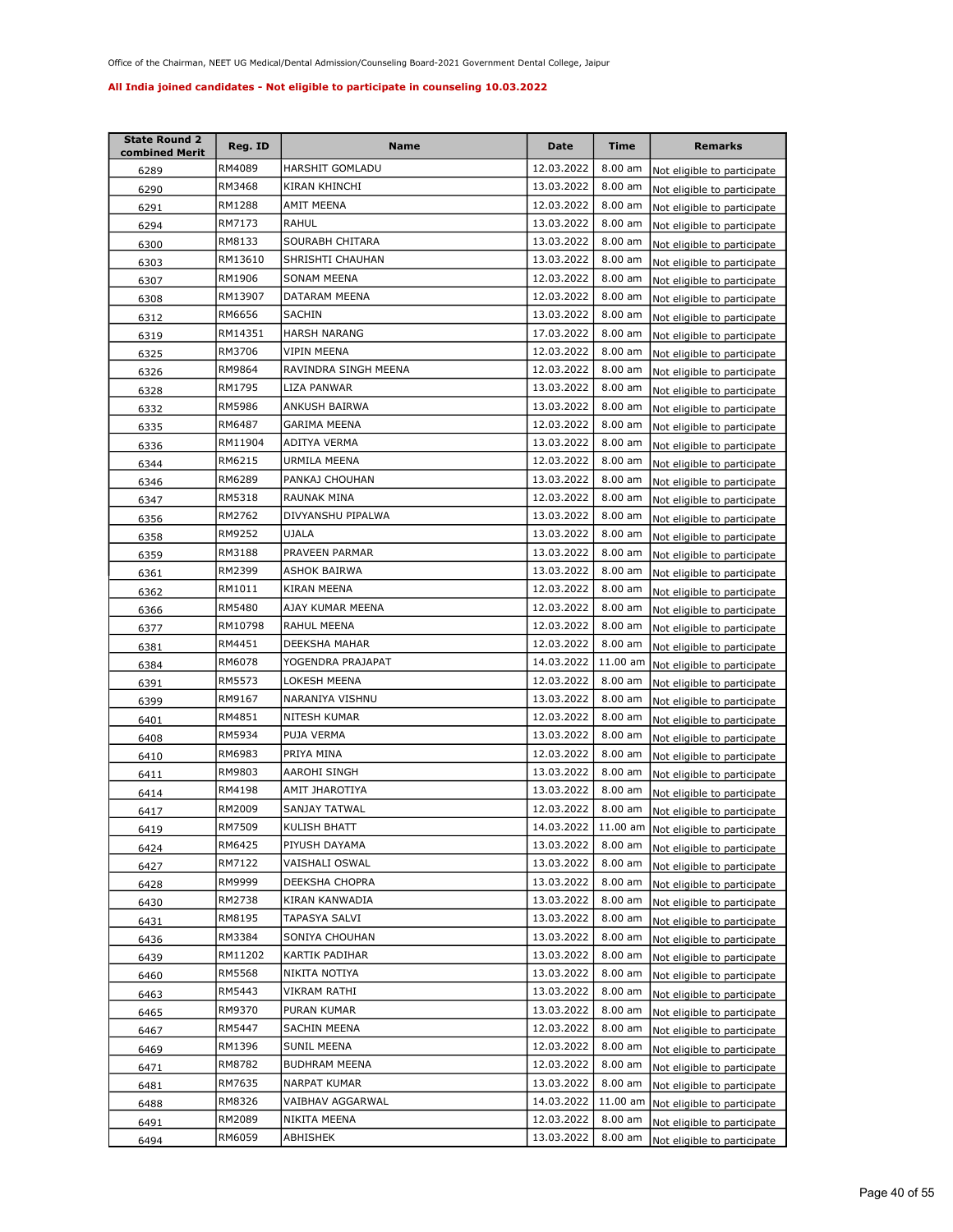| <b>State Round 2</b><br>combined Merit | Reg. ID | Name                 | Date       | Time      | <b>Remarks</b>                       |
|----------------------------------------|---------|----------------------|------------|-----------|--------------------------------------|
| 6289                                   | RM4089  | HARSHIT GOMLADU      | 12.03.2022 | 8.00 am   | Not eligible to participate          |
| 6290                                   | RM3468  | KIRAN KHINCHI        | 13.03.2022 | 8.00 am   | Not eligible to participate          |
| 6291                                   | RM1288  | AMIT MEENA           | 12.03.2022 | 8.00 am   | Not eligible to participate          |
| 6294                                   | RM7173  | RAHUL                | 13.03.2022 | 8.00 am   | Not eligible to participate          |
| 6300                                   | RM8133  | SOURABH CHITARA      | 13.03.2022 | 8.00 am   | Not eligible to participate          |
| 6303                                   | RM13610 | SHRISHTI CHAUHAN     | 13.03.2022 | 8.00 am   | Not eligible to participate          |
| 6307                                   | RM1906  | SONAM MEENA          | 12.03.2022 | 8.00 am   | Not eligible to participate          |
| 6308                                   | RM13907 | DATARAM MEENA        | 12.03.2022 | 8.00 am   | Not eligible to participate          |
| 6312                                   | RM6656  | SACHIN               | 13.03.2022 | 8.00 am   | Not eligible to participate          |
| 6319                                   | RM14351 | <b>HARSH NARANG</b>  | 17.03.2022 | 8.00 am   | Not eligible to participate          |
| 6325                                   | RM3706  | VIPIN MEENA          | 12.03.2022 | 8.00 am   | Not eligible to participate          |
| 6326                                   | RM9864  | RAVINDRA SINGH MEENA | 12.03.2022 | 8.00 am   | Not eligible to participate          |
| 6328                                   | RM1795  | LIZA PANWAR          | 13.03.2022 | 8.00 am   | Not eligible to participate          |
| 6332                                   | RM5986  | ANKUSH BAIRWA        | 13.03.2022 | 8.00 am   | Not eligible to participate          |
| 6335                                   | RM6487  | GARIMA MEENA         | 12.03.2022 | 8.00 am   | Not eligible to participate          |
| 6336                                   | RM11904 | ADITYA VERMA         | 13.03.2022 | 8.00 am   | Not eligible to participate          |
| 6344                                   | RM6215  | URMILA MEENA         | 12.03.2022 | 8.00 am   | Not eligible to participate          |
| 6346                                   | RM6289  | PANKAJ CHOUHAN       | 13.03.2022 | 8.00 am   | Not eligible to participate          |
| 6347                                   | RM5318  | <b>RAUNAK MINA</b>   | 12.03.2022 | 8.00 am   | Not eligible to participate          |
| 6356                                   | RM2762  | DIVYANSHU PIPALWA    | 13.03.2022 | 8.00 am   | Not eligible to participate          |
| 6358                                   | RM9252  | <b>UJALA</b>         | 13.03.2022 | 8.00 am   | Not eligible to participate          |
| 6359                                   | RM3188  | PRAVEEN PARMAR       | 13.03.2022 | 8.00 am   | Not eligible to participate          |
| 6361                                   | RM2399  | ASHOK BAIRWA         | 13.03.2022 | 8.00 am   | Not eligible to participate          |
| 6362                                   | RM1011  | KIRAN MEENA          | 12.03.2022 | 8.00 am   | Not eligible to participate          |
| 6366                                   | RM5480  | AJAY KUMAR MEENA     | 12.03.2022 | 8.00 am   | Not eligible to participate          |
| 6377                                   | RM10798 | RAHUL MEENA          | 12.03.2022 | 8.00 am   | Not eligible to participate          |
| 6381                                   | RM4451  | DEEKSHA MAHAR        | 12.03.2022 | 8.00 am   | Not eligible to participate          |
| 6384                                   | RM6078  | YOGENDRA PRAJAPAT    | 14.03.2022 | 11.00 am  | Not eligible to participate          |
| 6391                                   | RM5573  | LOKESH MEENA         | 12.03.2022 | 8.00 am   | Not eligible to participate          |
| 6399                                   | RM9167  | NARANIYA VISHNU      | 13.03.2022 | $8.00$ am | Not eligible to participate          |
| 6401                                   | RM4851  | NITESH KUMAR         | 12.03.2022 | $8.00$ am | Not eligible to participate          |
| 6408                                   | RM5934  | PUJA VERMA           | 13.03.2022 | 8.00 am   | Not eligible to participate          |
| 6410                                   | RM6983  | PRIYA MINA           | 12.03.2022 | 8.00 am   | Not eligible to participate          |
| 6411                                   | RM9803  | AAROHI SINGH         | 13.03.2022 | 8.00 am   | Not eligible to participate          |
| 6414                                   | RM4198  | AMIT JHAROTIYA       | 13.03.2022 | 8.00 am   | Not eligible to participate          |
| 6417                                   | RM2009  | SANJAY TATWAL        | 12.03.2022 | 8.00 am   | Not eligible to participate          |
| 6419                                   | RM7509  | KULISH BHATT         | 14.03.2022 |           | 11.00 am Not eligible to participate |
| 6424                                   | RM6425  | PIYUSH DAYAMA        | 13.03.2022 | 8.00 am   | Not eligible to participate          |
| 6427                                   | RM7122  | VAISHALI OSWAL       | 13.03.2022 | 8.00 am   | Not eligible to participate          |
| 6428                                   | RM9999  | DEEKSHA CHOPRA       | 13.03.2022 | 8.00 am   | Not eligible to participate          |
| 6430                                   | RM2738  | KIRAN KANWADIA       | 13.03.2022 | 8.00 am   | Not eligible to participate          |
| 6431                                   | RM8195  | TAPASYA SALVI        | 13.03.2022 | 8.00 am   | Not eligible to participate          |
| 6436                                   | RM3384  | SONIYA CHOUHAN       | 13.03.2022 | 8.00 am   | Not eligible to participate          |
| 6439                                   | RM11202 | KARTIK PADIHAR       | 13.03.2022 | 8.00 am   | Not eligible to participate          |
| 6460                                   | RM5568  | NIKITA NOTIYA        | 13.03.2022 | 8.00 am   | Not eligible to participate          |
| 6463                                   | RM5443  | VIKRAM RATHI         | 13.03.2022 | 8.00 am   | Not eligible to participate          |
| 6465                                   | RM9370  | PURAN KUMAR          | 13.03.2022 | 8.00 am   | Not eligible to participate          |
| 6467                                   | RM5447  | SACHIN MEENA         | 12.03.2022 | 8.00 am   | Not eligible to participate          |
| 6469                                   | RM1396  | SUNIL MEENA          | 12.03.2022 | 8.00 am   | Not eligible to participate          |
| 6471                                   | RM8782  | BUDHRAM MEENA        | 12.03.2022 | 8.00 am   | Not eligible to participate          |
| 6481                                   | RM7635  | NARPAT KUMAR         | 13.03.2022 | 8.00 am   | Not eligible to participate          |
| 6488                                   | RM8326  | VAIBHAV AGGARWAL     | 14.03.2022 | 11.00 am  | Not eligible to participate          |
| 6491                                   | RM2089  | NIKITA MEENA         | 12.03.2022 | 8.00 am   | Not eligible to participate          |
| 6494                                   | RM6059  | ABHISHEK             | 13.03.2022 | 8.00 am   | Not eligible to participate          |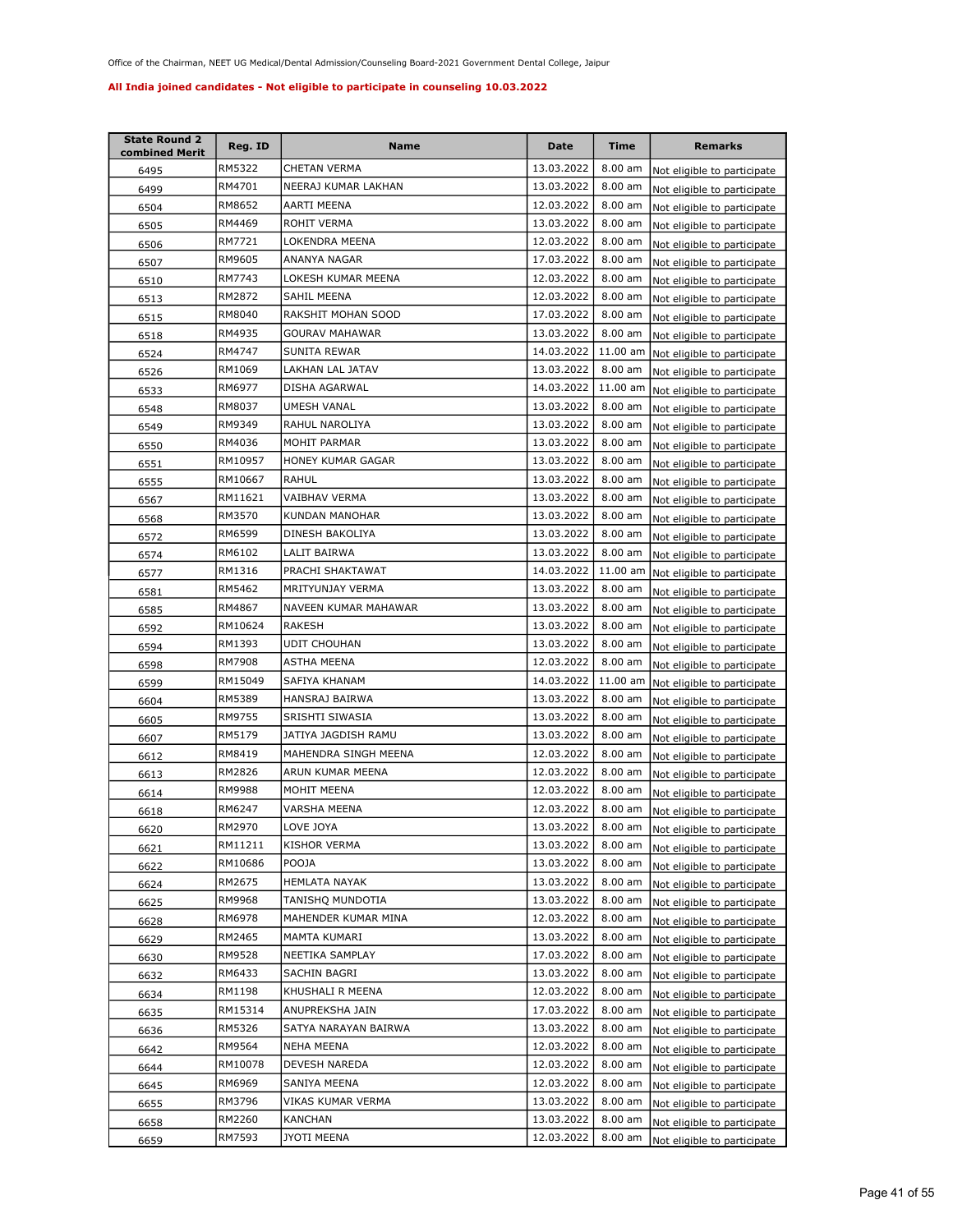| <b>State Round 2</b><br>combined Merit | Reg. ID | <b>Name</b>           | <b>Date</b> | <b>Time</b>       | <b>Remarks</b>              |
|----------------------------------------|---------|-----------------------|-------------|-------------------|-----------------------------|
| 6495                                   | RM5322  | CHETAN VERMA          | 13.03.2022  | 8.00 am           | Not eligible to participate |
| 6499                                   | RM4701  | NEERAJ KUMAR LAKHAN   | 13.03.2022  | 8.00 am           | Not eligible to participate |
| 6504                                   | RM8652  | AARTI MEENA           | 12.03.2022  | 8.00 am           | Not eligible to participate |
| 6505                                   | RM4469  | ROHIT VERMA           | 13.03.2022  | 8.00 am           | Not eligible to participate |
| 6506                                   | RM7721  | LOKENDRA MEENA        | 12.03.2022  | 8.00 am           | Not eligible to participate |
| 6507                                   | RM9605  | ANANYA NAGAR          | 17.03.2022  | 8.00 am           | Not eligible to participate |
| 6510                                   | RM7743  | LOKESH KUMAR MEENA    | 12.03.2022  | 8.00 am           | Not eligible to participate |
| 6513                                   | RM2872  | SAHIL MEENA           | 12.03.2022  | 8.00 am           | Not eligible to participate |
| 6515                                   | RM8040  | RAKSHIT MOHAN SOOD    | 17.03.2022  | 8.00 am           | Not eligible to participate |
| 6518                                   | RM4935  | GOURAV MAHAWAR        | 13.03.2022  | 8.00 am           | Not eligible to participate |
| 6524                                   | RM4747  | SUNITA REWAR          | 14.03.2022  | 11.00 am          | Not eligible to participate |
| 6526                                   | RM1069  | LAKHAN LAL JATAV      | 13.03.2022  | 8.00 am           | Not eligible to participate |
| 6533                                   | RM6977  | DISHA AGARWAL         | 14.03.2022  | 11.00 am          | Not eligible to participate |
| 6548                                   | RM8037  | UMESH VANAL           | 13.03.2022  | 8.00 am           | Not eligible to participate |
| 6549                                   | RM9349  | RAHUL NAROLIYA        | 13.03.2022  | 8.00 am           | Not eligible to participate |
| 6550                                   | RM4036  | <b>MOHIT PARMAR</b>   | 13.03.2022  | 8.00 am           | Not eligible to participate |
| 6551                                   | RM10957 | HONEY KUMAR GAGAR     | 13.03.2022  | 8.00 am           | Not eligible to participate |
| 6555                                   | RM10667 | RAHUL                 | 13.03.2022  | 8.00 am           | Not eligible to participate |
| 6567                                   | RM11621 | VAIBHAV VERMA         | 13.03.2022  | 8.00 am           | Not eligible to participate |
| 6568                                   | RM3570  | <b>KUNDAN MANOHAR</b> | 13.03.2022  | 8.00 am           | Not eligible to participate |
| 6572                                   | RM6599  | DINESH BAKOLIYA       | 13.03.2022  | 8.00 am           | Not eligible to participate |
| 6574                                   | RM6102  | LALIT BAIRWA          | 13.03.2022  | 8.00 am           | Not eligible to participate |
| 6577                                   | RM1316  | PRACHI SHAKTAWAT      | 14.03.2022  | 11.00 am          | Not eligible to participate |
| 6581                                   | RM5462  | MRITYUNJAY VERMA      | 13.03.2022  | 8.00 am           | Not eligible to participate |
| 6585                                   | RM4867  | NAVEEN KUMAR MAHAWAR  | 13.03.2022  | $8.00$ am         | Not eligible to participate |
| 6592                                   | RM10624 | <b>RAKESH</b>         | 13.03.2022  | 8.00 am           | Not eligible to participate |
| 6594                                   | RM1393  | <b>UDIT CHOUHAN</b>   | 13.03.2022  | 8.00 am           | Not eligible to participate |
| 6598                                   | RM7908  | ASTHA MEENA           | 12.03.2022  | 8.00 am           | Not eligible to participate |
| 6599                                   | RM15049 | SAFIYA KHANAM         | 14.03.2022  | 11.00 am          | Not eligible to participate |
| 6604                                   | RM5389  | HANSRAJ BAIRWA        | 13.03.2022  | 8.00 am           | Not eligible to participate |
| 6605                                   | RM9755  | SRISHTI SIWASIA       | 13.03.2022  | 8.00 am           | Not eligible to participate |
| 6607                                   | RM5179  | JATIYA JAGDISH RAMU   | 13.03.2022  | 8.00 am           | Not eligible to participate |
| 6612                                   | RM8419  | MAHENDRA SINGH MEENA  | 12.03.2022  | 8.00 am           | Not eligible to participate |
| 6613                                   | RM2826  | ARUN KUMAR MEENA      | 12.03.2022  | 8.00 am           | Not eligible to participate |
| 6614                                   | RM9988  | MOHIT MEENA           | 12.03.2022  | 8.00 am           | Not eligible to participate |
| 6618                                   | RM6247  | VARSHA MEENA          | 12.03.2022  | 8.00 am           | Not eligible to participate |
| 6620                                   | RM2970  | LOVE JOYA             | 13.03.2022  | $8.00 \text{ am}$ | Not eligible to participate |
| 6621                                   | RM11211 | <b>KISHOR VERMA</b>   | 13.03.2022  | 8.00 am           | Not eligible to participate |
| 6622                                   | RM10686 | POOJA                 | 13.03.2022  | 8.00 am           | Not eligible to participate |
| 6624                                   | RM2675  | <b>HEMLATA NAYAK</b>  | 13.03.2022  | 8.00 am           | Not eligible to participate |
| 6625                                   | RM9968  | TANISHQ MUNDOTIA      | 13.03.2022  | 8.00 am           | Not eligible to participate |
| 6628                                   | RM6978  | MAHENDER KUMAR MINA   | 12.03.2022  | 8.00 am           | Not eligible to participate |
| 6629                                   | RM2465  | MAMTA KUMARI          | 13.03.2022  | 8.00 am           | Not eligible to participate |
| 6630                                   | RM9528  | NEETIKA SAMPLAY       | 17.03.2022  | 8.00 am           | Not eligible to participate |
| 6632                                   | RM6433  | SACHIN BAGRI          | 13.03.2022  | 8.00 am           | Not eligible to participate |
| 6634                                   | RM1198  | KHUSHALI R MEENA      | 12.03.2022  | 8.00 am           | Not eligible to participate |
| 6635                                   | RM15314 | ANUPREKSHA JAIN       | 17.03.2022  | 8.00 am           | Not eligible to participate |
| 6636                                   | RM5326  | SATYA NARAYAN BAIRWA  | 13.03.2022  | 8.00 am           | Not eligible to participate |
| 6642                                   | RM9564  | NEHA MEENA            | 12.03.2022  | 8.00 am           | Not eligible to participate |
| 6644                                   | RM10078 | DEVESH NAREDA         | 12.03.2022  | 8.00 am           | Not eligible to participate |
| 6645                                   | RM6969  | SANIYA MEENA          | 12.03.2022  | 8.00 am           | Not eligible to participate |
| 6655                                   | RM3796  | VIKAS KUMAR VERMA     | 13.03.2022  | 8.00 am           | Not eligible to participate |
| 6658                                   | RM2260  | KANCHAN               | 13.03.2022  | 8.00 am           | Not eligible to participate |
| 6659                                   | RM7593  | JYOTI MEENA           | 12.03.2022  | 8.00 am           | Not eligible to participate |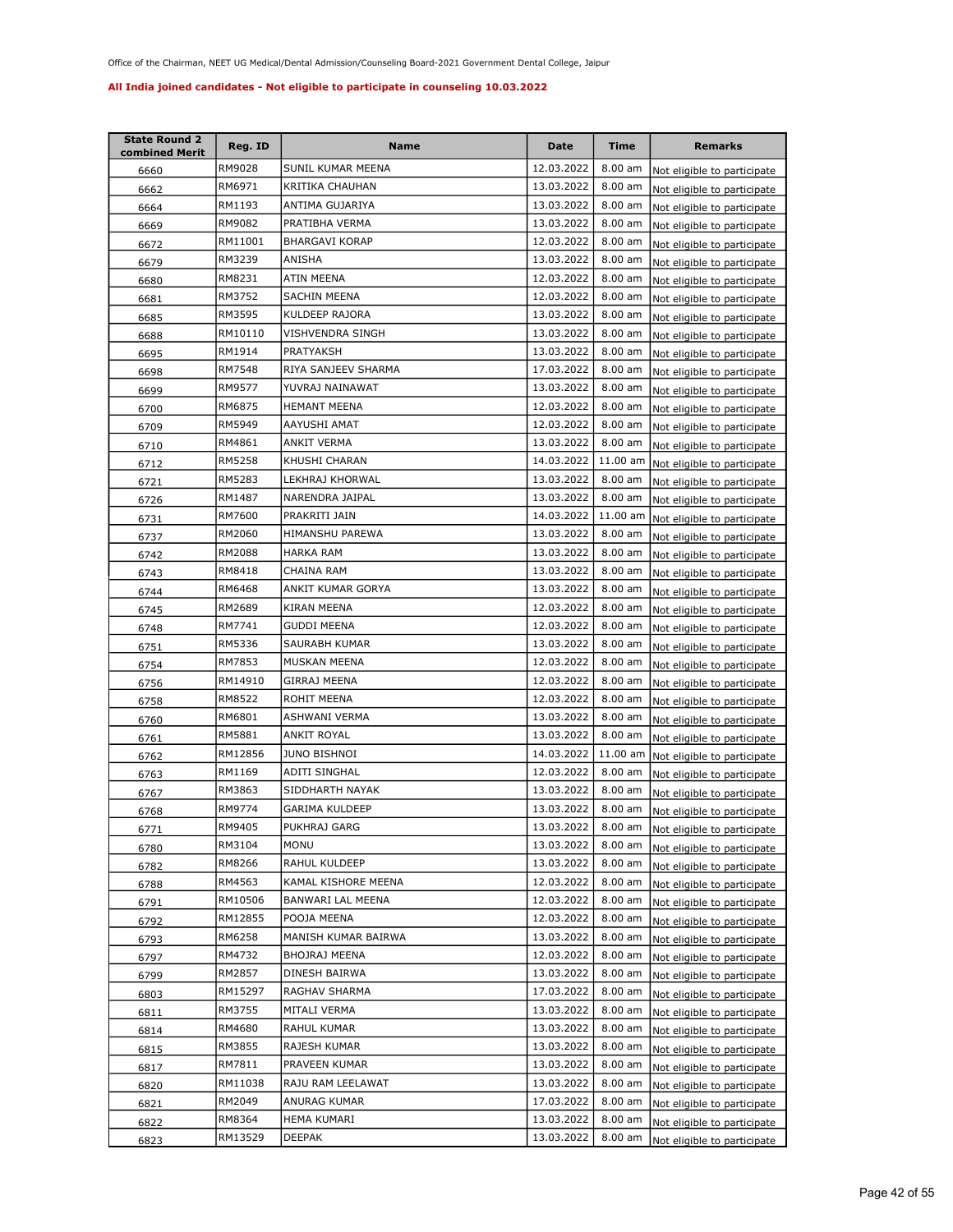| <b>State Round 2</b><br>combined Merit | Reg. ID | <b>Name</b>           | Date       | <b>Time</b> | <b>Remarks</b>              |
|----------------------------------------|---------|-----------------------|------------|-------------|-----------------------------|
| 6660                                   | RM9028  | SUNIL KUMAR MEENA     | 12.03.2022 | $8.00$ am   | Not eligible to participate |
| 6662                                   | RM6971  | KRITIKA CHAUHAN       | 13.03.2022 | 8.00 am     | Not eligible to participate |
| 6664                                   | RM1193  | ANTIMA GUJARIYA       | 13.03.2022 | 8.00 am     | Not eligible to participate |
| 6669                                   | RM9082  | PRATIBHA VERMA        | 13.03.2022 | 8.00 am     | Not eligible to participate |
| 6672                                   | RM11001 | <b>BHARGAVI KORAP</b> | 12.03.2022 | 8.00 am     | Not eligible to participate |
| 6679                                   | RM3239  | ANISHA                | 13.03.2022 | 8.00 am     | Not eligible to participate |
| 6680                                   | RM8231  | ATIN MEENA            | 12.03.2022 | 8.00 am     | Not eligible to participate |
| 6681                                   | RM3752  | SACHIN MEENA          | 12.03.2022 | 8.00 am     | Not eligible to participate |
| 6685                                   | RM3595  | KULDEEP RAJORA        | 13.03.2022 | 8.00 am     | Not eligible to participate |
| 6688                                   | RM10110 | VISHVENDRA SINGH      | 13.03.2022 | 8.00 am     | Not eligible to participate |
| 6695                                   | RM1914  | PRATYAKSH             | 13.03.2022 | 8.00 am     | Not eligible to participate |
| 6698                                   | RM7548  | RIYA SANJEEV SHARMA   | 17.03.2022 | 8.00 am     | Not eligible to participate |
| 6699                                   | RM9577  | YUVRAJ NAINAWAT       | 13.03.2022 | 8.00 am     | Not eligible to participate |
| 6700                                   | RM6875  | <b>HEMANT MEENA</b>   | 12.03.2022 | 8.00 am     | Not eligible to participate |
| 6709                                   | RM5949  | AAYUSHI AMAT          | 12.03.2022 | 8.00 am     | Not eligible to participate |
| 6710                                   | RM4861  | ANKIT VERMA           | 13.03.2022 | $8.00$ am   | Not eligible to participate |
| 6712                                   | RM5258  | KHUSHI CHARAN         | 14.03.2022 | 11.00 am    | Not eligible to participate |
| 6721                                   | RM5283  | LEKHRAJ KHORWAL       | 13.03.2022 | 8.00 am     | Not eligible to participate |
| 6726                                   | RM1487  | NARENDRA JAIPAL       | 13.03.2022 | 8.00 am     | Not eligible to participate |
| 6731                                   | RM7600  | PRAKRITI JAIN         | 14.03.2022 | 11.00 am    | Not eligible to participate |
| 6737                                   | RM2060  | HIMANSHU PAREWA       | 13.03.2022 | 8.00 am     | Not eligible to participate |
| 6742                                   | RM2088  | HARKA RAM             | 13.03.2022 | 8.00 am     | Not eligible to participate |
| 6743                                   | RM8418  | CHAINA RAM            | 13.03.2022 | 8.00 am     | Not eligible to participate |
| 6744                                   | RM6468  | ANKIT KUMAR GORYA     | 13.03.2022 | 8.00 am     | Not eligible to participate |
| 6745                                   | RM2689  | KIRAN MEENA           | 12.03.2022 | $8.00$ am   | Not eligible to participate |
| 6748                                   | RM7741  | GUDDI MEENA           | 12.03.2022 | $8.00$ am   | Not eligible to participate |
| 6751                                   | RM5336  | SAURABH KUMAR         | 13.03.2022 | 8.00 am     | Not eligible to participate |
| 6754                                   | RM7853  | MUSKAN MEENA          | 12.03.2022 | 8.00 am     | Not eligible to participate |
| 6756                                   | RM14910 | GIRRAJ MEENA          | 12.03.2022 | 8.00 am     | Not eligible to participate |
| 6758                                   | RM8522  | ROHIT MEENA           | 12.03.2022 | 8.00 am     | Not eligible to participate |
| 6760                                   | RM6801  | ASHWANI VERMA         | 13.03.2022 | 8.00 am     | Not eligible to participate |
| 6761                                   | RM5881  | <b>ANKIT ROYAL</b>    | 13.03.2022 | 8.00 am     | Not eligible to participate |
| 6762                                   | RM12856 | <b>JUNO BISHNOI</b>   | 14.03.2022 | 11.00 am    | Not eligible to participate |
| 6763                                   | RM1169  | <b>ADITI SINGHAL</b>  | 12.03.2022 | 8.00 am     | Not eligible to participate |
| 6767                                   | RM3863  | SIDDHARTH NAYAK       | 13.03.2022 | 8.00 am     | Not eligible to participate |
| 6768                                   | RM9774  | <b>GARIMA KULDEEP</b> | 13.03.2022 | 8.00 am     | Not eligible to participate |
| 6771                                   | RM9405  | PUKHRAJ GARG          | 13.03.2022 | 8.00 am     | Not eligible to participate |
| 6780                                   | RM3104  | MONU                  | 13.03.2022 | 8.00 am     | Not eligible to participate |
| 6782                                   | RM8266  | RAHUL KULDEEP         | 13.03.2022 | 8.00 am     | Not eligible to participate |
| 6788                                   | RM4563  | KAMAL KISHORE MEENA   | 12.03.2022 | 8.00 am     | Not eligible to participate |
| 6791                                   | RM10506 | BANWARI LAL MEENA     | 12.03.2022 | 8.00 am     | Not eligible to participate |
| 6792                                   | RM12855 | POOJA MEENA           | 12.03.2022 | 8.00 am     | Not eligible to participate |
| 6793                                   | RM6258  | MANISH KUMAR BAIRWA   | 13.03.2022 | 8.00 am     | Not eligible to participate |
| 6797                                   | RM4732  | BHOJRAJ MEENA         | 12.03.2022 | 8.00 am     | Not eligible to participate |
| 6799                                   | RM2857  | DINESH BAIRWA         | 13.03.2022 | 8.00 am     | Not eligible to participate |
| 6803                                   | RM15297 | RAGHAV SHARMA         | 17.03.2022 | 8.00 am     | Not eligible to participate |
| 6811                                   | RM3755  | MITALI VERMA          | 13.03.2022 | 8.00 am     | Not eligible to participate |
| 6814                                   | RM4680  | RAHUL KUMAR           | 13.03.2022 | 8.00 am     | Not eligible to participate |
| 6815                                   | RM3855  | RAJESH KUMAR          | 13.03.2022 | 8.00 am     | Not eligible to participate |
| 6817                                   | RM7811  | PRAVEEN KUMAR         | 13.03.2022 | 8.00 am     | Not eligible to participate |
| 6820                                   | RM11038 | RAJU RAM LEELAWAT     | 13.03.2022 | 8.00 am     | Not eligible to participate |
| 6821                                   | RM2049  | ANURAG KUMAR          | 17.03.2022 | 8.00 am     | Not eligible to participate |
| 6822                                   | RM8364  | HEMA KUMARI           | 13.03.2022 | 8.00 am     | Not eligible to participate |
| 6823                                   | RM13529 | DEEPAK                | 13.03.2022 | 8.00 am     | Not eligible to participate |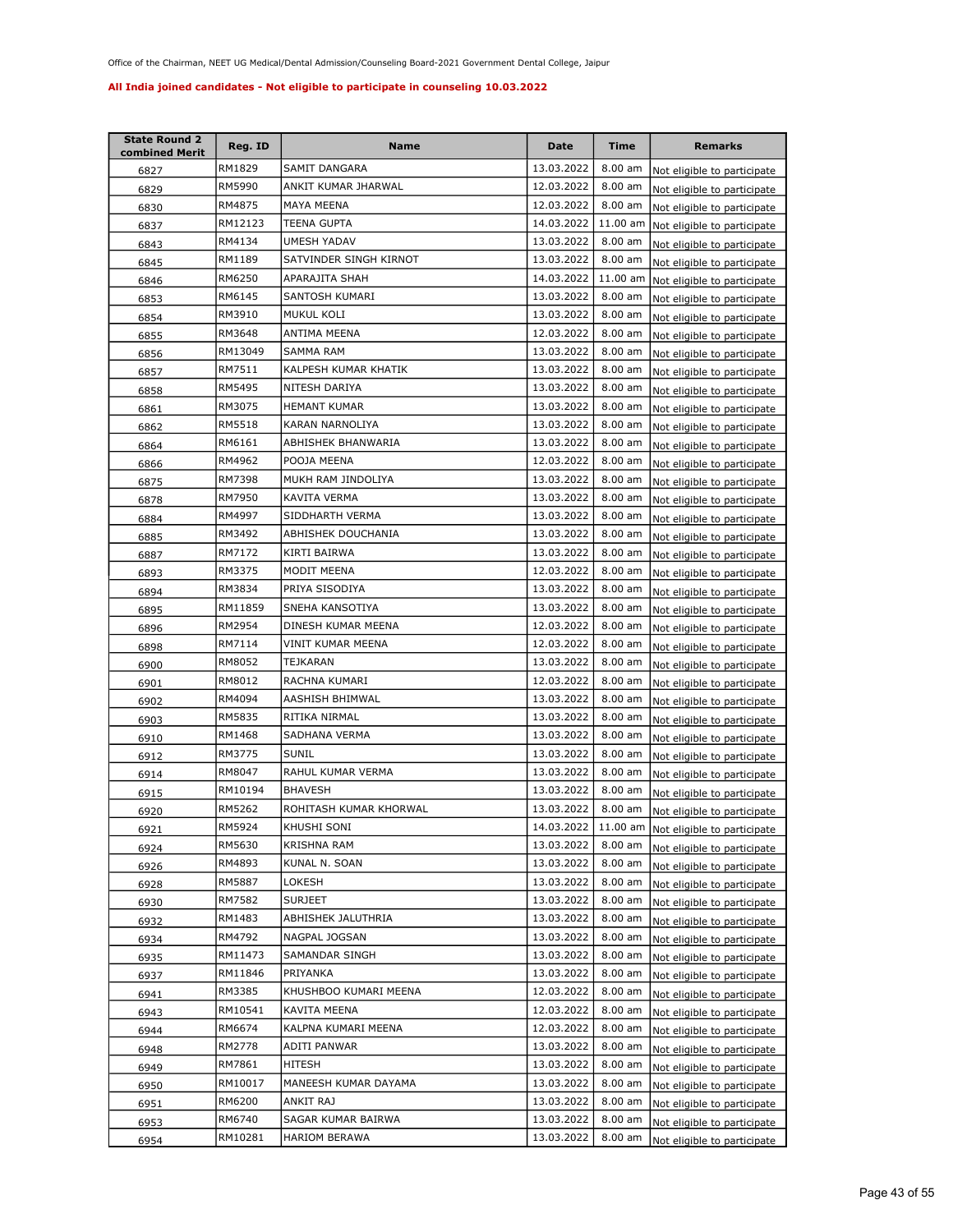| <b>State Round 2</b><br>combined Merit | Reg. ID | Name                   | Date       | <b>Time</b> | <b>Remarks</b>                       |
|----------------------------------------|---------|------------------------|------------|-------------|--------------------------------------|
| 6827                                   | RM1829  | SAMIT DANGARA          | 13.03.2022 | $8.00$ am   | Not eligible to participate          |
| 6829                                   | RM5990  | ANKIT KUMAR JHARWAL    | 12.03.2022 | 8.00 am     | Not eligible to participate          |
| 6830                                   | RM4875  | MAYA MEENA             | 12.03.2022 | 8.00 am     | Not eligible to participate          |
| 6837                                   | RM12123 | TEENA GUPTA            | 14.03.2022 | 11.00 am    | Not eligible to participate          |
| 6843                                   | RM4134  | UMESH YADAV            | 13.03.2022 | 8.00 am     | Not eligible to participate          |
| 6845                                   | RM1189  | SATVINDER SINGH KIRNOT | 13.03.2022 | 8.00 am     | Not eligible to participate          |
| 6846                                   | RM6250  | APARAJITA SHAH         | 14.03.2022 | 11.00 am    | Not eligible to participate          |
| 6853                                   | RM6145  | SANTOSH KUMARI         | 13.03.2022 | 8.00 am     | Not eligible to participate          |
| 6854                                   | RM3910  | MUKUL KOLI             | 13.03.2022 | $8.00$ am   | Not eligible to participate          |
| 6855                                   | RM3648  | ANTIMA MEENA           | 12.03.2022 | 8.00 am     | Not eligible to participate          |
| 6856                                   | RM13049 | SAMMA RAM              | 13.03.2022 | 8.00 am     | Not eligible to participate          |
| 6857                                   | RM7511  | KALPESH KUMAR KHATIK   | 13.03.2022 | $8.00$ am   | Not eligible to participate          |
| 6858                                   | RM5495  | NITESH DARIYA          | 13.03.2022 | 8.00 am     | Not eligible to participate          |
| 6861                                   | RM3075  | <b>HEMANT KUMAR</b>    | 13.03.2022 | 8.00 am     | Not eligible to participate          |
| 6862                                   | RM5518  | KARAN NARNOLIYA        | 13.03.2022 | 8.00 am     | Not eligible to participate          |
| 6864                                   | RM6161  | ABHISHEK BHANWARIA     | 13.03.2022 | 8.00 am     | Not eligible to participate          |
| 6866                                   | RM4962  | POOJA MEENA            | 12.03.2022 | 8.00 am     | Not eligible to participate          |
| 6875                                   | RM7398  | MUKH RAM JINDOLIYA     | 13.03.2022 | 8.00 am     | Not eligible to participate          |
| 6878                                   | RM7950  | KAVITA VERMA           | 13.03.2022 | 8.00 am     | Not eligible to participate          |
| 6884                                   | RM4997  | SIDDHARTH VERMA        | 13.03.2022 | $8.00$ am   | Not eligible to participate          |
| 6885                                   | RM3492  | ABHISHEK DOUCHANIA     | 13.03.2022 | 8.00 am     | Not eligible to participate          |
| 6887                                   | RM7172  | KIRTI BAIRWA           | 13.03.2022 | 8.00 am     | Not eligible to participate          |
| 6893                                   | RM3375  | MODIT MEENA            | 12.03.2022 | 8.00 am     | Not eligible to participate          |
| 6894                                   | RM3834  | PRIYA SISODIYA         | 13.03.2022 | 8.00 am     | Not eligible to participate          |
| 6895                                   | RM11859 | SNEHA KANSOTIYA        | 13.03.2022 | $8.00$ am   | Not eligible to participate          |
| 6896                                   | RM2954  | DINESH KUMAR MEENA     | 12.03.2022 | 8.00 am     | Not eligible to participate          |
| 6898                                   | RM7114  | VINIT KUMAR MEENA      | 12.03.2022 | $8.00$ am   | Not eligible to participate          |
| 6900                                   | RM8052  | TEJKARAN               | 13.03.2022 | 8.00 am     | Not eligible to participate          |
| 6901                                   | RM8012  | RACHNA KUMARI          | 12.03.2022 | 8.00 am     | Not eligible to participate          |
| 6902                                   | RM4094  | AASHISH BHIMWAL        | 13.03.2022 | 8.00 am     | Not eligible to participate          |
| 6903                                   | RM5835  | RITIKA NIRMAL          | 13.03.2022 | 8.00 am     | Not eligible to participate          |
| 6910                                   | RM1468  | SADHANA VERMA          | 13.03.2022 | 8.00 am     | Not eligible to participate          |
| 6912                                   | RM3775  | <b>SUNIL</b>           | 13.03.2022 | 8.00 am     | Not eligible to participate          |
| 6914                                   | RM8047  | RAHUL KUMAR VERMA      | 13.03.2022 | 8.00 am     | Not eligible to participate          |
| 6915                                   | RM10194 | <b>BHAVESH</b>         | 13.03.2022 | 8.00 am     | Not eligible to participate          |
| 6920                                   | RM5262  | ROHITASH KUMAR KHORWAL | 13.03.2022 | 8.00 am     | Not eligible to participate          |
| 6921                                   | RM5924  | KHUSHI SONI            | 14.03.2022 |             | 11.00 am Not eligible to participate |
| 6924                                   | RM5630  | KRISHNA RAM            | 13.03.2022 | 8.00 am     | Not eligible to participate          |
| 6926                                   | RM4893  | KUNAL N. SOAN          | 13.03.2022 | 8.00 am     | Not eligible to participate          |
| 6928                                   | RM5887  | LOKESH                 | 13.03.2022 | 8.00 am     | Not eligible to participate          |
| 6930                                   | RM7582  | <b>SURJEET</b>         | 13.03.2022 | 8.00 am     | Not eligible to participate          |
| 6932                                   | RM1483  | ABHISHEK JALUTHRIA     | 13.03.2022 | 8.00 am     | Not eligible to participate          |
| 6934                                   | RM4792  | NAGPAL JOGSAN          | 13.03.2022 | 8.00 am     | Not eligible to participate          |
| 6935                                   | RM11473 | SAMANDAR SINGH         | 13.03.2022 | 8.00 am     | Not eligible to participate          |
| 6937                                   | RM11846 | PRIYANKA               | 13.03.2022 | 8.00 am     | Not eligible to participate          |
| 6941                                   | RM3385  | KHUSHBOO KUMARI MEENA  | 12.03.2022 | 8.00 am     | Not eligible to participate          |
| 6943                                   | RM10541 | KAVITA MEENA           | 12.03.2022 | 8.00 am     | Not eligible to participate          |
| 6944                                   | RM6674  | KALPNA KUMARI MEENA    | 12.03.2022 | 8.00 am     | Not eligible to participate          |
| 6948                                   | RM2778  | ADITI PANWAR           | 13.03.2022 | 8.00 am     | Not eligible to participate          |
| 6949                                   | RM7861  | HITESH                 | 13.03.2022 | 8.00 am     | Not eligible to participate          |
| 6950                                   | RM10017 | MANEESH KUMAR DAYAMA   | 13.03.2022 | 8.00 am     | Not eligible to participate          |
| 6951                                   | RM6200  | ANKIT RAJ              | 13.03.2022 | 8.00 am     | Not eligible to participate          |
| 6953                                   | RM6740  | SAGAR KUMAR BAIRWA     | 13.03.2022 | 8.00 am     | Not eligible to participate          |
| 6954                                   | RM10281 | HARIOM BERAWA          | 13.03.2022 | $8.00$ am   | Not eligible to participate          |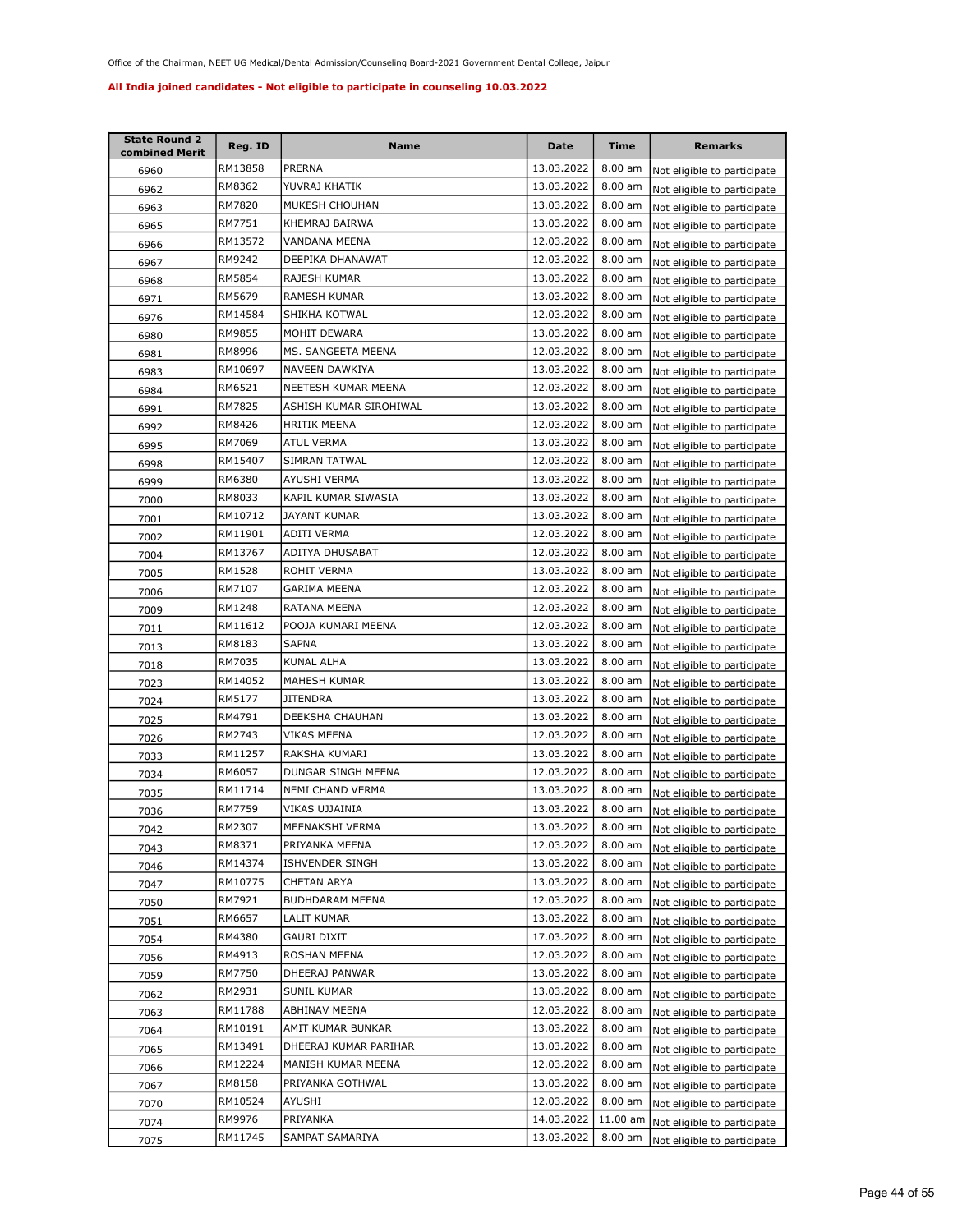| <b>State Round 2</b><br>combined Merit | Reg. ID | Name                   | Date       | <b>Time</b> | <b>Remarks</b>              |
|----------------------------------------|---------|------------------------|------------|-------------|-----------------------------|
| 6960                                   | RM13858 | PRERNA                 | 13.03.2022 | $8.00$ am   | Not eligible to participate |
| 6962                                   | RM8362  | YUVRAJ KHATIK          | 13.03.2022 | 8.00 am     | Not eligible to participate |
| 6963                                   | RM7820  | MUKESH CHOUHAN         | 13.03.2022 | 8.00 am     | Not eligible to participate |
| 6965                                   | RM7751  | KHEMRAJ BAIRWA         | 13.03.2022 | 8.00 am     | Not eligible to participate |
| 6966                                   | RM13572 | VANDANA MEENA          | 12.03.2022 | 8.00 am     | Not eligible to participate |
| 6967                                   | RM9242  | DEEPIKA DHANAWAT       | 12.03.2022 | 8.00 am     | Not eligible to participate |
| 6968                                   | RM5854  | RAJESH KUMAR           | 13.03.2022 | 8.00 am     | Not eligible to participate |
| 6971                                   | RM5679  | RAMESH KUMAR           | 13.03.2022 | 8.00 am     | Not eligible to participate |
| 6976                                   | RM14584 | SHIKHA KOTWAL          | 12.03.2022 | 8.00 am     | Not eligible to participate |
| 6980                                   | RM9855  | MOHIT DEWARA           | 13.03.2022 | 8.00 am     | Not eligible to participate |
| 6981                                   | RM8996  | MS. SANGEETA MEENA     | 12.03.2022 | 8.00 am     | Not eligible to participate |
| 6983                                   | RM10697 | NAVEEN DAWKIYA         | 13.03.2022 | 8.00 am     | Not eligible to participate |
| 6984                                   | RM6521  | NEETESH KUMAR MEENA    | 12.03.2022 | 8.00 am     | Not eligible to participate |
| 6991                                   | RM7825  | ASHISH KUMAR SIROHIWAL | 13.03.2022 | 8.00 am     | Not eligible to participate |
| 6992                                   | RM8426  | HRITIK MEENA           | 12.03.2022 | 8.00 am     | Not eligible to participate |
| 6995                                   | RM7069  | ATUL VERMA             | 13.03.2022 | 8.00 am     | Not eligible to participate |
| 6998                                   | RM15407 | SIMRAN TATWAL          | 12.03.2022 | 8.00 am     | Not eligible to participate |
| 6999                                   | RM6380  | AYUSHI VERMA           | 13.03.2022 | 8.00 am     | Not eligible to participate |
| 7000                                   | RM8033  | KAPIL KUMAR SIWASIA    | 13.03.2022 | 8.00 am     | Not eligible to participate |
| 7001                                   | RM10712 | <b>JAYANT KUMAR</b>    | 13.03.2022 | 8.00 am     | Not eligible to participate |
| 7002                                   | RM11901 | ADITI VERMA            | 12.03.2022 | 8.00 am     | Not eligible to participate |
| 7004                                   | RM13767 | ADITYA DHUSABAT        | 12.03.2022 | 8.00 am     | Not eligible to participate |
| 7005                                   | RM1528  | ROHIT VERMA            | 13.03.2022 | 8.00 am     | Not eligible to participate |
| 7006                                   | RM7107  | GARIMA MEENA           | 12.03.2022 | 8.00 am     | Not eligible to participate |
| 7009                                   | RM1248  | RATANA MEENA           | 12.03.2022 | $8.00$ am   | Not eligible to participate |
| 7011                                   | RM11612 | POOJA KUMARI MEENA     | 12.03.2022 | 8.00 am     | Not eligible to participate |
| 7013                                   | RM8183  | <b>SAPNA</b>           | 13.03.2022 | 8.00 am     | Not eligible to participate |
| 7018                                   | RM7035  | KUNAL ALHA             | 13.03.2022 | 8.00 am     | Not eligible to participate |
| 7023                                   | RM14052 | MAHESH KUMAR           | 13.03.2022 | 8.00 am     | Not eligible to participate |
| 7024                                   | RM5177  | <b>JITENDRA</b>        | 13.03.2022 | 8.00 am     | Not eligible to participate |
| 7025                                   | RM4791  | DEEKSHA CHAUHAN        | 13.03.2022 | 8.00 am     | Not eligible to participate |
| 7026                                   | RM2743  | <b>VIKAS MEENA</b>     | 12.03.2022 | 8.00 am     | Not eligible to participate |
| 7033                                   | RM11257 | RAKSHA KUMARI          | 13.03.2022 | $8.00$ am   | Not eligible to participate |
| 7034                                   | RM6057  | DUNGAR SINGH MEENA     | 12.03.2022 | 8.00 am     | Not eligible to participate |
| 7035                                   | RM11714 | NEMI CHAND VERMA       | 13.03.2022 | 8.00 am     | Not eligible to participate |
| 7036                                   | RM7759  | VIKAS UJJAINIA         | 13.03.2022 | 8.00 am     | Not eligible to participate |
| 7042                                   | RM2307  | MEENAKSHI VERMA        | 13.03.2022 | $8.00$ am   | Not eligible to participate |
| 7043                                   | RM8371  | PRIYANKA MEENA         | 12.03.2022 | 8.00 am     | Not eligible to participate |
| 7046                                   | RM14374 | ISHVENDER SINGH        | 13.03.2022 | 8.00 am     | Not eligible to participate |
| 7047                                   | RM10775 | CHETAN ARYA            | 13.03.2022 | 8.00 am     | Not eligible to participate |
| 7050                                   | RM7921  | BUDHDARAM MEENA        | 12.03.2022 | 8.00 am     | Not eligible to participate |
| 7051                                   | RM6657  | LALIT KUMAR            | 13.03.2022 | 8.00 am     | Not eligible to participate |
| 7054                                   | RM4380  | GAURI DIXIT            | 17.03.2022 | 8.00 am     | Not eligible to participate |
| 7056                                   | RM4913  | ROSHAN MEENA           | 12.03.2022 | 8.00 am     | Not eligible to participate |
| 7059                                   | RM7750  | DHEERAJ PANWAR         | 13.03.2022 | 8.00 am     | Not eligible to participate |
| 7062                                   | RM2931  | <b>SUNIL KUMAR</b>     | 13.03.2022 | 8.00 am     | Not eligible to participate |
| 7063                                   | RM11788 | ABHINAV MEENA          | 12.03.2022 | 8.00 am     | Not eligible to participate |
| 7064                                   | RM10191 | AMIT KUMAR BUNKAR      | 13.03.2022 | 8.00 am     | Not eligible to participate |
| 7065                                   | RM13491 | DHEERAJ KUMAR PARIHAR  | 13.03.2022 | 8.00 am     | Not eligible to participate |
| 7066                                   | RM12224 | MANISH KUMAR MEENA     | 12.03.2022 | 8.00 am     | Not eligible to participate |
| 7067                                   | RM8158  | PRIYANKA GOTHWAL       | 13.03.2022 | 8.00 am     | Not eligible to participate |
| 7070                                   | RM10524 | AYUSHI                 | 12.03.2022 | 8.00 am     | Not eligible to participate |
| 7074                                   | RM9976  | PRIYANKA               | 14.03.2022 | 11.00 am    | Not eligible to participate |
| 7075                                   | RM11745 | SAMPAT SAMARIYA        | 13.03.2022 | 8.00 am     | Not eligible to participate |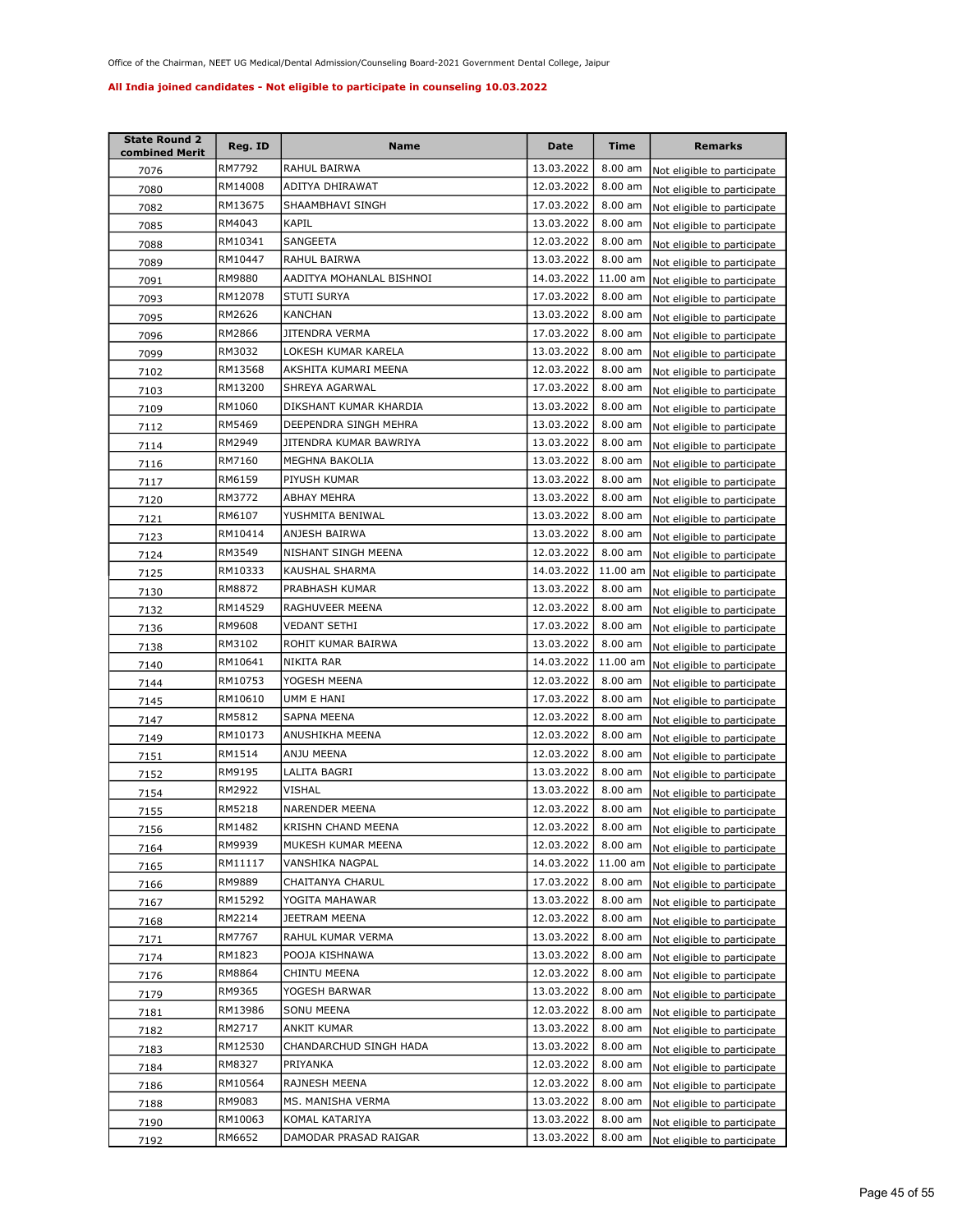| <b>State Round 2</b><br>combined Merit | Reg. ID | Name                     | <b>Date</b> | <b>Time</b> | <b>Remarks</b>                      |
|----------------------------------------|---------|--------------------------|-------------|-------------|-------------------------------------|
| 7076                                   | RM7792  | RAHUL BAIRWA             | 13.03.2022  | 8.00 am     | Not eligible to participate         |
| 7080                                   | RM14008 | ADITYA DHIRAWAT          | 12.03.2022  | $8.00$ am   | Not eligible to participate         |
| 7082                                   | RM13675 | SHAAMBHAVI SINGH         | 17.03.2022  | 8.00 am     | Not eligible to participate         |
| 7085                                   | RM4043  | KAPIL                    | 13.03.2022  | 8.00 am     | Not eligible to participate         |
| 7088                                   | RM10341 | SANGEETA                 | 12.03.2022  | 8.00 am     | Not eligible to participate         |
| 7089                                   | RM10447 | RAHUL BAIRWA             | 13.03.2022  | 8.00 am     | Not eligible to participate         |
| 7091                                   | RM9880  | AADITYA MOHANLAL BISHNOI | 14.03.2022  | 11.00 am    | Not eligible to participate         |
| 7093                                   | RM12078 | STUTI SURYA              | 17.03.2022  | 8.00 am     | Not eligible to participate         |
| 7095                                   | RM2626  | KANCHAN                  | 13.03.2022  | 8.00 am     | Not eligible to participate         |
| 7096                                   | RM2866  | JITENDRA VERMA           | 17.03.2022  | 8.00 am     | Not eligible to participate         |
| 7099                                   | RM3032  | LOKESH KUMAR KARELA      | 13.03.2022  | 8.00 am     | Not eligible to participate         |
| 7102                                   | RM13568 | AKSHITA KUMARI MEENA     | 12.03.2022  | 8.00 am     | Not eligible to participate         |
| 7103                                   | RM13200 | SHREYA AGARWAL           | 17.03.2022  | 8.00 am     | Not eligible to participate         |
| 7109                                   | RM1060  | DIKSHANT KUMAR KHARDIA   | 13.03.2022  | 8.00 am     | Not eligible to participate         |
| 7112                                   | RM5469  | DEEPENDRA SINGH MEHRA    | 13.03.2022  | 8.00 am     | Not eligible to participate         |
| 7114                                   | RM2949  | JITENDRA KUMAR BAWRIYA   | 13.03.2022  | 8.00 am     | Not eligible to participate         |
| 7116                                   | RM7160  | MEGHNA BAKOLIA           | 13.03.2022  | 8.00 am     | Not eligible to participate         |
| 7117                                   | RM6159  | PIYUSH KUMAR             | 13.03.2022  | 8.00 am     | Not eligible to participate         |
| 7120                                   | RM3772  | ABHAY MEHRA              | 13.03.2022  | $8.00$ am   | Not eligible to participate         |
| 7121                                   | RM6107  | YUSHMITA BENIWAL         | 13.03.2022  | 8.00 am     | Not eligible to participate         |
| 7123                                   | RM10414 | ANJESH BAIRWA            | 13.03.2022  | 8.00 am     | Not eligible to participate         |
| 7124                                   | RM3549  | NISHANT SINGH MEENA      | 12.03.2022  | 8.00 am     | Not eligible to participate         |
| 7125                                   | RM10333 | KAUSHAL SHARMA           | 14.03.2022  | 11.00 am    | Not eligible to participate         |
| 7130                                   | RM8872  | PRABHASH KUMAR           | 13.03.2022  | 8.00 am     | Not eligible to participate         |
| 7132                                   | RM14529 | RAGHUVEER MEENA          | 12.03.2022  | $8.00$ am   | Not eligible to participate         |
| 7136                                   | RM9608  | VEDANT SETHI             | 17.03.2022  | 8.00 am     | Not eligible to participate         |
| 7138                                   | RM3102  | ROHIT KUMAR BAIRWA       | 13.03.2022  | $8.00$ am   | Not eligible to participate         |
| 7140                                   | RM10641 | NIKITA RAR               | 14.03.2022  | 11.00 am    | Not eligible to participate         |
| 7144                                   | RM10753 | YOGESH MEENA             | 12.03.2022  | 8.00 am     | Not eligible to participate         |
| 7145                                   | RM10610 | UMM E HANI               | 17.03.2022  | 8.00 am     | Not eligible to participate         |
| 7147                                   | RM5812  | SAPNA MEENA              | 12.03.2022  | 8.00 am     | Not eligible to participate         |
| 7149                                   | RM10173 | ANUSHIKHA MEENA          | 12.03.2022  | 8.00 am     | Not eligible to participate         |
| 7151                                   | RM1514  | ANJU MEENA               | 12.03.2022  | 8.00 am     | Not eligible to participate         |
| 7152                                   | RM9195  | LALITA BAGRI             | 13.03.2022  | 8.00 am     | Not eligible to participate         |
| 7154                                   | RM2922  | VISHAL                   | 13.03.2022  | 8.00 am     | Not eligible to participate         |
| 7155                                   | RM5218  | NARENDER MEENA           | 12.03.2022  | 8.00 am     | Not eligible to participate         |
| 7156                                   | RM1482  | KRISHN CHAND MEENA       | 12.03.2022  |             | 8.00 am Not eligible to participate |
| 7164                                   | RM9939  | MUKESH KUMAR MEENA       | 12.03.2022  | 8.00 am     | Not eligible to participate         |
| 7165                                   | RM11117 | VANSHIKA NAGPAL          | 14.03.2022  | 11.00 am    | Not eligible to participate         |
| 7166                                   | RM9889  | CHAITANYA CHARUL         | 17.03.2022  | $8.00$ am   | Not eligible to participate         |
| 7167                                   | RM15292 | YOGITA MAHAWAR           | 13.03.2022  | 8.00 am     | Not eligible to participate         |
| 7168                                   | RM2214  | JEETRAM MEENA            | 12.03.2022  | 8.00 am     | Not eligible to participate         |
| 7171                                   | RM7767  | RAHUL KUMAR VERMA        | 13.03.2022  | 8.00 am     | Not eligible to participate         |
| 7174                                   | RM1823  | POOJA KISHNAWA           | 13.03.2022  | 8.00 am     | Not eligible to participate         |
| 7176                                   | RM8864  | CHINTU MEENA             | 12.03.2022  | 8.00 am     | Not eligible to participate         |
| 7179                                   | RM9365  | YOGESH BARWAR            | 13.03.2022  | 8.00 am     | Not eligible to participate         |
| 7181                                   | RM13986 | SONU MEENA               | 12.03.2022  | 8.00 am     | Not eligible to participate         |
| 7182                                   | RM2717  | ANKIT KUMAR              | 13.03.2022  | 8.00 am     | Not eligible to participate         |
| 7183                                   | RM12530 | CHANDARCHUD SINGH HADA   | 13.03.2022  | 8.00 am     | Not eligible to participate         |
| 7184                                   | RM8327  | PRIYANKA                 | 12.03.2022  | 8.00 am     | Not eligible to participate         |
| 7186                                   | RM10564 | RAJNESH MEENA            | 12.03.2022  | 8.00 am     | Not eligible to participate         |
| 7188                                   | RM9083  | MS. MANISHA VERMA        | 13.03.2022  | 8.00 am     | Not eligible to participate         |
| 7190                                   | RM10063 | KOMAL KATARIYA           | 13.03.2022  | 8.00 am     | Not eligible to participate         |
| 7192                                   | RM6652  | DAMODAR PRASAD RAIGAR    | 13.03.2022  | 8.00 am     | Not eligible to participate         |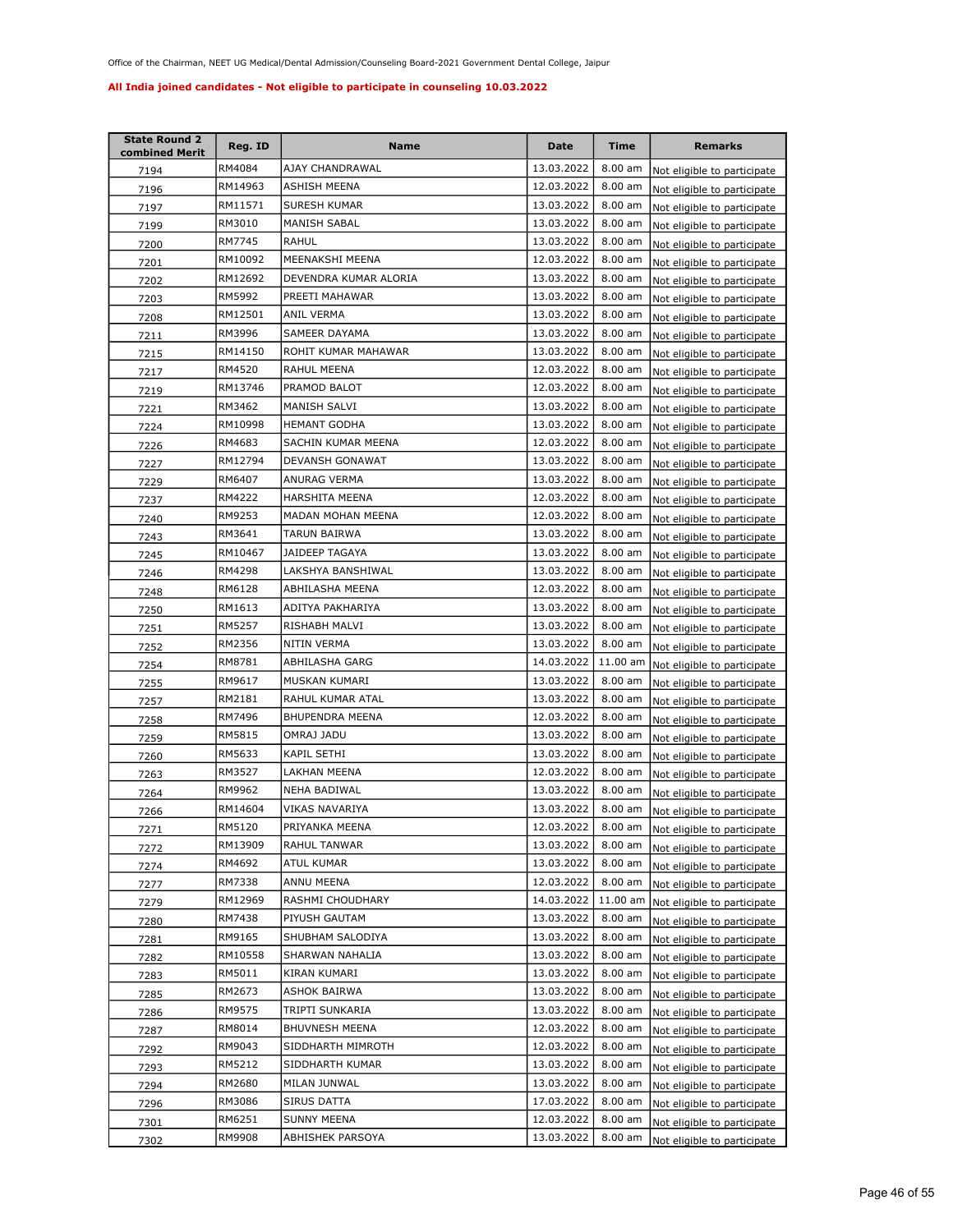| <b>State Round 2</b><br>combined Merit | Reg. ID | Name                  | <b>Date</b> | <b>Time</b> | <b>Remarks</b>              |
|----------------------------------------|---------|-----------------------|-------------|-------------|-----------------------------|
| 7194                                   | RM4084  | AJAY CHANDRAWAL       | 13.03.2022  | 8.00 am     | Not eligible to participate |
| 7196                                   | RM14963 | ASHISH MEENA          | 12.03.2022  | 8.00 am     | Not eligible to participate |
| 7197                                   | RM11571 | SURESH KUMAR          | 13.03.2022  | 8.00 am     | Not eligible to participate |
| 7199                                   | RM3010  | MANISH SABAL          | 13.03.2022  | 8.00 am     | Not eligible to participate |
| 7200                                   | RM7745  | RAHUL                 | 13.03.2022  | 8.00 am     | Not eligible to participate |
| 7201                                   | RM10092 | MEENAKSHI MEENA       | 12.03.2022  | 8.00 am     | Not eligible to participate |
| 7202                                   | RM12692 | DEVENDRA KUMAR ALORIA | 13.03.2022  | 8.00 am     | Not eligible to participate |
| 7203                                   | RM5992  | PREETI MAHAWAR        | 13.03.2022  | 8.00 am     | Not eligible to participate |
| 7208                                   | RM12501 | ANIL VERMA            | 13.03.2022  | 8.00 am     | Not eligible to participate |
| 7211                                   | RM3996  | SAMEER DAYAMA         | 13.03.2022  | 8.00 am     | Not eligible to participate |
| 7215                                   | RM14150 | ROHIT KUMAR MAHAWAR   | 13.03.2022  | 8.00 am     | Not eligible to participate |
| 7217                                   | RM4520  | RAHUL MEENA           | 12.03.2022  | 8.00 am     | Not eligible to participate |
| 7219                                   | RM13746 | PRAMOD BALOT          | 12.03.2022  | 8.00 am     | Not eligible to participate |
| 7221                                   | RM3462  | MANISH SALVI          | 13.03.2022  | 8.00 am     | Not eligible to participate |
| 7224                                   | RM10998 | <b>HEMANT GODHA</b>   | 13.03.2022  | 8.00 am     | Not eligible to participate |
| 7226                                   | RM4683  | SACHIN KUMAR MEENA    | 12.03.2022  | 8.00 am     | Not eligible to participate |
| 7227                                   | RM12794 | DEVANSH GONAWAT       | 13.03.2022  | 8.00 am     | Not eligible to participate |
| 7229                                   | RM6407  | ANURAG VERMA          | 13.03.2022  | 8.00 am     | Not eligible to participate |
| 7237                                   | RM4222  | <b>HARSHITA MEENA</b> | 12.03.2022  | 8.00 am     | Not eligible to participate |
| 7240                                   | RM9253  | MADAN MOHAN MEENA     | 12.03.2022  | 8.00 am     | Not eligible to participate |
| 7243                                   | RM3641  | TARUN BAIRWA          | 13.03.2022  | 8.00 am     | Not eligible to participate |
| 7245                                   | RM10467 | JAIDEEP TAGAYA        | 13.03.2022  | 8.00 am     | Not eligible to participate |
| 7246                                   | RM4298  | LAKSHYA BANSHIWAL     | 13.03.2022  | 8.00 am     | Not eligible to participate |
| 7248                                   | RM6128  | ABHILASHA MEENA       | 12.03.2022  | $8.00$ am   | Not eligible to participate |
| 7250                                   | RM1613  | ADITYA PAKHARIYA      | 13.03.2022  | $8.00$ am   | Not eligible to participate |
| 7251                                   | RM5257  | RISHABH MALVI         | 13.03.2022  | 8.00 am     | Not eligible to participate |
| 7252                                   | RM2356  | NITIN VERMA           | 13.03.2022  | 8.00 am     | Not eligible to participate |
| 7254                                   | RM8781  | ABHILASHA GARG        | 14.03.2022  | 11.00 am    | Not eligible to participate |
| 7255                                   | RM9617  | MUSKAN KUMARI         | 13.03.2022  | 8.00 am     | Not eligible to participate |
| 7257                                   | RM2181  | RAHUL KUMAR ATAL      | 13.03.2022  | 8.00 am     | Not eligible to participate |
| 7258                                   | RM7496  | BHUPENDRA MEENA       | 12.03.2022  | 8.00 am     | Not eligible to participate |
| 7259                                   | RM5815  | OMRAJ JADU            | 13.03.2022  | 8.00 am     | Not eligible to participate |
| 7260                                   | RM5633  | <b>KAPIL SETHI</b>    | 13.03.2022  | 8.00 am     | Not eligible to participate |
| 7263                                   | RM3527  | LAKHAN MEENA          | 12.03.2022  | 8.00 am     | Not eligible to participate |
| 7264                                   | RM9962  | NEHA BADIWAL          | 13.03.2022  | 8.00 am     | Not eligible to participate |
| 7266                                   | RM14604 | VIKAS NAVARIYA        | 13.03.2022  | 8.00 am     | Not eligible to participate |
| 7271                                   | RM5120  | PRIYANKA MEENA        | 12.03.2022  | $8.00$ am   | Not eligible to participate |
| 7272                                   | RM13909 | RAHUL TANWAR          | 13.03.2022  | 8.00 am     | Not eligible to participate |
| 7274                                   | RM4692  | ATUL KUMAR            | 13.03.2022  | 8.00 am     | Not eligible to participate |
| 7277                                   | RM7338  | ANNU MEENA            | 12.03.2022  | 8.00 am     | Not eligible to participate |
| 7279                                   | RM12969 | RASHMI CHOUDHARY      | 14.03.2022  | 11.00 am    | Not eligible to participate |
| 7280                                   | RM7438  | PIYUSH GAUTAM         | 13.03.2022  | 8.00 am     | Not eligible to participate |
| 7281                                   | RM9165  | SHUBHAM SALODIYA      | 13.03.2022  | 8.00 am     | Not eligible to participate |
| 7282                                   | RM10558 | SHARWAN NAHALIA       | 13.03.2022  | 8.00 am     | Not eligible to participate |
| 7283                                   | RM5011  | KIRAN KUMARI          | 13.03.2022  | $8.00$ am   | Not eligible to participate |
| 7285                                   | RM2673  | ASHOK BAIRWA          | 13.03.2022  | 8.00 am     | Not eligible to participate |
| 7286                                   | RM9575  | TRIPTI SUNKARIA       | 13.03.2022  | 8.00 am     | Not eligible to participate |
| 7287                                   | RM8014  | BHUVNESH MEENA        | 12.03.2022  | $8.00$ am   | Not eligible to participate |
| 7292                                   | RM9043  | SIDDHARTH MIMROTH     | 12.03.2022  | 8.00 am     | Not eligible to participate |
| 7293                                   | RM5212  | SIDDHARTH KUMAR       | 13.03.2022  | 8.00 am     | Not eligible to participate |
| 7294                                   | RM2680  | MILAN JUNWAL          | 13.03.2022  | 8.00 am     | Not eligible to participate |
| 7296                                   | RM3086  | SIRUS DATTA           | 17.03.2022  | 8.00 am     | Not eligible to participate |
| <u>7301</u>                            | RM6251  | SUNNY MEENA           | 12.03.2022  | 8.00 am     | Not eligible to participate |
| 7302                                   | RM9908  | ABHISHEK PARSOYA      | 13.03.2022  | 8.00 am     | Not eligible to participate |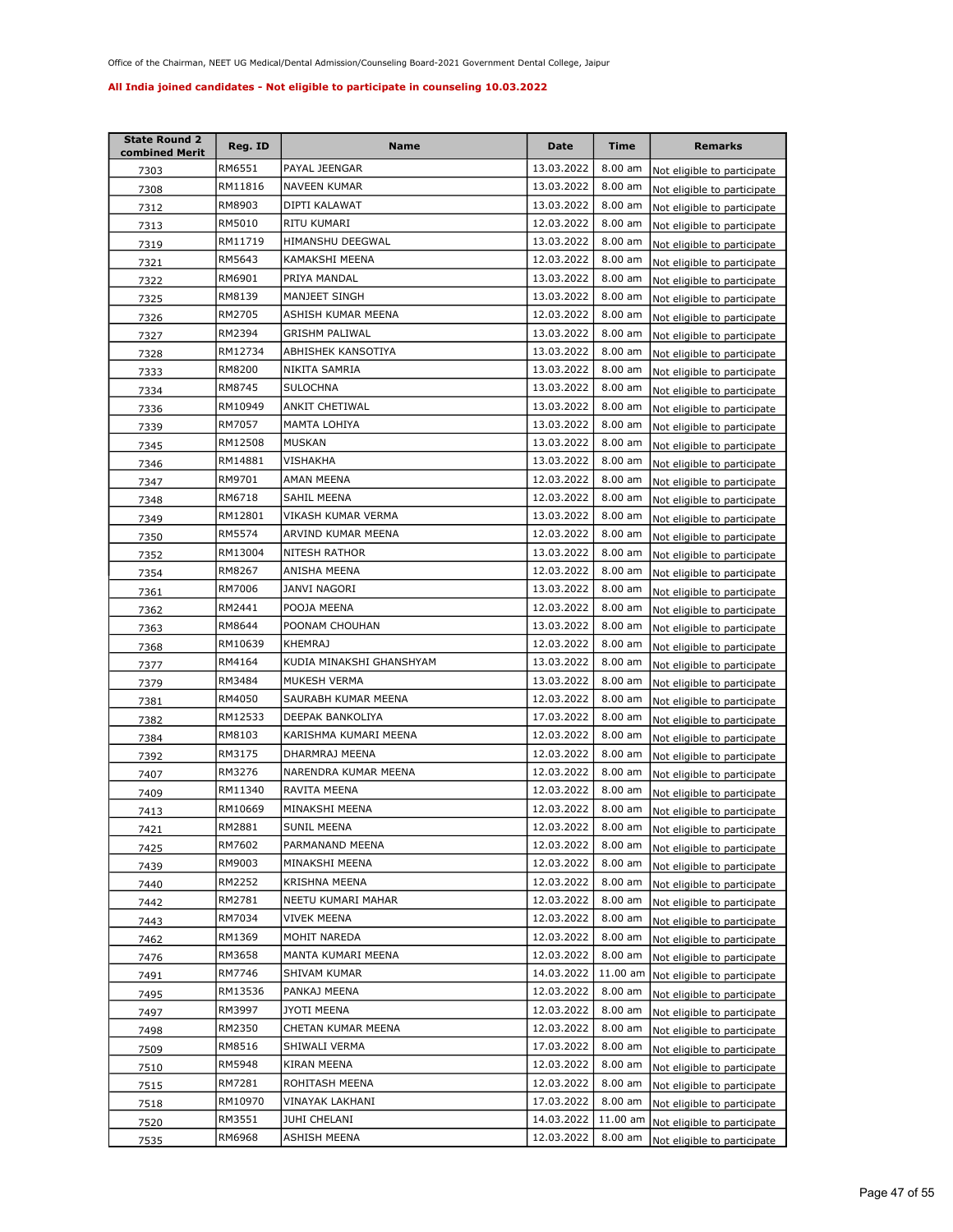| <b>State Round 2</b><br>combined Merit | Reg. ID | Name                     | Date       | <b>Time</b>       | <b>Remarks</b>              |
|----------------------------------------|---------|--------------------------|------------|-------------------|-----------------------------|
| 7303                                   | RM6551  | PAYAL JEENGAR            | 13.03.2022 | $8.00$ am         | Not eligible to participate |
| 7308                                   | RM11816 | NAVEEN KUMAR             | 13.03.2022 | 8.00 am           | Not eligible to participate |
| 7312                                   | RM8903  | DIPTI KALAWAT            | 13.03.2022 | 8.00 am           | Not eligible to participate |
| 7313                                   | RM5010  | RITU KUMARI              | 12.03.2022 | 8.00 am           | Not eligible to participate |
| 7319                                   | RM11719 | HIMANSHU DEEGWAL         | 13.03.2022 | 8.00 am           | Not eligible to participate |
| 7321                                   | RM5643  | KAMAKSHI MEENA           | 12.03.2022 | 8.00 am           | Not eligible to participate |
| 7322                                   | RM6901  | PRIYA MANDAL             | 13.03.2022 | 8.00 am           | Not eligible to participate |
| 7325                                   | RM8139  | MANJEET SINGH            | 13.03.2022 | 8.00 am           | Not eligible to participate |
| 7326                                   | RM2705  | ASHISH KUMAR MEENA       | 12.03.2022 | 8.00 am           | Not eligible to participate |
| 7327                                   | RM2394  | GRISHM PALIWAL           | 13.03.2022 | 8.00 am           | Not eligible to participate |
| 7328                                   | RM12734 | ABHISHEK KANSOTIYA       | 13.03.2022 | 8.00 am           | Not eligible to participate |
| 7333                                   | RM8200  | NIKITA SAMRIA            | 13.03.2022 | 8.00 am           | Not eligible to participate |
| 7334                                   | RM8745  | <b>SULOCHNA</b>          | 13.03.2022 | 8.00 am           | Not eligible to participate |
| 7336                                   | RM10949 | ANKIT CHETIWAL           | 13.03.2022 | 8.00 am           | Not eligible to participate |
| 7339                                   | RM7057  | MAMTA LOHIYA             | 13.03.2022 | 8.00 am           | Not eligible to participate |
| 7345                                   | RM12508 | MUSKAN                   | 13.03.2022 | 8.00 am           | Not eligible to participate |
| 7346                                   | RM14881 | VISHAKHA                 | 13.03.2022 | $8.00$ am         | Not eligible to participate |
| 7347                                   | RM9701  | AMAN MEENA               | 12.03.2022 | 8.00 am           | Not eligible to participate |
| 7348                                   | RM6718  | SAHIL MEENA              | 12.03.2022 | 8.00 am           | Not eligible to participate |
| 7349                                   | RM12801 | VIKASH KUMAR VERMA       | 13.03.2022 | 8.00 am           | Not eligible to participate |
| 7350                                   | RM5574  | ARVIND KUMAR MEENA       | 12.03.2022 | 8.00 am           | Not eligible to participate |
| 7352                                   | RM13004 | NITESH RATHOR            | 13.03.2022 | 8.00 am           | Not eligible to participate |
| 7354                                   | RM8267  | ANISHA MEENA             | 12.03.2022 | 8.00 am           | Not eligible to participate |
| 7361                                   | RM7006  | JANVI NAGORI             | 13.03.2022 | 8.00 am           | Not eligible to participate |
| 7362                                   | RM2441  | POOJA MEENA              | 12.03.2022 | 8.00 am           | Not eligible to participate |
| 7363                                   | RM8644  | POONAM CHOUHAN           | 13.03.2022 | $8.00$ am         | Not eligible to participate |
| 7368                                   | RM10639 | <b>KHEMRAJ</b>           | 12.03.2022 | 8.00 am           | Not eligible to participate |
| 7377                                   | RM4164  | KUDIA MINAKSHI GHANSHYAM | 13.03.2022 | 8.00 am           | Not eligible to participate |
| 7379                                   | RM3484  | MUKESH VERMA             | 13.03.2022 | $8.00$ am         | Not eligible to participate |
| 7381                                   | RM4050  | SAURABH KUMAR MEENA      | 12.03.2022 | 8.00 am           | Not eligible to participate |
| 7382                                   | RM12533 | DEEPAK BANKOLIYA         | 17.03.2022 | 8.00 am           | Not eligible to participate |
| 7384                                   | RM8103  | KARISHMA KUMARI MEENA    | 12.03.2022 | 8.00 am           | Not eligible to participate |
| 7392                                   | RM3175  | DHARMRAJ MEENA           | 12.03.2022 | $8.00$ am         | Not eligible to participate |
| 7407                                   | RM3276  | NARENDRA KUMAR MEENA     | 12.03.2022 | 8.00 am           | Not eligible to participate |
| 7409                                   | RM11340 | RAVITA MEENA             | 12.03.2022 | 8.00 am           | Not eligible to participate |
| 7413                                   | RM10669 | MINAKSHI MEENA           | 12.03.2022 | 8.00 am           | Not eligible to participate |
| 7421                                   | RM2881  | SUNIL MEENA              | 12.03.2022 | $8.00 \text{ am}$ | Not eligible to participate |
| 7425                                   | RM7602  | PARMANAND MEENA          | 12.03.2022 | 8.00 am           | Not eligible to participate |
| 7439                                   | RM9003  | MINAKSHI MEENA           | 12.03.2022 | 8.00 am           | Not eligible to participate |
| 7440                                   | RM2252  | KRISHNA MEENA            | 12.03.2022 | 8.00 am           | Not eligible to participate |
| 7442                                   | RM2781  | NEETU KUMARI MAHAR       | 12.03.2022 | 8.00 am           | Not eligible to participate |
| 7443                                   | RM7034  | VIVEK MEENA              | 12.03.2022 | 8.00 am           | Not eligible to participate |
| 7462                                   | RM1369  | MOHIT NAREDA             | 12.03.2022 | 8.00 am           | Not eligible to participate |
| 7476                                   | RM3658  | MANTA KUMARI MEENA       | 12.03.2022 | $8.00$ am         | Not eligible to participate |
| 7491                                   | RM7746  | SHIVAM KUMAR             | 14.03.2022 | 11.00 am          | Not eligible to participate |
| 7495                                   | RM13536 | PANKAJ MEENA             | 12.03.2022 | 8.00 am           | Not eligible to participate |
| 7497                                   | RM3997  | <b>JYOTI MEENA</b>       | 12.03.2022 | 8.00 am           | Not eligible to participate |
| 7498                                   | RM2350  | CHETAN KUMAR MEENA       | 12.03.2022 | 8.00 am           | Not eligible to participate |
| 7509                                   | RM8516  | SHIWALI VERMA            | 17.03.2022 | 8.00 am           | Not eligible to participate |
| 7510                                   | RM5948  | KIRAN MEENA              | 12.03.2022 | 8.00 am           | Not eligible to participate |
| 7515                                   | RM7281  | ROHITASH MEENA           | 12.03.2022 | 8.00 am           | Not eligible to participate |
| 7518                                   | RM10970 | VINAYAK LAKHANI          | 17.03.2022 | 8.00 am           | Not eligible to participate |
| 7520                                   | RM3551  | JUHI CHELANI             | 14.03.2022 | 11.00 am          | Not eligible to participate |
| 7535                                   | RM6968  | ASHISH MEENA             | 12.03.2022 | 8.00 am           | Not eligible to participate |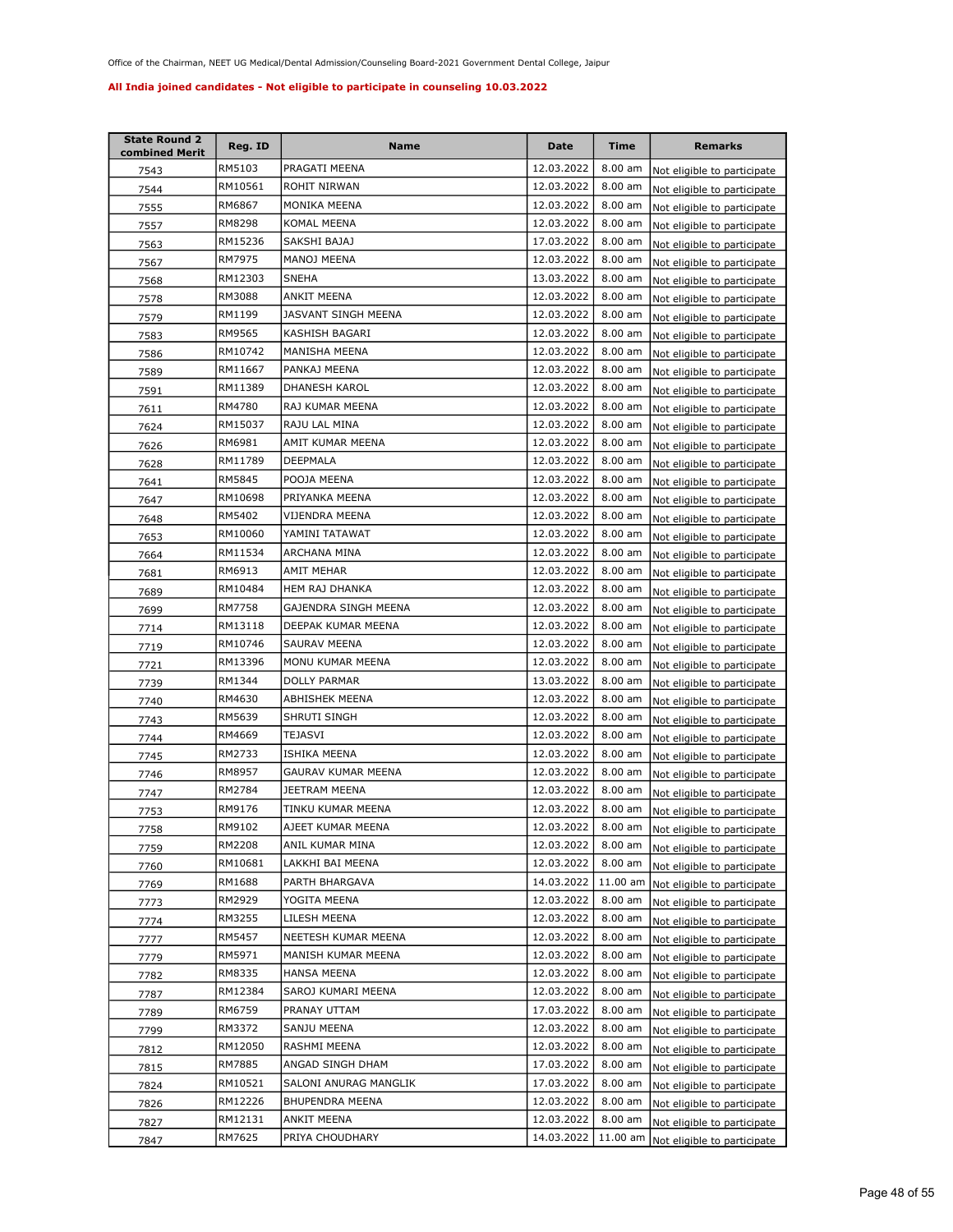| <b>State Round 2</b><br>combined Merit | Reg. ID | Name                   | <b>Date</b> | <b>Time</b>       | <b>Remarks</b>              |
|----------------------------------------|---------|------------------------|-------------|-------------------|-----------------------------|
| 7543                                   | RM5103  | PRAGATI MEENA          | 12.03.2022  | 8.00 am           | Not eligible to participate |
| 7544                                   | RM10561 | ROHIT NIRWAN           | 12.03.2022  | 8.00 am           | Not eligible to participate |
| 7555                                   | RM6867  | MONIKA MEENA           | 12.03.2022  | 8.00 am           | Not eligible to participate |
| 7557                                   | RM8298  | KOMAL MEENA            | 12.03.2022  | 8.00 am           | Not eligible to participate |
| 7563                                   | RM15236 | SAKSHI BAJAJ           | 17.03.2022  | 8.00 am           | Not eligible to participate |
| 7567                                   | RM7975  | MANOJ MEENA            | 12.03.2022  | 8.00 am           | Not eligible to participate |
| 7568                                   | RM12303 | SNEHA                  | 13.03.2022  | 8.00 am           | Not eligible to participate |
| 7578                                   | RM3088  | ANKIT MEENA            | 12.03.2022  | 8.00 am           | Not eligible to participate |
| 7579                                   | RM1199  | JASVANT SINGH MEENA    | 12.03.2022  | 8.00 am           | Not eligible to participate |
| 7583                                   | RM9565  | KASHISH BAGARI         | 12.03.2022  | 8.00 am           | Not eligible to participate |
| 7586                                   | RM10742 | MANISHA MEENA          | 12.03.2022  | 8.00 am           | Not eligible to participate |
| 7589                                   | RM11667 | PANKAJ MEENA           | 12.03.2022  | 8.00 am           | Not eligible to participate |
| 7591                                   | RM11389 | DHANESH KAROL          | 12.03.2022  | 8.00 am           | Not eligible to participate |
| 7611                                   | RM4780  | RAJ KUMAR MEENA        | 12.03.2022  | 8.00 am           | Not eligible to participate |
| 7624                                   | RM15037 | RAJU LAL MINA          | 12.03.2022  | 8.00 am           | Not eligible to participate |
| 7626                                   | RM6981  | AMIT KUMAR MEENA       | 12.03.2022  | 8.00 am           | Not eligible to participate |
| 7628                                   | RM11789 | DEEPMALA               | 12.03.2022  | 8.00 am           | Not eligible to participate |
| 7641                                   | RM5845  | POOJA MEENA            | 12.03.2022  | 8.00 am           | Not eligible to participate |
| 7647                                   | RM10698 | PRIYANKA MEENA         | 12.03.2022  | 8.00 am           | Not eligible to participate |
| 7648                                   | RM5402  | VIJENDRA MEENA         | 12.03.2022  | 8.00 am           | Not eligible to participate |
| 7653                                   | RM10060 | YAMINI TATAWAT         | 12.03.2022  | 8.00 am           | Not eligible to participate |
| 7664                                   | RM11534 | ARCHANA MINA           | 12.03.2022  | $8.00$ am         | Not eligible to participate |
| 7681                                   | RM6913  | AMIT MEHAR             | 12.03.2022  | 8.00 am           | Not eligible to participate |
| 7689                                   | RM10484 | HEM RAJ DHANKA         | 12.03.2022  | $8.00$ am         | Not eligible to participate |
| 7699                                   | RM7758  | GAJENDRA SINGH MEENA   | 12.03.2022  | $8.00$ am         | Not eligible to participate |
| 7714                                   | RM13118 | DEEPAK KUMAR MEENA     | 12.03.2022  | 8.00 am           | Not eligible to participate |
| 7719                                   | RM10746 | SAURAV MEENA           | 12.03.2022  | 8.00 am           | Not eligible to participate |
| 7721                                   | RM13396 | MONU KUMAR MEENA       | 12.03.2022  | 8.00 am           | Not eligible to participate |
| 7739                                   | RM1344  | DOLLY PARMAR           | 13.03.2022  | 8.00 am           | Not eligible to participate |
| 7740                                   | RM4630  | ABHISHEK MEENA         | 12.03.2022  | 8.00 am           | Not eligible to participate |
| 7743                                   | RM5639  | SHRUTI SINGH           | 12.03.2022  | 8.00 am           | Not eligible to participate |
| 7744                                   | RM4669  | TEJASVI                | 12.03.2022  | 8.00 am           | Not eligible to participate |
| 7745                                   | RM2733  | ISHIKA MEENA           | 12.03.2022  | 8.00 am           | Not eligible to participate |
| 7746                                   | RM8957  | GAURAV KUMAR MEENA     | 12.03.2022  | 8.00 am           | Not eligible to participate |
| 7747                                   | RM2784  | JEETRAM MEENA          | 12.03.2022  | 8.00 am           | Not eligible to participate |
| 7753                                   | RM9176  | TINKU KUMAR MEENA      | 12.03.2022  | 8.00 am           | Not eligible to participate |
| 7758                                   | RM9102  | AJEET KUMAR MEENA      | 12.03.2022  | $8.00 \text{ am}$ | Not eligible to participate |
| 7759                                   | RM2208  | ANIL KUMAR MINA        | 12.03.2022  | 8.00 am           | Not eligible to participate |
| 7760                                   | RM10681 | LAKKHI BAI MEENA       | 12.03.2022  | 8.00 am           | Not eligible to participate |
| 7769                                   | RM1688  | PARTH BHARGAVA         | 14.03.2022  | 11.00 am          | Not eligible to participate |
| 7773                                   | RM2929  | YOGITA MEENA           | 12.03.2022  | $8.00$ am         | Not eligible to participate |
| 7774                                   | RM3255  | LILESH MEENA           | 12.03.2022  | 8.00 am           | Not eligible to participate |
| 7777                                   | RM5457  | NEETESH KUMAR MEENA    | 12.03.2022  | 8.00 am           | Not eligible to participate |
| 7779                                   | RM5971  | MANISH KUMAR MEENA     | 12.03.2022  | 8.00 am           | Not eligible to participate |
| 7782                                   | RM8335  | <b>HANSA MEENA</b>     | 12.03.2022  | 8.00 am           | Not eligible to participate |
| 7787                                   | RM12384 | SAROJ KUMARI MEENA     | 12.03.2022  | 8.00 am           | Not eligible to participate |
| 7789                                   | RM6759  | PRANAY UTTAM           | 17.03.2022  | 8.00 am           | Not eligible to participate |
| 7799                                   | RM3372  | SANJU MEENA            | 12.03.2022  | 8.00 am           | Not eligible to participate |
| 7812                                   | RM12050 | RASHMI MEENA           | 12.03.2022  | 8.00 am           | Not eligible to participate |
| 7815                                   | RM7885  | ANGAD SINGH DHAM       | 17.03.2022  | 8.00 am           | Not eligible to participate |
| 7824                                   | RM10521 | SALONI ANURAG MANGLIK  | 17.03.2022  | $8.00$ am         | Not eligible to participate |
| 7826                                   | RM12226 | <b>BHUPENDRA MEENA</b> | 12.03.2022  | 8.00 am           | Not eligible to participate |
| 7827                                   | RM12131 | ANKIT MEENA            | 12.03.2022  | 8.00 am           | Not eligible to participate |
| 7847                                   | RM7625  | PRIYA CHOUDHARY        | 14.03.2022  | 11.00 am          | Not eligible to participate |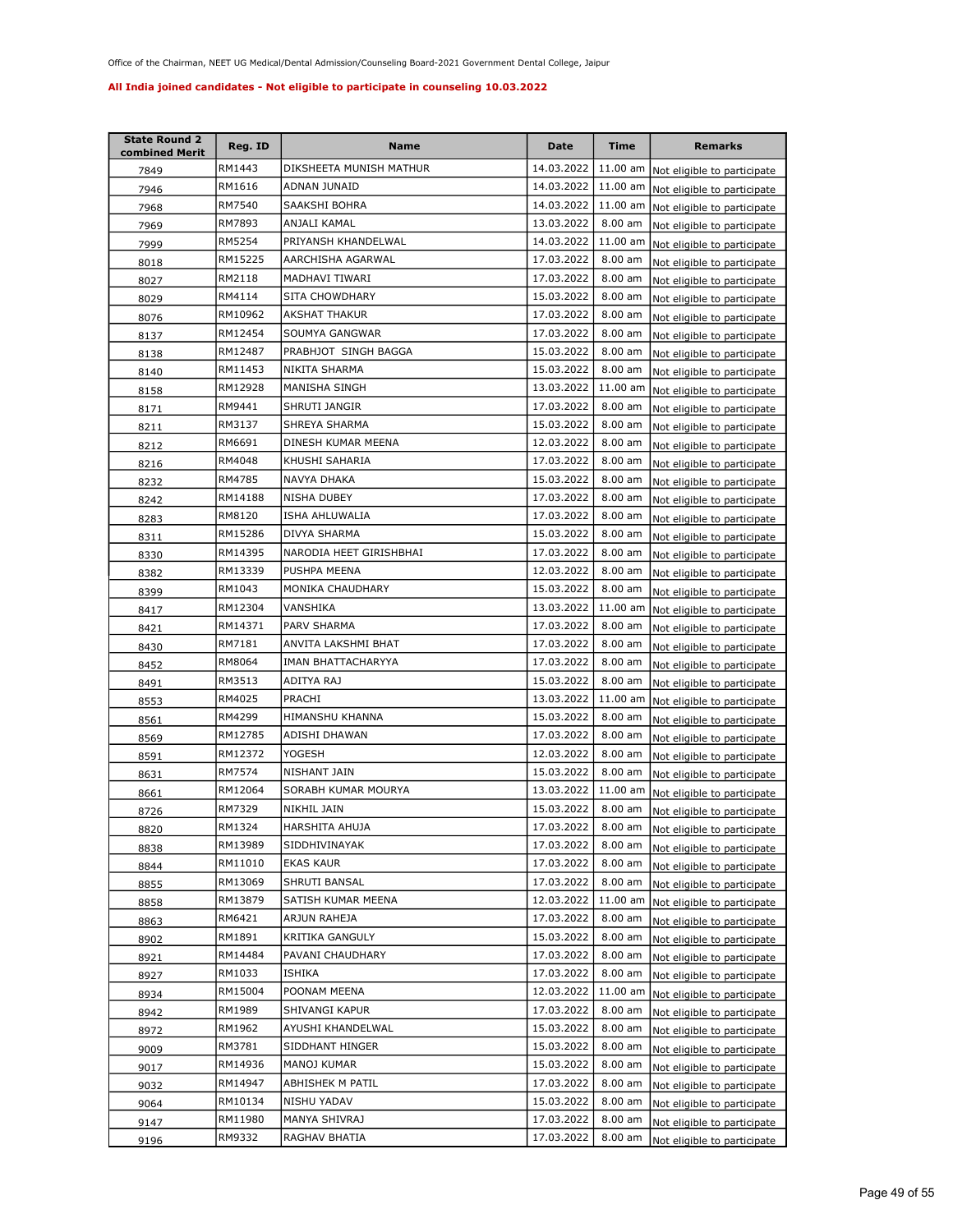| <b>State Round 2</b><br>combined Merit | Reg. ID | Name                    | Date       | Time       | <b>Remarks</b>                      |
|----------------------------------------|---------|-------------------------|------------|------------|-------------------------------------|
| 7849                                   | RM1443  | DIKSHEETA MUNISH MATHUR | 14.03.2022 | 11.00 am   | Not eligible to participate         |
| 7946                                   | RM1616  | ADNAN JUNAID            | 14.03.2022 | 11.00 am   | Not eligible to participate         |
| 7968                                   | RM7540  | SAAKSHI BOHRA           | 14.03.2022 | 11.00 am   | Not eligible to participate         |
| 7969                                   | RM7893  | ANJALI KAMAL            | 13.03.2022 | 8.00 am    | Not eligible to participate         |
| 7999                                   | RM5254  | PRIYANSH KHANDELWAL     | 14.03.2022 | 11.00 am   | Not eligible to participate         |
| 8018                                   | RM15225 | AARCHISHA AGARWAL       | 17.03.2022 | 8.00 am    | Not eligible to participate         |
| 8027                                   | RM2118  | MADHAVI TIWARI          | 17.03.2022 | 8.00 am    | Not eligible to participate         |
| 8029                                   | RM4114  | <b>SITA CHOWDHARY</b>   | 15.03.2022 | 8.00 am    | Not eligible to participate         |
| 8076                                   | RM10962 | <b>AKSHAT THAKUR</b>    | 17.03.2022 | 8.00 am    | Not eligible to participate         |
| 8137                                   | RM12454 | SOUMYA GANGWAR          | 17.03.2022 | 8.00 am    | Not eligible to participate         |
| 8138                                   | RM12487 | PRABHJOT SINGH BAGGA    | 15.03.2022 | 8.00 am    | Not eligible to participate         |
| 8140                                   | RM11453 | NIKITA SHARMA           | 15.03.2022 | 8.00 am    | Not eligible to participate         |
| 8158                                   | RM12928 | MANISHA SINGH           | 13.03.2022 | $11.00$ am | Not eligible to participate         |
| 8171                                   | RM9441  | SHRUTI JANGIR           | 17.03.2022 | 8.00 am    | Not eligible to participate         |
| 8211                                   | RM3137  | SHREYA SHARMA           | 15.03.2022 | 8.00 am    | Not eligible to participate         |
| 8212                                   | RM6691  | DINESH KUMAR MEENA      | 12.03.2022 | 8.00 am    | Not eligible to participate         |
| 8216                                   | RM4048  | KHUSHI SAHARIA          | 17.03.2022 | 8.00 am    | Not eligible to participate         |
| 8232                                   | RM4785  | NAVYA DHAKA             | 15.03.2022 | 8.00 am    | Not eligible to participate         |
| 8242                                   | RM14188 | NISHA DUBEY             | 17.03.2022 | 8.00 am    | Not eligible to participate         |
| 8283                                   | RM8120  | <b>ISHA AHLUWALIA</b>   | 17.03.2022 | 8.00 am    | Not eligible to participate         |
| 8311                                   | RM15286 | DIVYA SHARMA            | 15.03.2022 | 8.00 am    | Not eligible to participate         |
| 8330                                   | RM14395 | NARODIA HEET GIRISHBHAI | 17.03.2022 | $8.00$ am  | Not eligible to participate         |
| 8382                                   | RM13339 | PUSHPA MEENA            | 12.03.2022 | 8.00 am    | Not eligible to participate         |
| 8399                                   | RM1043  | MONIKA CHAUDHARY        | 15.03.2022 | 8.00 am    | Not eligible to participate         |
| 8417                                   | RM12304 | VANSHIKA                | 13.03.2022 | 11.00 am   | Not eligible to participate         |
| 8421                                   | RM14371 | PARV SHARMA             | 17.03.2022 | 8.00 am    | Not eligible to participate         |
| 8430                                   | RM7181  | ANVITA LAKSHMI BHAT     | 17.03.2022 | 8.00 am    | Not eligible to participate         |
| 8452                                   | RM8064  | IMAN BHATTACHARYYA      | 17.03.2022 | $8.00$ am  | Not eligible to participate         |
| 8491                                   | RM3513  | ADITYA RAJ              | 15.03.2022 | 8.00 am    | Not eligible to participate         |
| 8553                                   | RM4025  | PRACHI                  | 13.03.2022 | 11.00 am   | Not eligible to participate         |
| 8561                                   | RM4299  | HIMANSHU KHANNA         | 15.03.2022 | 8.00 am    | Not eligible to participate         |
| 8569                                   | RM12785 | ADISHI DHAWAN           | 17.03.2022 | 8.00 am    | Not eligible to participate         |
| 8591                                   | RM12372 | YOGESH                  | 12.03.2022 | 8.00 am    | Not eligible to participate         |
| 8631                                   | RM7574  | NISHANT JAIN            | 15.03.2022 | 8.00 am    | Not eligible to participate         |
| 8661                                   | RM12064 | SORABH KUMAR MOURYA     | 13.03.2022 | 11.00 am   | Not eligible to participate         |
| 8726                                   | RM7329  | NIKHIL JAIN             | 15.03.2022 | 8.00 am    | Not eligible to participate         |
| 8820                                   | RM1324  | HARSHITA AHUJA          | 17.03.2022 |            | 8.00 am Not eligible to participate |
| 8838                                   | RM13989 | SIDDHIVINAYAK           | 17.03.2022 | $8.00$ am  | Not eligible to participate         |
| 8844                                   | RM11010 | EKAS KAUR               | 17.03.2022 | 8.00 am    | Not eligible to participate         |
| 8855                                   | RM13069 | SHRUTI BANSAL           | 17.03.2022 | 8.00 am    | Not eligible to participate         |
| 8858                                   | RM13879 | SATISH KUMAR MEENA      | 12.03.2022 | 11.00 am   | Not eligible to participate         |
| 8863                                   | RM6421  | ARJUN RAHEJA            | 17.03.2022 | 8.00 am    | Not eligible to participate         |
| 8902                                   | RM1891  | KRITIKA GANGULY         | 15.03.2022 | 8.00 am    | Not eligible to participate         |
| 8921                                   | RM14484 | PAVANI CHAUDHARY        | 17.03.2022 | 8.00 am    | Not eligible to participate         |
| 8927                                   | RM1033  | ISHIKA                  | 17.03.2022 | 8.00 am    | Not eligible to participate         |
| 8934                                   | RM15004 | POONAM MEENA            | 12.03.2022 | 11.00 am   | Not eligible to participate         |
| 8942                                   | RM1989  | SHIVANGI KAPUR          | 17.03.2022 | $8.00$ am  | Not eligible to participate         |
| 8972                                   | RM1962  | AYUSHI KHANDELWAL       | 15.03.2022 | 8.00 am    | Not eligible to participate         |
| 9009                                   | RM3781  | SIDDHANT HINGER         | 15.03.2022 | 8.00 am    | Not eligible to participate         |
| 9017                                   | RM14936 | MANOJ KUMAR             | 15.03.2022 | 8.00 am    | Not eligible to participate         |
| 9032                                   | RM14947 | ABHISHEK M PATIL        | 17.03.2022 | 8.00 am    | Not eligible to participate         |
| 9064                                   | RM10134 | NISHU YADAV             | 15.03.2022 | 8.00 am    | Not eligible to participate         |
| 9147                                   | RM11980 | MANYA SHIVRAJ           | 17.03.2022 | 8.00 am    | Not eligible to participate         |
| 9196                                   | RM9332  | RAGHAV BHATIA           | 17.03.2022 | 8.00 am    | Not eligible to participate         |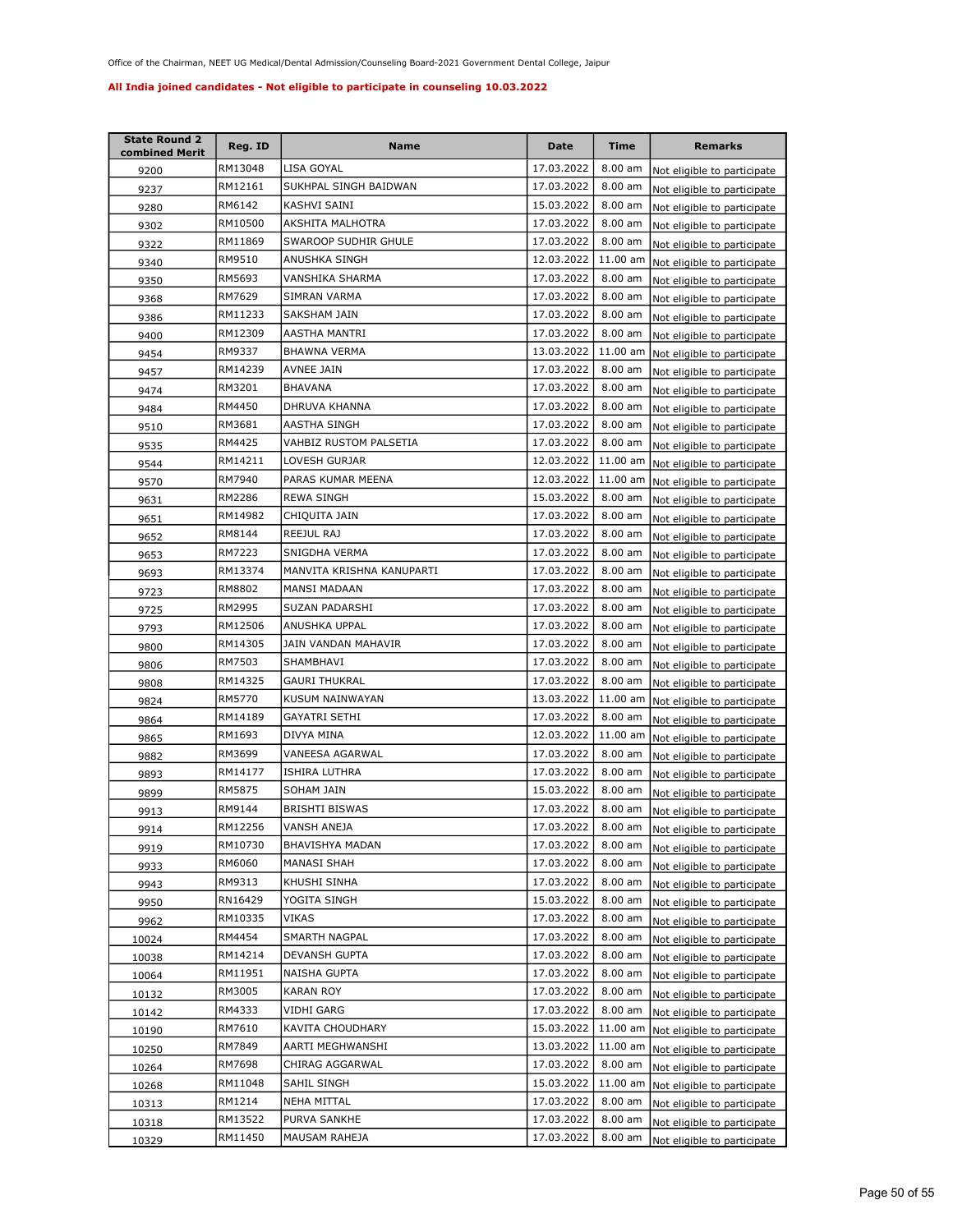| <b>State Round 2</b><br>combined Merit | Reg. ID | <b>Name</b>               | Date       | Time       | <b>Remarks</b>              |
|----------------------------------------|---------|---------------------------|------------|------------|-----------------------------|
| 9200                                   | RM13048 | LISA GOYAL                | 17.03.2022 | $8.00$ am  | Not eligible to participate |
| 9237                                   | RM12161 | SUKHPAL SINGH BAIDWAN     | 17.03.2022 | 8.00 am    | Not eligible to participate |
| 9280                                   | RM6142  | KASHVI SAINI              | 15.03.2022 | $8.00$ am  | Not eligible to participate |
| 9302                                   | RM10500 | AKSHITA MALHOTRA          | 17.03.2022 | 8.00 am    | Not eligible to participate |
| 9322                                   | RM11869 | SWAROOP SUDHIR GHULE      | 17.03.2022 | 8.00 am    | Not eligible to participate |
| 9340                                   | RM9510  | ANUSHKA SINGH             | 12.03.2022 | 11.00 am   | Not eligible to participate |
| 9350                                   | RM5693  | VANSHIKA SHARMA           | 17.03.2022 | 8.00 am    | Not eligible to participate |
| 9368                                   | RM7629  | SIMRAN VARMA              | 17.03.2022 | 8.00 am    | Not eligible to participate |
| 9386                                   | RM11233 | SAKSHAM JAIN              | 17.03.2022 | 8.00 am    | Not eligible to participate |
| 9400                                   | RM12309 | AASTHA MANTRI             | 17.03.2022 | 8.00 am    | Not eligible to participate |
| 9454                                   | RM9337  | BHAWNA VERMA              | 13.03.2022 | 11.00 am   | Not eligible to participate |
| 9457                                   | RM14239 | AVNEE JAIN                | 17.03.2022 | 8.00 am    | Not eligible to participate |
| 9474                                   | RM3201  | <b>BHAVANA</b>            | 17.03.2022 | 8.00 am    | Not eligible to participate |
| 9484                                   | RM4450  | DHRUVA KHANNA             | 17.03.2022 | 8.00 am    | Not eligible to participate |
| 9510                                   | RM3681  | AASTHA SINGH              | 17.03.2022 | 8.00 am    | Not eligible to participate |
| 9535                                   | RM4425  | VAHBIZ RUSTOM PALSETIA    | 17.03.2022 | 8.00 am    | Not eligible to participate |
| 9544                                   | RM14211 | LOVESH GURJAR             | 12.03.2022 | 11.00 am   | Not eligible to participate |
| 9570                                   | RM7940  | PARAS KUMAR MEENA         | 12.03.2022 | 11.00 am   | Not eligible to participate |
| 9631                                   | RM2286  | <b>REWA SINGH</b>         | 15.03.2022 | 8.00 am    | Not eligible to participate |
| 9651                                   | RM14982 | CHIQUITA JAIN             | 17.03.2022 | 8.00 am    | Not eligible to participate |
| 9652                                   | RM8144  | REEJUL RAJ                | 17.03.2022 | 8.00 am    | Not eligible to participate |
| 9653                                   | RM7223  | SNIGDHA VERMA             | 17.03.2022 | $8.00$ am  | Not eligible to participate |
| 9693                                   | RM13374 | MANVITA KRISHNA KANUPARTI | 17.03.2022 | 8.00 am    | Not eligible to participate |
| 9723                                   | RM8802  | MANSI MADAAN              | 17.03.2022 | 8.00 am    | Not eligible to participate |
| 9725                                   | RM2995  | SUZAN PADARSHI            | 17.03.2022 | 8.00 am    | Not eligible to participate |
| 9793                                   | RM12506 | ANUSHKA UPPAL             | 17.03.2022 | 8.00 am    | Not eligible to participate |
| 9800                                   | RM14305 | JAIN VANDAN MAHAVIR       | 17.03.2022 | 8.00 am    | Not eligible to participate |
| 9806                                   | RM7503  | SHAMBHAVI                 | 17.03.2022 | $8.00$ am  | Not eligible to participate |
| 9808                                   | RM14325 | <b>GAURI THUKRAL</b>      | 17.03.2022 | 8.00 am    | Not eligible to participate |
| 9824                                   | RM5770  | KUSUM NAINWAYAN           | 13.03.2022 | 11.00 am   | Not eligible to participate |
| 9864                                   | RM14189 | GAYATRI SETHI             | 17.03.2022 | 8.00 am    | Not eligible to participate |
| 9865                                   | RM1693  | DIVYA MINA                | 12.03.2022 | $11.00$ am | Not eligible to participate |
| 9882                                   | RM3699  | VANEESA AGARWAL           | 17.03.2022 | 8.00 am    | Not eligible to participate |
| 9893                                   | RM14177 | ISHIRA LUTHRA             | 17.03.2022 | 8.00 am    | Not eligible to participate |
| 9899                                   | RM5875  | SOHAM JAIN                | 15.03.2022 | 8.00 am    | Not eligible to participate |
| 9913                                   | RM9144  | <b>BRISHTI BISWAS</b>     | 17.03.2022 | 8.00 am    | Not eligible to participate |
| 9914                                   | RM12256 | VANSH ANEJA               | 17.03.2022 | 8.00 am    | Not eligible to participate |
| 9919                                   | RM10730 | BHAVISHYA MADAN           | 17.03.2022 | 8.00 am    | Not eligible to participate |
| 9933                                   | RM6060  | MANASI SHAH               | 17.03.2022 | 8.00 am    | Not eligible to participate |
| 9943                                   | RM9313  | KHUSHI SINHA              | 17.03.2022 | 8.00 am    | Not eligible to participate |
| 9950                                   | RN16429 | YOGITA SINGH              | 15.03.2022 | 8.00 am    | Not eligible to participate |
| 9962                                   | RM10335 | VIKAS                     | 17.03.2022 | 8.00 am    | Not eligible to participate |
| 10024                                  | RM4454  | SMARTH NAGPAL             | 17.03.2022 | 8.00 am    | Not eligible to participate |
| 10038                                  | RM14214 | DEVANSH GUPTA             | 17.03.2022 | 8.00 am    | Not eligible to participate |
| 10064                                  | RM11951 | NAISHA GUPTA              | 17.03.2022 | 8.00 am    | Not eligible to participate |
| 10132                                  | RM3005  | <b>KARAN ROY</b>          | 17.03.2022 | 8.00 am    | Not eligible to participate |
| 10142                                  | RM4333  | VIDHI GARG                | 17.03.2022 | 8.00 am    | Not eligible to participate |
| 10190                                  | RM7610  | KAVITA CHOUDHARY          | 15.03.2022 | 11.00 am   | Not eligible to participate |
| 10250                                  | RM7849  | AARTI MEGHWANSHI          | 13.03.2022 | 11.00 am   | Not eligible to participate |
| 10264                                  | RM7698  | CHIRAG AGGARWAL           | 17.03.2022 | 8.00 am    | Not eligible to participate |
| 10268                                  | RM11048 | SAHIL SINGH               | 15.03.2022 | 11.00 am   | Not eligible to participate |
| 10313                                  | RM1214  | NEHA MITTAL               | 17.03.2022 | 8.00 am    | Not eligible to participate |
| 10318                                  | RM13522 | PURVA SANKHE              | 17.03.2022 | 8.00 am    | Not eligible to participate |
| 10329                                  | RM11450 | MAUSAM RAHEJA             | 17.03.2022 | 8.00 am    | Not eligible to participate |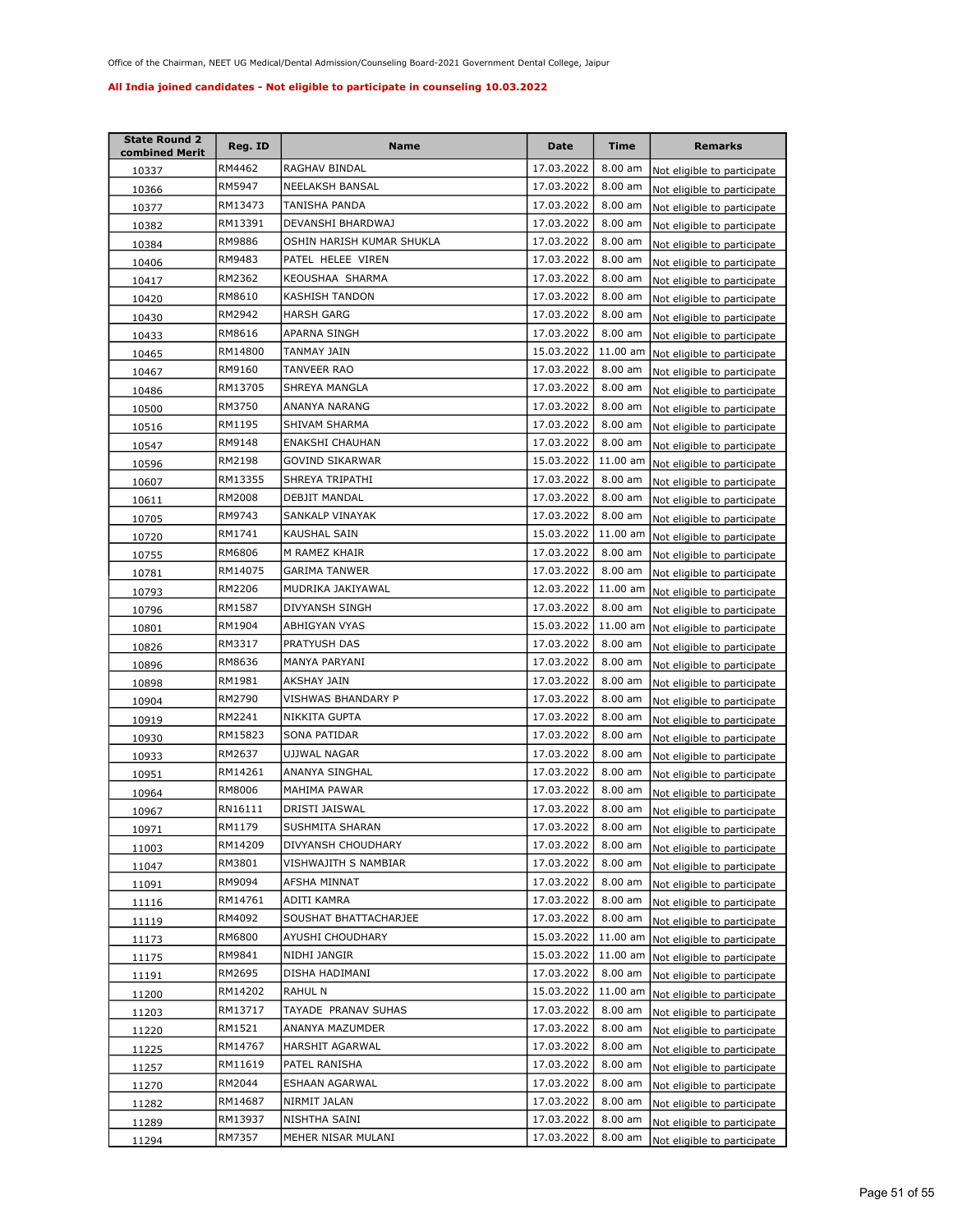| <b>State Round 2</b><br>combined Merit | Reg. ID | Name                      | Date       | <b>Time</b>       | <b>Remarks</b>              |
|----------------------------------------|---------|---------------------------|------------|-------------------|-----------------------------|
| 10337                                  | RM4462  | RAGHAV BINDAL             | 17.03.2022 | $8.00$ am         | Not eligible to participate |
| 10366                                  | RM5947  | NEELAKSH BANSAL           | 17.03.2022 | 8.00 am           | Not eligible to participate |
| 10377                                  | RM13473 | TANISHA PANDA             | 17.03.2022 | 8.00 am           | Not eligible to participate |
| 10382                                  | RM13391 | DEVANSHI BHARDWAJ         | 17.03.2022 | 8.00 am           | Not eligible to participate |
| 10384                                  | RM9886  | OSHIN HARISH KUMAR SHUKLA | 17.03.2022 | 8.00 am           | Not eligible to participate |
| 10406                                  | RM9483  | PATEL HELEE VIREN         | 17.03.2022 | 8.00 am           | Not eligible to participate |
| 10417                                  | RM2362  | KEOUSHAA SHARMA           | 17.03.2022 | 8.00 am           | Not eligible to participate |
| 10420                                  | RM8610  | <b>KASHISH TANDON</b>     | 17.03.2022 | 8.00 am           | Not eligible to participate |
| 10430                                  | RM2942  | <b>HARSH GARG</b>         | 17.03.2022 | 8.00 am           | Not eligible to participate |
| 10433                                  | RM8616  | APARNA SINGH              | 17.03.2022 | 8.00 am           | Not eligible to participate |
| 10465                                  | RM14800 | TANMAY JAIN               | 15.03.2022 | 11.00 am          | Not eligible to participate |
| 10467                                  | RM9160  | TANVEER RAO               | 17.03.2022 | 8.00 am           | Not eligible to participate |
| 10486                                  | RM13705 | SHREYA MANGLA             | 17.03.2022 | 8.00 am           | Not eligible to participate |
| 10500                                  | RM3750  | ANANYA NARANG             | 17.03.2022 | 8.00 am           | Not eligible to participate |
| 10516                                  | RM1195  | SHIVAM SHARMA             | 17.03.2022 | 8.00 am           | Not eligible to participate |
| 10547                                  | RM9148  | ENAKSHI CHAUHAN           | 17.03.2022 | 8.00 am           | Not eligible to participate |
| <u>10596</u>                           | RM2198  | GOVIND SIKARWAR           | 15.03.2022 | 11.00 am          | Not eligible to participate |
| 10607                                  | RM13355 | SHREYA TRIPATHI           | 17.03.2022 | 8.00 am           | Not eligible to participate |
| 10611                                  | RM2008  | DEBJIT MANDAL             | 17.03.2022 | $8.00$ am         | Not eligible to participate |
| 10705                                  | RM9743  | SANKALP VINAYAK           | 17.03.2022 | 8.00 am           | Not eligible to participate |
| 10720                                  | RM1741  | KAUSHAL SAIN              | 15.03.2022 | 11.00 am          | Not eligible to participate |
| 10755                                  | RM6806  | M RAMEZ KHAIR             | 17.03.2022 | 8.00 am           | Not eligible to participate |
| 10781                                  | RM14075 | <b>GARIMA TANWER</b>      | 17.03.2022 | 8.00 am           | Not eligible to participate |
| 10793                                  | RM2206  | MUDRIKA JAKIYAWAL         | 12.03.2022 | 11.00 am          | Not eligible to participate |
| 10796                                  | RM1587  | DIVYANSH SINGH            | 17.03.2022 | 8.00 am           | Not eligible to participate |
| 10801                                  | RM1904  | ABHIGYAN VYAS             | 15.03.2022 | 11.00 am          | Not eligible to participate |
| 10826                                  | RM3317  | PRATYUSH DAS              | 17.03.2022 | 8.00 am           | Not eligible to participate |
| 10896                                  | RM8636  | MANYA PARYANI             | 17.03.2022 | 8.00 am           | Not eligible to participate |
| 10898                                  | RM1981  | AKSHAY JAIN               | 17.03.2022 | 8.00 am           | Not eligible to participate |
| 10904                                  | RM2790  | VISHWAS BHANDARY P        | 17.03.2022 | 8.00 am           | Not eligible to participate |
| 10919                                  | RM2241  | NIKKITA GUPTA             | 17.03.2022 | 8.00 am           | Not eligible to participate |
| 10930                                  | RM15823 | SONA PATIDAR              | 17.03.2022 | 8.00 am           | Not eligible to participate |
| 10933                                  | RM2637  | UJJWAL NAGAR              | 17.03.2022 | $8.00$ am         | Not eligible to participate |
| 10951                                  | RM14261 | ANANYA SINGHAL            | 17.03.2022 | 8.00 am           | Not eligible to participate |
| 10964                                  | RM8006  | MAHIMA PAWAR              | 17.03.2022 | 8.00 am           | Not eligible to participate |
| 10967                                  | RN16111 | DRISTI JAISWAL            | 17.03.2022 | 8.00 am           | Not eligible to participate |
| 10971                                  | RM1179  | SUSHMITA SHARAN           | 17.03.2022 | $8.00 \text{ am}$ | Not eligible to participate |
| 11003                                  | RM14209 | DIVYANSH CHOUDHARY        | 17.03.2022 | 8.00 am           | Not eligible to participate |
| <u>11047</u>                           | RM3801  | VISHWAJITH S NAMBIAR      | 17.03.2022 | 8.00 am           | Not eligible to participate |
| 11091                                  | RM9094  | AFSHA MINNAT              | 17.03.2022 | 8.00 am           | Not eligible to participate |
| 11116                                  | RM14761 | ADITI KAMRA               | 17.03.2022 | 8.00 am           | Not eligible to participate |
| 11119                                  | RM4092  | SOUSHAT BHATTACHARJEE     | 17.03.2022 | 8.00 am           | Not eligible to participate |
| 11173                                  | RM6800  | AYUSHI CHOUDHARY          | 15.03.2022 | 11.00 am          | Not eligible to participate |
| 11175                                  | RM9841  | NIDHI JANGIR              | 15.03.2022 | 11.00 am          | Not eligible to participate |
| 11191                                  | RM2695  | DISHA HADIMANI            | 17.03.2022 | 8.00 am           | Not eligible to participate |
| 11200                                  | RM14202 | RAHUL N                   | 15.03.2022 | 11.00 am          | Not eligible to participate |
| 11203                                  | RM13717 | TAYADE PRANAV SUHAS       | 17.03.2022 | 8.00 am           | Not eligible to participate |
| 11220                                  | RM1521  | ANANYA MAZUMDER           | 17.03.2022 | 8.00 am           | Not eligible to participate |
| 11225                                  | RM14767 | HARSHIT AGARWAL           | 17.03.2022 | 8.00 am           | Not eligible to participate |
| 11257                                  | RM11619 | PATEL RANISHA             | 17.03.2022 | 8.00 am           | Not eligible to participate |
| 11270                                  | RM2044  | ESHAAN AGARWAL            | 17.03.2022 | 8.00 am           | Not eligible to participate |
| 11282                                  | RM14687 | NIRMIT JALAN              | 17.03.2022 | 8.00 am           | Not eligible to participate |
| 11289                                  | RM13937 | NISHTHA SAINI             | 17.03.2022 | 8.00 am           | Not eligible to participate |
| 11294                                  | RM7357  | MEHER NISAR MULANI        | 17.03.2022 | $8.00$ am         | Not eligible to participate |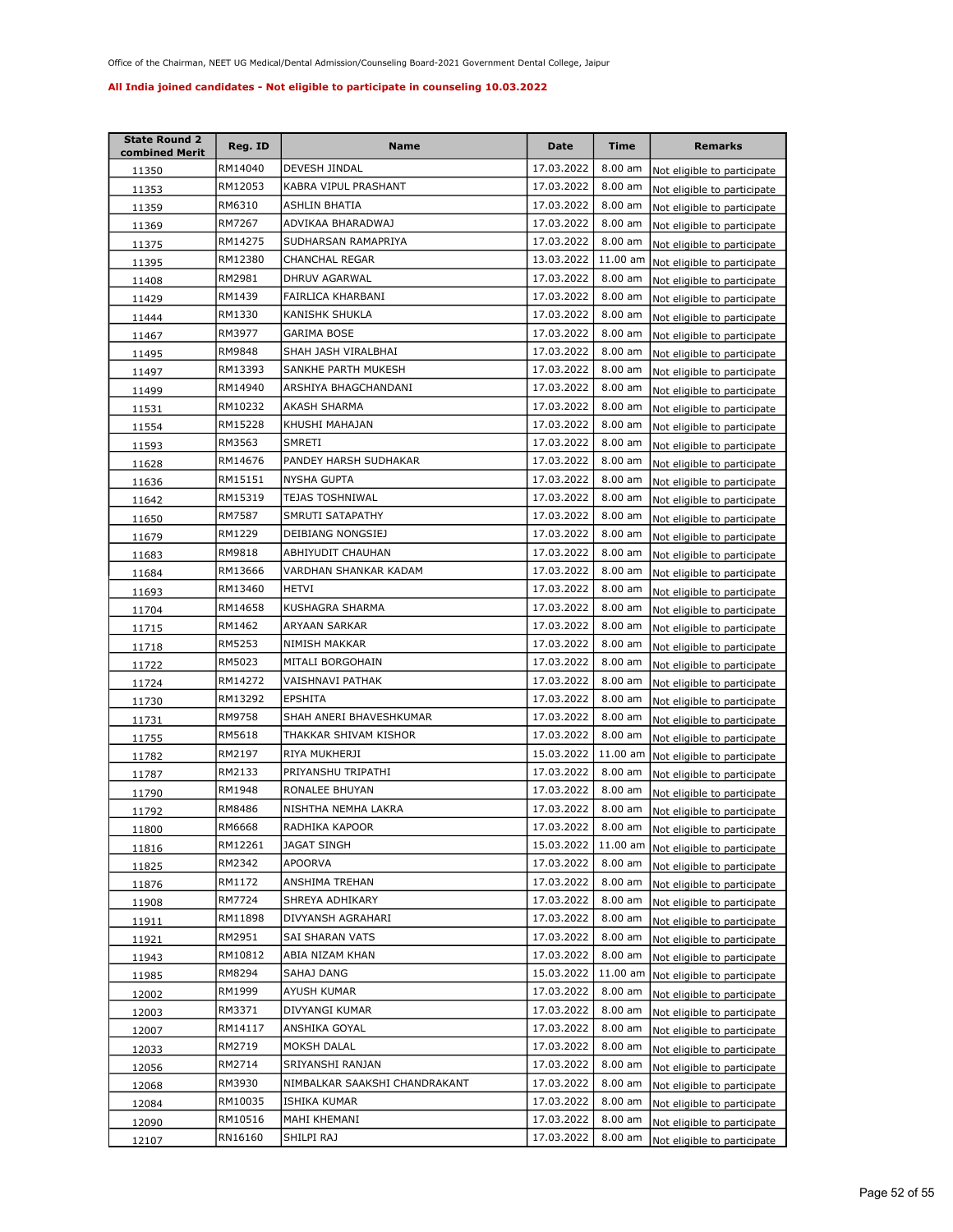| <b>State Round 2</b><br>combined Merit | Reg. ID | Name                          | Date       | <b>Time</b> | <b>Remarks</b>                      |
|----------------------------------------|---------|-------------------------------|------------|-------------|-------------------------------------|
| 11350                                  | RM14040 | DEVESH JINDAL                 | 17.03.2022 | $8.00$ am   | Not eligible to participate         |
| 11353                                  | RM12053 | KABRA VIPUL PRASHANT          | 17.03.2022 | 8.00 am     | Not eligible to participate         |
| 11359                                  | RM6310  | ASHLIN BHATIA                 | 17.03.2022 | 8.00 am     | Not eligible to participate         |
| 11369                                  | RM7267  | ADVIKAA BHARADWAJ             | 17.03.2022 | 8.00 am     | Not eligible to participate         |
| 11375                                  | RM14275 | SUDHARSAN RAMAPRIYA           | 17.03.2022 | $8.00$ am   | Not eligible to participate         |
| <u> 11395</u>                          | RM12380 | CHANCHAL REGAR                | 13.03.2022 | 11.00 am    | Not eligible to participate         |
| 11408                                  | RM2981  | DHRUV AGARWAL                 | 17.03.2022 | 8.00 am     | Not eligible to participate         |
| 11429                                  | RM1439  | FAIRLICA KHARBANI             | 17.03.2022 | 8.00 am     | Not eligible to participate         |
| 11444                                  | RM1330  | KANISHK SHUKLA                | 17.03.2022 | 8.00 am     | Not eligible to participate         |
| 11467                                  | RM3977  | GARIMA BOSE                   | 17.03.2022 | 8.00 am     | Not eligible to participate         |
| 11495                                  | RM9848  | SHAH JASH VIRALBHAI           | 17.03.2022 | $8.00$ am   | Not eligible to participate         |
| 11497                                  | RM13393 | SANKHE PARTH MUKESH           | 17.03.2022 | 8.00 am     | Not eligible to participate         |
| 11499                                  | RM14940 | ARSHIYA BHAGCHANDANI          | 17.03.2022 | 8.00 am     | Not eligible to participate         |
| 11531                                  | RM10232 | AKASH SHARMA                  | 17.03.2022 | 8.00 am     | Not eligible to participate         |
| 11554                                  | RM15228 | KHUSHI MAHAJAN                | 17.03.2022 | 8.00 am     | Not eligible to participate         |
| 11593                                  | RM3563  | SMRETI                        | 17.03.2022 | 8.00 am     | Not eligible to participate         |
| 11628                                  | RM14676 | PANDEY HARSH SUDHAKAR         | 17.03.2022 | 8.00 am     | Not eligible to participate         |
| 11636                                  | RM15151 | <b>NYSHA GUPTA</b>            | 17.03.2022 | 8.00 am     | Not eligible to participate         |
| 11642                                  | RM15319 | <b>TEJAS TOSHNIWAL</b>        | 17.03.2022 | 8.00 am     | Not eligible to participate         |
| <b>11650</b>                           | RM7587  | SMRUTI SATAPATHY              | 17.03.2022 | 8.00 am     | Not eligible to participate         |
| 11679                                  | RM1229  | DEIBIANG NONGSIEJ             | 17.03.2022 | 8.00 am     | Not eligible to participate         |
| 11683                                  | RM9818  | ABHIYUDIT CHAUHAN             | 17.03.2022 | 8.00 am     | Not eligible to participate         |
| 11684                                  | RM13666 | VARDHAN SHANKAR KADAM         | 17.03.2022 | 8.00 am     | Not eligible to participate         |
| 11693                                  | RM13460 | <b>HETVI</b>                  | 17.03.2022 | 8.00 am     | Not eligible to participate         |
| 11704                                  | RM14658 | KUSHAGRA SHARMA               | 17.03.2022 | 8.00 am     | Not eligible to participate         |
| 11715                                  | RM1462  | ARYAAN SARKAR                 | 17.03.2022 | $8.00$ am   | Not eligible to participate         |
| 11718                                  | RM5253  | NIMISH MAKKAR                 | 17.03.2022 | 8.00 am     | Not eligible to participate         |
| 11722                                  | RM5023  | MITALI BORGOHAIN              | 17.03.2022 | 8.00 am     | Not eligible to participate         |
| 11724                                  | RM14272 | VAISHNAVI PATHAK              | 17.03.2022 | 8.00 am     | Not eligible to participate         |
| 11730                                  | RM13292 | <b>EPSHITA</b>                | 17.03.2022 | 8.00 am     | Not eligible to participate         |
| 11731                                  | RM9758  | SHAH ANERI BHAVESHKUMAR       | 17.03.2022 | 8.00 am     | Not eligible to participate         |
| 11755                                  | RM5618  | THAKKAR SHIVAM KISHOR         | 17.03.2022 | $8.00$ am   | Not eligible to participate         |
| 11782                                  | RM2197  | RIYA MUKHERJI                 | 15.03.2022 | 11.00 am    | Not eligible to participate         |
| 11787                                  | RM2133  | PRIYANSHU TRIPATHI            | 17.03.2022 | 8.00 am     | Not eligible to participate         |
| 11790                                  | RM1948  | RONALEE BHUYAN                | 17.03.2022 | $8.00$ am   | Not eligible to participate         |
| 11792                                  | RM8486  | NISHTHA NEMHA LAKRA           | 17.03.2022 | 8.00 am     | Not eligible to participate         |
| 11800                                  | RM6668  | RADHIKA KAPOOR                | 17.03.2022 |             | 8.00 am Not eligible to participate |
| 11816                                  | RM12261 | <b>JAGAT SINGH</b>            | 15.03.2022 | 11.00 am    | Not eligible to participate         |
| 11825                                  | RM2342  | APOORVA                       | 17.03.2022 | 8.00 am     | Not eligible to participate         |
| 11876                                  | RM1172  | ANSHIMA TREHAN                | 17.03.2022 | 8.00 am     | Not eligible to participate         |
| 11908                                  | RM7724  | SHREYA ADHIKARY               | 17.03.2022 | 8.00 am     | Not eligible to participate         |
| 11911                                  | RM11898 | DIVYANSH AGRAHARI             | 17.03.2022 | 8.00 am     | Not eligible to participate         |
| 11921                                  | RM2951  | SAI SHARAN VATS               | 17.03.2022 | 8.00 am     | Not eligible to participate         |
| 11943                                  | RM10812 | ABIA NIZAM KHAN               | 17.03.2022 | 8.00 am     | Not eligible to participate         |
| 11985                                  | RM8294  | SAHAJ DANG                    | 15.03.2022 | 11.00 am    | Not eligible to participate         |
| 12002                                  | RM1999  | AYUSH KUMAR                   | 17.03.2022 | 8.00 am     | Not eligible to participate         |
| 12003                                  | RM3371  | DIVYANGI KUMAR                | 17.03.2022 | 8.00 am     | Not eligible to participate         |
| 12007                                  | RM14117 | ANSHIKA GOYAL                 | 17.03.2022 | 8.00 am     | Not eligible to participate         |
| 12033                                  | RM2719  | MOKSH DALAL                   | 17.03.2022 | 8.00 am     | Not eligible to participate         |
| 12056                                  | RM2714  | SRIYANSHI RANJAN              | 17.03.2022 | 8.00 am     | Not eligible to participate         |
| 12068                                  | RM3930  | NIMBALKAR SAAKSHI CHANDRAKANT | 17.03.2022 | 8.00 am     | Not eligible to participate         |
| 12084                                  | RM10035 | ISHIKA KUMAR                  | 17.03.2022 | 8.00 am     | Not eligible to participate         |
| 12090                                  | RM10516 | MAHI KHEMANI                  | 17.03.2022 | 8.00 am     | Not eligible to participate         |
| 12107                                  | RN16160 | SHILPI RAJ                    | 17.03.2022 | 8.00 am     | Not eligible to participate         |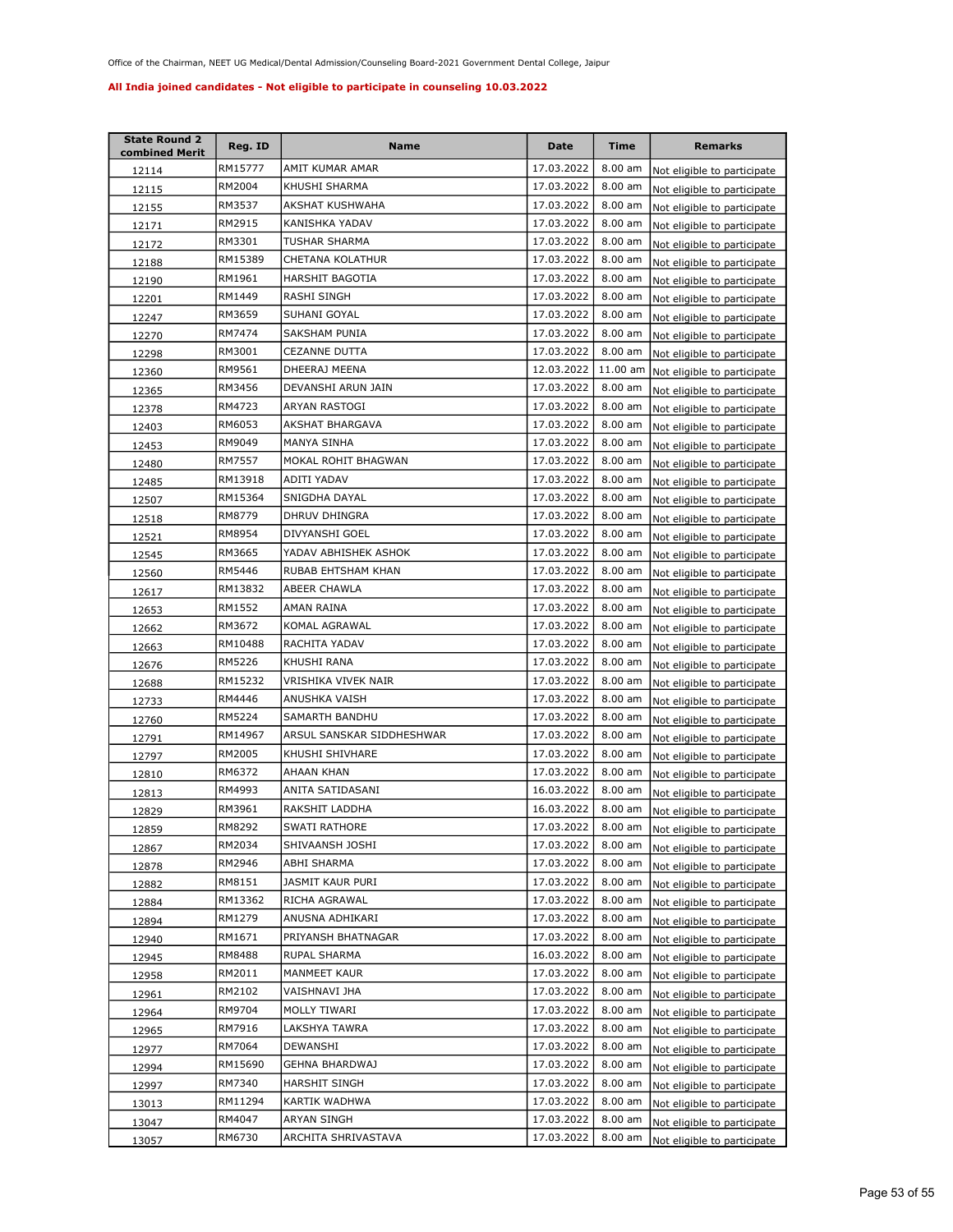| <b>State Round 2</b><br>combined Merit | Reg. ID | Name                      | Date       | Time      | <b>Remarks</b>              |
|----------------------------------------|---------|---------------------------|------------|-----------|-----------------------------|
| 12114                                  | RM15777 | AMIT KUMAR AMAR           | 17.03.2022 | $8.00$ am | Not eligible to participate |
| 12115                                  | RM2004  | KHUSHI SHARMA             | 17.03.2022 | 8.00 am   | Not eligible to participate |
| 12155                                  | RM3537  | AKSHAT KUSHWAHA           | 17.03.2022 | 8.00 am   | Not eligible to participate |
| 12171                                  | RM2915  | KANISHKA YADAV            | 17.03.2022 | 8.00 am   | Not eligible to participate |
| 12172                                  | RM3301  | TUSHAR SHARMA             | 17.03.2022 | 8.00 am   | Not eligible to participate |
| 12188                                  | RM15389 | CHETANA KOLATHUR          | 17.03.2022 | 8.00 am   | Not eligible to participate |
| 12190                                  | RM1961  | HARSHIT BAGOTIA           | 17.03.2022 | 8.00 am   | Not eligible to participate |
| 12201                                  | RM1449  | RASHI SINGH               | 17.03.2022 | 8.00 am   | Not eligible to participate |
| 12247                                  | RM3659  | SUHANI GOYAL              | 17.03.2022 | 8.00 am   | Not eligible to participate |
| 12270                                  | RM7474  | SAKSHAM PUNIA             | 17.03.2022 | 8.00 am   | Not eligible to participate |
| 12298                                  | RM3001  | CEZANNE DUTTA             | 17.03.2022 | 8.00 am   | Not eligible to participate |
| 12360                                  | RM9561  | DHEERAJ MEENA             | 12.03.2022 | 11.00 am  | Not eligible to participate |
| 12365                                  | RM3456  | DEVANSHI ARUN JAIN        | 17.03.2022 | 8.00 am   | Not eligible to participate |
| 12378                                  | RM4723  | ARYAN RASTOGI             | 17.03.2022 | 8.00 am   | Not eligible to participate |
| 12403                                  | RM6053  | AKSHAT BHARGAVA           | 17.03.2022 | 8.00 am   | Not eligible to participate |
| 12453                                  | RM9049  | MANYA SINHA               | 17.03.2022 | 8.00 am   | Not eligible to participate |
| 12480                                  | RM7557  | MOKAL ROHIT BHAGWAN       | 17.03.2022 | 8.00 am   | Not eligible to participate |
| 12485                                  | RM13918 | ADITI YADAV               | 17.03.2022 | 8.00 am   | Not eligible to participate |
| 12507                                  | RM15364 | SNIGDHA DAYAL             | 17.03.2022 | $8.00$ am | Not eligible to participate |
| 12518                                  | RM8779  | DHRUV DHINGRA             | 17.03.2022 | 8.00 am   | Not eligible to participate |
| 12521                                  | RM8954  | DIVYANSHI GOEL            | 17.03.2022 | 8.00 am   | Not eligible to participate |
| 12545                                  | RM3665  | YADAV ABHISHEK ASHOK      | 17.03.2022 | 8.00 am   | Not eligible to participate |
| 12560                                  | RM5446  | RUBAB EHTSHAM KHAN        | 17.03.2022 | 8.00 am   | Not eligible to participate |
| 12617                                  | RM13832 | ABEER CHAWLA              | 17.03.2022 | 8.00 am   | Not eligible to participate |
| 12653                                  | RM1552  | AMAN RAINA                | 17.03.2022 | 8.00 am   | Not eligible to participate |
| 12662                                  | RM3672  | KOMAL AGRAWAL             | 17.03.2022 | 8.00 am   | Not eligible to participate |
| 12663                                  | RM10488 | RACHITA YADAV             | 17.03.2022 | 8.00 am   | Not eligible to participate |
| 12676                                  | RM5226  | KHUSHI RANA               | 17.03.2022 | 8.00 am   | Not eligible to participate |
| 12688                                  | RM15232 | VRISHIKA VIVEK NAIR       | 17.03.2022 | 8.00 am   | Not eligible to participate |
| 12733                                  | RM4446  | ANUSHKA VAISH             | 17.03.2022 | $8.00$ am | Not eligible to participate |
| 12760                                  | RM5224  | SAMARTH BANDHU            | 17.03.2022 | 8.00 am   | Not eligible to participate |
| 12791                                  | RM14967 | ARSUL SANSKAR SIDDHESHWAR | 17.03.2022 | 8.00 am   | Not eligible to participate |
| 12797                                  | RM2005  | KHUSHI SHIVHARE           | 17.03.2022 | 8.00 am   | Not eligible to participate |
| 12810                                  | RM6372  | AHAAN KHAN                | 17.03.2022 | 8.00 am   | Not eligible to participate |
| 12813                                  | RM4993  | ANITA SATIDASANI          | 16.03.2022 | 8.00 am   | Not eligible to participate |
| 12829                                  | RM3961  | RAKSHIT LADDHA            | 16.03.2022 | 8.00 am   | Not eligible to participate |
| 12859                                  | RM8292  | SWATI RATHORE             | 17.03.2022 | 8.00 am   | Not eligible to participate |
| 12867                                  | RM2034  | SHIVAANSH JOSHI           | 17.03.2022 | 8.00 am   | Not eligible to participate |
| 12878                                  | RM2946  | ABHI SHARMA               | 17.03.2022 | 8.00 am   | Not eligible to participate |
| 12882                                  | RM8151  | JASMIT KAUR PURI          | 17.03.2022 | 8.00 am   | Not eligible to participate |
| 12884                                  | RM13362 | RICHA AGRAWAL             | 17.03.2022 | 8.00 am   | Not eligible to participate |
| 12894                                  | RM1279  | ANUSNA ADHIKARI           | 17.03.2022 | 8.00 am   | Not eligible to participate |
| 12940                                  | RM1671  | PRIYANSH BHATNAGAR        | 17.03.2022 | 8.00 am   | Not eligible to participate |
| 12945                                  | RM8488  | RUPAL SHARMA              | 16.03.2022 | 8.00 am   | Not eligible to participate |
| 12958                                  | RM2011  | MANMEET KAUR              | 17.03.2022 | 8.00 am   | Not eligible to participate |
| 12961                                  | RM2102  | VAISHNAVI JHA             | 17.03.2022 | 8.00 am   | Not eligible to participate |
| 12964                                  | RM9704  | MOLLY TIWARI              | 17.03.2022 | 8.00 am   | Not eligible to participate |
| 12965                                  | RM7916  | LAKSHYA TAWRA             | 17.03.2022 | 8.00 am   | Not eligible to participate |
| 12977                                  | RM7064  | DEWANSHI                  | 17.03.2022 | 8.00 am   | Not eligible to participate |
| 12994                                  | RM15690 | GEHNA BHARDWAJ            | 17.03.2022 | 8.00 am   | Not eligible to participate |
| 12997                                  | RM7340  | HARSHIT SINGH             | 17.03.2022 | 8.00 am   | Not eligible to participate |
| 13013                                  | RM11294 | KARTIK WADHWA             | 17.03.2022 | 8.00 am   | Not eligible to participate |
| 13047                                  | RM4047  | ARYAN SINGH               | 17.03.2022 | 8.00 am   | Not eligible to participate |
| 13057                                  | RM6730  | ARCHITA SHRIVASTAVA       | 17.03.2022 | 8.00 am   | Not eligible to participate |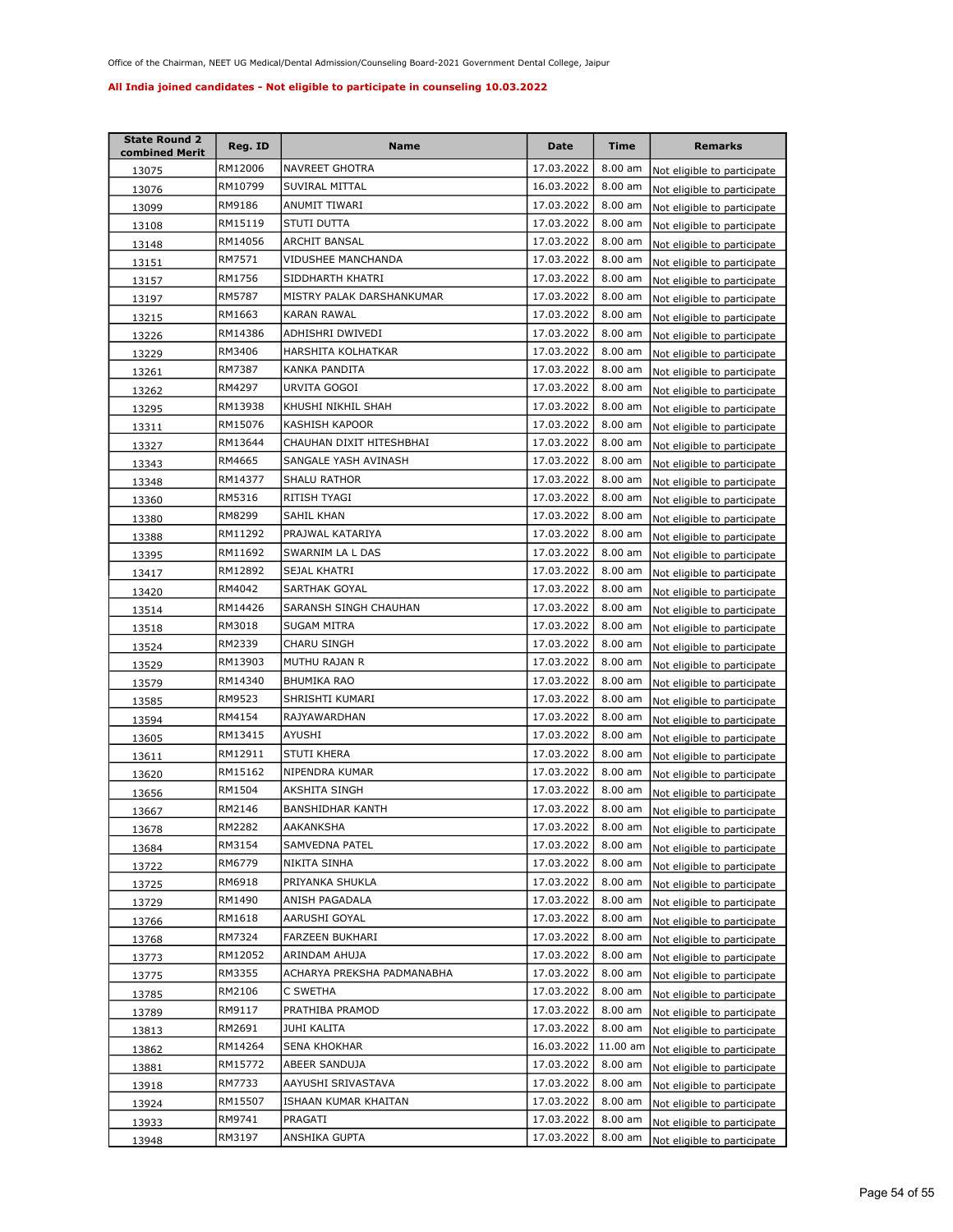| <b>State Round 2</b><br>combined Merit | Reg. ID | <b>Name</b>                | Date       | <b>Time</b>       | <b>Remarks</b>              |
|----------------------------------------|---------|----------------------------|------------|-------------------|-----------------------------|
| 13075                                  | RM12006 | NAVREET GHOTRA             | 17.03.2022 | $8.00$ am         | Not eligible to participate |
| 13076                                  | RM10799 | SUVIRAL MITTAL             | 16.03.2022 | 8.00 am           | Not eligible to participate |
| 13099                                  | RM9186  | ANUMIT TIWARI              | 17.03.2022 | 8.00 am           | Not eligible to participate |
| 13108                                  | RM15119 | STUTI DUTTA                | 17.03.2022 | 8.00 am           | Not eligible to participate |
| 13148                                  | RM14056 | ARCHIT BANSAL              | 17.03.2022 | 8.00 am           | Not eligible to participate |
| 13151                                  | RM7571  | VIDUSHEE MANCHANDA         | 17.03.2022 | 8.00 am           | Not eligible to participate |
| 13157                                  | RM1756  | SIDDHARTH KHATRI           | 17.03.2022 | 8.00 am           | Not eligible to participate |
| 13197                                  | RM5787  | MISTRY PALAK DARSHANKUMAR  | 17.03.2022 | 8.00 am           | Not eligible to participate |
| 13215                                  | RM1663  | <b>KARAN RAWAL</b>         | 17.03.2022 | 8.00 am           | Not eligible to participate |
| 13226                                  | RM14386 | ADHISHRI DWIVEDI           | 17.03.2022 | 8.00 am           | Not eligible to participate |
| 13229                                  | RM3406  | HARSHITA KOLHATKAR         | 17.03.2022 | 8.00 am           | Not eligible to participate |
| 13261                                  | RM7387  | KANKA PANDITA              | 17.03.2022 | 8.00 am           | Not eligible to participate |
| 13262                                  | RM4297  | URVITA GOGOI               | 17.03.2022 | 8.00 am           | Not eligible to participate |
| 13295                                  | RM13938 | KHUSHI NIKHIL SHAH         | 17.03.2022 | 8.00 am           | Not eligible to participate |
| 13311                                  | RM15076 | KASHISH KAPOOR             | 17.03.2022 | 8.00 am           | Not eligible to participate |
| 13327                                  | RM13644 | CHAUHAN DIXIT HITESHBHAI   | 17.03.2022 | 8.00 am           | Not eligible to participate |
| <u>13343</u>                           | RM4665  | SANGALE YASH AVINASH       | 17.03.2022 | 8.00 am           | Not eligible to participate |
| 13348                                  | RM14377 | <b>SHALU RATHOR</b>        | 17.03.2022 | 8.00 am           | Not eligible to participate |
| 13360                                  | RM5316  | RITISH TYAGI               | 17.03.2022 | 8.00 am           | Not eligible to participate |
| 13380                                  | RM8299  | SAHIL KHAN                 | 17.03.2022 | 8.00 am           | Not eligible to participate |
| 13388                                  | RM11292 | PRAJWAL KATARIYA           | 17.03.2022 | 8.00 am           | Not eligible to participate |
| 13395                                  | RM11692 | SWARNIM LA L DAS           | 17.03.2022 | 8.00 am           | Not eligible to participate |
| 13417                                  | RM12892 | SEJAL KHATRI               | 17.03.2022 | 8.00 am           | Not eligible to participate |
| 13420                                  | RM4042  | SARTHAK GOYAL              | 17.03.2022 | 8.00 am           | Not eligible to participate |
| 13514                                  | RM14426 | SARANSH SINGH CHAUHAN      | 17.03.2022 | 8.00 am           | Not eligible to participate |
| 13518                                  | RM3018  | SUGAM MITRA                | 17.03.2022 | 8.00 am           | Not eligible to participate |
| 13524                                  | RM2339  | CHARU SINGH                | 17.03.2022 | 8.00 am           | Not eligible to participate |
| 13529                                  | RM13903 | MUTHU RAJAN R              | 17.03.2022 | 8.00 am           | Not eligible to participate |
| 13579                                  | RM14340 | BHUMIKA RAO                | 17.03.2022 | $8.00$ am         | Not eligible to participate |
| 13585                                  | RM9523  | SHRISHTI KUMARI            | 17.03.2022 | 8.00 am           | Not eligible to participate |
| 13594                                  | RM4154  | RAJYAWARDHAN               | 17.03.2022 | 8.00 am           | Not eligible to participate |
| 13605                                  | RM13415 | AYUSHI                     | 17.03.2022 | 8.00 am           | Not eligible to participate |
| 13611                                  | RM12911 | STUTI KHERA                | 17.03.2022 | $8.00$ am         | Not eligible to participate |
| 13620                                  | RM15162 | NIPENDRA KUMAR             | 17.03.2022 | 8.00 am           | Not eligible to participate |
| 13656                                  | RM1504  | AKSHITA SINGH              | 17.03.2022 | $8.00$ am         | Not eligible to participate |
| 13667                                  | RM2146  | BANSHIDHAR KANTH           | 17.03.2022 | 8.00 am           | Not eligible to participate |
| 13678                                  | RM2282  | AAKANKSHA                  | 17.03.2022 | $8.00 \text{ am}$ | Not eligible to participate |
| 13684                                  | RM3154  | SAMVEDNA PATEL             | 17.03.2022 | 8.00 am           | Not eligible to participate |
| <u>13722</u>                           | RM6779  | NIKITA SINHA               | 17.03.2022 | 8.00 am           | Not eligible to participate |
| 13725                                  | RM6918  | PRIYANKA SHUKLA            | 17.03.2022 | 8.00 am           | Not eligible to participate |
| 13729                                  | RM1490  | ANISH PAGADALA             | 17.03.2022 | 8.00 am           | Not eligible to participate |
| 13766                                  | RM1618  | AARUSHI GOYAL              | 17.03.2022 | 8.00 am           | Not eligible to participate |
| 13768                                  | RM7324  | FARZEEN BUKHARI            | 17.03.2022 | 8.00 am           | Not eligible to participate |
| 13773                                  | RM12052 | ARINDAM AHUJA              | 17.03.2022 | 8.00 am           | Not eligible to participate |
| 13775                                  | RM3355  | ACHARYA PREKSHA PADMANABHA | 17.03.2022 | 8.00 am           | Not eligible to participate |
| 13785                                  | RM2106  | C SWETHA                   | 17.03.2022 | 8.00 am           | Not eligible to participate |
| 13789                                  | RM9117  | PRATHIBA PRAMOD            | 17.03.2022 | 8.00 am           | Not eligible to participate |
| 13813                                  | RM2691  | JUHI KALITA                | 17.03.2022 | 8.00 am           | Not eligible to participate |
| 13862                                  | RM14264 | SENA KHOKHAR               | 16.03.2022 | 11.00 am          | Not eligible to participate |
| 13881                                  | RM15772 | ABEER SANDUJA              | 17.03.2022 | 8.00 am           | Not eligible to participate |
| 13918                                  | RM7733  | AAYUSHI SRIVASTAVA         | 17.03.2022 | 8.00 am           | Not eligible to participate |
| 13924                                  | RM15507 | ISHAAN KUMAR KHAITAN       | 17.03.2022 | 8.00 am           | Not eligible to participate |
| 13933                                  | RM9741  | PRAGATI                    | 17.03.2022 | 8.00 am           | Not eligible to participate |
| 13948                                  | RM3197  | ANSHIKA GUPTA              | 17.03.2022 | $8.00$ am         | Not eligible to participate |